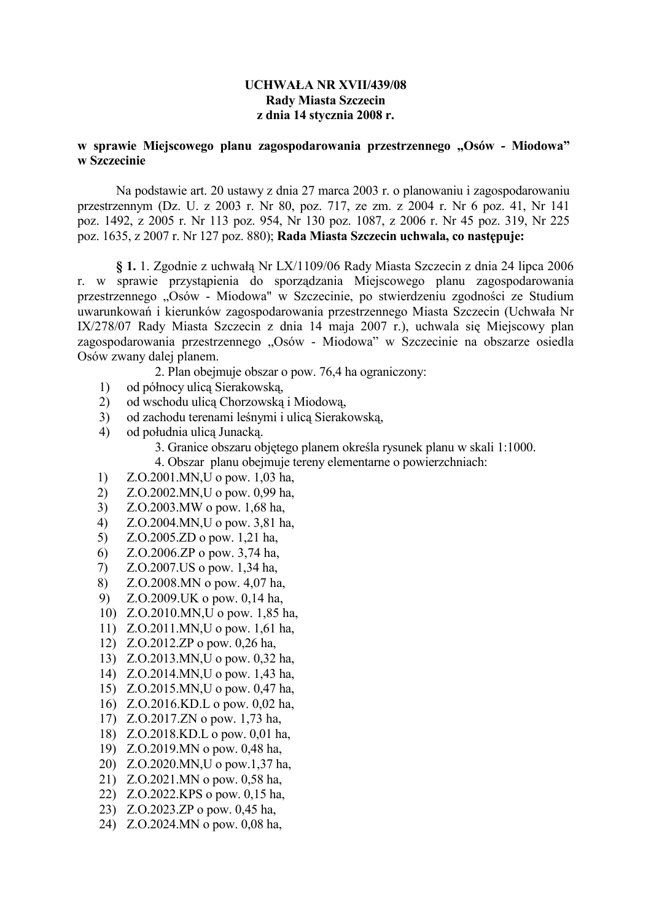#### **UCHWAŁA NR XVII/439/08 Rady Miasta Szczecin** z dnia 14 stycznia 2008 r.

#### w sprawie Miejscowego planu zagospodarowania przestrzennego "Osów - Miodowa" w Szczecinie

Na podstawie art. 20 ustawy z dnia 27 marca 2003 r. o planowaniu i zagospodarowaniu przestrzennym (Dz. U. z 2003 r. Nr 80, poz. 717, ze zm. z 2004 r. Nr 6 poz. 41, Nr 141 poz. 1492, z 2005 r. Nr 113 poz. 954, Nr 130 poz. 1087, z 2006 r. Nr 45 poz. 319, Nr 225 poz. 1635, z 2007 r. Nr 127 poz. 880); Rada Miasta Szczecin uchwala, co następuje:

§ 1. 1. Zgodnie z uchwałą Nr LX/1109/06 Rady Miasta Szczecin z dnia 24 lipca 2006 sprawie przystąpienia do sporządzania Miejscowego planu zagospodarowania r. w przestrzennego "Osów - Miodowa" w Szczecinie, po stwierdzeniu zgodności ze Studium uwarunkowań i kierunków zagospodarowania przestrzennego Miasta Szczecin (Uchwała Nr IX/278/07 Rady Miasta Szczecin z dnia 14 maja 2007 r.), uchwala się Miejscowy plan zagospodarowania przestrzennego "Osów - Miodowa" w Szczecinie na obszarze osiedla Osów zwany dalej planem.

2. Plan obejmuje obszar o pow. 76,4 ha ograniczony:

- od północy ulica Sierakowska, 1)
- $2)$ od wschodu ulica Chorzowska i Miodowa.
- $3)$ od zachodu terenami leśnymi i ulica Sierakowską,
- $4)$ od południa ulica Junacka.

3. Granice obszaru objętego planem określa rysunek planu w skali 1:1000.

4. Obszar planu obejmuje tereny elementarne o powierzchniach:

- $1)$ Z.O.2001.MN, U o pow. 1,03 ha,
- 2) Z.O.2002.MN, U o pow. 0,99 ha,
- $3)$ Z.O.2003.MW o pow. 1,68 ha,
- $4)$ Z.O.2004.MN, U o pow. 3,81 ha,
- $5)$  $Z. O.2005.ZD$  o pow. 1.21 has
- Z.O.2006.ZP o pow. 3,74 ha,  $6)$
- Z.O.2007.US o pow. 1,34 ha,  $(7)$
- 8) Z.O.2008.MN o pow. 4,07 ha,
- 9)  $Z. O.2009$ . UK o pow. 0,14 ha.
- 10) Z.O.2010.MN, U o pow. 1,85 ha.
- 11) Z.O.2011.MN, U o pow. 1,61 ha.
- 12) Z.O.2012.ZP o pow. 0.26 ha.
- 13) Z.O.2013.MN,U o pow. 0,32 ha,
- 14) Z.O.2014.MN, U o pow. 1,43 ha,
- 15) Z.O.2015.MN, U o pow. 0,47 ha.
- 16) Z.O.2016.KD.L o pow. 0,02 ha,
- 17) Z.O.2017.ZN o pow. 1.73 ha.
- 18) Z.O.2018.KD.L o pow. 0,01 ha,
- 19) Z.O.2019.MN o pow. 0.48 ha.
- 20) Z.O.2020.MN,U o pow.1.37 has
- 21) Z.O.2021.MN o pow. 0,58 ha,
- 22) Z.O.2022.KPS o pow. 0.15 has
- 23) Z.O.2023.ZP o pow. 0.45 ha.
- 24) Z.O.2024.MN o pow. 0,08 ha,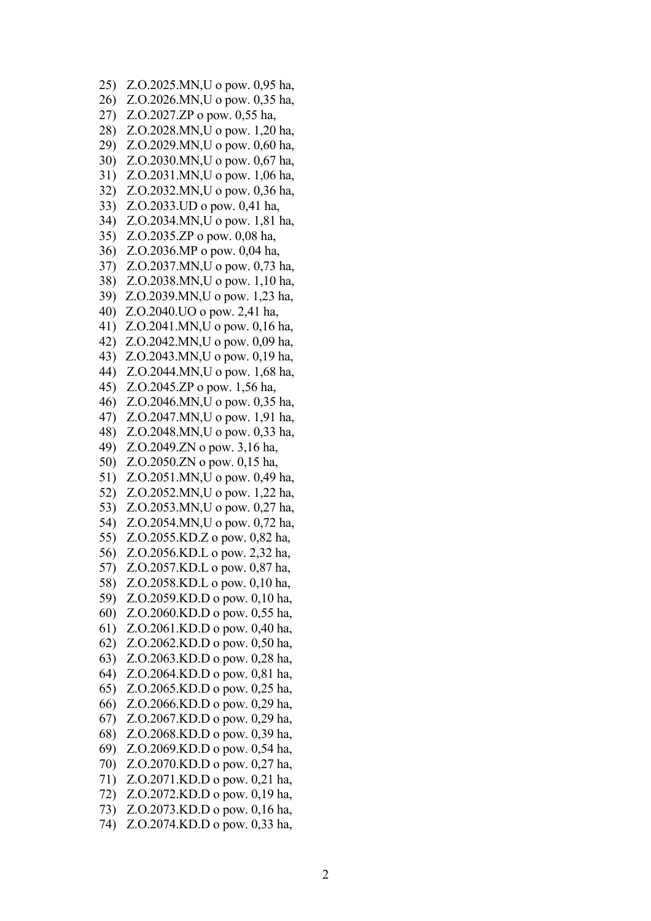25) Z.O.2025.MN,U o pow. 0,95 ha, 26) Z.O.2026.MN,U o pow. 0,35 ha, 27) Z.O.2027.ZP o pow. 0.55 has 28) Z.O.2028.MN, U o pow. 1, 20 ha. 29) Z.O.2029.MN,U o pow. 0,60 ha, 30) Z.O.2030.MN,U o pow. 0,67 ha, 31) Z.O.2031.MN,U o pow. 1,06 ha, 32) Z.O.2032.MN,U o pow. 0,36 ha, 33) Z.O.2033.UD o pow. 0,41 ha, 34) Z.O.2034.MN,U o pow. 1,81 ha, 35) Z.O.2035.ZP o pow. 0.08 ha. 36) Z.O.2036.MP o pow. 0,04 ha, 37) Z.O.2037.MN,U o pow. 0,73 ha, 38) Z.O.2038.MN,U o pow. 1,10 ha, 39) Z.O.2039.MN,U o pow. 1,23 ha, 40) Z.O.2040.UO o pow. 2,41 ha, 41) Z.O.2041.MN,U o pow. 0,16 ha, 42) Z.O.2042.MN,U o pow. 0,09 ha, 43) Z.O.2043.MN,U o pow. 0,19 ha, 44) Z.O.2044.MN,U o pow. 1,68 ha, 45) Z.O.2045.ZP o pow. 1,56 ha, 46) Z.O.2046.MN,U o pow. 0,35 ha, 47) Z.O.2047.MN,U o pow. 1,91 ha, 48) Z.O.2048.MN,U o pow. 0,33 ha, 49) Z.O.2049.ZN o pow. 3,16 ha, 50) Z.O.2050.ZN o pow. 0,15 ha, 51) Z.O.2051.MN,U o pow. 0,49 ha, 52) Z.O.2052.MN,U o pow. 1,22 ha, 53) Z.O.2053.MN,U o pow. 0,27 ha, 54) Z.O.2054.MN,U o pow. 0,72 ha, 55) Z.O.2055.KD.Z o pow. 0,82 ha, 56) Z.O.2056.KD.L o pow. 2,32 ha, 57) Z.O.2057.KD.L o pow. 0,87 ha, 58) Z.O.2058.KD.L o pow. 0,10 ha, 59) Z.O.2059.KD.D o pow. 0,10 ha, 60) Z.O.2060.KD.D o pow. 0.55 ha. 61) Z.O.2061.KD.D o pow. 0.40 ha. 62) Z.O.2062.KD.D o pow. 0.50 ha. 63) Z.O.2063.KD.D o pow. 0,28 ha, 64) Z.O.2064.KD.D o pow. 0,81 ha, 65) Z.O.2065.KD.D o pow. 0.25 ha. 66) Z.O.2066.KD.D o pow. 0,29 ha, 67) Z.O.2067.KD.D o pow. 0.29 ha. 68) Z.O.2068.KD.D o pow. 0,39 ha, 69) Z.O.2069.KD.D o pow. 0.54 ha, 70) Z.O.2070.KD.D o pow. 0.27 ha. 71) Z.O.2071.KD.D o pow. 0.21 ha, 72) Z.O.2072.KD.D o pow. 0,19 ha, 73) Z.O.2073.KD.D o pow. 0.16 ha. 74) Z.O.2074.KD.D o pow. 0.33 ha,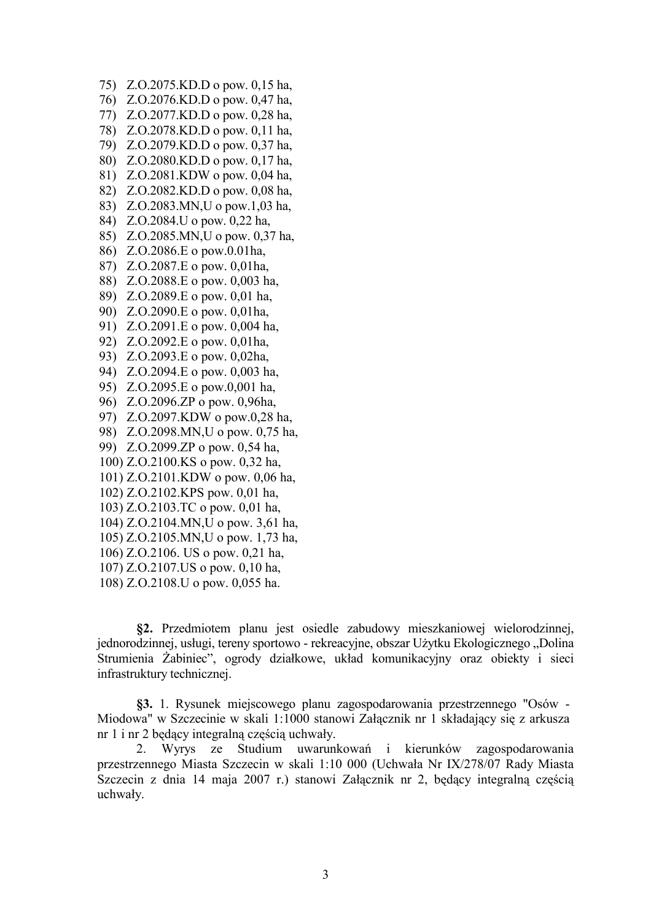- 75) Z.O.2075.KD.D o pow. 0,15 ha,
- 76) Z.O.2076.KD.D o pow. 0,47 ha,
- 77) Z.O.2077.KD.D o pow. 0,28 ha,
- 78) Z.O.2078.KD.D o pow. 0.11 ha.
- 79) Z.O.2079.KD.D o pow. 0,37 ha,
- 80) Z.O.2080.KD.D o pow. 0.17 ha.
- 81) Z.O.2081.KDW o pow. 0,04 ha,
- 82) Z.O.2082.KD.D o pow. 0,08 ha,
- 83) Z.O.2083.MN, U o pow. 1,03 ha.
- 84) Z.O.2084.U o pow. 0,22 ha,
- 85) Z.O.2085.MN.U o pow. 0.37 ha.
- 86) Z.O.2086.E o pow.0.01ha,
- 87) Z.O.2087.E o pow. 0,01ha,
- 88) Z.O.2088.E o pow. 0,003 ha,
- 89) Z.O.2089.E o pow. 0,01 ha,
- 90) Z.O.2090.E o pow. 0,01ha,
- 91) Z.O.2091.E o pow. 0,004 ha,
- 92) Z.O.2092.E o pow. 0,01ha,
- 93) Z.O.2093.E o pow. 0,02ha,
- 94) Z.O.2094.E o pow. 0,003 ha,
- 95) Z.O.2095.E o pow.0,001 ha,
- 96) Z.O.2096.ZP o pow. 0.96ha.
- 97) Z.O.2097.KDW o pow.0,28 ha,
- 98) Z.O.2098.MN, U o pow. 0.75 has
- 99) Z.O.2099.ZP o pow. 0,54 ha,
- 100) Z.O.2100.KS o pow. 0,32 ha,
- 101) Z.O.2101.KDW o pow. 0,06 ha,
- 102) Z.O.2102.KPS pow. 0,01 ha,
- 103) Z.O.2103.TC o pow. 0,01 ha,
- 104) Z.O.2104.MN, U o pow. 3,61 ha,
- 105) Z.O.2105.MN, U o pow. 1,73 ha,
- 106) Z.O.2106. US o pow. 0,21 ha,
- 107) Z.O.2107.US o pow. 0,10 ha,
- 108) Z.O.2108.U o pow. 0,055 ha.

§2. Przedmiotem planu jest osiedle zabudowy mieszkaniowej wielorodzinnej, jednorodzinnej, usługi, tereny sportowo - rekreacyjne, obszar Użytku Ekologicznego "Dolina Strumienia Żabiniec", ogrody działkowe, układ komunikacyjny oraz obiekty i sieci infrastruktury technicznej.

§3. 1. Rysunek miejscowego planu zagospodarowania przestrzennego "Osów -Miodowa" w Szczecinie w skali 1:1000 stanowi Załącznik nr 1 składający się z arkusza nr 1 i nr 2 będący integralną częścią uchwały.

Wyrys ze Studium uwarunkowań i kierunków zagospodarowania  $\overline{2}$ przestrzennego Miasta Szczecin w skali 1:10 000 (Uchwała Nr IX/278/07 Rady Miasta Szczecin z dnia 14 maja 2007 r.) stanowi Załącznik nr 2, będący integralną częścią uchwały.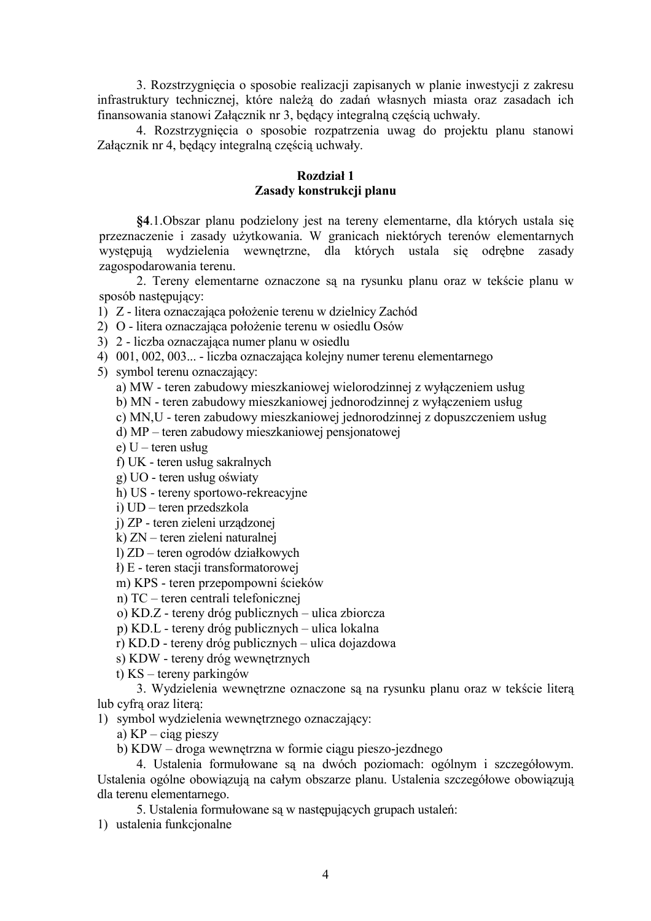3. Rozstrzygnięcia o sposobie realizacji zapisanych w planie inwestycji z zakresu infrastruktury technicznej, które należą do zadań własnych miasta oraz zasadach ich finansowania stanowi Załącznik nr 3, będący integralną częścią uchwały.

4. Rozstrzygniecia o sposobie rozpatrzenia uwag do projektu planu stanowi Załącznik nr 4, będący integralną częścią uchwały.

#### Rozdział 1 Zasady konstrukcji planu

§4.1. Obszar planu podzielony jest na tereny elementarne, dla których ustala się przeznaczenie i zasady użytkowania. W granicach niektórych terenów elementarnych występują wydzielenia wewnętrzne, dla których ustala się odrębne zasady zagospodarowania terenu.

2. Tereny elementarne oznaczone są na rysunku planu oraz w tekście planu w sposób nastepujący:

1) Z - litera oznaczająca położenie terenu w dzielnicy Zachód

2) O - litera oznaczająca położenie terenu w osiedlu Osów

3) 2 - liczba oznaczająca numer planu w osiedlu

4) 001, 002, 003... - liczba oznaczająca kolejny numer terenu elementarnego

5) symbol terenu oznaczający:

a) MW - teren zabudowy mieszkaniowej wielorodzinnej z wyłączeniem usług

b) MN - teren zabudowy mieszkaniowej jednorodzinnej z wyłaczeniem usług

c) MN,U - teren zabudowy mieszkaniowej jednorodzinnej z dopuszczeniem usług

d) MP – teren zabudowy mieszkaniowej pensionatowej

e)  $U$  – teren usług

f) UK - teren usług sakralnych

g) UO - teren usług oświaty

h) US - tereny sportowo-rekreacyjne

i) UD – teren przedszkola

j) ZP - teren zieleni urządzonej

k) ZN – teren zieleni naturalnej

l) ZD – teren ogrodów działkowych

ł) E - teren stacji transformatorowej

m) KPS - teren przepompowni ścieków

n) TC – teren centrali telefonicznej

o) KD.Z - tereny dróg publicznych – ulica zbiorcza

p) KD.L - tereny dróg publicznych – ulica lokalna

r) KD.D - tereny dróg publicznych – ulica dojazdowa

s) KDW - tereny dróg wewnętrznych

t)  $KS$  – tereny parkingów

3. Wydzielenia wewnętrzne oznaczone są na rysunku planu oraz w tekście litera lub cyfra oraz litera:

1) symbol wydzielenia wewnętrznego oznaczający:

a)  $KP - \text{cigg pieszy}$ 

b) KDW - droga wewnętrzna w formie ciągu pieszo-jezdnego

4. Ustalenia formułowane sa na dwóch poziomach: ogólnym i szczegółowym. Ustalenia ogólne obowiązują na całym obszarze planu. Ustalenia szczegółowe obowiązują dla terenu elementarnego.

5. Ustalenia formułowane sa w nastepujących grupach ustaleń:

1) ustalenia funkcionalne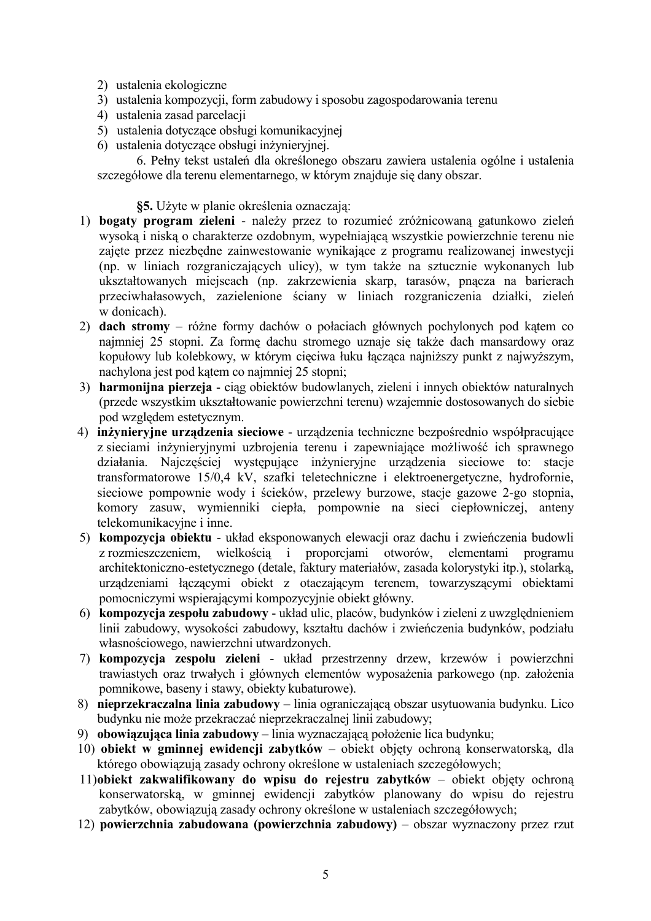- 2) ustalenia ekologiczne
- 3) ustalenia kompozycji, form zabudowy i sposobu zagospodarowania terenu
- 4) ustalenia zasad parcelacii
- 5) ustalenia dotyczące obsługi komunikacyjnej
- 6) ustalenia dotyczące obsługi inżynieryjnej.

6. Pełny tekst ustaleń dla określonego obszaru zawiera ustalenia ogólne i ustalenia szczegółowe dla terenu elementarnego, w którym znajduje się dany obszar.

§5. Użyte w planie określenia oznaczaja:

- 1) bogaty program zieleni należy przez to rozumieć zróżnicowaną gatunkowo zieleń wysoka i niska o charakterze ozdobnym, wypełniająca wszystkie powierzchnie terenu nie zajęte przez niezbędne zainwestowanie wynikające z programu realizowanej inwestycji (np. w liniach rozgraniczających ulicy), w tym także na sztucznie wykonanych lub ukształtowanych miejscach (np. zakrzewienia skarp, tarasów, pnącza na barierach przeciwhałasowych, zazielenione ściany w liniach rozgraniczenia działki, zieleń w donicach).
- 2) dach stromy różne formy dachów o połaciach głównych pochylonych pod kątem co naimniei 25 stopni. Za forme dachu stromego uznaje się także dach mansardowy oraz kopułowy lub kolebkowy, w którym cięciwa łuku łacząca najniższy punkt z najwyższym, nachylona jest pod kątem co najmniej 25 stopni;
- 3) harmonijna pierzeja ciag obiektów budowlanych, zieleni i innych obiektów naturalnych (przede wszystkim ukształtowanie powierzchni terenu) wzajemnie dostosowanych do siębie pod wzgledem estetycznym.
- 4) inżyniervine urzadzenia sieciowe urzadzenia techniczne bezpośrednio współpracujące z sieciami inżynieryjnymi uzbrojenia terenu i zapewniające możliwość ich sprawnego działania. Najczęściej występujące inżynieryjne urządzenia sieciowe to: stacje transformatorowe 15/0.4 kV, szafki teletechniczne i elektroenergetyczne, hydrofornie, sieciowe pompownie wody i ścieków, przelewy burzowe, stacje gazowe 2-go stopnia, komory zasuw, wymienniki ciepła, pompownie na sieci ciepłowniczej, anteny telekomunikacyjne i inne.
- 5) kompozycia obiektu układ eksponowanych elewacji oraz dachu i zwieńczenia budowli wielkościa i proporciami otworów. elementami z rozmieszczeniem. programu architektoniczno-estetycznego (detale, faktury materiałów, zasada kolorystyki itp.), stolarką, urządzeniami łączącymi obiekt z otaczającym terenem, towarzyszącymi obiektami pomocniczymi wspierającymi kompozycyjnie obiekt główny.
- 6) kompozycja zespołu zabudowy układ ulic, placów, budynków i zieleni z uwzględnieniem linii zabudowy, wysokości zabudowy, kształtu dachów i zwieńczenia budynków, podziału własnościowego, nawierzchni utwardzonych.
- 7) kompozycja zespołu zieleni układ przestrzenny drzew, krzewów i powierzchni trawiastych oraz trwałych i głównych elementów wyposażenia parkowego (np. założenia pomnikowe, baseny i stawy, objekty kubaturowe).
- 8) nieprzekraczalna linia zabudowy linia ograniczającą obszar usytuowania budynku. Lico budynku nie może przekraczać nieprzekraczalnej linii zabudowy;
- 9) obowiązująca linia zabudowy linia wyznaczającą położenie lica budynku;
- 10) obiekt w gminnej ewidencji zabytków obiekt objęty ochroną konserwatorską, dla którego obowiązują zasady ochrony określone w ustaleniach szczegółowych;
- 11) obiekt zakwalifikowany do wpisu do rejestru zabytków obiekt objęty ochroną konserwatorską, w gminnej ewidencji zabytków planowany do wpisu do rejestru zabytków, obowiązują zasady ochrony określone w ustaleniach szczegółowych;
- 12) powierzchnia zabudowana (powierzchnia zabudowy) obszar wyznaczony przez rzut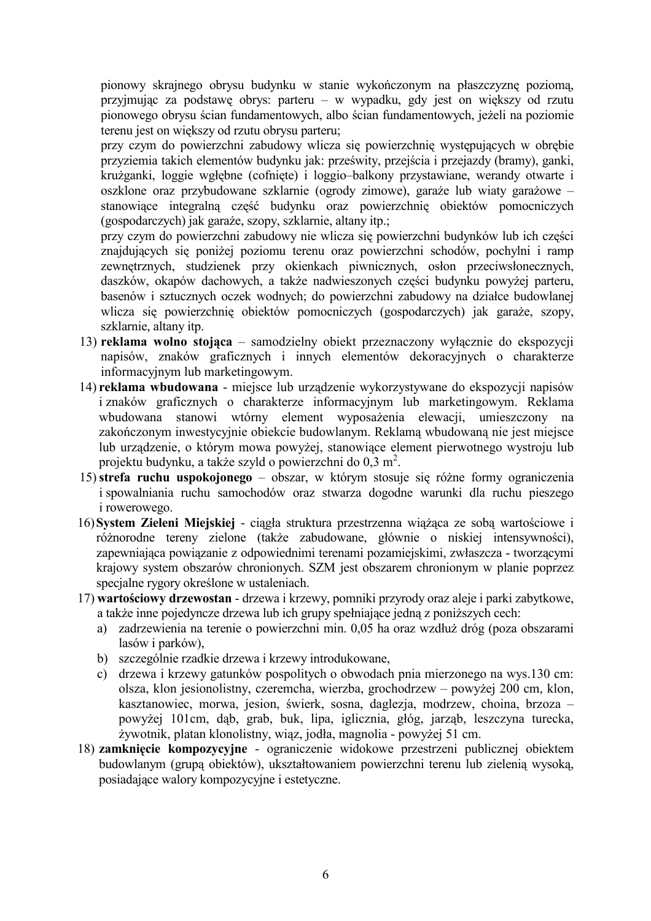pionowy skrajnego obrysu budynku w stanie wykończonym na płaszczyzne poziomą, przyjmując za podstawę obrys: parteru – w wypadku, gdy jest on większy od rzutu pionowego obrysu ścian fundamentowych, albo ścian fundamentowych, jeżeli na poziomie terenu jest on większy od rzutu obrysu parteru;

przy czym do powierzchni zabudowy wlicza się powierzchnię występujących w obrębie przyziemia takich elementów budynku jak: prześwity, przejścia i przejazdy (bramy), ganki, krużganki, loggie wgłębne (cofnięte) i loggio-balkony przystawiane, werandy otwarte i oszklone oraz przybudowane szklarnie (ogrody zimowe), garaże lub wiaty garażowe – stanowiące integralną część budynku oraz powierzchnię obiektów pomocniczych (gospodarczych) jak garaże, szopy, szklarnie, altany itp.;

przy czym do powierzchni zabudowy nie wlicza się powierzchni budynków lub ich części znajdujących się poniżej poziomu terenu oraz powierzchni schodów, pochylni i ramp zewnętrznych, studzienek przy okienkach piwnicznych, osłon przeciwsłonecznych, daszków, okapów dachowych, a także nadwieszonych części budynku powyżej parteru, basenów i sztucznych oczek wodnych; do powierzchni zabudowy na działce budowlanej wlicza się powierzchnię obiektów pomocniczych (gospodarczych) jak garaże, szopy, szklarnie, altany itp.

- 13) reklama wolno stojąca samodzielny obiekt przeznaczony wyłącznie do ekspozycji napisów, znaków graficznych i innych elementów dekoracyjnych o charakterze informacyjnym lub marketingowym.
- 14) reklama wbudowana miejsce lub urządzenie wykorzystywane do ekspozycji napisów i znaków graficznych o charakterze informacyjnym lub marketingowym. Reklama wbudowana stanowi wtórny element wyposażenia elewacji, umieszczony na zakończonym inwestycyjnie obiekcie budowlanym. Reklamą wbudowaną nie jest miejsce lub urządzenie, o którym mowa powyżej, stanowiące element pierwotnego wystroju lub projektu budynku, a także szyld o powierzchni do 0,3 m<sup>2</sup>.
- 15) strefa ruchu uspokojonego obszar, w którym stosuje się różne formy ograniczenia i spowalniania ruchu samochodów oraz stwarza dogodne warunki dla ruchu pieszego *i* rowerowego.
- 16) System Zieleni Miejskiej ciągła struktura przestrzenna wiążąca ze sobą wartościowe i różnorodne tereny zielone (także zabudowane, głównie o niskiej intensywności), zapewniająca powiązanie z odpowiednimi terenami pozamiejskimi, zwłaszcza - tworzącymi krajowy system obszarów chronionych. SZM jest obszarem chronionym w planie poprzez specjalne rygory określone w ustaleniach.
- 17) wartościowy drzewostan drzewa i krzewy, pomniki przyrody oraz aleje i parki zabytkowe, a także inne pojedyncze drzewa lub ich grupy spełniające jedną z poniższych cech:
	- a) zadrzewienia na terenie o powierzchni min. 0.05 ha oraz wzdłuż dróg (poza obszarami lasów i parków).
	- b) szczególnie rzadkie drzewa i krzewy introdukowane,
	- c) drzewa i krzewy gatunków pospolitych o obwodach pnia mierzonego na wys.130 cm: olsza, klon jesionolistny, czeremcha, wierzba, grochodrzew – powyżej 200 cm, klon, kasztanowiec, morwa, jesion, świerk, sosna, daglezja, modrzew, chojna, brzoza – powyżej 101cm, dąb, grab, buk, lipa, iglicznia, głóg, jarząb, leszczyna turecka, żywotnik, platan klonolistny, wiąz, jodła, magnolia - powyżej 51 cm.
- 18) zamknięcie kompozycyjne ograniczenie widokowe przestrzeni publicznej obiektem budowlanym (grupa obiektów), ukształtowaniem powierzchni terenu lub zielenia wysoka, posiadające walory kompozycyjne i estetyczne.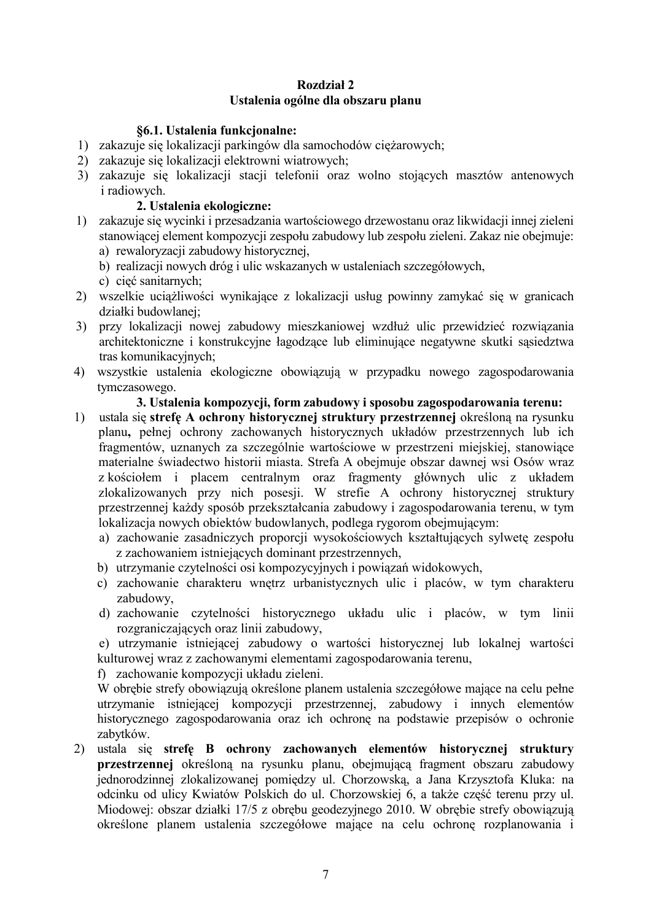## **Rozdział 2** Ustalenia ogólne dla obszaru planu

#### **86.1. Ustalenia funkcionalne:**

- 1) zakazuje się lokalizacji parkingów dla samochodów ciężarowych;
- 2) zakazuje się lokalizacji elektrowni wiatrowych;
- 3) zakazuje się lokalizacji stacji telefonii oraz wolno stojących masztów antenowych *i* radiowych.

## 2. Ustalenia ekologiczne:

- 1) zakazuje się wycinki i przesadzania wartościowego drzewostanu oraz likwidacji innej zieleni stanowiącej element kompozycji zespołu zabudowy lub zespołu zieleni. Zakaz nie obejmuje: a) rewaloryzacji zabudowy historycznej.
	- b) realizacji nowych dróg i ulic wskazanych w ustaleniach szczegółowych,
	- c) cieć sanitarnych;
- 2) wszelkie uciążliwości wynikające z lokalizacji usług powinny zamykać się w granicach działki budowlanej;
- 3) przy lokalizacji nowej zabudowy mieszkaniowej wzdłuż ulic przewidzieć rozwiązania architektoniczne i konstrukcyjne łagodzące lub eliminujące negatywne skutki sąsiedztwa tras komunikacvinvch:
- 4) wszystkie ustalenia ekologiczne obowiązują w przypadku nowego zagospodarowania tymczasowego.

#### 3. Ustalenia kompozycji, form zabudowy i sposobu zagospodarowania terenu:

- 1) ustala się strefę A ochrony historycznej struktury przestrzennej określoną na rysunku planu, pełnej ochrony zachowanych historycznych układów przestrzennych lub ich fragmentów, uznanych za szczególnie wartościowe w przestrzeni miejskiej, stanowiące materialne świadectwo historii miasta. Strefa A obejmuje obszar dawnej wsi Osów wraz z kościołem i placem centralnym oraz fragmenty głównych ulic z układem<br>zlokalizowanych przy nich posesji. W strefie A ochrony historycznej struktury przestrzennej każdy sposób przekształcania zabudowy i zagospodarowania terenu, w tym lokalizacja nowych obiektów budowlanych, podlega rygorom obejmującym:
	- a) zachowanie zasadniczych proporcji wysokościowych kształtujących sylwete zespołu z zachowaniem istniejących dominant przestrzennych,
	- b) utrzymanie czytelności osi kompozycyjnych i powiązań widokowych,
	- c) zachowanie charakteru wnętrz urbanistycznych ulic i placów, w tym charakteru zabudowy.
	- d) zachowanie czytelności historycznego układu ulic i placów, w tym linii rozgraniczających oraz linii zabudowy,

e) utrzymanie istniejącej zabudowy o wartości historycznej lub lokalnej wartości kulturowej wraz z zachowanymi elementami zagospodarowania terenu,

f) zachowanie kompozycji układu zieleni.

W obrebie strefy obowiazują określone planem ustalenia szczegółowe mające na celu pełne utrzymanie istniejącej kompozycji przestrzennej, zabudowy i innych elementów historycznego zagospodarowania oraz ich ochronę na podstawie przepisów o ochronie zabytków.

2) ustala się strefę B ochrony zachowanych elementów historycznej struktury przestrzennej określona na rysunku planu, obejmująca fragment obszaru zabudowy jednorodzinnej zlokalizowanej pomiędzy ul. Chorzowską, a Jana Krzysztofa Kluka: na odcinku od ulicy Kwiatów Polskich do ul. Chorzowskiej 6, a także cześć terenu przy ul. Miodowej: obszar działki 17/5 z obrebu geodezyjnego 2010. W obrebie strefy obowiązują określone planem ustalenia szczegółowe mające na celu ochrone rozplanowania i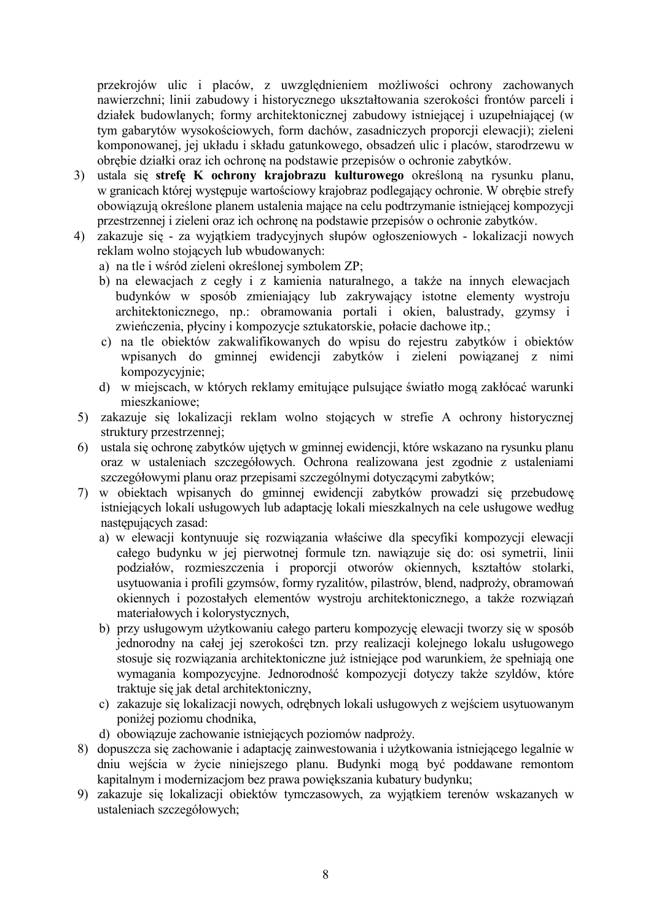przekrojów ulic i placów, z uwzględnieniem możliwości ochrony zachowanych nawierzchni; linii zabudowy i historycznego ukształtowania szerokości frontów parceli i działek budowlanych; formy architektonicznej zabudowy istniejącej i uzupełniającej (w tym gabarytów wysokościowych, form dachów, zasadniczych proporcji elewacji); zieleni komponowanej, jej układu i składu gatunkowego, obsadzeń ulic i placów, starodrzewu w obrębie działki oraz ich ochronę na podstawie przepisów o ochronie zabytków.

- 3) ustala się strefę K ochrony krajobrazu kulturowego określoną na rysunku planu, w granicach której występuje wartościowy krajobraz podlegający ochronie. W obrębie strefy obowiązują określone planem ustalenia mające na celu podtrzymanie istniejącej kompozycji przestrzennej i zieleni oraz ich ochronę na podstawie przepisów o ochronie zabytków.
- 4) zakazuje się za wyjatkiem tradycyjnych słupów ogłoszeniowych lokalizacji nowych reklam wolno stojacych lub wbudowanych:
	- a) na tle i wśród zieleni określonej symbolem ZP;
	- b) na elewacjach z cegły i z kamienia naturalnego, a także na innych elewacjach budynków w sposób zmieniający lub zakrywający istotne elementy wystroju architektonicznego, np.: obramowania portali i okien, balustrady, gzymsy i zwieńczenia, płyciny i kompozycje sztukatorskie, połacie dachowe itp.;
	- c) na tle obiektów zakwalifikowanych do wpisu do rejestru zabytków i obiektów wpisanych do gminnej ewidencji zabytków i zieleni powiazanej z nimi kompozycyjnie;
	- d) w miejscach, w których reklamy emitujące pulsujące światło mogą zakłócać warunki mieszkaniowe<sup>.</sup>
- 5) zakazuje się lokalizacji reklam wolno stojących w strefie A ochrony historycznej struktury przestrzennej:
- 6) ustala się ochronę zabytków ujętych w gminnej ewidencji, które wskazano na rysunku planu oraz w ustaleniach szczegółowych. Ochrona realizowana jest zgodnie z ustaleniami szczegółowymi planu oraz przepisami szczególnymi dotyczącymi zabytków;
- 7) w obiektach wpisanych do gminnej ewidencji zabytków prowadzi się przebudowę istniejących lokali usługowych lub adaptację lokali mieszkalnych na cele usługowe według nastepujacych zasad:
	- a) w elewacji kontynuuje się rozwiązania właściwe dla specyfiki kompozycji elewacji całego budynku w jej pierwotnej formule tzn. nawiązuje się do: osi symetrii, linii podziałów, rozmieszczenia i proporcji otworów okiennych, kształtów stolarki, usytuowania i profili gzymsów, formy ryzalitów, pilastrów, blend, nadproży, obramowań okiennych i pozostałych elementów wystroju architektonicznego, a także rozwiązań materiałowych i kolorystycznych,
	- b) przy usługowym użytkowaniu całego parteru kompozycję elewacji tworzy się w sposób jednorodny na całej jej szerokości tzn. przy realizacji kolejnego lokalu usługowego stosuje się rozwiązania architektoniczne już istniejące pod warunkiem, że spełniają one wymagania kompozycyjne. Jednorodność kompozycji dotyczy także szyldów, które traktuje się jak detal architektoniczny,
	- c) zakazuje się lokalizacji nowych, odrębnych lokali usługowych z wejściem usytuowanym poniżej poziomu chodnika,
	- d) obowiązuje zachowanie istniejących poziomów nadproży.
- 8) dopuszcza się zachowanie i adaptację zainwestowania i użytkowania istniejącego legalnie w dniu wejścia w życie niniejszego planu. Budynki moga być poddawane remontom kapitalnym i modernizacjom bez prawa powiększania kubatury budynku;
- 9) zakazuje się lokalizacji obiektów tymczasowych, za wyjatkiem terenów wskazanych w ustaleniach szczegółowych;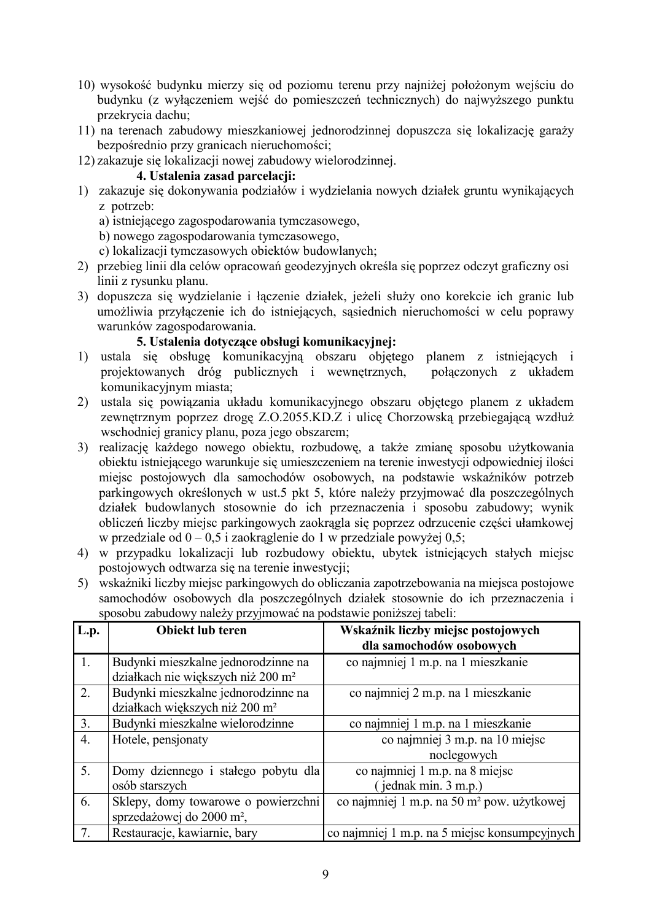- 10) wysokość budynku mierzy się od poziomu terenu przy najniżej położonym wejściu do budynku (z wyłączeniem wejść do pomieszczeń technicznych) do najwyższego punktu przekrycia dachu:
- 11) na terenach zabudowy mieszkaniowej jednorodzinnej dopuszcza się lokalizację garaży bezpośrednio przy granicach nieruchomości;
- 12) zakazuje się lokalizacji nowej zabudowy wielorodzinnej.

#### 4. Ustalenia zasad parcelacii:

- 1) zakazuje się dokonywania podziałów i wydzielania nowych działek gruntu wynikających z potrzeb:
	- a) istniejącego zagospodarowania tymczasowego,
	- b) nowego zagospodarowania tymcząsowego.
	- c) lokalizacji tymczasowych obiektów budowlanych;
- 2) przebieg linii dla celów opracowań geodezyjnych określa się poprzez odczyt graficzny osi linii z rysunku planu.
- 3) dopuszcza się wydzielanie i łączenie działek, jeżeli służy ono korekcie ich granic lub umożliwia przyłączenie ich do istniejących, sąsiednich nieruchomości w celu poprawy warunków zagospodarowania.

## 5. Ustalenia dotyczące obsługi komunikacvinei:

- 1) ustala się obsługę komunikacyjną obszaru objętego planem z istniejących i projektowanych dróg publicznych i wewnętrznych, połaczonych z układem komunikacyjnym miasta;
- 2) ustala sie powiazania układu komunikacyjnego obszaru objetego planem z układem zewnętrznym poprzez drogę Z.O.2055.KD.Z i ulicę Chorzowską przebiegającą wzdłuż wschodniej granicy planu, poza jego obszarem;
- 3) realizację każdego nowego obiektu, rozbudowę, a także zmianę sposobu użytkowania obiektu istniejącego warunkuje się umieszczeniem na terenie inwestycji odpowiedniej ilości miejsc postojowych dla samochodów osobowych, na podstawie wskaźników potrzeb parkingowych określonych w ust.5 pkt 5, które należy przyjmować dla poszczególnych działek budowlanych stosownie do ich przeznaczenia i sposobu zabudowy; wynik obliczeń liczby miejsc parkingowych zaokrągla się poprzez odrzucenie części ułamkowej w przedziale od  $0 - 0.5$  i zaokraglenie do 1 w przedziale powyżej 0.5;
- 4) w przypadku lokalizacji lub rozbudowy obiektu, ubytek istniejących stałych miejsc postojowych odtwarza się na terenie inwestycji;
- 5) wskaźniki liczby miejsc parkingowych do obliczania zapotrzebowania na miejsca postojowe samochodów osobowych dla poszczególnych działek stosownie do ich przeznaczenia i sposobu zabudowy należy przyjmować na podstawie poniższej tabeli:

| L.p.             | Obiekt lub teren                                                                      | Wskaźnik liczby miejsc postojowych<br>dla samochodów osobowych |
|------------------|---------------------------------------------------------------------------------------|----------------------------------------------------------------|
|                  | Budynki mieszkalne jednorodzinne na<br>działkach nie większych niż 200 m <sup>2</sup> | co najmniej 1 m.p. na 1 mieszkanie                             |
| 2.               | Budynki mieszkalne jednorodzinne na<br>działkach większych niż 200 m <sup>2</sup>     | co najmniej 2 m.p. na 1 mieszkanie                             |
| 3.               | Budynki mieszkalne wielorodzinne                                                      | co najmniej 1 m.p. na 1 mieszkanie                             |
| $\overline{4}$ . | Hotele, pensjonaty                                                                    | co najmniej 3 m.p. na 10 miejsc<br>noclegowych                 |
| 5.               | Domy dziennego i stałego pobytu dla                                                   | co najmniej 1 m.p. na 8 miejsc                                 |
|                  | osób starszych                                                                        | $($ jednak min. $3$ m.p.)                                      |
| 6.               | Sklepy, domy towarowe o powierzchni<br>sprzedażowej do 2000 m <sup>2</sup> ,          | co najmniej 1 m.p. na 50 m <sup>2</sup> pow. użytkowej         |
| 7.               | Restauracje, kawiarnie, bary                                                          | co najmniej 1 m.p. na 5 miejsc konsumpcyjnych                  |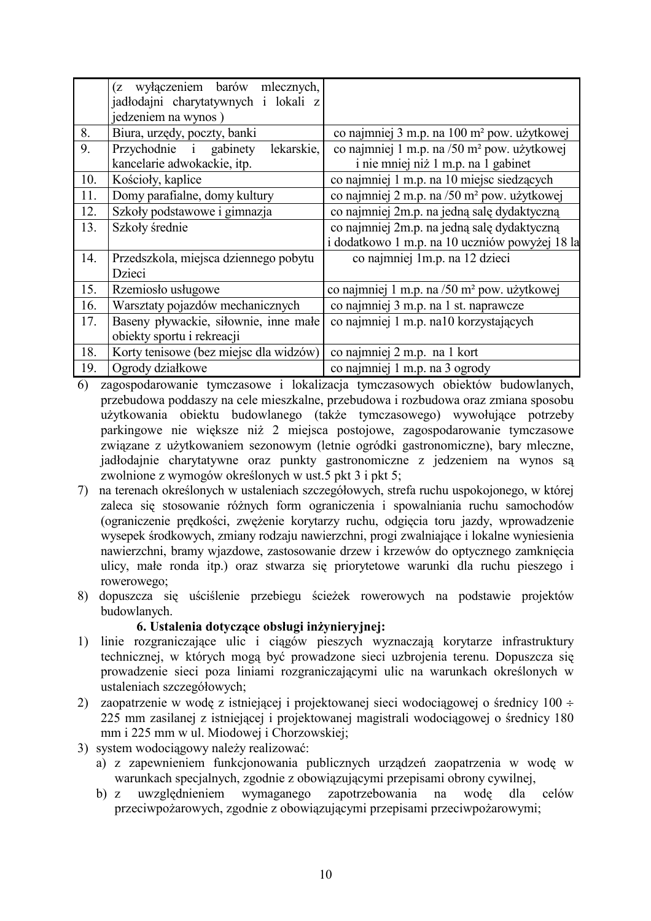|     | (z wyłączeniem barów mlecznych,                             |                                                         |
|-----|-------------------------------------------------------------|---------------------------------------------------------|
|     | jadłodajni charytatywnych i lokali z<br>jedzeniem na wynos) |                                                         |
| 8.  | Biura, urzędy, poczty, banki                                | co najmniej 3 m.p. na 100 m <sup>2</sup> pow. użytkowej |
| 9.  | Przychodnie i gabinety<br>lekarskie.                        | co najmniej 1 m.p. na /50 m <sup>2</sup> pow. użytkowej |
|     | kancelarie adwokackie, itp.                                 | i nie mniej niż 1 m.p. na 1 gabinet                     |
| 10. | Kościoły, kaplice                                           | co najmniej 1 m.p. na 10 miejsc siedzących              |
| 11. | Domy parafialne, domy kultury                               | co najmniej 2 m.p. na /50 m <sup>2</sup> pow. użytkowej |
| 12. | Szkoły podstawowe i gimnazja                                | co najmniej 2m.p. na jedną salę dydaktyczną             |
| 13. | Szkoły średnie                                              | co najmniej 2m.p. na jedną salę dydaktyczną             |
|     |                                                             | i dodatkowo 1 m.p. na 10 uczniów powyżej 18 la          |
| 14. | Przedszkola, miejsca dziennego pobytu                       | co najmniej 1m.p. na 12 dzieci                          |
|     | Dzieci                                                      |                                                         |
| 15. | Rzemiosło usługowe                                          | co najmniej 1 m.p. na /50 m <sup>2</sup> pow. użytkowej |
| 16. | Warsztaty pojazdów mechanicznych                            | co najmniej 3 m.p. na 1 st. naprawcze                   |
| 17. | Baseny pływackie, siłownie, inne małe                       | co najmniej 1 m.p. na10 korzystających                  |
|     | obiekty sportu i rekreacji                                  |                                                         |
| 18. | Korty tenisowe (bez miejsc dla widzów)                      | co najmniej 2 m.p. na 1 kort                            |
| 19. | Ogrody działkowe                                            | co najmniej 1 m.p. na 3 ogrody                          |

- 6) zagospodarowanie tymczasowe i lokalizacja tymczasowych obiektów budowlanych, przebudowa poddaszy na cele mieszkalne, przebudowa i rozbudowa oraz zmiana sposobu użytkowania obiektu budowlanego (także tymczasowego) wywołujące potrzeby parkingowe nie większe niż 2 miejsca postojowe, zagospodarowanie tymczasowe związane z użytkowaniem sezonowym (letnie ogródki gastronomiczne), bary mleczne, jadłodajnie charytatywne oraz punkty gastronomiczne z jedzeniem na wynos są zwolnione z wymogów określonych w ust.5 pkt 3 i pkt 5;
- 7) na terenach określonych w ustaleniach szczegółowych, strefa ruchu uspokojonego, w której zaleca się stosowanie różnych form ograniczenia i spowalniania ruchu samochodów (ograniczenie predkości, zweżenie korytarzy ruchu, odgiecia toru jazdy, wprowadzenie wysepek środkowych, zmiany rodzaju nawierzchni, progi zwalniające i lokalne wyniesienia nawierzchni, bramy wjązdowe, zastosowanie drzew i krzewów do optycznego zamkniecia ulicy, małe ronda itp.) oraz stwarza się priorytetowe warunki dla ruchu pieszego i rowerowego:
- 8) dopuszcza się uściślenie przebiegu ścieżek rowerowych na podstawie projektów budowlanych.

#### 6. Ustalenia dotyczące obsługi inżynieryjnej:

- 1) linie rozgraniczające ulic i ciągów pieszych wyznaczają korytarze infrastruktury technicznej, w których mogą być prowadzone sięci uzbrojenia terenu. Dopuszcza się prowadzenie sieci poza liniami rozgraniczającymi ulic na warunkach określonych w ustaleniach szczegółowych;
- 2) zaopatrzenie w wode z istniejącej i projektowanej sieci wodociągowej o średnicy 100 ÷ 225 mm zasilanej z istniejącej i projektowanej magistrali wodociągowej o średnicy 180 mm i 225 mm w ul. Miodowej i Chorzowskiej;
- 3) system wodociagowy należy realizować:
	- a) z zapewnieniem funkcjonowania publicznych urządzeń zaopatrzenia w wodę w warunkach specjalnych, zgodnie z obowiązującymi przepisami obrony cywilnej,
	- $b) z$ uwzględnieniem wymaganego zapotrzebowania na wode dla celów przeciwpożarowych, zgodnie z obowiązującymi przepisami przeciwpożarowymi;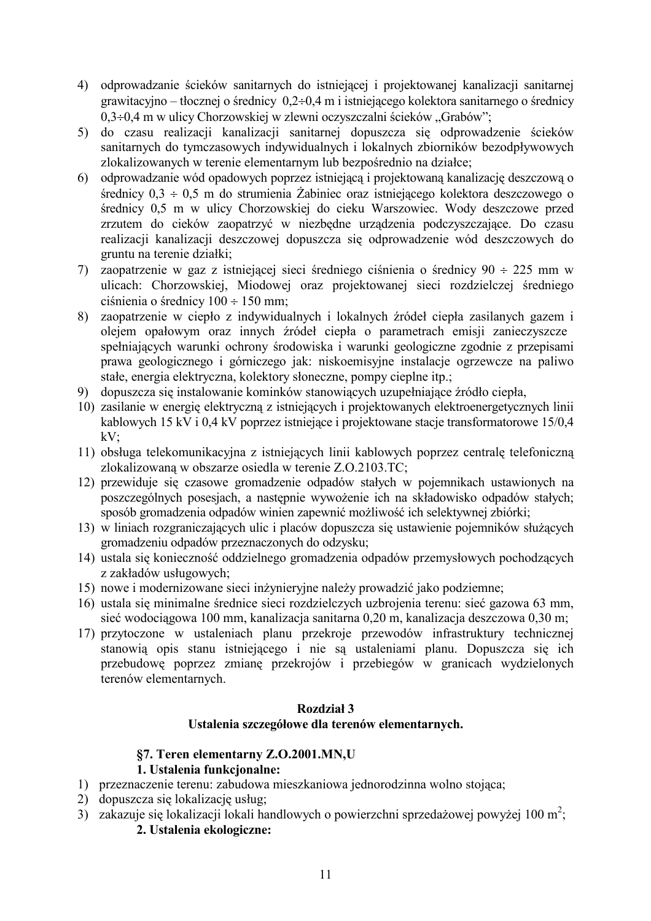- 4) odprowadzanie ścieków sanitarnych do istniejącej i projektowanej kanalizacji sanitarnej grawitacyjno – tłocznej o średnicy  $0,2+0,4$  m i istniejącego kolektora sanitarnego o średnicy  $0.3\div0.4$  m w ulicy Chorzowskiej w zlewni oczyszczalni ścieków "Grabów";
- 5) do czasu realizacji kanalizacji sanitarnej dopuszcza się odprowadzenie ścieków sanitarnych do tymczasowych indywidualnych i lokalnych zbiorników bezodpływowych zlokalizowanych w terenie elementarnym lub bezpośrednio na działce:
- 6) odprowadzanie wód opadowych poprzez istniejącą i projektowaną kanalizację deszczową o średnicy  $0.3 \div 0.5$  m do strumienia Żabiniec oraz istniejącego kolektora deszczowego o średnicy 0,5 m w ulicy Chorzowskiej do cieku Warszowiec. Wody deszczowe przed zrzutem do cieków zaopatrzyć w niezbedne urządzenia podczyszczające. Do czasu realizacji kanalizacji deszczowej dopuszcza się odprowadzenie wód deszczowych do gruntu na terenie działki;
- 7) zaopatrzenie w gaz z istniejącej sieci średniego ciśnienia o średnicy 90 ÷ 225 mm w ulicach: Chorzowskiej, Miodowej oraz projektowanej sieci rozdzielczej średniego ciśnienia o średnicy  $100 \div 150$  mm;
- 8) zaopatrzenie w ciepło z indywidualnych i lokalnych źródeł ciepła zasilanych gazem i oleiem opałowym oraz innych źródeł ciepła o parametrach emisii zanieczyszcze spełniających warunki ochrony środowiska i warunki geologiczne zgodnie z przepisami prawa geologicznego i górniczego jak: niskoemisyjne instalacje ogrzewcze na paliwo stałe, energia elektryczna, kolektory słoneczne, pompy cieplne itp.;
- 9) dopuszcza się instalowanie kominków stanowiących uzupełniające źródło ciepła,
- 10) zasilanie w energie elektryczną z istniejących i projektowanych elektroenergetycznych linii kablowych 15 kV i 0,4 kV poprzez istniejące i projektowane stacje transformatorowe 15/0,4  $kV$ :
- 11) obsługa telekomunikacyjna z istniejących linii kablowych poprzez centralę telefoniczną zlokalizowaną w obszarze osiedla w terenie Z.O.2103.TC;
- 12) przewiduje się czasowe gromadzenie odpadów stałych w pojemnikach ustawionych na poszczególnych posesiach, a następnie wywożenie ich na składowisko odpadów stałych; sposób gromadzenia odpadów winien zapewnić możliwość ich selektywnej zbiórki;
- 13) w liniach rozgraniczających ulic i placów dopuszcza się ustawienie pojemników służących gromadzeniu odpadów przeznaczonych do odzysku;
- 14) ustala się konieczność oddzielnego gromadzenia odpadów przemysłowych pochodzacych z zakładów usługowych;
- 15) nowe i modernizowane sieci inżynieryjne należy prowadzić jako podziemne;
- 16) ustala się minimalne średnice sieci rozdzielczych uzbrojenia terenu: sieć gazowa 63 mm, sieć wodociagowa 100 mm, kanalizacja sanitarna 0.20 m, kanalizacja deszczowa 0.30 m;
- 17) przytoczone w ustaleniach planu przekroje przewodów infrastruktury technicznej stanowią opis stanu istniejącego i nie są ustaleniami planu. Dopuszcza się ich przebudowe poprzez zmiane przekrojów i przebiegów w granicach wydzielonych terenów elementarnych.

# Rozdział 3

# Ustalenia szczegółowe dla terenów elementarnych.

#### §7. Teren elementarny Z.O.2001.MN,U 1. Ustalenia funkcjonalne:

- 1) przeznaczenie terenu: zabudowa mieszkaniowa jednorodzinna wolno stojąca;
- 2) dopuszcza się lokalizację usług:
- 3) zakazuje się lokalizacji lokali handlowych o powierzchni sprzedażowej powyżej 100 m<sup>2</sup>;

# 2. Ustalenia ekologiczne: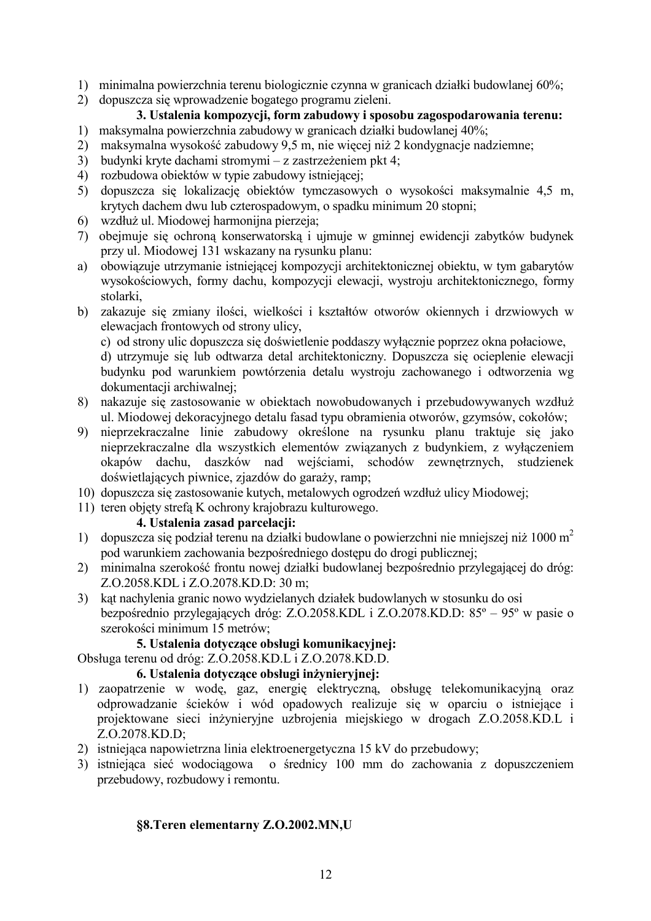- 1) minimalna powierzchnia terenu biologicznie czynna w granicach działki budowlanej 60%;
- 2) dopuszcza się wprowadzenie bogatego programu zieleni.

# 3. Ustalenia kompozycji, form zabudowy i sposobu zagospodarowania terenu:

- 1) maksymalna powierzchnia zabudowy w granicach działki budowlanej 40%;
- 2) maksymalna wysokość zabudowy 9,5 m, nie więcej niż 2 kondygnacje nadziemne;
- 3) budynki kryte dachami stromymi z zastrzeżeniem pkt 4;
- 4) rozbudowa obiektów w typie zabudowy istniejącej;
- 5) dopuszcza się lokalizację obiektów tymczasowych o wysokości maksymalnie 4,5 m, krytych dachem dwu lub czterospadowym, o spadku minimum 20 stopni;
- 6) wzdłuż ul. Miodowej harmonijna pierzeja;
- 7) obejmuje się ochroną konserwatorską i ujmuje w gminnej ewidencji zabytków budynek przy ul. Miodowej 131 wskazany na rysunku planu:
- a) obowiązuje utrzymanie istniejącej kompozycji architektonicznej obiektu, w tym gabarytów wysokościowych, formy dachu, kompozycji elewacji, wystroju architektonicznego, formy stolarki
- b) zakazuje się zmiany ilości, wielkości i kształtów otworów okiennych i drzwiowych w elewacjach frontowych od strony ulicy,
	- c) od strony ulic dopuszcza się doświetlenie poddaszy wyłącznie poprzez okna połaciowe,
	- d) utrzymuje się lub odtwarzą detal architektoniczny. Dopuszczą się ocieplenie elewacji budynku pod warunkiem powtórzenia detalu wystroju zachowanego i odtworzenia wg dokumentacji archiwalnej:
- 8) nakazuje się zastosowanie w obiektach nowobudowanych i przebudowywanych wzdłuż ul. Miodowej dekoracyjnego detalu fasad typu obramienia otworów, gzymsów, cokołów;
- 9) nieprzekraczalne linie zabudowy określone na rysunku planu traktuje się jako nieprzekraczalne dla wszystkich elementów związanych z budynkiem, z wyłączeniem okapów dachu, daszków nad wejściami, schodów zewnętrznych, studzienek doświetlających piwnice, zjazdów do garaży, ramp;
- 10) dopuszcza się zastosowanie kutych, metalowych ogrodzeń wzdłuż ulicy Miodowej;
- 11) teren objęty strefą K ochrony krajobrazu kulturowego.

#### 4. Ustalenia zasad parcelacii:

- 1) dopuszcza się podział terenu na działki budowlane o powierzchni nie mniejszej niż 1000 m<sup>2</sup> pod warunkiem zachowania bezpośredniego dostępu do drogi publicznej;
- 2) minimalna szerokość frontu nowej działki budowlanej bezpośrednio przylegającej do dróg: Z.O.2058.KDL i Z.O.2078.KD.D: 30 m;
- 3) kat nachylenia granic nowo wydzielanych działek budowlanych w stosunku do osi bezpośrednio przylegających dróg: Z.O.2058.KDL i Z.O.2078.KD.D: 85° – 95° w pasie o szerokości minimum 15 metrów;

# 5. Ustalenia dotvczace obsługi komunikacyjnej:

Obsługa terenu od dróg: Z.O.2058.KD.L i Z.O.2078.KD.D.

# 6. Ustalenia dotyczące obsługi inżynieryjnej:

- 1) zaopatrzenie w wodę, gaz, energię elektryczną, obsługę telekomunikacyjną oraz odprowadzanie ścieków i wód opadowych realizuje się w oparciu o istniejące i projektowane sieci inżynieryjne uzbrojenia miejskiego w drogach Z.O.2058.KD.L i  $Z.0.2078$ .KD.D;
- 2) istniejąca napowietrzna linia elektroenergetyczna 15 kV do przebudowy;
- 3) istniejąca sieć wodociagowa o średnicy 100 mm do zachowania z dopuszczeniem przebudowy, rozbudowy i remontu.

# §8. Teren elementarny Z.O.2002.MN,U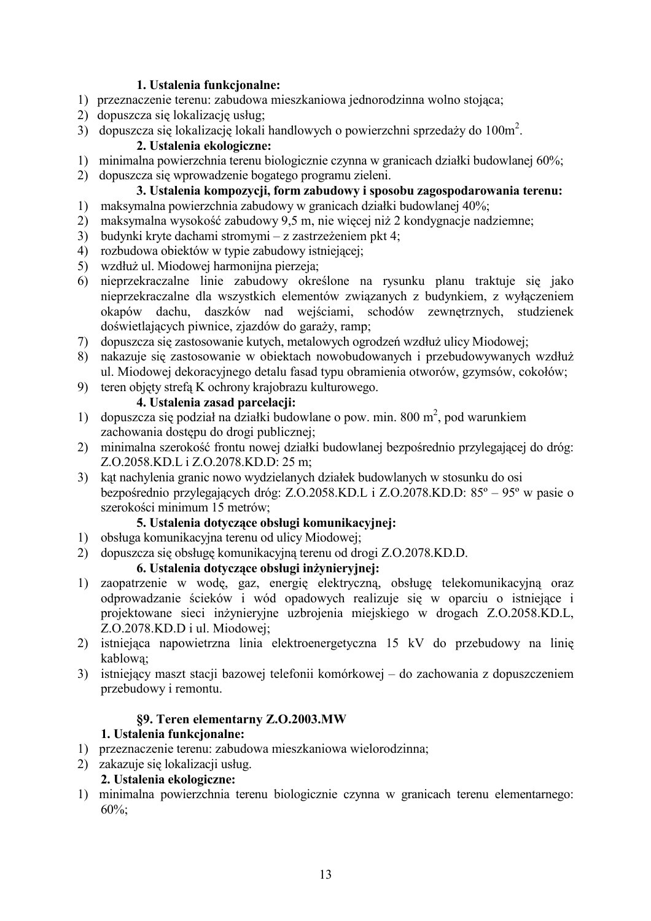#### 1. Ustalenia funkcjonalne:

- 1) przeznaczenie terenu: zabudowa mieszkaniowa jednorodzinna wolno stojąca;
- 2) dopuszcza się lokalizację usług:
- 3) dopuszcza się lokalizację lokali handlowych o powierzchni sprzedaży do 100m<sup>2</sup>.

## 2. Ustalenia ekologiczne:

- 1) minimalna powierzchnia terenu biologicznie czynna w granicach działki budowlanej 60%;
- 2) dopuszcza się wprowadzenie bogatego programu zieleni.

# 3. Ustalenia kompozycji, form zabudowy i sposobu zagospodarowania terenu:

- 1) maksymalna powierzchnia zabudowy w granicach działki budowlanej 40%;
- 2) maksymalna wysokość zabudowy 9,5 m, nie więcej niż 2 kondygnacje nadziemne;
- 3) budynki kryte dachami stromymi z zastrzeżeniem pkt 4:
- 4) rozbudowa obiektów w typie zabudowy istniejacej:
- 5) wzdłuż ul. Miodowej harmonijna pierzeja;
- 6) nieprzekraczalne linie zabudowy określone na rysunku planu traktuje się jako nieprzekraczalne dla wszystkich elementów związanych z budynkiem, z wyłączeniem okapów dachu, daszków nad wejściami, schodów zewnętrznych, studzienek doświetlających piwnice, zjazdów do garaży, ramp;
- 7) dopuszcza się zastosowanie kutych, metalowych ogrodzeń wzdłuż ulicy Miodowej;
- 8) nakazuje się zastosowanie w obiektach nowobudowanych i przebudowywanych wzdłuż ul. Miodowej dekoracyjnego detalu fasad typu obramienia otworów, gzymsów, cokołów;
- 9) teren objety strefa K ochrony krajobrazu kulturowego.

# 4. Ustalenia zasad parcelacii:

- 1) dopuszcza się podział na działki budowlane o pow. min. 800 m<sup>2</sup>, pod warunkiem zachowania dostępu do drogi publicznej;
- 2) minimalna szerokość frontu nowej działki budowlanej bezpośrednio przylegającej do dróg: Z.O.2058.KD.L i Z.O.2078.KD.D: 25 m;
- 3) kąt nachylenia granic nowo wydzielanych działek budowlanych w stosunku do osi bezpośrednio przylegających dróg: Z.O.2058.KD.L i Z.O.2078.KD.D: 85° – 95° w pasie o szerokości minimum 15 metrów;

# 5. Ustalenia dotvczace obsługi komunikacyjnej:

- 1) obsługa komunikacyjna terenu od ulicy Miodowej;
- 2) dopuszcza się obsługę komunikacyjną terenu od drogi Z.O.2078.KD.D.

#### 6. Ustalenia dotyczące obsługi inżynieryjnej:

- 1) zaopatrzenie w wodę, gaz, energię elektryczną, obsługę telekomunikacyjną oraz odprowadzanie ścieków i wód opadowych realizuje się w oparciu o istniejące i projektowane sieci inżynieryjne uzbrojenia miejskiego w drogach Z.O.2058.KD.L, Z.O.2078.KD.D i ul. Miodowej:
- 2) istniejąca napowietrzną linią elektroenergetyczną 15 kV do przebudowy na linię kablowa;
- 3) istniejący maszt stacji bazowej telefonii komórkowej do zachowania z dopuszczeniem przebudowy i remontu.

# §9. Teren elementarny Z.O.2003.MW

# 1. Ustalenia funkcjonalne:

- 1) przeznaczenie terenu: zabudowa mieszkaniowa wielorodzinna;
- 2) zakazuje się lokalizacji usług.

# 2. Ustalenia ekologiczne:

1) minimalna powierzchnia terenu biologicznie czynna w granicach terenu elementarnego:  $60\%$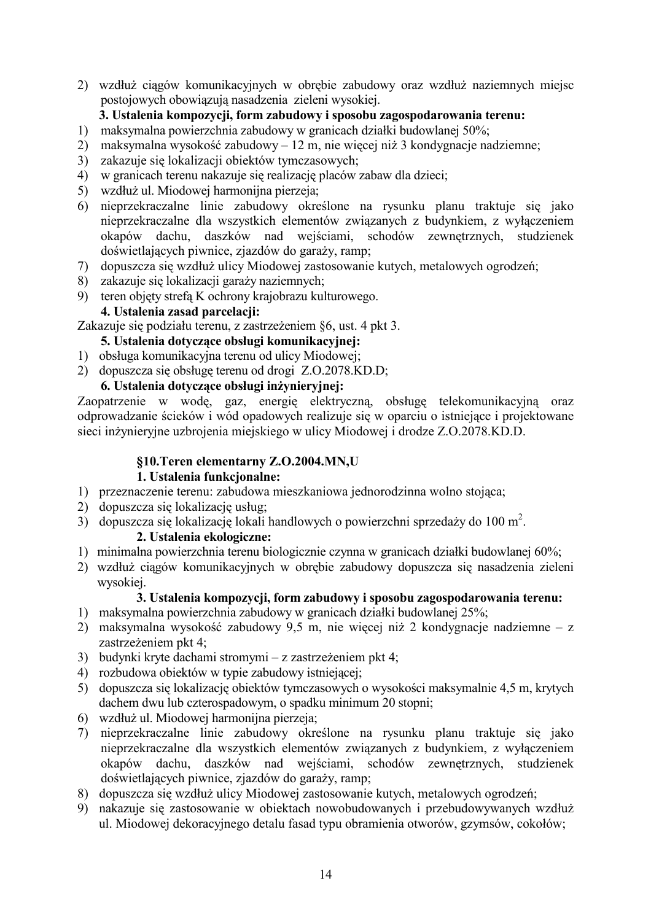2) wzdłuż ciągów komunikacyjnych w obrębie zabudowy oraz wzdłuż naziemnych miejsc postojowych obowiązują nasadzenia zieleni wysokiej.

# 3. Ustalenia kompozycji, form zabudowy i sposobu zagospodarowania terenu:

- 1) maksymalna powierzchnia zabudowy w granicach działki budowlanej 50%;
- 2) maksymalna wysokość zabudowy 12 m, nie więcej niż 3 kondygnacje nadziemne;
- 3) zakazuje się lokalizacji obiektów tymczasowych;
- 4) w granicach terenu nakazuje się realizację placów zabaw dla dzieci;
- 5) wzdłuż ul. Miodowej harmonijna pierzeja;
- 6) nieprzekraczalne linie zabudowy określone na rysunku planu traktuje się jako nieprzekraczalne dla wszystkich elementów związanych z budynkiem, z wyłączeniem okapów dachu, daszków nad wejściami, schodów zewnetrznych, studzienek doświetlających piwnice, zjazdów do garaży, ramp;
- 7) dopuszcza się wzdłuż ulicy Miodowej zastosowanie kutych, metalowych ogrodzeń;
- 8) zakazuje się lokalizacji garaży naziemnych;
- 9) teren objety strefa K ochrony krajobrazu kulturowego.

# 4. Ustalenia zasad parcelacji:

Zakazuje się podziału terenu, z zastrzeżeniem §6, ust. 4 pkt 3.

# 5. Ustalenia dotvczace obsługi komunikacyjnej:

- 1) obsługa komunikacyjna terenu od ulicy Miodowei:
- 2) dopuszcza się obsługę terenu od drogi Z.O.2078.KD.D;

# 6. Ustalenia dotvczace obsługi inżynieryjnej:

Zaopatrzenie w wode, gaz, energie elektryczna, obsługe telekomunikacyjna oraz odprowadzanie ścieków i wód opadowych realizuje się w oparciu o istniejące i projektowane sieci inżynieryjne uzbrojenia miejskiego w ulicy Miodowej i drodze Z.O.2078.KD.D.

# §10. Teren elementarny Z.O. 2004. MN, U

# 1. Ustalenia funkcjonalne:

- 1) przeznaczenie terenu: zabudowa mieszkaniowa jednorodzinna wolno stojąca;
- 2) dopuszcza się lokalizację usług;
- 3) dopuszcza się lokalizacje lokali handlowych o powierzchni sprzedaży do 100 m<sup>2</sup>.

# 2. Ustalenia ekologiczne:

- 1) minimalna powierzchnia terenu biologicznie czynna w granicach działki budowlanej 60%;
- 2) wzdłuż ciągów komunikacyjnych w obrębie zabudowy dopuszcza się nasadzenia zieleni wysokiej.

# 3. Ustalenia kompozycji, form zabudowy i sposobu zagospodarowania terenu:

- 1) maksymalna powierzchnia zabudowy w granicach działki budowlanej 25%;
- 2) maksymalna wysokość zabudowy 9,5 m, nie więcej niż 2 kondygnacje nadziemne z zastrzeżeniem pkt 4;
- 3) budynki kryte dachami stromymi z zastrzeżeniem pkt 4;
- 4) rozbudowa obiektów w typie zabudowy istniejącej;
- 5) dopuszcza się lokalizację obiektów tymczasowych o wysokości maksymalnie 4,5 m, krytych dachem dwu lub czterospadowym, o spadku minimum 20 stopni:
- 6) wzdłuż ul. Miodowej harmonijna pierzeja;
- 7) nieprzekraczalne linie zabudowy określone na rysunku planu traktuje się jako nieprzekraczalne dla wszystkich elementów zwiazanych z budynkiem, z wyłaczeniem okapów dachu, daszków nad wejściami, schodów zewnętrznych, studzienek doświetlających piwnice, zjazdów do garaży, ramp;
- 8) dopuszcza się wzdłuż ulicy Miodowej zastosowanie kutych, metalowych ogrodzeń;
- 9) nakazuje się zastosowanie w obiektach nowobudowanych i przebudowywanych wzdłuż ul. Miodowej dekoracyjnego detalu fasad typu obramienia otworów, gzymsów, cokołów;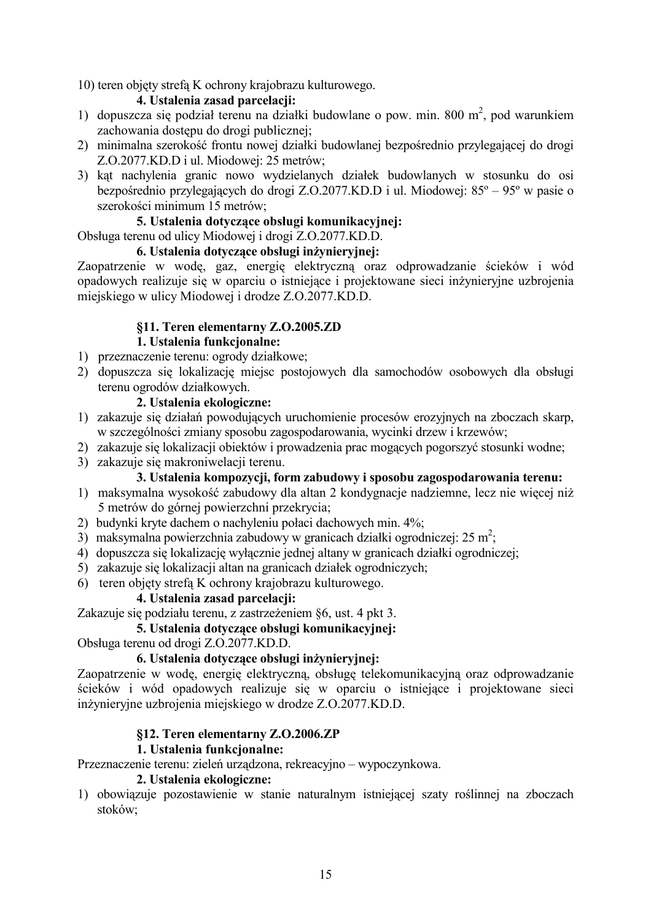10) teren objety strefa K ochrony krajobrazu kulturowego.

#### 4. Ustalenia zasad parcelacji:

- 1) dopuszcza się podział terenu na działki budowlane o pow. min. 800 m<sup>2</sup>, pod warunkiem zachowania dostępu do drogi publicznej;
- 2) minimalna szerokość frontu nowej działki budowlanej bezpośrednio przylegającej do drogi Z.O.2077.KD.D i ul. Miodowej: 25 metrów;
- 3) kąt nachylenia granic nowo wydzielanych działek budowlanych w stosunku do osi bezpośrednio przylegających do drogi Z.O.2077.KD.D i ul. Miodowej:  $85^{\circ} - 95^{\circ}$  w pasie o szerokości minimum 15 metrów;

### 5. Ustalenia dotyczące obsługi komunikacyjnej:

Obsługa terenu od ulicy Miodowej i drogi Z.O.2077.KD.D.

#### 6. Ustalenia dotyczące obsługi inżynieryjnej:

Zaopatrzenie w wodę, gaz, energię elektryczną oraz odprowadzanie ścieków i wód opadowych realizuje się w oparciu o istniejące i projektowane sieci inżynieryjne uzbrojenia miejskiego w ulicy Miodowej i drodze Z.O.2077.KD.D.

# §11. Teren elementarny Z.O.2005.ZD

### **1.** Ustalenia funkcionalne:

- 1) przeznaczenie terenu: ogrody działkowe;
- 2) dopuszcza się lokalizację miejsc postojowych dla samochodów osobowych dla obsługi terenu ogrodów działkowych.

#### 2. Ustalenia ekologiczne:

- 1) zakazuje się działań powodujących uruchomienie procesów erozyjnych na zboczach skarp, w szczególności zmiany sposobu zagospodarowania, wycinki drzew i krzewów;
- 2) zakazuje się lokalizacji obiektów i prowadzenia prac mogących pogorszyć stosunki wodne;
- 3) zakazuje się makroniwelacji terenu.

#### 3. Ustalenia kompozycji, form zabudowy i sposobu zagospodarowania terenu:

- 1) maksymalna wysokość zabudowy dla altan 2 kondygnacje nadziemne, lecz nie więcej niż 5 metrów do górnej powierzchni przekrycia;
- 2) budynki kryte dachem o nachyleniu połaci dachowych min. 4%;
- 3) maksymalna powierzchnia zabudowy w granicach działki ogrodniczej: 25 m<sup>2</sup>;
- 4) dopuszcza się lokalizację wyłącznie jednej altany w granicach działki ogrodniczej;
- 5) zakazuje się lokalizacji altan na granicach działek ogrodniczych;
- 6) teren objety strefa K ochrony krajobrazu kulturowego.

#### 4. Ustalenia zasad parcelacii:

Zakazuje się podziału terenu, z zastrzeżeniem §6, ust. 4 pkt 3.

## 5. Ustalenia dotvczace obsługi komunikacvinej:

Obsługa terenu od drogi Z.O.2077.KD.D.

#### 6. Ustalenia dotyczące obsługi inżynieryjnej:

Zaopatrzenie w wodę, energię elektryczną, obsługę telekomunikacyjną oraz odprowadzanie ścieków i wód opadowych realizuje się w oparciu o istniejące i projektowane sieci inżynieryjne uzbrojenia miejskiego w drodze Z.O.2077.KD.D.

#### **§12. Teren elementarny Z.O.2006.ZP**

#### **1.** Ustalenia funkcionalne:

Przeznaczenie terenu: zieleń urządzona, rekreacyjno – wypoczynkowa.

#### 2. Ustalenia ekologiczne:

1) obowiązuje pozostawienie w stanie naturalnym istniejącej szaty roślinnej na zboczach stoków;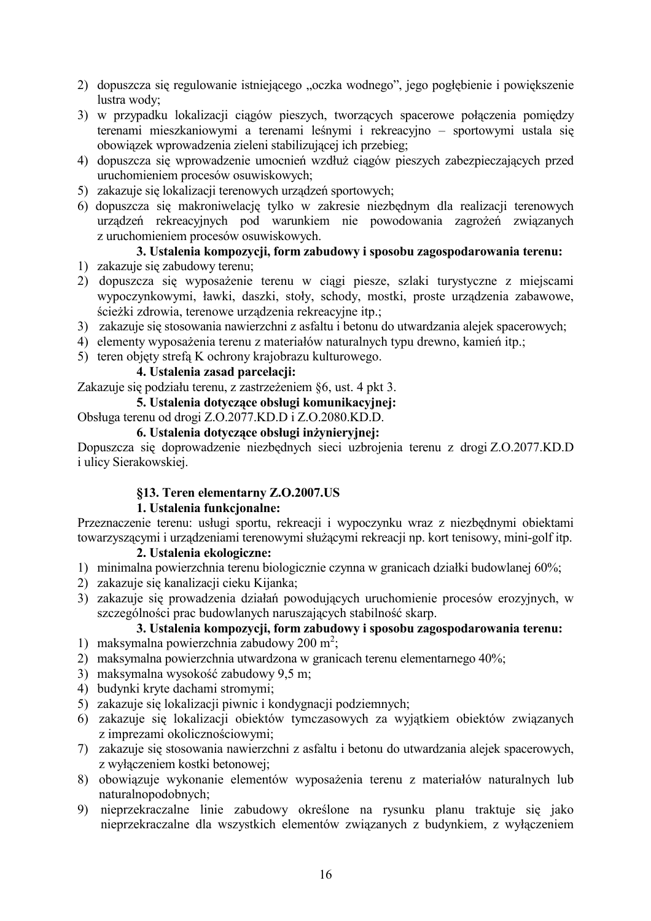- 2) dopuszcza się regulowanie istniejącego "oczka wodnego", jego pogłębienie i powiększenie lustra wody;
- 3) w przypadku lokalizacji ciągów pieszych, tworzących spacerowe połączenia pomiędzy terenami mieszkaniowymi a terenami leśnymi i rekreacyjno – sportowymi ustala się obowiązek wprowadzenia zieleni stabilizującej ich przebieg;
- 4) dopuszcza się wprowadzenie umocnień wzdłuż ciagów pieszych zabezpieczających przed uruchomieniem procesów osuwiskowych;
- 5) zakazuje się lokalizacji terenowych urządzeń sportowych;
- 6) dopuszcza się makroniwelację tylko w zakresie niezbędnym dla realizacji terenowych urządzeń rekreacyjnych pod warunkiem nie powodowania zagrożeń związanych z uruchomieniem procesów osuwiskowych.

## 3. Ustalenia kompozycji, form zabudowy i sposobu zagospodarowania terenu:

- 1) zakazuje się zabudowy terenu;
- 2) dopuszcza się wyposażenie terenu w ciągi piesze, szlaki turystyczne z miejscami wypoczynkowymi, ławki, daszki, stoły, schody, mostki, proste urządzenia zabawowe, ścieżki zdrowia, terenowe urządzenia rekreacyjne itp.;
- 3) zakazuje się stosowania nawierzchni z asfaltu i betonu do utwardzania alejek spacerowych;
- 4) elementy wyposażenia terenu z materiałów naturalnych typu drewno, kamień itp.;
- 5) teren objety strefa K ochrony krajobrazu kulturowego.

## 4. Ustalenia zasad parcelacii:

Zakazuje się podziału terenu, z zastrzeżeniem §6, ust. 4 pkt 3.

#### 5. Ustalenia dotvczace obsługi komunikacyinei:

## Obsługa terenu od drogi Z.O.2077.KD.D i Z.O.2080.KD.D.

#### 6. Ustalenia dotvczace obsługi inżyniervinei:

Dopuszcza się doprowadzenie niezbędnych sieci uzbrojenia terenu z drogi Z.O.2077.KD.D i ulicy Sierakowskiej.

#### §13. Teren elementarny Z.O.2007.US

#### 1. Ustalenia funkcjonalne:

Przeznaczenie terenu: usługi sportu, rekreacji i wypoczynku wraz z niezbędnymi obiektami towarzyszącymi i urządzeniami terenowymi służącymi rekreacji np. kort tenisowy, mini-golf itp.

#### 2. Ustalenia ekologiczne:

- 1) minimalna powierzchnia terenu biologicznie czynna w granicach działki budowlanej 60%;
- 2) zakazuje się kanalizacji cieku Kijanka;
- 3) zakazuje się prowadzenia działań powodujących uruchomienie procesów erozyjnych, w szczególności prac budowlanych naruszających stabilność skarp.

# 3. Ustalenia kompozycji, form zabudowy i sposobu zagospodarowania terenu:

- 1) maksymalna powierzchnia zabudowy 200 m<sup>2</sup>;
- 2) maksymalna powierzchnia utwardzona w granicach terenu elementarnego 40%;
- 3) maksymalna wysokość zabudowy 9,5 m;
- 4) budynki kryte dachami stromymi;
- 5) zakazuje się lokalizacji piwnic i kondygnacji podziemnych:
- 6) zakazuje się lokalizacji obiektów tymczasowych za wyjątkiem obiektów związanych z imprezami okolicznościowymi;
- 7) zakazuje się stosowania nawierzchni z asfaltu i betonu do utwardzania alejek spacerowych. z wyłaczeniem kostki betonowej;
- 8) obowiązuje wykonanie elementów wyposażenia terenu z materiałów naturalnych lub naturalnopodobnych;
- 9) nieprzekraczalne linie zabudowy określone na rysunku planu traktuje się jako nieprzekraczalne dla wszystkich elementów związanych z budynkiem, z wyłączeniem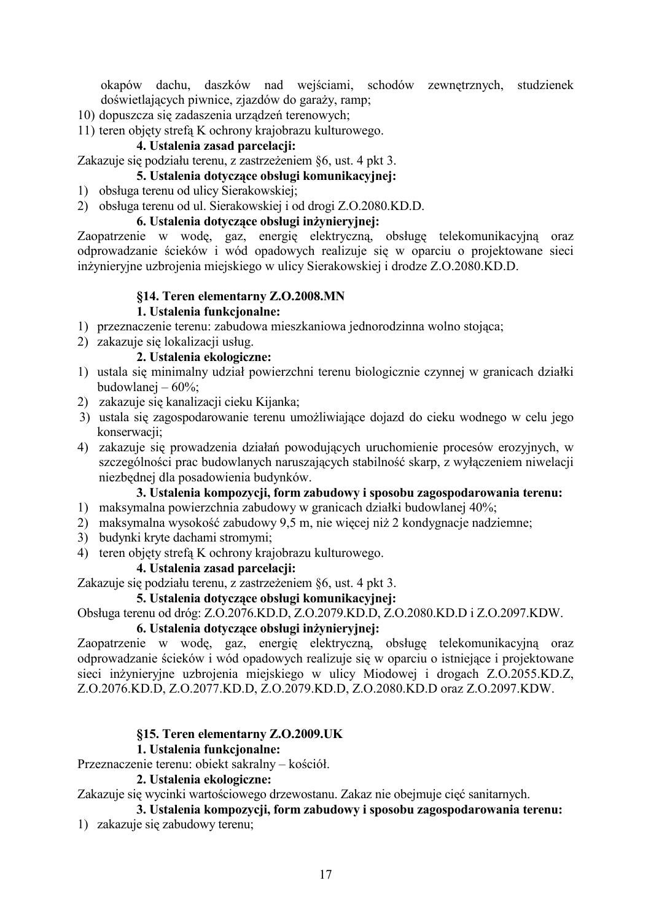okapów dachu, daszków nad wejściami, schodów zewnętrznych, studzienek doświetlających piwnice, zjazdów do garaży, ramp;

- 10) dopuszcza się zadaszenia urządzeń terenowych;
- 11) teren objety strefa K ochrony krajobrazu kulturowego.

#### 4. Ustalenia zasad parcelacji:

Zakazuje się podziału terenu, z zastrzeżeniem §6, ust. 4 pkt 3.

## 5. Ustalenia dotyczące obsługi komunikacyjnej:

- 1) obsługa terenu od ulicy Sierakowskiej;
- 2) obsługa terenu od ul. Sierakowskiej i od drogi Z.O.2080.KD.D.

#### 6. Ustalenia dotvczace obsługi inżyniervinei:

Zaopatrzenie w wodę, gaz, energię elektryczną, obsługę telekomunikacyjną oraz odprowadzanie ścieków i wód opadowych realizuje się w oparciu o projektowane sieci inżynieryjne uzbrojenia miejskiego w ulicy Sierakowskiej i drodze Z.O.2080.KD.D.

# **\$14. Teren elementarny Z.O.2008.MN**

### **1.** Ustalenia funkcjonalne:

- 1) przeznaczenie terenu: zabudowa mieszkaniowa jednorodzinna wolno stojąca;
- 2) zakazuje się lokalizacji usług.

#### 2. Ustalenia ekologiczne:

- 1) ustala się minimalny udział powierzchni terenu biologicznie czynnej w granicach działki budowlanej  $-60\%$ ;
- 2) zakazuje się kanalizacji cieku Kijanka;
- 3) ustala się zagospodarowanie terenu umożliwiające dojazd do cieku wodnego w celu jego konserwacji;
- 4) zakazuje się prowadzenia działań powodujących uruchomienie procesów erozyjnych, w szczególności prac budowlanych naruszających stabilność skarp, z wyłączeniem niwelacji niezbędnej dla posadowienia budynków.

### 3. Ustalenia kompozycji, form zabudowy i sposobu zagospodarowania terenu:

- 1) maksymalna powierzchnia zabudowy w granicach działki budowlanej 40%;
- 2) maksymalna wysokość zabudowy 9,5 m, nie więcej niż 2 kondygnacje nadziemne;
- 3) budynki kryte dachami stromymi;
- 4) teren objety strefa K ochrony krajobrazu kulturowego.

#### 4. Ustalenia zasad parcelacii:

Zakazuje się podziału terenu, z zastrzeżeniem §6, ust. 4 pkt 3.

#### 5. Ustalenia dotvczace obsługi komunikacyjnej:

Obsługa terenu od dróg: Z.O.2076.KD.D, Z.O.2079.KD.D, Z.O.2080.KD.D i Z.O.2097.KDW.

#### 6. Ustalenia dotvczace obsługi inżyniervinei:

Zaopatrzenie w wodę, gaz, energię elektryczną, obsługę telekomunikacyjną oraz odprowadzanie ścieków i wód opadowych realizuje się w oparciu o istniejące i projektowane sieci inżynieryjne uzbrojenia miejskiego w ulicy Miodowej i drogach Z.O.2055.KD.Z, Z.O.2076.KD.D, Z.O.2077.KD.D, Z.O.2079.KD.D, Z.O.2080.KD.D oraz Z.O.2097.KDW.

#### §15. Teren elementarny **Z.O.2009.UK**

#### **1. Ustalenia funkcionalne:**

Przeznaczenie terenu: obiekt sakralny – kościół.

#### 2. Ustalenia ekologiczne:

Zakazuje się wycinki wartościowego drzewostanu. Zakaz nie obejmuje cięć sanitarnych.

#### 3. Ustalenia kompozycji, form zabudowy i sposobu zagospodarowania terenu:

1) zakazuje się zabudowy terenu;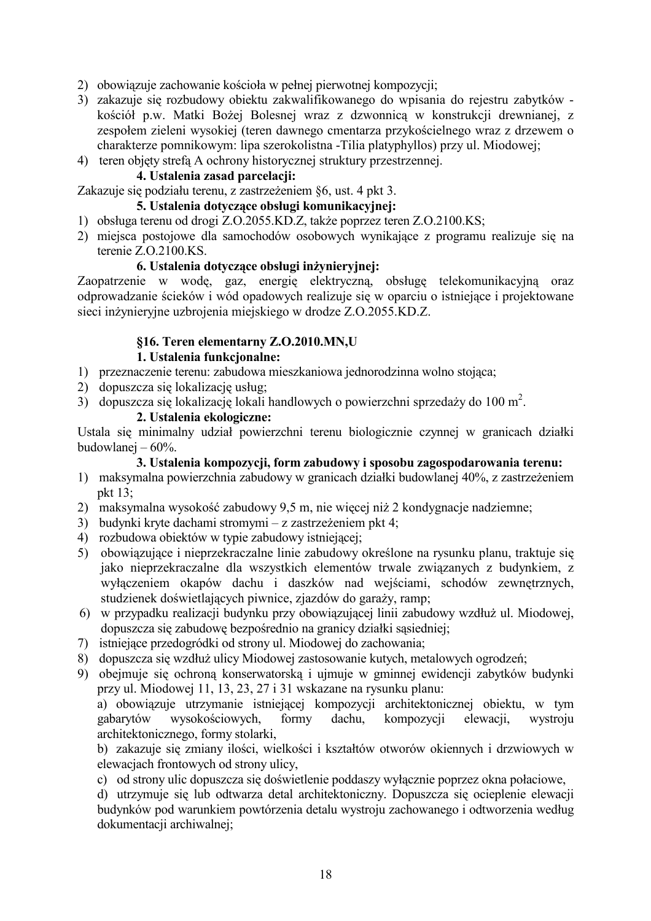- 2) obowiązuje zachowanie kościoła w pełnej pierwotnej kompozycji;
- 3) zakazuje się rozbudowy obiektu zakwalifikowanego do wpisania do rejestru zabytków kościół p.w. Matki Bożej Bolesnej wraz z dzwonnicą w konstrukcji drewnianej, z zespołem zieleni wysokiej (teren dawnego cmentarzą przykościelnego wraz z drzewem o charakterze pomnikowym: lipa szerokolistna - Tilia platyphyllos) przy ul. Miodowej;
- 4) teren objety strefa A ochrony historycznej struktury przestrzennej.

#### 4. Ustalenia zasad parcelacji:

Zakazuje się podziału terenu, z zastrzeżeniem §6, ust. 4 pkt 3.

## 5. Ustalenia dotvczace obsługi komunikacvinei:

- 1) obsługa terenu od drogi Z.O.2055.KD.Z, także poprzez teren Z.O.2100.KS;
- 2) miejsca postojowe dla samochodów osobowych wynikające z programu realizuje się na terenie Z.O.2100.KS.

#### 6. Ustalenia dotvczace obsługi inżynieryjnej:

Zaopatrzenie w wodę, gaz, energię elektryczną, obsługę telekomunikacyjną oraz odprowadzanie ścieków i wód opadowych realizuje się w oparciu o istniejące i projektowane sieci inżynieryjne uzbrojenia miejskiego w drodze Z.O.2055.KD.Z.

#### §16. Teren elementarny Z.O.2010.MN,U

#### 1. Ustalenia funkcionalne:

- 1) przeznaczenie terenu: zabudowa mieszkaniowa jednorodzinna wolno stojąca:
- 2) dopuszcza się lokalizację usług:
- 3) dopuszcza się lokalizacje lokali handlowych o powierzchni sprzedaży do 100 m<sup>2</sup>.

#### 2. Ustalenia ekologiczne:

Ustala się minimalny udział powierzchni terenu biologicznie czynnej w granicach działki budowlanej  $-60\%$ .

## 3. Ustalenia kompozycji, form zabudowy i sposobu zagospodarowania terenu:

- 1) maksymalna powierzchnia zabudowy w granicach działki budowlanej 40%, z zastrzeżeniem pkt  $13$ ;
- 2) maksymalna wysokość zabudowy 9,5 m, nie więcej niż 2 kondygnacje nadziemne;
- 3) budynki kryte dachami stromymi z zastrzeżeniem pkt 4;
- 4) rozbudowa obiektów w typie zabudowy istniejącej:
- 5) obowiązujące i nieprzekraczalne linie zabudowy określone na rysunku planu, traktuje się jako nieprzekraczalne dla wszystkich elementów trwale związanych z budynkiem, z wyłączeniem okapów dachu i daszków nad wejściami, schodów zewnętrznych, studzienek doświetlających piwnice, zjazdów do garaży, ramp;
- 6) w przypadku realizacji budynku przy obowiązującej linii zabudowy wzdłuż ul. Miodowej, dopuszcza się zabudowe bezpośrednio na granicy działki sasiedniej;
- 7) istniejące przedogródki od strony ul. Miodowej do zachowania;
- 8) dopuszcza się wzdłuż ulicy Miodowej zastosowanie kutych, metalowych ogrodzeń;
- 9) obejmuje się ochroną konserwatorską i ujmuje w gminnej ewidencji zabytków budynki przy ul. Miodowej 11, 13, 23, 27 i 31 wskazane na rysunku planu:

a) obowiązuje utrzymanie istniejącej kompozycji architektonicznej obiektu, w tym gabarytów wysokościowych. formy dachu. kompozycji elewacji. wystroju architektonicznego, formy stolarki,

b) zakazuie się zmiany ilości, wielkości i kształtów otworów okiennych i drzwiowych w elewacjach frontowych od strony ulicy,

c) od strony ulic dopuszcza się doświetlenie poddaszy wyłącznie poprzez okna połaciowe,

d) utrzymuje się lub odtwarza detal architektoniczny. Dopuszcza się ocieplenie elewacji budynków pod warunkiem powtórzenia detalu wystroju zachowanego i odtworzenia według dokumentacji archiwalnej;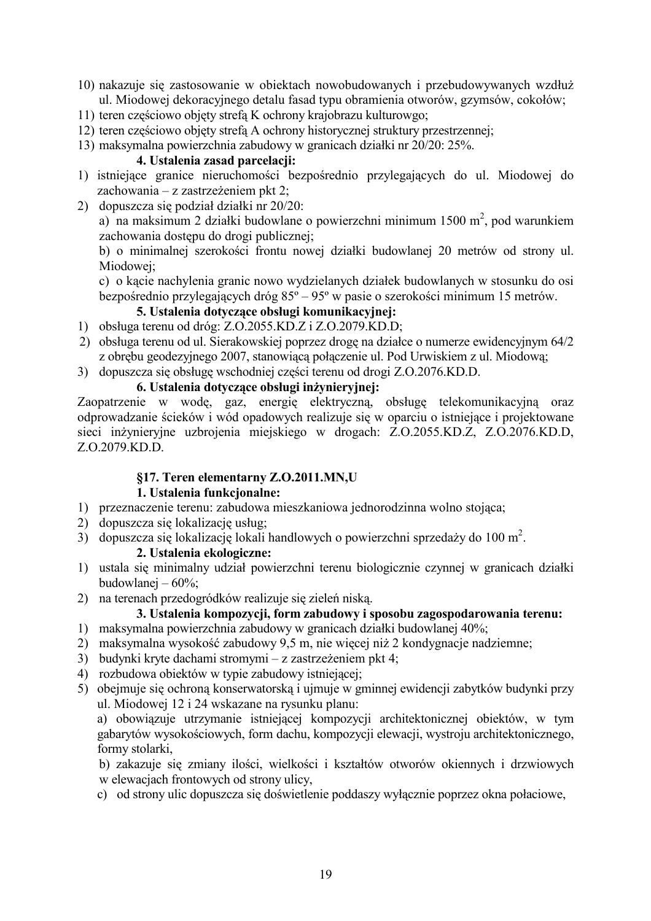- 10) nakazuje się zastosowanie w obiektach nowobudowanych i przebudowywanych wzdłuż ul. Miodowej dekoracyjnego detalu fasad typu obramienia otworów, gzymsów, cokołów;
- 11) teren częściowo objęty strefą K ochrony krajobrazu kulturowgo;
- 12) teren częściowo objety strefa A ochrony historycznej struktury przestrzennej:
- 13) maksymalna powierzchnia zabudowy w granicach działki nr 20/20: 25%.

#### 4. Ustalenia zasad parcelacji:

- 1) istniejące granice nieruchomości bezpośrednio przylegających do ul. Miodowej do zachowania – z zastrzeżeniem pkt 2:
- 2) dopuszcza się podział działki nr 20/20:

a) na maksimum 2 działki budowlane o powierzchni minimum 1500 m<sup>2</sup>, pod warunkiem zachowania dostępu do drogi publicznej;

b) o minimalnej szerokości frontu nowej działki budowlanej 20 metrów od strony ul. Miodowej;

c) o kącie nachylenia granic nowo wydzielanych działek budowlanych w stosunku do osi bezpośrednio przylegających dróg  $85^{\circ} - 95^{\circ}$  w pasie o szerokości minimum 15 metrów.

## 5. Ustalenia dotyczące obsługi komunikacyjnej:

- 1) obsługa terenu od dróg: Z.O.2055.KD.Z i Z.O.2079.KD.D;
- 2) obsługa terenu od ul. Sierakowskiej poprzez drogę na działce o numerze ewidencyjnym 64/2 z obrębu geodezyjnego 2007, stanowiącą połączenie ul. Pod Urwiskiem z ul. Miodową;
- 3) dopuszcza się obsługę wschodniej części terenu od drogi Z.O.2076.KD.D.

#### 6. Ustalenia dotvczace obsługi inżynieryjnej:

Zaopatrzenie w wode, gaz, energie elektryczną, obsługę telekomunikacyjną oraz odprowadzanie ścieków i wód opadowych realizuje się w oparciu o istniejące i projektowane sieci inżynieryjne uzbrojenia miejskiego w drogach: Z.O.2055.KD.Z, Z.O.2076.KD.D, Z.O.2079.KD.D.

#### §17. Teren elementarny Z.O.2011.MN,U

#### 1. Ustalenia funkcionalne:

- 1) przeznaczenie terenu: zabudowa mieszkaniowa jednorodzinna wolno stojąca;
- 2) dopuszcza się lokalizację usług;
- 3) dopuszcza się lokalizację lokali handlowych o powierzchni sprzedaży do 100 m<sup>2</sup>.

#### 2. Ustalenia ekologiczne:

- 1) ustala się minimalny udział powierzchni terenu biologicznie czynnej w granicach działki budowlanej  $-60\%$ ;
- 2) na terenach przedogródków realizuje się zieleń niską.

# 3. Ustalenia kompozvcii, form zabudowy i sposobu zagospodarowania terenu:

- 1) maksymalna powierzchnia zabudowy w granicach działki budowlanej 40%;
- 2) maksymalna wysokość zabudowy 9.5 m, nie więcej niż 2 kondygnacje nadziemne;
- 3) budynki kryte dachami stromymi z zastrzeżeniem pkt 4;
- 4) rozbudowa obiektów w typie zabudowy istniejącej;
- 5) obejmuje się ochroną konserwatorską i ujmuje w gminnej ewidencji zabytków budynki przy ul. Miodowej 12 i 24 wskazane na rysunku planu:

a) obowiązuje utrzymanie istniejącej kompozycji architektonicznej obiektów, w tym gabarytów wysokościowych, form dachu, kompozycji elewacji, wystroju architektonicznego, formy stolarki.

b) zakazuje się zmiany ilości, wielkości i kształtów otworów okiennych i drzwiowych w elewaciach frontowych od strony ulicy.

c) od strony ulic dopuszcza się doświetlenie poddaszy wyłącznie poprzez okna połaciowe,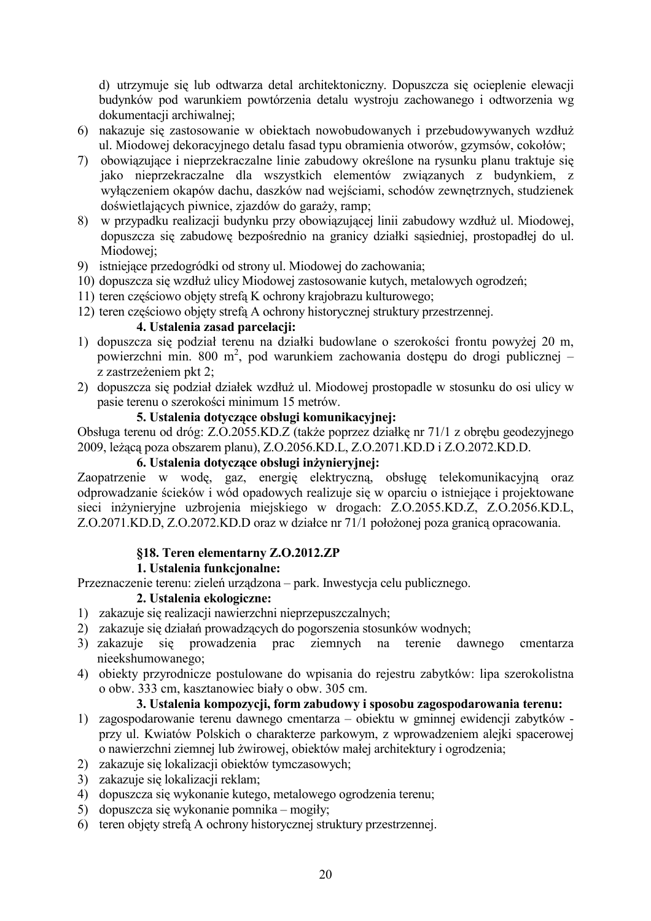d) utrzymuje się lub odtwarza detal architektoniczny. Dopuszcza się ocieplenie elewacji budynków pod warunkiem powtórzenia detalu wystroju zachowanego i odtworzenia wg dokumentacii archiwalnei:

- 6) nakazuje się zastosowanie w obiektach nowobudowanych i przebudowywanych wzdłuż ul. Miodowej dekoracyjnego detalu fasad typu obramienia otworów, gzymsów, cokołów;
- 7) obowiązujące i nieprzekraczalne linie zabudowy określone na rysunku planu traktuje się jako nieprzekraczalne dla wszystkich elementów związanych z budynkiem, z wyłączeniem okapów dachu, daszków nad wejściami, schodów zewnętrznych, studzienek doświetlających piwnice, zjazdów do garaży, ramp;
- w przypadku realizacji budynku przy obowiązującej linii zabudowy wzdłuż ul. Miodowej, 8) dopuszcza się zabudowe bezpośrednio na granicy działki sasiedniej, prostopadłej do ul. Miodowei:
- 9) istniejące przedogródki od strony ul. Miodowej do zachowania;
- 10) dopuszcza się wzdłuż ulicy Miodowej zastosowanie kutych, metalowych ogrodzeń;
- 11) teren częściowo objęty strefą K ochrony krajobrazu kulturowego;
- 12) teren częściowo objęty strefą A ochrony historycznej struktury przestrzennej.

#### 4. Ustalenia zasad parcelacji:

- 1) dopuszcza się podział terenu na działki budowlane o szerokości frontu powyżej 20 m, powierzchni min. 800 m<sup>2</sup>, pod warunkiem zachowania dostępu do drogi publicznej – z zastrzeżeniem pkt 2:
- 2) dopuszcza się podział działek wzdłuż ul. Miodowej prostopadle w stosunku do osi ulicy w pasie terenu o szerokości minimum 15 metrów.

## 5. Ustalenia dotvczace obsługi komunikacyjnej:

Obsługa terenu od dróg: Z.O.2055.KD.Z (także poprzez działkę nr 71/1 z obrębu geodezyjnego 2009, leżącą poza obszarem planu), Z.O.2056.KD.L, Z.O.2071.KD.D i Z.O.2072.KD.D.

#### 6. Ustalenia dotyczące obsługi inżynieryjnej:

Zaopatrzenie w wodę, gaz, energię elektryczną, obsługę telekomunikacyjną oraz odprowadzanie ścieków i wód opadowych realizuje się w oparciu o istniejące i projektowane sieci inżynieryjne uzbrojenia miejskiego w drogach: Z.O.2055.KD.Z, Z.O.2056.KD.L, Z.O.2071.KD.D, Z.O.2072.KD.D oraz w działce nr 71/1 położonej poza granicą opracowania.

#### §18. Teren elementarny Z.O.2012.ZP

#### 1. Ustalenia funkcionalne:

Przeznaczenie terenu: zieleń urządzona – park. Inwestycja celu publicznego.

#### 2. Ustalenia ekologiczne:

- 1) zakazuie sie realizacji nawierzchni nieprzepuszczalnych;
- 2) zakazuje się działań prowadzących do pogorszenia stosunków wodnych;
- 3) zakazuje się prowadzenia prac ziemnych na terenie dawnego cmentarza nieekshumowanego;
- 4) obiekty przyrodnicze postulowane do wpisania do rejestru zabytków: lipa szerokolistna o obw. 333 cm, kasztanowiec biały o obw. 305 cm.

#### 3. Ustalenia kompozycji, form zabudowy i sposobu zagospodarowania terenu:

- 1) zagospodarowanie terenu dawnego cmentarza obiektu w gminnej ewidencji zabytków przy ul. Kwiatów Polskich o charakterze parkowym, z wprowadzeniem alejki spacerowej o nawierzchni ziemnej lub żwirowej, obiektów małej architektury i ogrodzenia;
- 2) zakazuje się lokalizacji obiektów tymczasowych;
- 3) zakazuje się lokalizacji reklam;
- 4) dopuszcza się wykonanie kutego, metalowego ogrodzenia terenu;
- 5) dopuszcza się wykonanie pomnika mogiły;
- 6) teren objety strefa A ochrony historycznej struktury przestrzennej.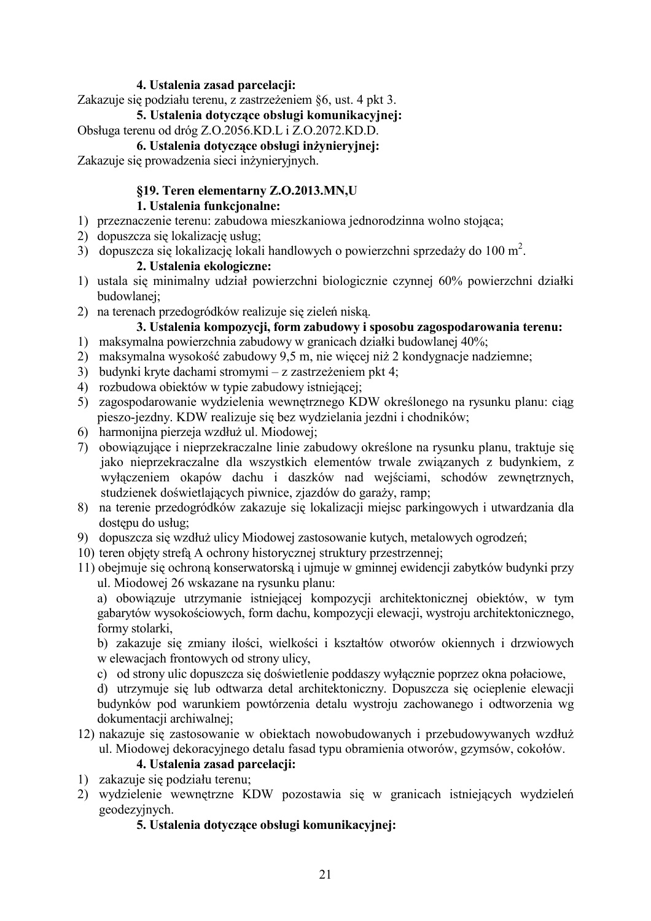## 4. Ustalenia zasad parcelacji:

Zakazuje się podziału terenu, z zastrzeżeniem §6, ust. 4 pkt 3.

## 5. Ustalenia dotvczace obsługi komunikacyjnej:

# Obsługa terenu od dróg Z.O.2056.KD.L i Z.O.2072.KD.D.

## 6. Ustalenia dotvczace obsługi inżynieryjnej:

Zakazuje się prowadzenia sieci inżynieryjnych.

# §19. Teren elementarny Z.O.2013.MN,U

## 1. Ustalenia funkcionalne:

- 1) przeznaczenie terenu: zabudowa mieszkaniowa jednorodzinna wolno stojąca;
- 2) dopuszcza się lokalizacje usług:
- 3) dopuszcza się lokalizacje lokali handlowych o powierzchni sprzedaży do 100 m<sup>2</sup>.

## 2. Ustalenia ekologiczne:

- 1) ustala się minimalny udział powierzchni biologicznie czynnej 60% powierzchni działki budowlanei:
- 2) na terenach przedogródków realizuje się zieleń niską.

# 3. Ustalenia kompozycji, form zabudowy i sposobu zagospodarowania terenu:

- 1) maksymalna powierzchnia zabudowy w granicach działki budowlanej 40%;
- 2) maksymalna wysokość zabudowy 9,5 m, nie więcej niż 2 kondygnacje nadziemne;
- 3) budynki kryte dachami stromymi z zastrzeżeniem pkt 4;
- 4) rozbudowa obiektów w typie zabudowy istniejacej;
- 5) zagospodarowanie wydzielenia wewnetrznego KDW określonego na rysunku planu: ciag pieszo-jezdny. KDW realizuje się bez wydzielania jezdni i chodników;
- 6) harmonijna pierzeja wzdłuż ul. Miodowej;
- 7) obowiązujące i nieprzekraczalne linie zabudowy określone na rysunku planu, traktuje się jako nieprzekraczalne dla wszystkich elementów trwale związanych z budynkiem, z wyłączeniem okapów dachu i daszków nad wejściami, schodów zewnętrznych, studzienek doświetlających piwnice, zjazdów do garaży, ramp;
- 8) na terenie przedogródków zakazuje się lokalizacji miejsc parkingowych i utwardzania dla dostepu do usług:
- 9) dopuszcza się wzdłuż ulicy Miodowej zastosowanie kutych, metalowych ogrodzeń;
- 10) teren objety strefa A ochrony historycznej struktury przestrzennej;
- 11) obejmuje się ochroną konserwatorską i ujmuje w gminnej ewidencji zabytków budynki przy ul. Miodowej 26 wskazane na rysunku planu:

a) obowiązuje utrzymanie istniejącej kompozycji architektonicznej obiektów, w tym gabarytów wysokościowych, form dachu, kompozycji elewacji, wystroju architektonicznego, formy stolarki,

b) zakazuje się zmiany ilości, wielkości i kształtów otworów okiennych i drzwiowych w elewacjach frontowych od strony ulicy,

c) od strony ulic dopuszcza się doświetlenie poddaszy wyłącznie poprzez okna połaciowe,

d) utrzymuje się lub odtwarzą detal architektoniczny. Dopuszczą się ocieplenie elewacji budynków pod warunkiem powtórzenia detalu wystroju zachowanego i odtworzenia wg dokumentacji archiwalnej:

#### 12) nakazuje się zastosowanie w obiektach nowobudowanych i przebudowywanych wzdłuż ul. Miodowej dekoracyjnego detalu fasad typu obramienia otworów, gzymsów, cokołów,

## 4. Ustalenia zasad parcelacii:

- 1) zakazuje sie podziału terenu:
- 2) wydzielenie wewnętrzne KDW pozostawia się w granicach istniejących wydzieleń geodezyjnych.

#### 5. Ustalenia dotyczące obsługi komunikacyjnej: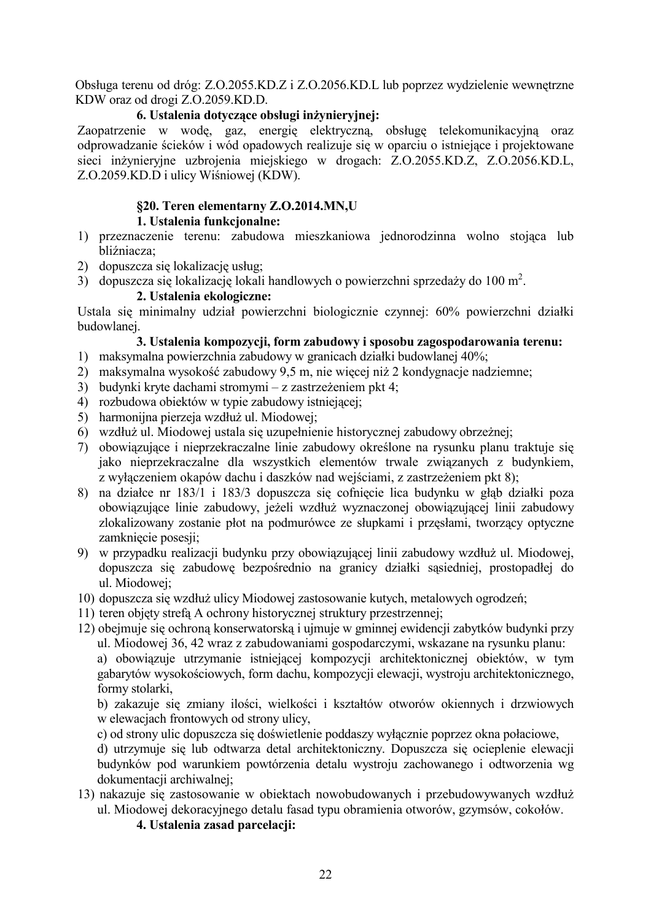Obsługa terenu od dróg: Z.O.2055.KD.Z i Z.O.2056.KD.L lub poprzez wydzielenie wewnętrzne KDW oraz od drogi Z.O.2059.KD.D.

## 6. Ustalenia dotvczace obsługi inżynieryjnej:

Zaopatrzenie w wodę, gaz, energię elektryczną, obsługę telekomunikacyjną oraz odprowadzanie ścieków i wód opadowych realizuje się w oparciu o istniejące i projektowane sieci inżynieryjne uzbrojenia miejskiego w drogach: Z.O.2055.KD.Z, Z.O.2056.KD.L, Z.O.2059.KD.D i ulicy Wiśniowej (KDW).

## §20. Teren elementarny Z.O.2014.MN,U

## 1. Ustalenia funkcionalne:

- 1) przeznaczenie terenu: zabudowa mieszkaniowa jednorodzinna wolno stojąca lub bliźniacza;
- 2) dopuszcza się lokalizację usług:
- 3) dopuszcza się lokalizację lokali handlowych o powierzchni sprzedaży do 100 m<sup>2</sup>.

## 2. Ustalenia ekologiczne:

Ustala się minimalny udział powierzchni biologicznie czynnej: 60% powierzchni działki budowlanei.

## 3. Ustalenia kompozycji, form zabudowy i sposobu zagospodarowania terenu:

- 1) maksymalna powierzchnia zabudowy w granicach działki budowlanej 40%;
- 2) maksymalna wysokość zabudowy 9,5 m, nie więcej niż 2 kondygnacje nadziemne;
- 3) budynki kryte dachami stromymi z zastrzeżeniem pkt 4;
- 4) rozbudowa objektów w typie zabudowy istniejącej:
- 5) harmonijna pierzeja wzdłuż ul. Miodowej;
- 6) wzdłuż ul. Miodowej ustala się uzupełnienie historycznej zabudowy obrzeżnej:
- 7) obowiązujące i nieprzekraczalne linie zabudowy określone na rysunku planu traktuje się jako nieprzekraczalne dla wszystkich elementów trwale związanych z budynkiem, z wyłączeniem okapów dachu i daszków nad wejściami, z zastrzeżeniem pkt 8);
- 8) na działce nr 183/1 i 183/3 dopuszcza się cofnięcie lica budynku w głąb działki poza obowiązujące linie zabudowy, jeżeli wzdłuż wyznaczonej obowiązującej linii zabudowy zlokalizowany zostanie płot na podmurówce ze słupkami i przęsłami, tworzący optyczne zamkniecie posesii:
- 9) w przypadku realizacji budynku przy obowiązującej linii zabudowy wzdłuż ul. Miodowej, dopuszcza się zabudowę bezpośrednio na granicy działki sąsiedniej, prostopadłej do ul. Miodowei:
- 10) dopuszcza się wzdłuż ulicy Miodowej zastosowanie kutych, metalowych ogrodzeń;
- 11) teren objety strefa A ochrony historycznej struktury przestrzennej:
- 12) obejmuje się ochroną konserwatorską i ujmuje w gminnej ewidencji zabytków budynki przy ul. Miodowej 36, 42 wraz z zabudowaniami gospodarczymi, wskazane na rysunku planu:

a) obowiązuje utrzymanie istniejącej kompozycji architektonicznej obiektów, w tym gabarytów wysokościowych, form dachu, kompozycji elewacji, wystroju architektonicznego, formy stolarki.

b) zakazuje się zmiany ilości, wielkości i kształtów otworów okiennych i drzwiowych w elewacjach frontowych od strony ulicy,

c) od strony ulic dopuszcza się doświetlenie poddaszy wyłącznie poprzez okna połaciowe,

d) utrzymuje się lub odtwarza detal architektoniczny. Dopuszcza się ocieplenie elewacji budynków pod warunkiem powtórzenia detalu wystroju zachowanego i odtworzenia wg dokumentacji archiwalnej;

13) nakazuje się zastosowanie w obiektach nowobudowanych i przebudowywanych wzdłuż ul. Miodowej dekoracyjnego detalu fasad typu obramienia otworów, gzymsów, cokołów.

## 4. Ustalenia zasad parcelacji: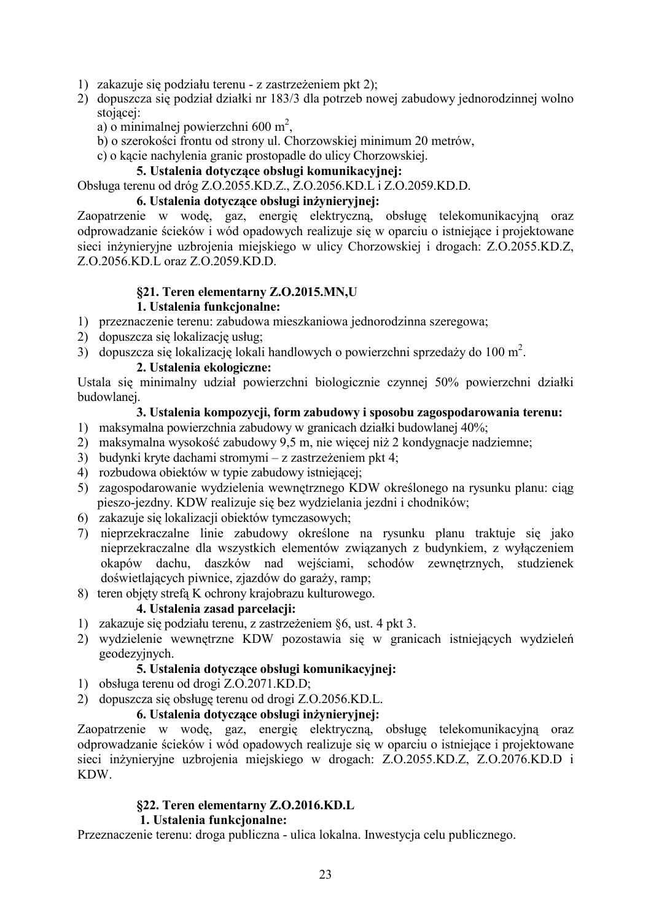- 1) zakazuje się podziału terenu z zastrzeżeniem pkt 2);
- 2) dopuszcza się podział działki nr 183/3 dla potrzeb nowej zabudowy jednorodzinnej wolno stojacej:
	- a) o minimalnej powierzchni 600 m<sup>2</sup>.
	- b) o szerokości frontu od strony ul. Chorzowskiej minimum 20 metrów,
	- c) o kącie nachylenia granic prostopadle do ulicy Chorzowskiej.

#### 5. Ustalenia dotvczace obsługi komunikacyjnej:

#### Obsługa terenu od dróg Z.O.2055.KD.Z., Z.O.2056.KD.L i Z.O.2059.KD.D.

#### 6. Ustalenia dotyczące obsługi inżynieryjnej:

Zaopatrzenie w wodę, gaz, energię elektryczną, obsługę telekomunikacyjną oraz odprowadzanie ścieków i wód opadowych realizuje się w oparciu o istniejące i projektowane sieci inżynieryjne uzbrojenia miejskiego w ulicy Chorzowskiej i drogach: Z.O.2055.KD.Z. Z.O.2056.KD.L oraz Z.O.2059.KD.D.

# §21. Teren elementarny Z.O.2015.MN,U

#### 1. Ustalenia funkcionalne:

- 1) przeznaczenie terenu: zabudowa mieszkaniowa jednorodzinna szeregowa;
- 2) dopuszcza się lokalizację usług:
- 3) dopuszcza się lokalizację lokali handlowych o powierzchni sprzedaży do 100 m<sup>2</sup>.

#### 2. Ustalenia ekologiczne:

Ustala się minimalny udział powierzchni biologicznie czynnej 50% powierzchni działki budowlanej.

#### 3. Ustalenia kompozycji, form zabudowy i sposobu zagospodarowania terenu:

- 1) maksymalna powierzchnia zabudowy w granicach działki budowlanej 40%;
- 2) maksymalna wysokość zabudowy 9,5 m, nie więcej niż 2 kondygnacje nadziemne;
- 3) budynki kryte dachami stromymi z zastrzeżeniem pkt 4;
- 4) rozbudowa obiektów w typie zabudowy istniejącej;
- 5) zagospodarowanie wydzielenia wewnetrznego KDW określonego na rysunku planu: ciąg pieszo-jezdny. KDW realizuje się bez wydzielania jezdni i chodników:
- 6) zakazuje się lokalizacji obiektów tymczasowych;
- 7) nieprzekraczalne linie zabudowy określone na rysunku planu traktuje się jako nieprzekraczalne dla wszystkich elementów związanych z budynkiem, z wyłączeniem okapów dachu, daszków nad wejściami, schodów zewnętrznych, studzienek doświetlających piwnice, zjazdów do garaży, ramp;
- 8) teren objety strefa K ochrony krajobrazu kulturowego.

#### 4. Ustalenia zasad parcelacji:

- 1) zakazuje się podziału terenu, z zastrzeżeniem §6, ust. 4 pkt 3.
- 2) wydzielenie wewnętrzne KDW pozostawia się w granicach istniejących wydzieleń geodezvinvch.

#### 5. Ustalenia dotyczące obsługi komunikacyjnej:

- 1) obsługa terenu od drogi Z.O.2071.KD.D:
- 2) dopuszcza się obsługę terenu od drogi Z.O.2056.KD.L.

#### 6. Ustalenia dotvczace obsługi inżyniervinei:

Zaopatrzenie w wodę, gaz, energię elektryczną, obsługę telekomunikacyjną oraz odprowadzanie ścieków i wód opadowych realizuje się w oparciu o istniejące i projektowane sieci inżynieryjne uzbrojenia miejskiego w drogach: Z.O.2055.KD.Z, Z.O.2076.KD.D i **KDW** 

#### §22. Teren elementarny Z.O.2016.KD.L

#### 1. Ustalenia funkcionalne:

Przeznaczenie terenu: droga publiczna - ulica lokalna. Inwestycja celu publicznego.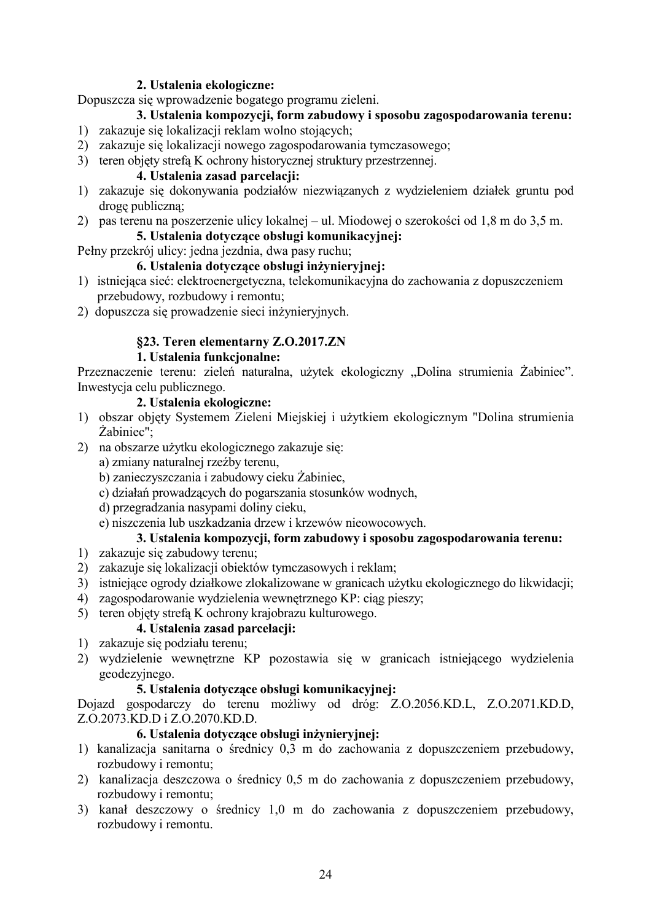#### 2. Ustalenia ekologiczne:

Dopuszcza się wprowadzenie bogatego programu zieleni.

#### 3. Ustalenia kompozycji, form zabudowy i sposobu zagospodarowania terenu:

- 1) zakazuje się lokalizacji reklam wolno stojących;
- 2) zakazuje się lokalizacji nowego zagospodarowania tymczasowego;
- 3) teren objęty strefą K ochrony historycznej struktury przestrzennej.

## 4. Ustalenia zasad parcelacji:

- 1) zakazuje się dokonywania podziałów niezwiązanych z wydzieleniem działek gruntu pod droge publiczną;
- 2) pas terenu na poszerzenie ulicy lokalnej ul. Miodowej o szerokości od 1,8 m do 3,5 m.

# 5. Ustalenia dotvczące obsługi komunikacyjnej:

Pełny przekrój ulicy: jedna jezdnia, dwa pasy ruchu;

## 6. Ustalenia dotvczace obsługi inżynieryjnej:

- 1) istniejąca sieć: elektroenergetyczna, telekomunikacyjna do zachowania z dopuszczeniem przebudowy, rozbudowy i remontu;
- 2) dopuszcza się prowadzenie sięci inżynieryjnych.

# §23. Teren elementarny Z.O.2017.ZN

#### 1. Ustalenia funkcionalne:

Przeznaczenie terenu: zieleń naturalna, użytek ekologiczny "Dolina strumienia Żabiniec". Inwestycja celu publicznego.

### 2. Ustalenia ekologiczne:

- 1) obszar objęty Systemem Zieleni Miejskiej i użytkiem ekologicznym "Dolina strumienia Żabiniec":
- 2) na obszarze użytku ekologicznego zakazuje się:
	- a) zmiany naturalnej rzeźby terenu,
	- b) zanieczyszczania i zabudowy cieku Żabiniec,
	- c) działań prowadzących do pogarszania stosunków wodnych,
	- d) przegradzania nasypami doliny cieku,
	- e) niszczenia lub uszkadzania drzew i krzewów nieowocowych.

# 3. Ustalenia kompozycji, form zabudowy i sposobu zagospodarowania terenu:

- 1) zakazuje się zabudowy terenu;
- 2) zakazuje się lokalizacji obiektów tymczasowych i reklam;
- 3) istniejące ogrody działkowe zlokalizowane w granicach użytku ekologicznego do likwidacji;
- 4) zagospodarowanie wydzielenia wewnętrznego KP: ciąg pieszy;
- 5) teren objety strefa K ochrony krajobrazu kulturowego.

# 4. Ustalenia zasad parcelacji:

- 1) zakazuje się podziału terenu;
- 2) wydzielenie wewnętrzne KP pozostawia się w granicach istniejącego wydzielenia geodezyjnego.

# 5. Ustalenia dotvczace obsługi komunikacvinei:

Dojazd gospodarczy do terenu możliwy od dróg: Z.O.2056.KD.L, Z.O.2071.KD.D, Z.O.2073.KD.D i Z.O.2070.KD.D.

# 6. Ustalenia dotyczące obsługi inżynieryjnej:

- 1) kanalizacja sanitarna o średnicy 0,3 m do zachowania z dopuszczeniem przebudowy, rozbudowy i remontu;
- 2) kanalizacja deszczowa o średnicy 0,5 m do zachowania z dopuszczeniem przebudowy, rozbudowy i remontu;
- 3) kanał deszczowy o średnicy 1,0 m do zachowania z dopuszczeniem przebudowy, rozbudowy i remontu.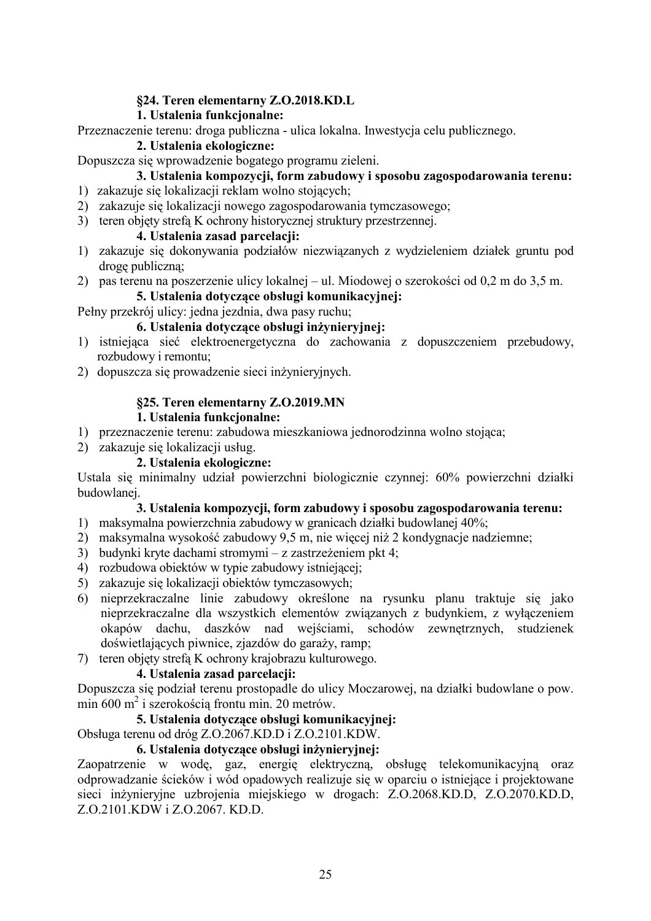#### §24. Teren elementarny Z.O.2018.KD.L

## 1. Ustalenia funkcionalne:

Przeznaczenie terenu: droga publiczna - ulica lokalna. Inwestycja celu publicznego.

#### 2. Ustalenia ekologiczne:

Dopuszcza się wprowadzenie bogatego programu zieleni.

## 3. Ustalenia kompozycji, form zabudowy i sposobu zagospodarowania terenu:

- 1) zakazuje się lokalizacji reklam wolno stojących;
- 2) zakazuje się lokalizacji nowego zagospodarowania tymczasowego;
- 3) teren objety strefa K ochrony historycznej struktury przestrzennej.

#### 4. Ustalenia zasad parcelacii:

- 1) zakazuje się dokonywania podziałów niezwiązanych z wydzieleniem działek gruntu pod droge publiczną;
- 2) pas terenu na poszerzenie ulicy lokalnej ul. Miodowej o szerokości od 0,2 m do 3,5 m.

#### 5. Ustalenia dotvczace obsługi komunikacyjnej:

Pełny przekrój ulicy: jedna jezdnia, dwa pasy ruchu;

## 6. Ustalenia dotyczące obsługi inżynieryjnej:

- 1) istniejąca sieć elektroenergetyczna do zachowania z dopuszczeniem przebudowy, rozbudowy i remontu:
- 2) dopuszcza się prowadzenie sięci inżynieryjnych.

#### §25. Teren elementarny Z.O.2019.MN

#### 1. Ustalenia funkcionalne:

- 1) przeznaczenie terenu: zabudowa mieszkaniowa jednorodzinna wolno stojąca;
- 2) zakazuje się lokalizacji usług.

#### 2. Ustalenia ekologiczne:

Ustala się minimalny udział powierzchni biologicznie czynnej: 60% powierzchni działki budowlanej.

#### 3. Ustalenia kompozycji, form zabudowy i sposobu zagospodarowania terenu:

- 1) maksymalna powierzchnia zabudowy w granicach działki budowlanej 40%;
- 2) maksymalna wysokość zabudowy 9,5 m, nie więcej niż 2 kondygnacje nadziemne;
- 3) budynki kryte dachami stromymi z zastrzeżeniem pkt 4;
- 4) rozbudowa obiektów w typie zabudowy istniejącej;
- 5) zakazuje się lokalizacji obiektów tymczasowych;
- 6) nieprzekraczalne linie zabudowy określone na rysunku planu traktuje się jako nieprzekraczalne dla wszystkich elementów związanych z budynkiem, z wyłaczeniem okapów dachu, daszków nad wejściami, schodów zewnętrznych, studzienek doświetlających piwnice, zjazdów do garaży, ramp;
- 7) teren objęty strefą K ochrony krajobrazu kulturowego.

#### 4. Ustalenia zasad parcelacii:

Dopuszcza się podział terenu prostopadle do ulicy Moczarowej, na działki budowlane o pow. min 600 m<sup>2</sup> i szerokością frontu min. 20 metrów.

#### 5. Ustalenia dotvczace obsługi komunikacyjnej:

Obsługa terenu od dróg Z.O.2067.KD.D i Z.O.2101.KDW.

#### 6. Ustalenia dotvczace obsługi inżynieryjnej:

Zaonatrzenie w wode, gaz, energie elektryczna, obsługę telekomunikacyjną oraz odprowadzanie ścieków i wód opadowych realizuje się w oparciu o istniejące i projektowane sieci inżynieryjne uzbrojenia miejskiego w drogach: Z.O.2068.KD.D, Z.O.2070.KD.D, Z.O.2101 KDW i Z.O.2067, KD.D.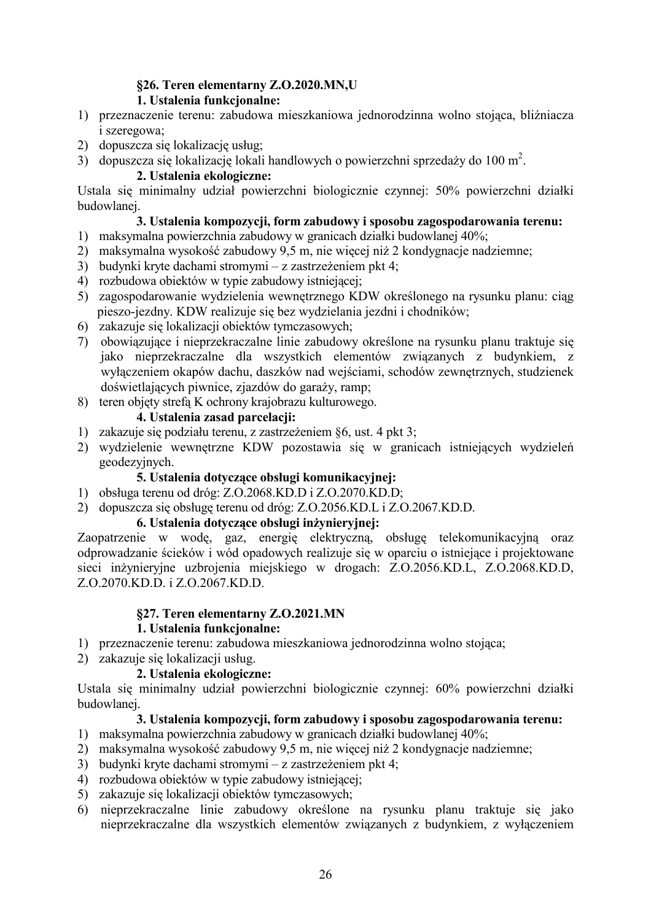# §26. Teren elementarny Z.O.2020.MN,U

# 1. Ustalenia funkcjonalne:

- 1) przeznaczenie terenu: zabudowa mieszkaniowa jednorodzinna wolno stojąca, bliźniacza *i* szeregowa;
- 2) dopuszcza się lokalizację usług:
- 3) dopuszcza się lokalizację lokali handlowych o powierzchni sprzedaży do 100 m<sup>2</sup>.

# 2. Ustalenia ekologiczne:

Ustala się minimalny udział powierzchni biologicznie czynnej: 50% powierzchni działki budowlanei.

# 3. Ustalenia kompozycji, form zabudowy i sposobu zagospodarowania terenu:

- 1) maksymalna powierzchnia zabudowy w granicach działki budowlanej 40%;
- 2) maksymalna wysokość zabudowy 9,5 m, nie więcej niż 2 kondygnacje nadziemne;
- 3) budynki kryte dachami stromymi z zastrzeżeniem pkt 4;
- 4) rozbudowa obiektów w typie zabudowy istniejącej:
- 5) zagospodarowanie wydzielenia wewnętrznego KDW określonego na rysunku planu: ciąg pieszo-jezdny. KDW realizuje się bez wydzielania jezdni i chodników;
- 6) zakazuje się lokalizacji obiektów tymczasowych;
- 7) obowiązujące i nieprzekraczalne linie zabudowy określone na rysunku planu traktuje się jako nieprzekraczalne dla wszystkich elementów związanych z budynkiem, z wyłączeniem okapów dachu, daszków nad wejściami, schodów zewnętrznych, studzienek doświetlających piwnice, zjazdów do garaży, ramp;
- 8) teren objety strefa K ochrony krajobrazu kulturowego.

# 4. Ustalenia zasad parcelacji:

- 1) zakazuje się podziału terenu, z zastrzeżeniem §6, ust. 4 pkt 3;
- 2) wydzielenie wewnętrzne KDW pozostawia się w granicach istniejących wydzieleń geodezyjnych.

# 5. Ustalenia dotyczące obsługi komunikacyjnej:

- 1) obsługa terenu od dróg: Z.O.2068.KD.D i Z.O.2070.KD.D;
- 2) dopuszcza się obsługę terenu od dróg: Z.O.2056.KD.L i Z.O.2067.KD.D.

# 6. Ustalenia dotvczące obsługi inżynieryjnej:

Zaopatrzenie w wodę, gaz, energię elektryczną, obsługę telekomunikacyjną oraz odprowadzanie ścieków i wód opadowych realizuje się w oparciu o istniejące i projektowane sieci inżynieryjne uzbrojenia miejskiego w drogach: Z.O.2056.KD.L, Z.O.2068.KD.D, Z.O.2070 KD.D. i Z.O.2067 KD.D.

# §27. Teren elementarny Z.O.2021.MN

# 1. Ustalenia funkcionalne:

- 1) przeznaczenie terenu: zabudowa mieszkaniowa jednorodzinna wolno stojąca;
- 2) zakazuje się lokalizacji usług.

# 2. Ustalenia ekologiczne:

Ustala się minimalny udział powierzchni biologicznie czynnej: 60% powierzchni działki budowlanei

# 3. Ustalenia kompozycji, form zabudowy i sposobu zagospodarowania terenu:

- 1) maksymalna powierzchnia zabudowy w granicach działki budowlanej 40%;
- 2) maksymalna wysokość zabudowy 9,5 m, nie więcej niż 2 kondygnacje nadziemne;
- 3) budynki kryte dachami stromymi z zastrzeżeniem pkt 4;
- 4) rozbudowa obiektów w typie zabudowy istniejącej;
- 5) zakazuje się lokalizacji obiektów tymczasowych;
- 6) nieprzekraczalne linie zabudowy określone na rysunku planu traktuje się jako nieprzekraczalne dla wszystkich elementów związanych z budynkiem, z wyłączeniem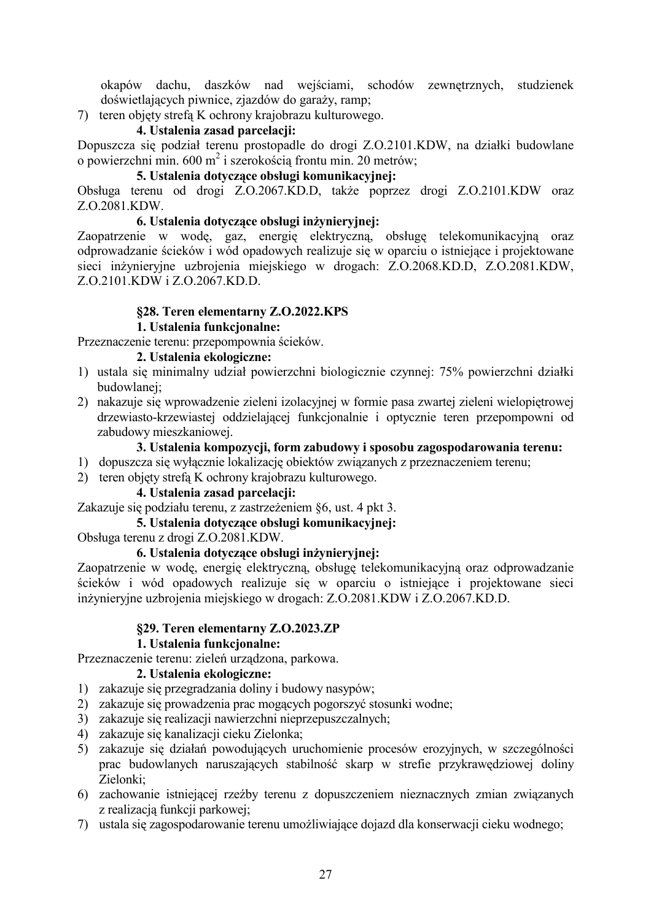okapów dachu, daszków nad wejściami, schodów zewnętrznych, studzienek doświetlających piwnice, zjazdów do garaży, ramp;

7) teren objęty strefą K ochrony krajobrazu kulturowego.

## 4. Ustalenia zasad parcelacii:

Dopuszcza się podział terenu prostopadle do drogi Z.O.2101.KDW, na działki budowlane o powierzchni min. 600 m<sup>2</sup> i szerokością frontu min. 20 metrów;

# 5. Ustalenia dotyczące obsługi komunikacyjnej:

Obsługa terenu od drogi Z.O.2067.KD.D, także poprzez drogi Z.O.2101.KDW oraz Z.O.2081.KDW.

## 6. Ustalenia dotyczące obsługi inżynieryjnej:

Zaopatrzenie w wodę, gaz, energię elektryczną, obsługę telekomunikacyjną oraz odprowadzanie ścieków i wód opadowych realizuje się w oparciu o istniejące i projektowane sieci inżynieryjne uzbrojenia miejskiego w drogach: Z.O.2068.KD.D, Z.O.2081.KDW, Z.O.2101.KDW i Z.O.2067.KD.D.

# **§28. Teren elementarny Z.O.2022.KPS**

## **1.** Ustalenia funkcjonalne:

# Przeznaczenie terenu: przepompownia ścieków.

## 2. Ustalenia ekologiczne:

- 1) ustala się minimalny udział powierzchni biologicznie czynnej: 75% powierzchni działki budowlanei:
- 2) nakazuje się wprowadzenie zieleni izolacyjnej w formie pasa zwartej zieleni wielopiętrowej drzewiasto-krzewiastej oddzielającej funkcjonalnie i optycznie teren przepompowni od zabudowy mieszkaniowej.

## 3. Ustalenia kompozycji, form zabudowy i sposobu zagospodarowania terenu:

- 1) dopuszcza się wyłącznie lokalizację obiektów związanych z przeznaczeniem terenu;
- 2) teren objety strefa K ochrony krajobrazu kulturowego.

# 4. Ustalenia zasad parcelacji:

Zakazuje się podziału terenu, z zastrzeżeniem §6, ust. 4 pkt 3.

# 5. Ustalenia dotvczace obsługi komunikacyjnej:

Obsługa terenu z drogi Z.O.2081.KDW.

#### 6. Ustalenia dotyczące obsługi inżynieryjnej:

Zaopatrzenie w wodę, energię elektryczną, obsługę telekomunikacyjną oraz odprowadzanie ścieków i wód opadowych realizuje się w oparciu o istniejące i projektowane sieci inżynieryjne uzbrojenia miejskiego w drogach: Z.O.2081.KDW i Z.O.2067.KD.D.

#### **§29. Teren elementarny Z.O.2023.ZP**

#### **1. Ustalenia funkcionalne:**

Przeznaczenie terenu: zieleń urządzona, parkowa.

#### 2. Ustalenia ekologiczne:

- 1) zakazuje się przegradzania doliny i budowy nasypów;
- 2) zakazuje się prowadzenia prac mogących pogorszyć stosunki wodne;
- 3) zakazuje się realizacji nawierzchni nieprzepuszczalnych;
- 4) zakazuje się kanalizacji cieku Zielonka;
- 5) zakazuje się działań powodujących uruchomienie procesów erozyjnych, w szczególności prac budowlanych naruszających stabilność skarp w strefie przykrawędziowej doliny Zielonki;
- 6) zachowanie istniejącej rzeźby terenu z dopuszczeniem nieznacznych zmian związanych z realizacją funkcji parkowej;
- 7) ustala się zagospodarowanie terenu umożliwiające dojazd dla konserwacji cieku wodnego;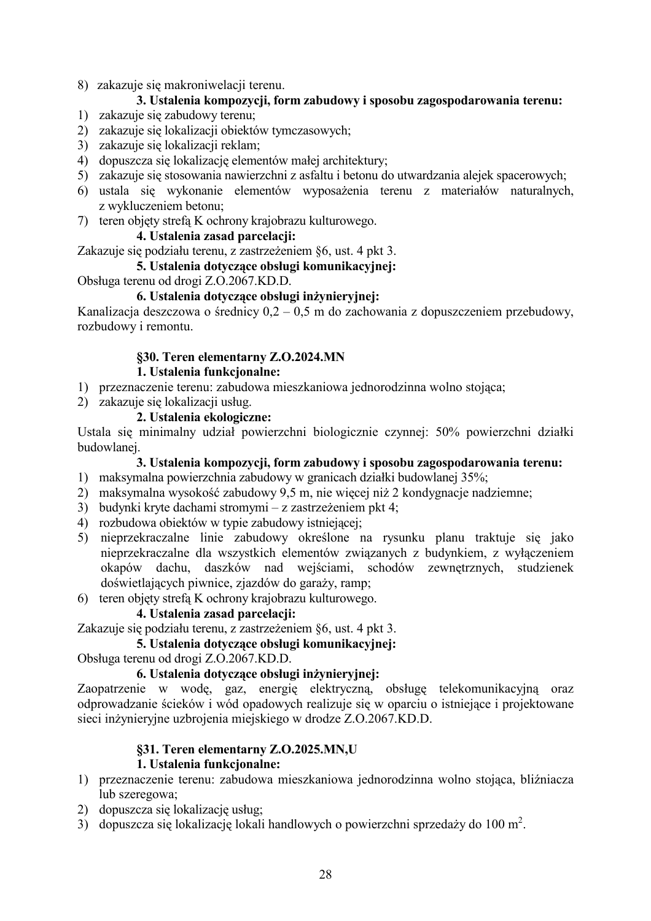8) zakazuje się makroniwelacji terenu.

## 3. Ustalenia kompozycji, form zabudowy i sposobu zagospodarowania terenu:

- 1) zakazuje się zabudowy terenu;
- 2) zakazuje się lokalizacji obiektów tymczasowych;
- 3) zakazuje się lokalizacji reklam;
- 4) dopuszcza się lokalizację elementów małej architektury;
- 5) zakazuje się stosowania nawierzchni z asfaltu i betonu do utwardzania alejek spacerowych;
- 6) ustala się wykonanie elementów wyposażenia terenu z materiałów naturalnych, z wykluczeniem betonu:
- 7) teren objety strefa K ochrony krajobrazu kulturowego.

#### 4. Ustalenia zasad parcelacii:

Zakazuje się podziału terenu, z zastrzeżeniem §6, ust. 4 pkt 3.

#### 5. Ustalenia dotvczace obsługi komunikacyjnej:

Obsługa terenu od drogi Z.O.2067.KD.D.

#### 6. Ustalenia dotvczace obsługi inżynieryjnej:

Kanalizacja deszczowa o średnicy  $0.2 - 0.5$  m do zachowania z dopuszczeniem przebudowy, rozbudowy i remontu.

## §30. Teren elementarny Z.O.2024.MN

#### 1. Ustalenia funkcionalne:

- 1) przeznaczenie terenu: zabudowa mieszkaniowa jednorodzinna wolno stojąca;
- 2) zakazuje się lokalizacii usług.

#### 2. Ustalenia ekologiczne:

Ustala się minimalny udział powierzchni biologicznie czynnej: 50% powierzchni działki budowlanej.

#### 3. Ustalenia kompozycji, form zabudowy i sposobu zagospodarowania terenu:

- 1) maksymalna powierzchnia zabudowy w granicach działki budowlanej 35%;
- 2) maksymalna wysokość zabudowy 9,5 m, nie więcej niż 2 kondygnacje nadziemne;
- 3) budynki kryte dachami stromymi z zastrzeżeniem pkt 4;
- 4) rozbudowa obiektów w typie zabudowy istniejącej;
- 5) nieprzekraczalne linie zabudowy określone na rysunku planu traktuje się jako nieprzekraczalne dla wszystkich elementów związanych z budynkiem, z wyłączeniem okapów dachu, daszków nad wejściami, schodów zewnętrznych, studzienek doświetlających piwnice, zjazdów do garaży, ramp;
- 6) teren objety strefa K ochrony krajobrazu kulturowego.

#### 4. Ustalenia zasad parcelacii:

Zakazuje się podziału terenu, z zastrzeżeniem §6, ust. 4 pkt 3.

5. Ustalenia dotvczace obsługi komunikacyjnej:

Obsługa terenu od drogi Z.O.2067.KD.D.

#### 6. Ustalenia dotyczące obsługi inżynieryjnej:

Zaopatrzenie w wodę, gaz, energię elektryczną, obsługę telekomunikacyjną oraz odprowadzanie ścieków i wód opadowych realizuje się w oparciu o istniejące i projektowane sięci inżynieryjne uzbrojenia miejskiego w drodze Z.O.2067.KD.D.

#### §31. Teren elementarny Z.O.2025.MN,U

#### 1. Ustalenia funkcionalne:

- 1) przeznaczenie terenu: zabudowa mieszkaniowa jednorodzinna wolno stojąca, bliźniącza lub szeregowa:
- 2) dopuszcza się lokalizację usług:
- 3) dopuszcza się lokalizację lokali handlowych o powierzchni sprzedaży do 100 m<sup>2</sup>.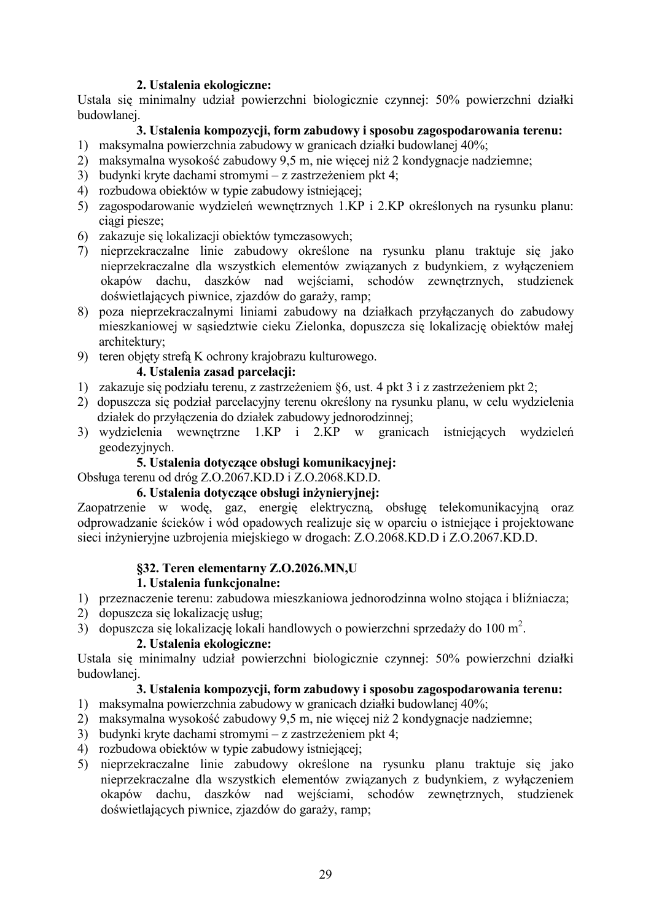#### 2. Ustalenia ekologiczne:

Ustala się minimalny udział powierzchni biologicznie czynnej: 50% powierzchni działki budowlanei.

## 3. Ustalenia kompozycii, form zabudowy i sposobu zagospodarowania terenu:

- 1) maksymalna powierzchnia zabudowy w granicach działki budowlanej 40%;
- 2) maksymalna wysokość zabudowy 9,5 m, nie więcej niż 2 kondygnacje nadziemne;
- 3) budynki kryte dachami stromymi z zastrzeżeniem pkt 4;
- 4) rozbudowa obiektów w typie zabudowy istniejącej;
- 5) zagospodarowanie wydzieleń wewnętrznych 1.KP i 2.KP określonych na rysunku planu: ciągi piesze;
- 6) zakazuje się lokalizacji obiektów tymczasowych;
- 7) nieprzekraczalne linie zabudowy określone na rysunku planu traktuje się jako nieprzekraczalne dla wszystkich elementów związanych z budynkiem, z wyłączeniem okapów dachu, daszków nad wejściami, schodów zewnętrznych, studzienek doświetlających piwnice, zjazdów do garaży, ramp;
- 8) poza nieprzekraczalnymi liniami zabudowy na działkach przyłączanych do zabudowy mieszkaniowej w sąsiedztwie cieku Zielonka, dopuszcza się lokalizację obiektów małej architektury;
- 9) teren objety strefa K ochrony krajobrazu kulturowego.

## 4. Ustalenia zasad parcelacji:

- 1) zakazuje się podziału terenu, z zastrzeżeniem §6, ust. 4 pkt 3 i z zastrzeżeniem pkt 2;
- 2) dopuszcza się podział parcelacyjny terenu określony na rysunku planu, w celu wydzielenia działek do przyłączenia do działek zabudowy jednorodzinnej;
- 3) wydzielenia wewnętrzne 1.KP i 2.KP w granicach istniejących wydzieleń geodezyjnych.

## 5. Ustalenia dotyczące obsługi komunikacyjnej:

Obsługa terenu od dróg Z.O.2067.KD.D i Z.O.2068.KD.D.

## 6. Ustalenia dotvczace obsługi inżyniervinei:

Zaopatrzenie w wodę, gaz, energię elektryczną, obsługę telekomunikacyjną oraz odprowadzanie ścieków i wód opadowych realizuje się w oparciu o istniejące i projektowane sieci inżynieryjne uzbrojenia miejskiego w drogach: Z.O.2068.KD.D i Z.O.2067.KD.D.

# §32. Teren elementarny **Z.O.2026.MN**,U

#### **1. Ustalenia funkcionalne:**

- 1) przeznaczenie terenu: zabudowa mieszkaniowa jednorodzinna wolno stojąca i bliźniacza;
- 2) dopuszcza się lokalizację usług;
- 3) dopuszcza się lokalizację lokali handlowych o powierzchni sprzedaży do 100 m<sup>2</sup>.

#### 2. Ustalenia ekologiczne:

Ustala się minimalny udział powierzchni biologicznie czynnej: 50% powierzchni działki budowlanej.

# 3. Ustalenia kompozycii, form zabudowy i sposobu zagospodarowania terenu:

- 1) maksymalna powierzchnia zabudowy w granicach działki budowlanej 40%;
- 2) maksymalna wysokość zabudowy 9,5 m, nie więcej niż 2 kondygnacje nadziemne;
- 3) budynki kryte dachami stromymi z zastrzeżeniem pkt 4;
- 4) rozbudowa obiektów w typie zabudowy istniejącej;
- 5) nieprzekraczalne linie zabudowy określone na rysunku planu traktuje się jako nieprzekraczalne dla wszystkich elementów związanych z budynkiem, z wyłączeniem okapów dachu, daszków nad wejściami, schodów zewnętrznych, studzienek doświetlających piwnice, zjazdów do garaży, ramp;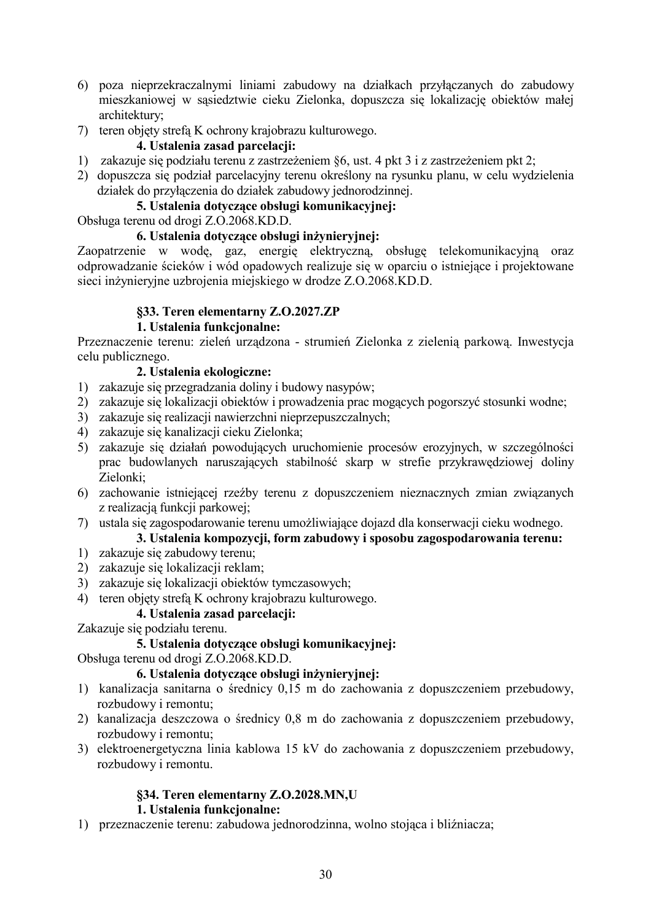- 6) poza nieprzekraczalnymi liniami zabudowy na działkach przyłączanych do zabudowy mieszkaniowej w sąsiedztwie cieku Zielonka, dopuszcza się lokalizację obiektów małej architekturv:
- 7) teren objęty strefą K ochrony krajobrazu kulturowego.

## 4. Ustalenia zasad parcelacji:

- 1) zakazuje się podziału terenu z zastrzeżeniem §6, ust. 4 pkt 3 i z zastrzeżeniem pkt 2;
- 2) dopuszcza się podział parcelacyjny terenu określony na rysunku planu, w celu wydzielenia działek do przyłączenia do działek zabudowy jednorodzinnej.

## 5. Ustalenia dotvczace obsługi komunikacyinei:

Obsługa terenu od drogi Z.O.2068.KD.D.

#### 6. Ustalenia dotvczące obsługi inżynieryjnej:

Zaopatrzenie w wodę, gaz, energię elektryczną, obsługę telekomunikacyjną oraz odprowadzanie ścieków i wód opadowych realizuje się w oparciu o istniejące i projektowane sieci inżynieryjne uzbrojenia miejskiego w drodze Z.O.2068.KD.D.

## §33. Teren elementarny Z.O.2027.ZP

## 1. Ustalenia funkcjonalne:

Przeznaczenie terenu: zieleń urządzona - strumień Zielonka z zielenią parkową. Inwestycja celu publicznego.

## 2. Ustalenia ekologiczne:

- 1) zakazuje się przegradzania doliny i budowy nasypów;
- 2) zakazuje się lokalizacji obiektów i prowadzenia prac mogacych pogorszyć stosunki wodne:
- 3) zakazuje się realizacji nawierzchni nieprzepuszczalnych;
- 4) zakazuje się kanalizacji cieku Zielonka;
- 5) zakazuje się działań powodujących uruchomienie procesów erozyjnych, w szczególności prac budowlanych naruszających stabilność skarp w strefie przykrawędziowej doliny Zielonki:
- 6) zachowanie istniejącej rzeźby terenu z dopuszczeniem nieznacznych zmian związanych z realizacją funkcji parkowej;
- 7) ustala się zagospodarowanie terenu umożliwiające dojazd dla konserwacji cieku wodnego.

# 3. Ustalenia kompozycji, form zabudowy i sposobu zagospodarowania terenu:

- 1) zakazuje się zabudowy terenu;
- 2) zakazuje się lokalizacji reklam;
- 3) zakazuje się lokalizacji obiektów tymczasowych;
- 4) teren objety strefa K ochrony krajobrazu kulturowego.

# 4. Ustalenia zasad parcelacji:

Zakazuje się podziału terenu.

# 5. Ustalenia dotvczace obsługi komunikacyjnej:

Obsługa terenu od drogi Z.O.2068.KD.D.

#### 6. Ustalenia dotyczące obsługi inżynieryjnej:

- 1) kanalizacia sanitarna o średnicy 0.15 m do zachowania z dopuszczeniem przebudowy, rozbudowy i remontu:
- 2) kanalizacja deszczowa o średnicy 0,8 m do zachowania z dopuszczeniem przebudowy, rozbudowy i remontu;
- 3) elektroenergetyczna linia kablowa 15 kV do zachowania z dopuszczeniem przebudowy, rozbudowy i remontu.

# §34. Teren elementarny Z.O.2028.MN,U

## 1. Ustalenia funkcionalne:

1) przeznaczenie terenu: zabudowa jednorodzinna, wolno stojąca i bliźniacza;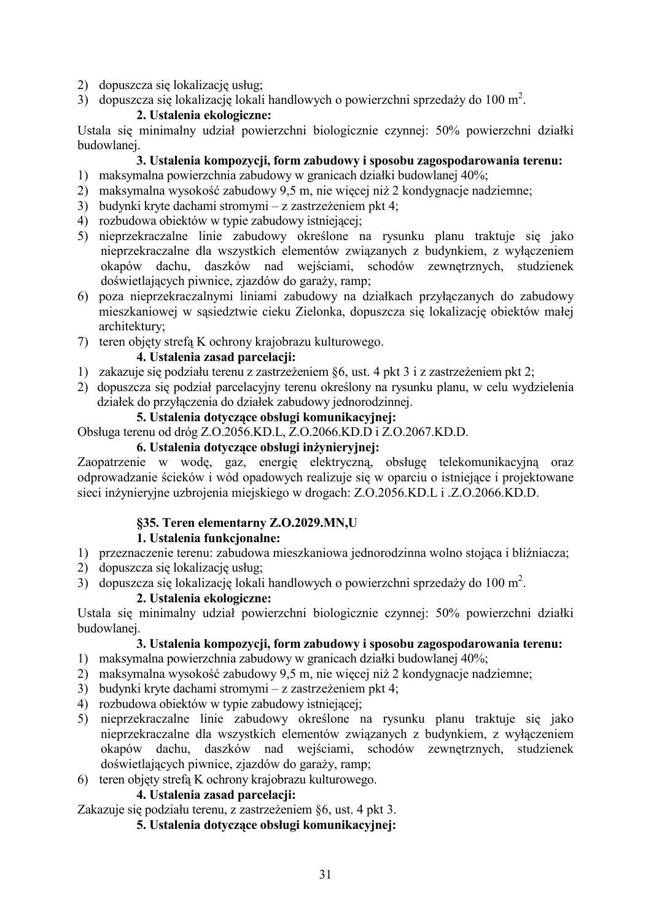- 2) dopuszcza się lokalizację usług;
- 3) dopuszcza się lokalizację lokali handlowych o powierzchni sprzedaży do 100 m<sup>2</sup>.

## 2. Ustalenia ekologiczne:

Ustala się minimalny udział powierzchni biologicznie czynnej: 50% powierzchni działki budowlanei

## 3. Ustalenia kompozycji, form zabudowy i sposobu zagospodarowania terenu:

- 1) maksymalna powierzchnia zabudowy w granicach działki budowlanej 40%;
- 2) maksymalna wysokość zabudowy 9,5 m, nie więcej niż 2 kondygnacje nadziemne;
- 3) budynki kryte dachami stromymi z zastrzeżeniem pkt 4;
- 4) rozbudowa obiektów w typie zabudowy istniejącej;
- 5) nieprzekraczalne linie zabudowy określone na rysunku planu traktuje się jako nieprzekraczalne dla wszystkich elementów związanych z budynkiem, z wyłączeniem okapów dachu, daszków nad wejściami, schodów zewnętrznych, studzienek doświetlających piwnice, zjazdów do garaży, ramp;
- 6) poza nieprzekraczalnymi liniami zabudowy na działkach przyłączanych do zabudowy mieszkaniowej w sąsiedztwie cieku Zielonka, dopuszcza się lokalizację obiektów małej architektury;
- 7) teren objety strefa K ochrony krajobrazu kulturowego.

## 4. Ustalenia zasad parcelacii:

- 1) zakazuje się podziału terenu z zastrzeżeniem §6, ust. 4 pkt 3 i z zastrzeżeniem pkt 2;
- 2) dopuszcza się podział parcelacyjny terenu określony na rysunku planu, w celu wydzielenia działek do przyłączenia do działek zabudowy jednorodzinnej.

#### 5. Ustalenia dotvczace obsługi komunikacyjnej:

Obsługa terenu od dróg Z.O.2056.KD.L, Z.O.2066.KD.D i Z.O.2067.KD.D.

## 6. Ustalenia dotvczace obsługi inżyniervinej:

Zaopatrzenie w wodę, gaz, energię elektryczną, obsługę telekomunikacyjną oraz odprowadzanie ścieków i wód opadowych realizuje się w oparciu o istniejące i projektowane sieci inżynieryjne uzbrojenia miejskiego w drogach: Z.O.2056.KD.L i .Z.O.2066.KD.D.

# **§35. Teren elementarny Z.O.2029.MN,U**

# **1.** Ustalenia funkcionalne:

- 1) przeznaczenie terenu: zabudowa mieszkaniowa jednorodzinna wolno stojąca i bliźniacza;
- 2) dopuszcza się lokalizację usług;
- 3) dopuszcza się lokalizację lokali handlowych o powierzchni sprzedaży do 100 m<sup>2</sup>.

#### 2. Ustalenia ekologiczne:

Ustala się minimalny udział powierzchni biologicznie czynnej: 50% powierzchni działki budowlanei.

#### 3. Ustalenia kompozycji, form zabudowy i sposobu zagospodarowania terenu:

- 1) maksymalna powierzchnia zabudowy w granicach działki budowlanej 40%;
- 2) maksymalna wysokość zabudowy 9,5 m, nie więcej niż 2 kondygnacje nadziemne;
- 3) budynki kryte dachami stromymi z zastrzeżeniem pkt 4;
- 4) rozbudowa obiektów w typie zabudowy istniejącej;
- 5) nieprzekraczalne linie zabudowy określone na rysunku planu traktuje się jako nieprzekraczalne dla wszystkich elementów związanych z budynkiem, z wyłączeniem okapów dachu, daszków nad wejściami, schodów zewnętrznych, studzienek doświetlających piwnice, zjazdów do garaży, ramp;
- 6) teren objety strefa K ochrony krajobrazu kulturowego.

# 4. Ustalenia zasad parcelacji:

Zakazuje się podziału terenu, z zastrzeżeniem §6, ust. 4 pkt 3.

## 5. Ustalenia dotvczace obsługi komunikacyjnej: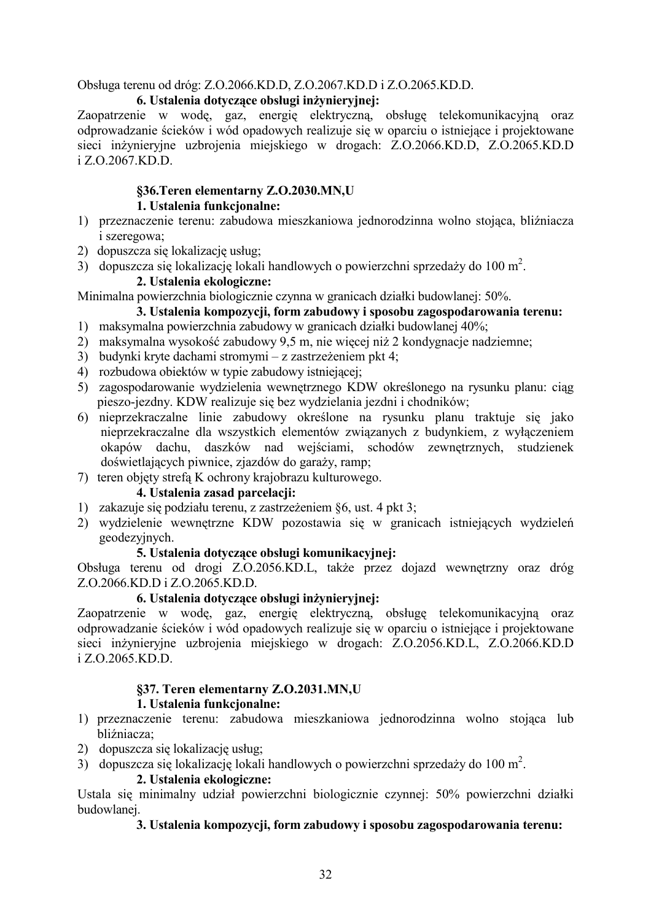Obsługa terenu od dróg: Z.O.2066.KD.D, Z.O.2067.KD.D i Z.O.2065.KD.D.

## 6. Ustalenia dotyczące obsługi inżynieryjnej:

Zaopatrzenie w wodę, gaz, energię elektryczną, obsługę telekomunikacyjną oraz odprowadzanie ścieków i wód opadowych realizuje się w oparciu o istniejące i projektowane sieci inżynieryjne uzbrojenia miejskiego w drogach: Z.O.2066.KD.D, Z.O.2065.KD.D i Z.O.2067.KD.D.

# **§36. Teren elementarny Z.O.2030.MN, U**

# **1.** Ustalenia funkcionalne:

- 1) przeznaczenie terenu: zabudowa mieszkaniowa jednorodzinna wolno stojąca, bliźniacza i szeregowa;
- 2) dopuszcza się lokalizację usług;
- 3) dopuszcza się lokalizację lokali handlowych o powierzchni sprzedaży do 100 m<sup>2</sup>.

# 2. Ustalenia ekologiczne:

Minimalna powierzchnia biologicznie czynna w granicach działki budowlanej: 50%.

## 3. Ustalenia kompozycji, form zabudowy i sposobu zagospodarowania terenu:

- 1) maksymalna powierzchnia zabudowy w granicach działki budowlanej 40%;
- 2) maksymalna wysokość zabudowy 9,5 m, nie więcej niż 2 kondygnacje nadziemne;
- 3) budynki kryte dachami stromymi z zastrzeżeniem pkt 4;
- 4) rozbudowa obiektów w typie zabudowy istniejącej;
- 5) zagospodarowanie wydzielenia wewnętrznego KDW określonego na rysunku planu: ciąg pieszo-jezdny. KDW realizuje się bez wydzielania jezdni i chodników;
- 6) nieprzekraczalne linie zabudowy określone na rysunku planu traktuje się jako nieprzekraczalne dla wszystkich elementów związanych z budynkiem, z wyłączeniem okapów dachu, daszków nad wejściami, schodów zewnętrznych, studzienek doświetlających piwnice, zjazdów do garaży, ramp;
- 7) teren objety strefa K ochrony krajobrazu kulturowego.

# 4. Ustalenia zasad parcelacji:

- 1) zakazuje się podziału terenu, z zastrzeżeniem §6, ust. 4 pkt 3;
- 2) wydzielenie wewnętrzne KDW pozostawia się w granicach istniejących wydzieleń geodezyjnych.

#### 5. Ustalenia dotyczące obsługi komunikacyjnej:

Obsługa terenu od drogi Z.O.2056.KD.L, także przez dojazd wewnętrzny oraz dróg Z.O.2066.KD.D i Z.O.2065.KD.D.

# 6. Ustalenia dotvczace obsługi inżyniervinei:

Zaopatrzenie w wodę, gaz, energię elektryczną, obsługę telekomunikacyjną oraz odprowadzanie ścieków i wód opadowych realizuje się w oparciu o istniejące i projektowane sieci inżynieryjne uzbrojenia miejskiego w drogach: Z.O.2056.KD.L, Z.O.2066.KD.D i Z.O.2065.KD.D.

# §37. Teren elementarny **Z.O.2031.MN,U**

#### **1.** Ustalenia funkcjonalne:

- 1) przeznaczenie terenu: zabudowa mieszkaniowa jednorodzinna wolno stojąca lub bliźniacza;
- 2) dopuszcza się lokalizację usług;
- 3) dopuszcza się lokalizację lokali handlowych o powierzchni sprzedaży do 100 m<sup>2</sup>.

#### 2. Ustalenia ekologiczne:

Ustala się minimalny udział powierzchni biologicznie czynnej: 50% powierzchni działki budowlanei.

#### 3. Ustalenia kompozycji, form zabudowy i sposobu zagospodarowania terenu: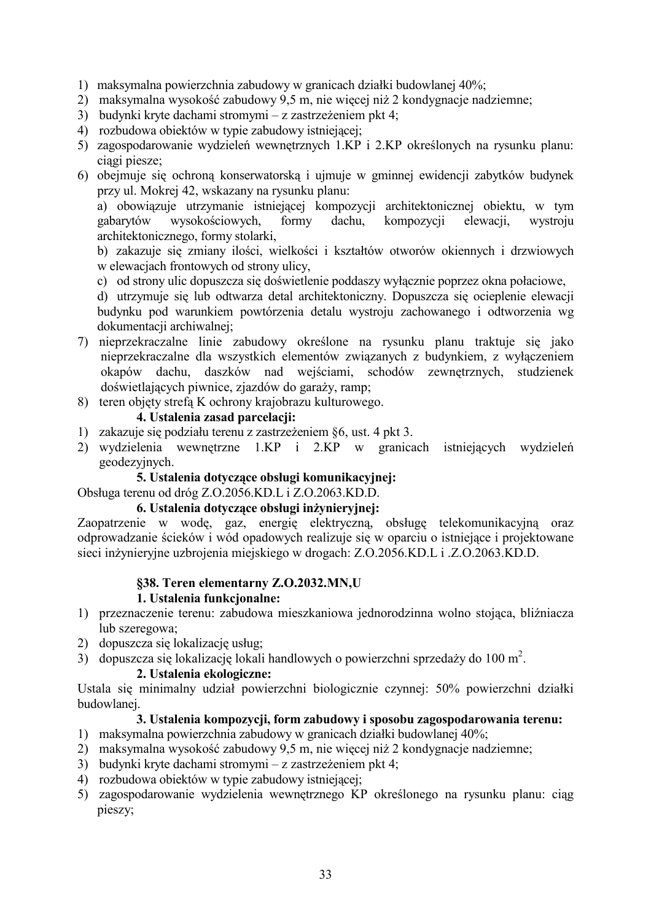- 1) maksymalna powierzchnia zabudowy w granicach działki budowlanej 40%;
- 2) maksymalna wysokość zabudowy 9,5 m, nie więcej niż 2 kondygnacje nadziemne;
- 3) budynki kryte dachami stromymi z zastrzeżeniem pkt 4;
- 4) rozbudowa obiektów w typie zabudowy istniejącej:
- 5) zagospodarowanie wydzieleń wewnętrznych 1.KP i 2.KP określonych na rysunku planu: ciagi piesze:
- 6) obejmuje się ochroną konserwatorską i ujmuje w gminnej ewidencji zabytków budynek przy ul. Mokrej 42, wskazany na rysunku planu:

a) obowiązuje utrzymanie istniejącej kompozycji architektonicznej obiektu, w tym gabarytów wysokościowych, formy dachu. kompozycii elewacii. wystroju architektonicznego, formy stolarki,

b) zakazuje się zmiany ilości, wielkości i kształtów otworów okiennych i drzwiowych w elewacjach frontowych od strony ulicy,

- c) od strony ulic dopuszcza się doświetlenie poddaszy wyłącznie poprzez okna połaciowe,
- d) utrzymuje się lub odtwarzą detal architektoniczny. Dopuszczą się ocieplenie elewacji budynku pod warunkiem powtórzenia detalu wystroju zachowanego i odtworzenia wg dokumentacji archiwalnej;
- 7) nieprzekraczalne linie zabudowy określone na rysunku planu traktuje się jako nieprzekraczalne dla wszystkich elementów związanych z budynkiem, z wyłaczeniem okapów dachu, daszków nad wejściami, schodów zewnętrznych, studzienek doświetlających piwnice, zjazdów do garaży, ramp;
- 8) teren objety strefa K ochrony krajobrazu kulturowego.

#### 4. Ustalenia zasad parcelacji:

- 1) zakazuje się podziału terenu z zastrzeżeniem §6, ust. 4 pkt 3.
- 2) wydzielenia wewnętrzne 1.KP i 2.KP w granicach istniejących wydzieleń geodezyjnych.

#### 5. Ustalenia dotyczące obsługi komunikacyjnej:

Obsługa terenu od dróg Z.O.2056.KD.L i Z.O.2063.KD.D.

#### 6. Ustalenia dotyczące obsługi inżynieryjnej:

Zaopatrzenie w wodę, gaz, energię elektryczną, obsługę telekomunikacyjną oraz odprowadzanie ścieków i wód opadowych realizuje się w oparciu o istniejące i projektowane sieci inżynieryjne uzbrojenia miejskiego w drogach: Z.O.2056.KD.L i .Z.O.2063.KD.D.

# §38. Teren elementarny Z.O.2032.MN,U

#### 1. Ustalenia funkcionalne:

- 1) przeznaczenie terenu: zabudowa mieszkaniowa jednorodzinna wolno stojąca, bliźniacza lub szeregowa;
- 2) dopuszcza się lokalizację usług:
- 3) dopuszcza się lokalizację lokali handlowych o powierzchni sprzedaży do 100 m<sup>2</sup>.

#### 2. Ustalenia ekologiczne:

Ustala się minimalny udział powierzchni biologicznie czynnej: 50% powierzchni działki budowlanei

#### 3. Ustalenia kompozycji, form zabudowy i sposobu zagospodarowania terenu:

- 1) maksymalna powierzchnia zabudowy w granicach działki budowlanej 40%;
- 2) maksymalna wysokość zabudowy 9,5 m, nie więcej niż 2 kondygnacje nadziemne;
- 3) budynki kryte dachami stromymi z zastrzeżeniem pkt 4;
- 4) rozbudowa obiektów w typie zabudowy istniejącej:
- 5) zagospodarowanie wydzielenia wewnętrznego KP określonego na rysunku planu: ciąg pieszy;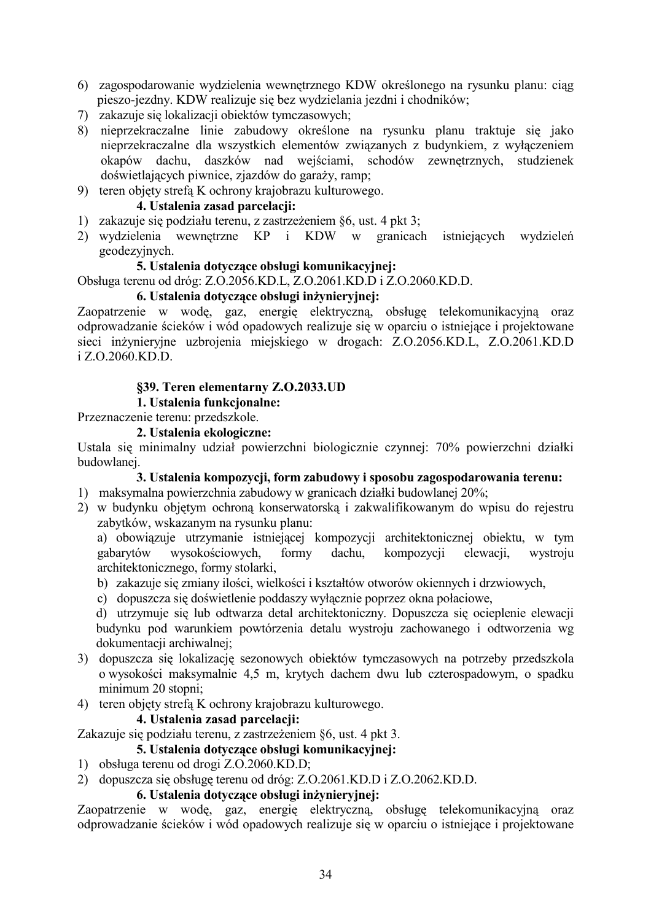- 6) zagospodarowanie wydzielenia wewnętrznego KDW określonego na rysunku planu: ciąg pieszo-jezdny. KDW realizuje się bez wydzielania jezdni i chodników;
- 7) zakazuje się lokalizacji obiektów tymczasowych;
- 8) nieprzekraczalne linie zabudowy określone na rysunku planu traktuje się jako nieprzekraczalne dla wszystkich elementów związanych z budynkiem, z wyłączeniem okapów dachu, daszków nad wejściami, schodów zewnętrznych, studzienek doświetlających piwnice, zjazdów do garaży, ramp;
- 9) teren objety strefa K ochrony krajobrazu kulturowego.

#### 4. Ustalenia zasad parcelacii:

- 1) zakazuje się podziału terenu, z zastrzeżeniem §6, ust. 4 pkt 3;
- 2) wydzielenia wewnetrzne KP i KDW w granicach istniejących wydzieleń geodezyjnych.

#### 5. Ustalenia dotvczace obsługi komunikacyjnej:

Obsługa terenu od dróg: Z.O.2056.KD.L, Z.O.2061.KD.D i Z.O.2060.KD.D.

#### 6. Ustalenia dotvczące obsługi inżynieryjnej:

Zaopatrzenie w wodę, gaz, energię elektryczną, obsługę telekomunikacyjną oraz odprowadzanie ścieków i wód opadowych realizuje się w oparciu o istniejące i projektowane sieci inżynieryjne uzbrojenia miejskiego w drogach: Z.O.2056.KD.L, Z.O.2061.KD.D i Z.O.2060.KD.D.

#### §39. Teren elementarny Z.O.2033.UD

### 1. Ustalenia funkcjonalne:

Przeznaczenie terenu: przedszkole.

#### 2. Ustalenia ekologiczne:

Ustala się minimalny udział powierzchni biologicznie czynnej: 70% powierzchni działki budowlanei.

#### 3. Ustalenia kompozycji, form zabudowy i sposobu zagospodarowania terenu:

- 1) maksymalna powierzchnia zabudowy w granicach działki budowlanej 20%;
- 2) w budynku objętym ochroną konserwatorską i zakwalifikowanym do wpisu do rejestru zabytków, wskazanym na rysunku planu:

a) obowiązuje utrzymanie istniejącej kompozycji architektonicznej obiektu, w tym formy wysokościowych. dachu. kompozvcii wystroiu gabarytów elewacii. architektonicznego, formy stolarki,

- b) zakazuje się zmiany ilości, wielkości i kształtów otworów okiennych i drzwiowych,
- c) dopuszcza się doświetlenie poddaszy wyłącznie poprzez okna połaciowe,

d) utrzymuje się lub odtwarzą detal architektoniczny. Dopuszcza się ocieplenie elewacji budynku pod warunkiem powtórzenia detalu wystroju zachowanego i odtworzenia wg dokumentacji archiwalnej:

- 3) dopuszcza się lokalizację sezonowych obiektów tymczasowych na potrzeby przedszkola o wysokości maksymalnie 4,5 m, krytych dachem dwu lub czterospadowym, o spadku minimum 20 stopni:
- 4) teren objety strefa K ochrony krajobrazu kulturowego.

#### 4. Ustalenia zasad parcelacji:

Zakazuje się podziału terenu, z zastrzeżeniem §6, ust. 4 pkt 3.

## 5. Ustalenia dotvczące obsługi komunikacyjnej:

- 1) obsługa terenu od drogi Z.O.2060.KD.D;
- 2) dopuszcza się obsługę terenu od dróg: Z.O.2061.KD.D i Z.O.2062.KD.D.

#### 6. Ustalenia dotvczące obsługi inżynieryjnej:

Zaopatrzenie w wodę, gaz, energię elektryczną, obsługę telekomunikacyjną oraz odprowadzanie ścieków i wód opadowych realizuje się w oparciu o istniejące i projektowane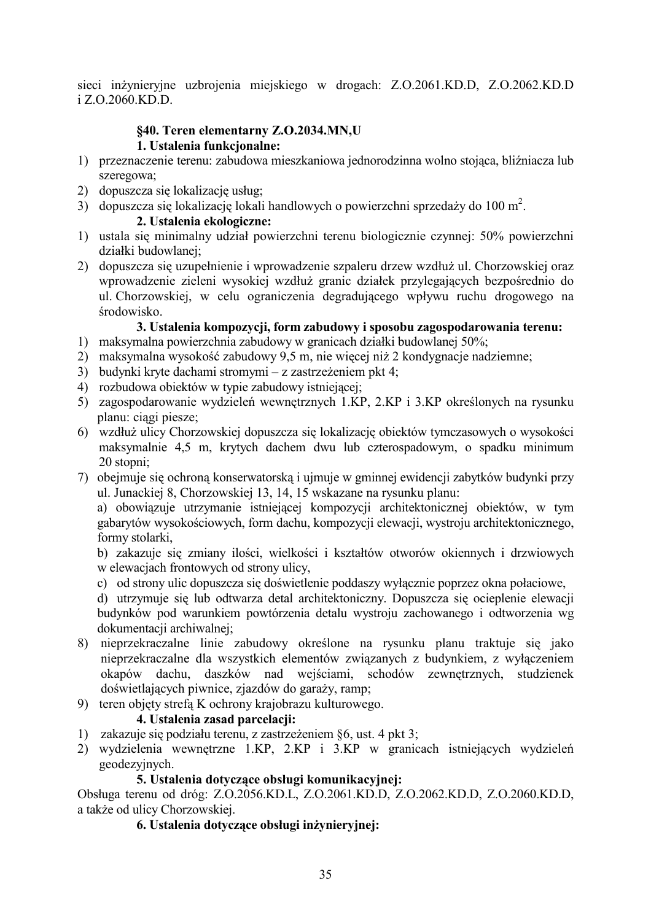sieci inżynieryjne uzbrojenia miejskiego w drogach: Z.O.2061.KD.D, Z.O.2062.KD.D i Z.O.2060.KD.D.

#### §40. Teren elementarny Z.O.2034.MN,U 1. Ustalenia funkcionalne:

- 1) przeznaczenie terenu: zabudowa mieszkaniowa jednorodzinna wolno stojąca, bliźniacza lub szeregowa;
- 2) dopuszcza się lokalizację usług;
- 3) dopuszcza się lokalizację lokali handlowych o powierzchni sprzedaży do 100 m<sup>2</sup>.

## 2. Ustalenia ekologiczne:

- 1) ustala się minimalny udział powierzchni terenu biologicznie czynnej: 50% powierzchni działki budowlanej:
- 2) dopuszcza się uzupełnienie i wprowadzenie szpaleru drzew wzdłuż ul. Chorzowskiej oraz wprowadzenie zieleni wysokiej wzdłuż granic działek przylegających bezpośrednio do ul Chorzowskiej, w celu ograniczenia degradującego wpływu ruchu drogowego na środowisko.

# 3. Ustalenia kompozycji, form zabudowy i sposobu zagospodarowania terenu:

- 1) maksymalna powierzchnia zabudowy w granicach działki budowlanej 50%;
- 2) maksymalna wysokość zabudowy 9,5 m, nie więcej niż 2 kondygnacje nadziemne;
- 3) budynki kryte dachami stromymi z zastrzeżeniem pkt 4;
- 4) rozbudowa obiektów w typie zabudowy istniejącej:
- 5) zagospodarowanie wydzieleń wewnetrznych 1.KP, 2.KP i 3.KP określonych na rysunku planu: ciagi piesze:
- 6) wzdłuż ulicy Chorzowskiej dopuszcza się lokalizację obiektów tymczasowych o wysokości maksymalnie 4,5 m, krytych dachem dwu lub czterospadowym, o spadku minimum 20 stopni:
- 7) obejmuje się ochroną konserwatorską i ujmuje w gminnej ewidencji zabytków budynki przy ul. Junackiej 8, Chorzowskiej 13, 14, 15 wskazane na rysunku planu:

a) obowiązuje utrzymanie istniejącej kompozycji architektonicznej obiektów, w tym gabarytów wysokościowych, form dachu, kompozycji elewacji, wystroju architektonicznego, formy stolarki.

b) zakazuje się zmiany ilości, wielkości i kształtów otworów okiennych i drzwiowych w elewacjach frontowych od strony ulicy,

c) od strony ulic dopuszcza się doświetlenie poddaszy wyłącznie poprzez okna połaciowe,

d) utrzymuje się lub odtwarza detal architektoniczny. Dopuszcza się ocieplenie elewacji budynków pod warunkiem powtórzenia detalu wystroju zachowanego i odtworzenia wg dokumentacji archiwalnej:

- 8) nieprzekraczalne linie zabudowy określone na rysunku planu traktuje się jako nieprzekraczalne dla wszystkich elementów związanych z budynkiem, z wyłączeniem okapów dachu, daszków nad wejściami, schodów zewnętrznych, studzienek doświetlających piwnice, zjazdów do garaży, ramp;
- 9) teren objety strefa K ochrony krajobrazu kulturowego.

#### 4. Ustalenia zasad parcelacii:

- 1) zakazuje się podziału terenu, z zastrzeżeniem §6, ust. 4 pkt 3;
- 2) wydzielenia wewnętrzne 1.KP, 2.KP i 3.KP w granicach istniejących wydzieleń geodezyjnych.

#### 5. Ustalenia dotyczące obsługi komunikacyjnej:

Obsługa terenu od dróg: Z.O.2056.KD.L, Z.O.2061.KD.D, Z.O.2062.KD.D, Z.O.2060.KD.D, a także od ulicy Chorzowskiej.

## 6. Ustalenia dotvczace obsługi inżynieryjnej: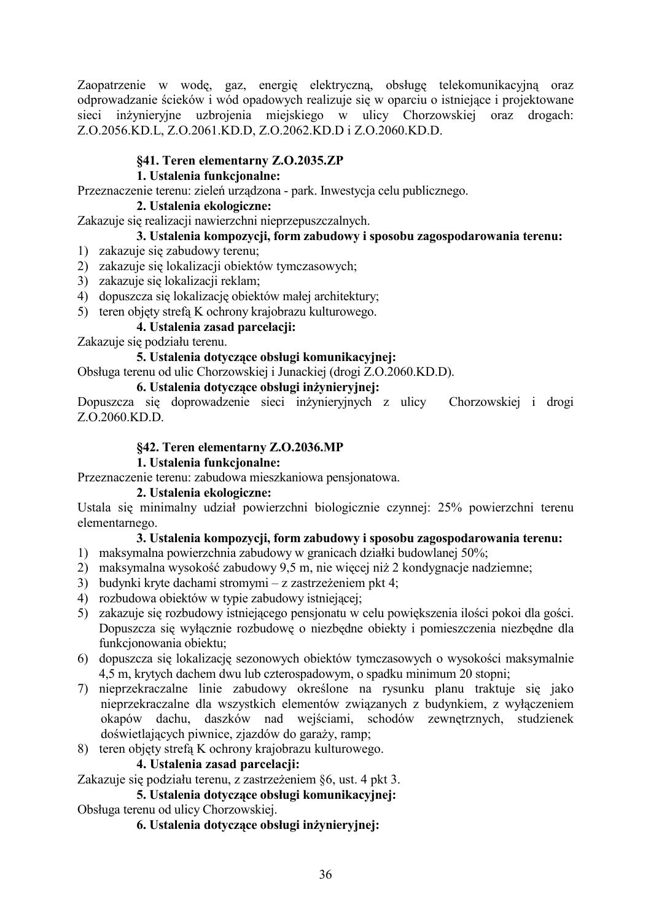Zaopatrzenie w wodę, gaz, energię elektryczną, obsługę telekomunikacyjną oraz odprowadzanie ścieków i wód opadowych realizuje się w oparciu o istniejące i projektowane sieci inżynieryjne uzbrojenia miejskiego w ulicy Chorzowskiej oraz drogach: Z.O.2056.KD.L, Z.O.2061.KD.D, Z.O.2062.KD.D i Z.O.2060.KD.D.

## §41. Teren elementarny Z.O.2035.ZP

## 1. Ustalenia funkcjonalne:

Przeznaczenie terenu: zieleń urządzona - park. Inwestycja celu publicznego.

#### 2. Ustalenia ekologiczne:

Zakazuje się realizacji nawierzchni nieprzepuszczalnych.

## 3. Ustalenia kompozycji, form zabudowy i sposobu zagospodarowania terenu:

- 1) zakazuje się zabudowy terenu;
- 2) zakazuje się lokalizacji obiektów tymczasowych;
- 3) zakazuje się lokalizacji reklam;
- 4) dopuszcza się lokalizację obiektów małej architektury;
- 5) teren objety strefa K ochrony krajobrazu kulturowego.

# 4. Ustalenia zasad parcelacji:

Zakazuje się podziału terenu.

## 5. Ustalenia dotvczace obsługi komunikacvinei:

Obsługa terenu od ulic Chorzowskiej i Junackiej (drogi Z.O.2060.KD.D).

## 6. Ustalenia dotvczace obsługi inżynieryjnej:

Dopuszcza się doprowadzenie sięci inżynieryjnych z ulicy Chorzowskiej i drogi Z.O.2060.KD.D.

# §42. Teren elementarny Z.O.2036.MP

## 1. Ustalenia funkcionalne:

Przeznaczenie terenu: zabudowa mieszkaniowa pensionatowa.

### 2. Ustalenia ekologiczne:

Ustala się minimalny udział powierzchni biologicznie czynnej: 25% powierzchni terenu elementarnego.

# 3. Ustalenia kompozycii, form zabudowy i sposobu zagospodarowania terenu:

- 1) maksymalna powierzchnia zabudowy w granicach działki budowlanej 50%;
- 2) maksymalna wysokość zabudowy 9,5 m, nie więcej niż 2 kondygnacje nadziemne;
- 3) budynki kryte dachami stromymi z zastrzeżeniem pkt 4;
- 4) rozbudowa obiektów w typie zabudowy istniejącej;
- 5) zakazuje się rozbudowy istniejącego pensionatu w celu powiekszenia ilości pokoj dla gości. Dopuszcza się wyłacznie rozbudowe o niezbedne obiekty i pomieszczenia niezbedne dla funkcionowania obiektu:
- 6) dopuszcza się lokalizację sezonowych obiektów tymczasowych o wysokości maksymalnie 4,5 m, krytych dachem dwu lub czterospadowym, o spadku minimum 20 stopni;
- 7) nieprzekraczalne linie zabudowy określone na rysunku planu traktuje się jako nieprzekraczalne dla wszystkich elementów związanych z budynkiem, z wyłączeniem okapów dachu, daszków nad wejściami, schodów zewnetrznych, studzienek doświetlających piwnice, zjazdów do garaży, ramp;
- 8) teren objety strefa K ochrony krajobrazu kulturowego.

#### 4. Ustalenia zasad parcelacii:

Zakazuje się podziału terenu, z zastrzeżeniem §6, ust. 4 pkt 3.

# 5. Ustalenia dotyczące obsługi komunikacyjnej:

Obsługa terenu od ulicy Chorzowskiej.

6. Ustalenia dotvczace obsługi inżynieryjnej: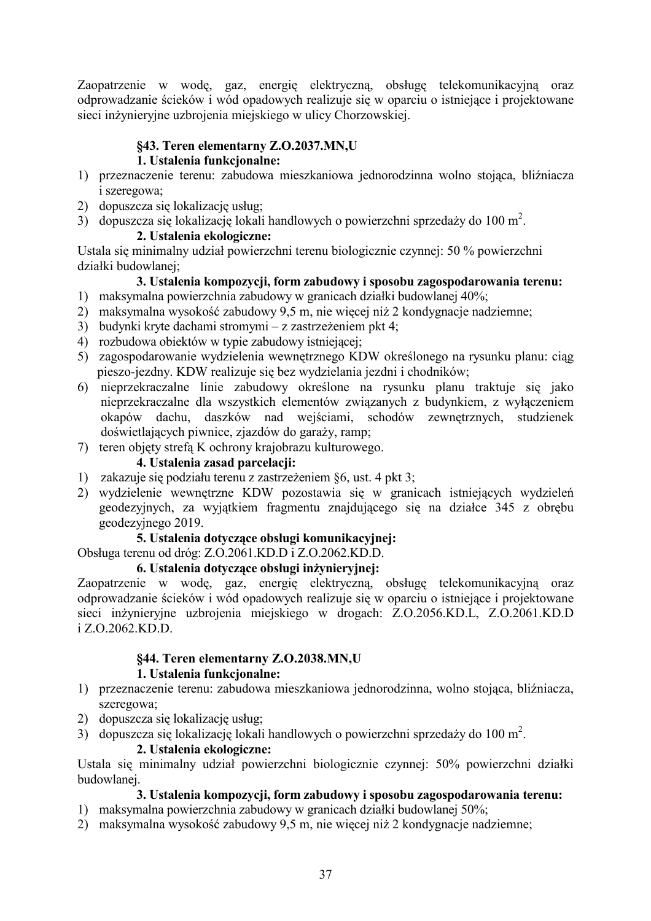Zaopatrzenie w wodę, gaz, energię elektryczną, obsługę telekomunikacyjną oraz odprowadzanie ścieków i wód opadowych realizuje się w oparciu o istniejące i projektowane sieci inżynieryjne uzbrojenia miejskiego w ulicy Chorzowskiej.

# **§43. Teren elementarny Z.O.2037.MN.U**

### **1.** Ustalenia funkcjonalne:

- 1) przeznaczenie terenu: zabudowa mieszkaniowa jednorodzinna wolno stojąca, bliźniacza i szeregowa;
- 2) dopuszcza się lokalizację usług;
- 3) dopuszcza się lokalizację lokali handlowych o powierzchni sprzedaży do 100 m<sup>2</sup>.

# 2. Ustalenia ekologiczne:

Ustala się minimalny udział powierzchni terenu biologicznie czynnej: 50 % powierzchni działki budowlanej;

# 3. Ustalenia kompozycji, form zabudowy i sposobu zagospodarowania terenu:

- 1) maksymalna powierzchnia zabudowy w granicach działki budowlanej 40%;
- 2) maksymalna wysokość zabudowy 9,5 m, nie więcej niż 2 kondygnacje nadziemne;
- 3) budynki kryte dachami stromymi z zastrzeżeniem pkt 4;
- 4) rozbudowa obiektów w typie zabudowy istniejącej;
- 5) zagospodarowanie wydzielenia wewnętrznego KDW określonego na rysunku planu: ciąg pieszo-jezdny. KDW realizuje się bez wydzielania jezdni i chodników;
- 6) nieprzekraczalne linie zabudowy określone na rysunku planu traktuje się jako nieprzekraczalne dla wszystkich elementów związanych z budynkiem, z wyłączeniem okapów dachu, daszków nad wejściami, schodów zewnętrznych, studzienek doświetlających piwnice, zjazdów do garaży, ramp;
- 7) teren objety strefa K ochrony krajobrazu kulturowego.

### 4. Ustalenia zasad parcelacji:

- 1) zakazuje się podziału terenu z zastrzeżeniem §6, ust. 4 pkt 3;
- 2) wydzielenie wewnętrzne KDW pozostawia się w granicach istniejących wydzieleń geodezyjnych, za wyjątkiem fragmentu znajdującego się na działce 345 z obrębu geodezyjnego 2019.

# 5. Ustalenia dotyczące obsługi komunikacyjnej:

Obsługa terenu od dróg: Z.O.2061.KD.D i Z.O.2062.KD.D.

# 6. Ustalenia dotyczące obsługi inżynieryjnej:

Zaopatrzenie w wodę, gaz, energię elektryczną, obsługę telekomunikacyjną oraz odprowadzanie ścieków i wód opadowych realizuje się w oparciu o istniejące i projektowane sieci inżynieryjne uzbrojenia miejskiego w drogach: Z.O.2056.KD.L, Z.O.2061.KD.D i Z.O.2062.KD.D.

# §44. Teren elementarny **Z.O.2038.MN,U**

# **1.** Ustalenia funkcionalne:

- 1) przeznaczenie terenu: zabudowa mieszkaniowa jednorodzinna, wolno stojąca, bliźniacza, szeregowa;
- 2) dopuszcza się lokalizację usług;
- 3) dopuszcza się lokalizację lokali handlowych o powierzchni sprzedaży do 100 m<sup>2</sup>.

### 2. Ustalenia ekologiczne:

Ustala się minimalny udział powierzchni biologicznie czynnej: 50% powierzchni działki budowlanei.

- 1) maksymalna powierzchnia zabudowy w granicach działki budowlanej 50%;
- 2) maksymalna wysokość zabudowy 9,5 m, nie więcej niż 2 kondygnacje nadziemne;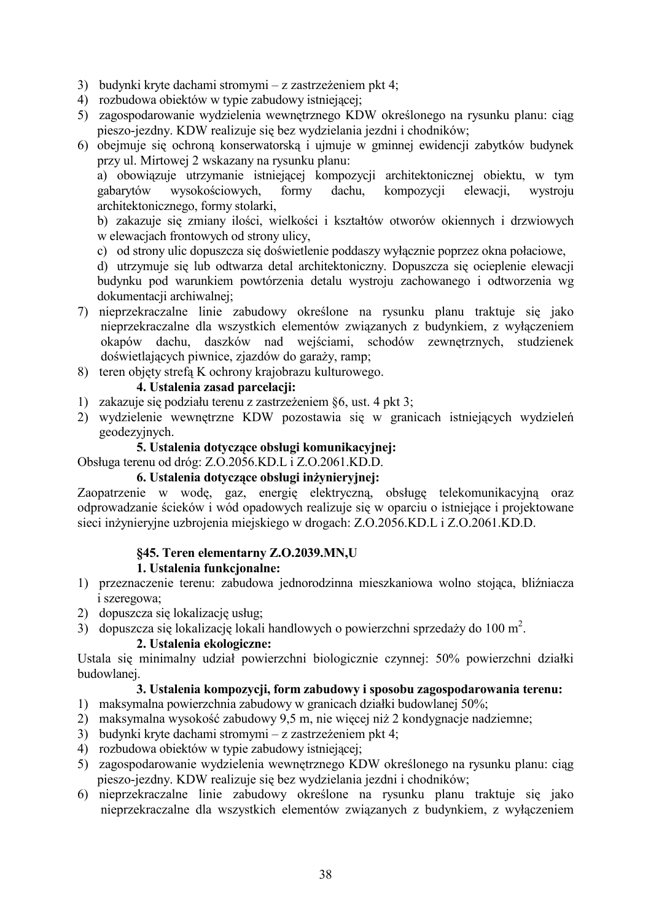- 3) budynki kryte dachami stromymi z zastrzeżeniem pkt 4;
- 4) rozbudowa obiektów w typie zabudowy istniejącej;
- 5) zagospodarowanie wydzielenia wewnętrznego KDW określonego na rysunku planu: ciąg pieszo-jezdny. KDW realizuje się bez wydzielania jezdni i chodników;
- 6) obejmuje się ochroną konserwatorską i ujmuje w gminnej ewidencji zabytków budynek przy ul. Mirtowej 2 wskazany na rysunku planu:

a) obowiązuje utrzymanie istniejącej kompozycji architektonicznej obiektu, w tym wysokościowych. formy dachu. kompozycji elewacii. gabarytów wystroju architektonicznego, formy stolarki,

b) zakazuje się zmiany ilości, wielkości i kształtów otworów okiennych i drzwiowych w elewaciach frontowych od strony ulicy.

c) od strony ulic dopuszcza się doświetlenie poddaszy wyłacznie poprzez okna połaciowe,

d) utrzymuje się lub odtwarza detal architektoniczny. Dopuszcza się ocieplenie elewacji budynku pod warunkiem powtórzenia detalu wystroju zachowanego i odtworzenia wg dokumentacji archiwalnej:

- 7) nieprzekraczalne linie zabudowy określone na rysunku planu traktuje się jako nieprzekraczalne dla wszystkich elementów związanych z budynkiem, z wyłączeniem okapów dachu, daszków nad wejściami, schodów zewnętrznych, studzienek doświetlających piwnice, zjazdów do garaży, ramp;
- 8) teren objęty strefą K ochrony krajobrazu kulturowego.

#### 4. Ustalenia zasad parcelacii:

- 1) zakazuje się podziału terenu z zastrzeżeniem 86, ust. 4 pkt 3:
- 2) wydzielenie wewnętrzne KDW pozostawia się w granicach istniejących wydzieleń geodezyjnych.

#### 5. Ustalenia dotvczace obsługi komunikacyjnej:

Obsługa terenu od dróg: Z.O.2056.KD.L i Z.O.2061.KD.D.

#### 6. Ustalenia dotyczące obsługi inżynieryjnej:

Zaopatrzenie w wodę, gaz, energię elektryczną, obsługę telekomunikacyjną oraz odprowadzanie ścieków i wód opadowych realizuje się w oparciu o istniejące i projektowane sieci inżynieryjne uzbrojenia miejskiego w drogach: Z.O.2056.KD.L i Z.O.2061.KD.D.

#### §45. Teren elementarny Z.O.2039.MN,U

#### 1. Ustalenia funkcionalne:

- 1) przeznaczenie terenu: zabudowa jednorodzinna mieszkaniowa wolno stojąca, bliźniacza *i* szeregowa;
- 2) dopuszcza się lokalizację usług:
- 3) dopuszcza się lokalizację lokali handlowych o powierzchni sprzedaży do 100 m<sup>2</sup>.

#### 2. Ustalenia ekologiczne:

Ustala się minimalny udział powierzchni biologicznie czynnej: 50% powierzchni działki budowlanej.

- 1) maksymalna powierzchnia zabudowy w granicach działki budowlanej 50%;
- 2) maksymalna wysokość zabudowy 9,5 m, nie więcej niż 2 kondygnacje nadziemne;
- 3) budynki kryte dachami stromymi z zastrzeżeniem pkt 4;
- 4) rozbudowa obiektów w typie zabudowy istniejącej:
- 5) zagospodarowanie wydzielenia wewnętrznego KDW określonego na rysunku planu: ciag pieszo-jezdny. KDW realizuje się bez wydzielania jezdni i chodników:
- 6) nieprzekraczalne linie zabudowy określone na rysunku planu traktuje się jako nieprzekraczalne dla wszystkich elementów związanych z budynkiem, z wyłaczeniem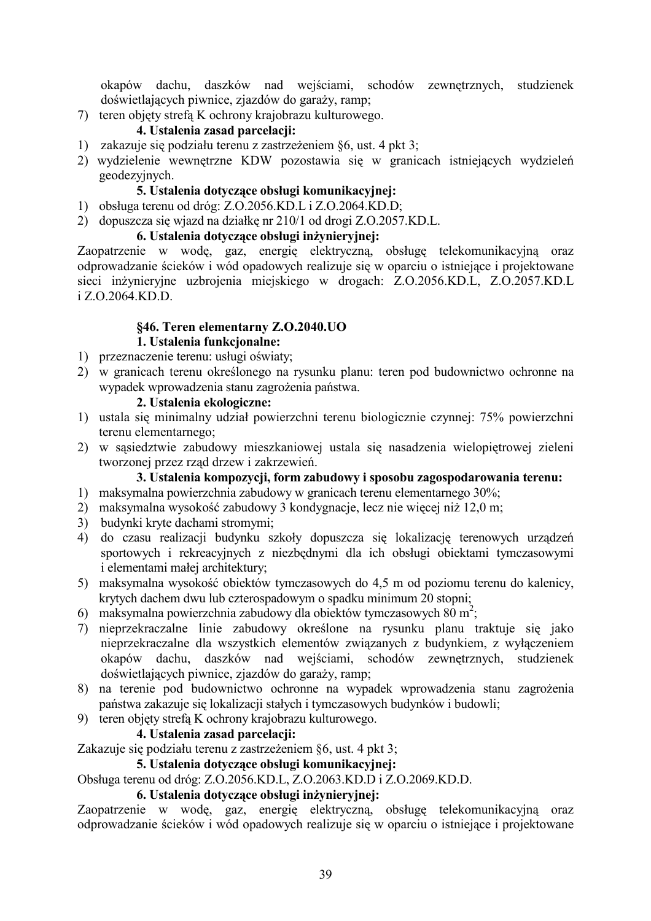okapów dachu, daszków nad wejściami, schodów zewnętrznych, studzienek doświetlających piwnice, zjazdów do garaży, ramp;

7) teren objety strefa K ochrony krajobrazu kulturowego.

# 4. Ustalenia zasad parcelacii:

- 1) zakazuje się podziału terenu z zastrzeżeniem §6, ust. 4 pkt 3;
- 2) wydzielenie wewnętrzne KDW pozostawia się w granicach istniejących wydzieleń geodezyjnych.

### 5. Ustalenia dotvczace obsługi komunikacyjnej:

- 1) obsługa terenu od dróg: Z.O.2056.KD.L i Z.O.2064.KD.D;
- 2) dopuszcza się wjazd na działkę nr 210/1 od drogi Z.O.2057.KD.L.

#### 6. Ustalenia dotvczące obsługi inżynieryjnej:

Zaopatrzenie w wodę, gaz, energię elektryczną, obsługę telekomunikacyjną oraz odprowadzanie ścieków i wód opadowych realizuje się w oparciu o istniejące i projektowane sieci inżynieryjne uzbrojenia miejskiego w drogach: Z.O.2056.KD.L, Z.O.2057.KD.L  $i$  Z O 2064 KD D

# §46. Teren elementarny Z.O.2040.UO

# 1. Ustalenia funkcionalne:

- 1) przeznaczenie terenu: usługi oświaty;
- 2) w granicach terenu określonego na rysunku planu: teren pod budownictwo ochronne na wypadek wprowadzenia stanu zagrożenia państwa.

#### 2. Ustalenia ekologiczne:

- 1) ustala się minimalny udział powierzchni terenu biologicznie czynnej: 75% powierzchni terenu elementarnego:
- 2) w sąsiedztwie zabudowy mieszkaniowej ustala się nasadzenia wielopiętrowej zieleni tworzonej przez rząd drzew i zakrzewień.

#### 3. Ustalenia kompozycji, form zabudowy i sposobu zagospodarowania terenu:

- 1) maksymalna powierzchnia zabudowy w granicach terenu elementarnego 30%;
- 2) maksymalna wysokość zabudowy 3 kondygnacje, lecz nie więcej niż 12,0 m;
- 3) budynki kryte dachami stromymi;
- 4) do czasu realizacji budynku szkoły dopuszcza się lokalizację terenowych urządzeń sportowych i rekreacyjnych z niezbędnymi dla ich obsługi obiektami tymczasowymi i elementami małej architektury;
- 5) maksymalna wysokość obiektów tymczasowych do 4,5 m od poziomu terenu do kalenicy, krytych dachem dwu lub czterospadowym o spadku minimum 20 stopni;
- 6) maksymalna powierzchnia zabudowy dla obiektów tymczasowych 80 m<sup>2</sup>.
- 7) nieprzekraczalne linie zabudowy określone na rysunku planu traktuje się jako nieprzekraczalne dla wszystkich elementów związanych z budynkiem, z wyłaczeniem okapów dachu, daszków nad wejściami, schodów zewnętrznych, studzienek doświetlających piwnice, zjazdów do garaży, ramp;
- 8) na terenie pod budownictwo ochronne na wypadek wprowadzenia stanu zagrożenia państwa zakazuje się lokalizacji stałych i tymczasowych budynków i budowli:
- 9) teren objety strefa K ochrony krajobrazu kulturowego.

#### 4. Ustalenia zasad parcelacji:

Zakazuje się podziału terenu z zastrzeżeniem §6, ust. 4 pkt 3;

#### 5. Ustalenia dotvczace obsługi komunikacyinei:

Obsługa terenu od dróg: Z.O.2056.KD.L., Z.O.2063.KD.D i Z.O.2069.KD.D.

#### 6. Ustalenia dotyczące obsługi inżynieryjnej:

Zaopatrzenie w wodę, gaz, energię elektryczną, obsługę telekomunikacyjną oraz odprowadzanie ścieków i wód opadowych realizuje się w oparciu o istniejące i projektowane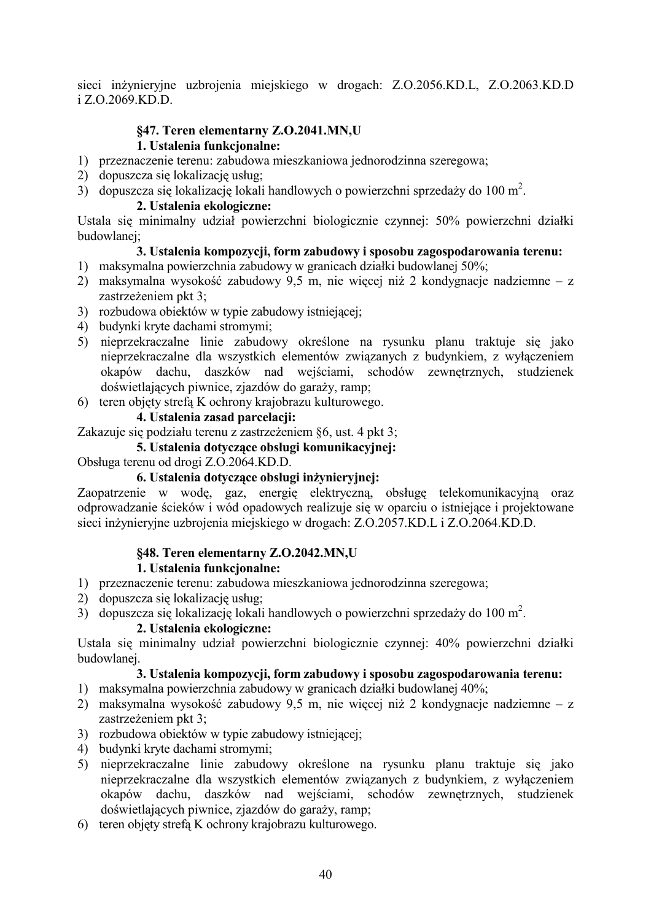sieci inżynieryjne uzbrojenia miejskiego w drogach: Z.O.2056.KD.L, Z.O.2063.KD.D i Z.O.2069.KD.D.

# §47. Teren elementarny Z.O.2041.MN,U

# 1. Ustalenia funkcionalne:

- 1) przeznaczenie terenu: zabudowa mieszkaniowa jednorodzinna szeregowa;
- 2) dopuszcza się lokalizację usług;
- 3) dopuszcza się lokalizację lokali handlowych o powierzchni sprzedaży do 100 m<sup>2</sup>.

### 2. Ustalenia ekologiczne:

Ustala się minimalny udział powierzchni biologicznie czynnej: 50% powierzchni działki budowlanei:

# 3. Ustalenia kompozycji, form zabudowy i sposobu zagospodarowania terenu:

- 1) maksymalna powierzchnia zabudowy w granicach działki budowlanej 50%;
- 2) maksymalna wysokość zabudowy 9,5 m, nie więcej niż 2 kondygnacje nadziemne z zastrzeżeniem pkt 3:
- 3) rozbudowa obiektów w typie zabudowy istniejącej;
- 4) budynki kryte dachami stromymi:
- 5) nieprzekraczalne linie zabudowy określone na rysunku planu traktuje się jako nieprzekraczalne dla wszystkich elementów związanych z budynkiem, z wyłaczeniem okapów dachu, daszków nad wejściami, schodów zewnętrznych, studzienek doświetlających piwnice, zjazdów do garaży, ramp;
- 6) teren objety strefa K ochrony krajobrazu kulturowego.

# 4. Ustalenia zasad parcelacji:

Zakazuje się podziału terenu z zastrzeżeniem 86, ust. 4 pkt 3;

# 5. Ustalenia dotyczące obsługi komunikacyjnej:

Obsługa terenu od drogi Z.O.2064.KD.D.

# 6. Ustalenia dotyczące obsługi inżynieryjnej:

Zaopatrzenie w wodę, gaz, energię elektryczną, obsługę telekomunikacyjną oraz odprowadzanie ścieków i wód opadowych realizuje się w oparciu o istniejące i projektowane sieci inżynieryjne uzbrojenia miejskiego w drogach: Z.O.2057.KD.L i Z.O.2064.KD.D.

# §48. Teren elementarny Z.O.2042.MN,U

#### 1. Ustalenia funkcionalne:

- 1) przeznaczenie terenu: zabudowa mieszkaniowa jednorodzinna szeregowa;
- 2) dopuszcza się lokalizację usług:
- 3) dopuszcza się lokalizację lokali handlowych o powierzchni sprzedaży do 100 m<sup>2</sup>.

### 2. Ustalenia ekologiczne:

Ustala się minimalny udział powierzchni biologicznie czynnej: 40% powierzchni działki budowlanej.

- 1) maksymalna powierzchnia zabudowy w granicach działki budowlanej 40%;
- 2) maksymalna wysokość zabudowy 9.5 m, nie wiecej niż 2 kondygnacie nadziemne z zastrzeżeniem pkt 3:
- 3) rozbudowa obiektów w typie zabudowy istniejącej;
- 4) budynki kryte dachami stromymi:
- 5) nieprzekraczalne linie zabudowy określone na rysunku planu traktuje się jako nieprzekraczalne dla wszystkich elementów związanych z budynkiem, z wyłączeniem okapów dachu, daszków nad wejściami, schodów zewnętrznych, studzienek doświetlających piwnice, zjazdów do garaży, ramp;
- 6) teren objety strefa K ochrony krajobrazu kulturowego.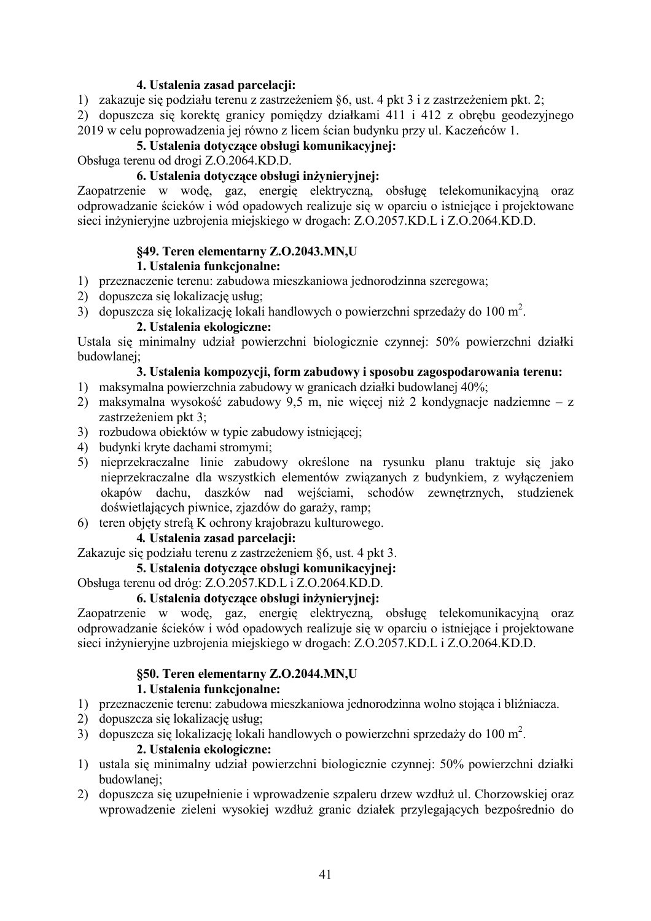#### 4. Ustalenia zasad parcelacji:

1) zakazuje się podziału terenu z zastrzeżeniem §6, ust. 4 pkt 3 i z zastrzeżeniem pkt. 2;

2) dopuszcza się korektę granicy pomiędzy działkami 411 i 412 z obrębu geodezyjnego 2019 w celu poprowadzenia jej równo z licem ścian budynku przy ul. Kaczeńców 1.

#### 5. Ustalenia dotvczace obsługi komunikacyjnej:

Obsługa terenu od drogi Z.O.2064.KD.D.

#### 6. Ustalenia dotyczące obsługi inżynieryjnej:

Zaopatrzenie w wodę, gaz, energię elektryczną, obsługę telekomunikacyjną oraz odprowadzanie ścieków i wód opadowych realizuje się w oparciu o istniejące i projektowane sieci inżynieryjne uzbrojenia miejskiego w drogach: Z.O.2057.KD.L i Z.O.2064.KD.D.

#### §49. Teren elementarny Z.O.2043.MN,U 1. Ustalenia funkcionalne:

# 1) przeznaczenie terenu: zabudowa mieszkaniowa jednorodzinna szeregowa;

- 2) dopuszcza się lokalizację usług:
- 3) dopuszcza się lokalizację lokali handlowych o powierzchni sprzedaży do 100 m<sup>2</sup>.

#### 2. Ustalenia ekologiczne:

Ustala się minimalny udział powierzchni biologicznie czynnej: 50% powierzchni działki budowlanei:

#### 3. Ustalenia kompozycji, form zabudowy i sposobu zagospodarowania terenu:

- 1) maksymalna powierzchnia zabudowy w granicach działki budowlanej 40%;
- 2) maksymalna wysokość zabudowy 9.5 m. nie wiecej niż 2 kondygnacie nadziemne z zastrzeżeniem pkt 3:
- 3) rozbudowa obiektów w typie zabudowy istniejącej;
- 4) budynki kryte dachami stromymi;
- 5) nieprzekraczalne linie zabudowy określone na rysunku planu traktuje się jako nieprzekraczalne dla wszystkich elementów związanych z budynkiem, z wyłączeniem okapów dachu, daszków nad wejściami, schodów zewnętrznych, studzienek doświetlających piwnice, zjazdów do garaży, ramp;
- 6) teren objety strefa K ochrony krajobrazu kulturowego.

#### 4. Ustalenia zasad parcelacii:

Zakazuje się podziału terenu z zastrzeżeniem §6, ust. 4 pkt 3.

#### 5. Ustalenia dotvczace obsługi komunikacyjnej:

Obsługa terenu od dróg: Z.O.2057.KD.L i Z.O.2064.KD.D.

#### 6. Ustalenia dotvczace obsługi inżynieryjnej:

Zaopatrzenie w wodę, gaz, energię elektryczną, obsługę telekomunikacyjną oraz odprowadzanie ścieków i wód opadowych realizuje się w oparciu o istniejące i projektowane sieci inżynieryjne uzbrojenia miejskiego w drogach: Z.O.2057.KD.L i Z.O.2064.KD.D.

#### §50. Teren elementarny Z.O.2044.MN,U 1. Ustalenia funkcionalne:

- 1) przeznaczenie terenu: zabudowa mieszkaniowa jednorodzinna wolno stojąca i bliźniączą.
- 2) dopuszcza się lokalizację usług;
- 3) dopuszcza się lokalizację lokali handlowych o powierzchni sprzedaży do 100 m<sup>2</sup>.

#### 2. Ustalenia ekologiczne:

- 1) ustala się minimalny udział powierzchni biologicznie czynnej: 50% powierzchni działki budowlanei:
- 2) dopuszcza się uzupełnienie i wprowadzenie szpaleru drzew wzdłuż ul. Chorzowskiej oraz wprowadzenie zieleni wysokiej wzdłuż granic działek przylegających bezpośrednio do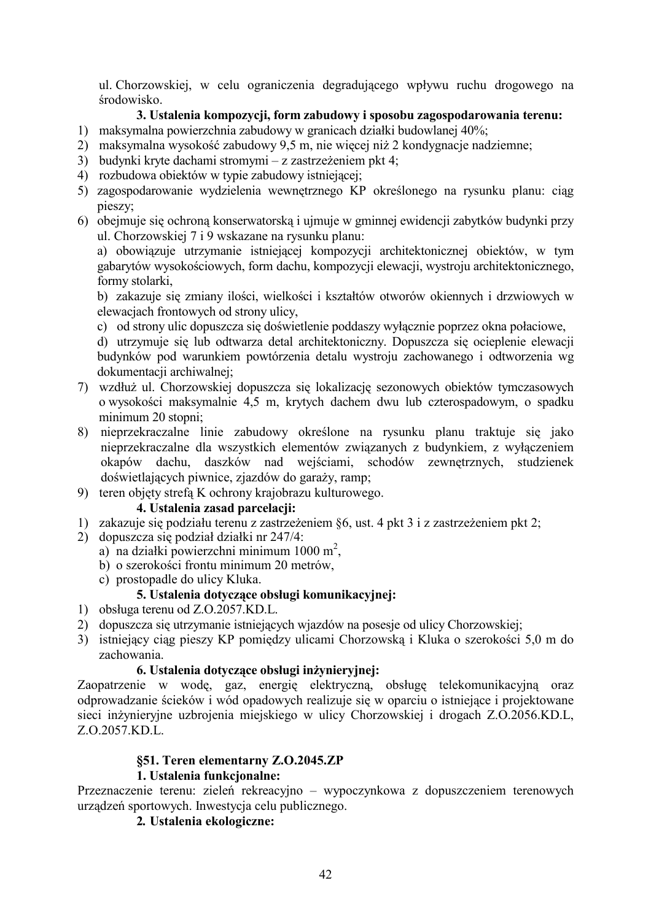ul. Chorzowskiej, w celu ograniczenia degradującego wpływu ruchu drogowego na środowisko.

# 3. Ustalenia kompozycji, form zabudowy i sposobu zagospodarowania terenu:

- 1) maksymalna powierzchnia zabudowy w granicach działki budowlanej 40%;
- 2) maksymalna wysokość zabudowy 9,5 m, nie więcej niż 2 kondygnacje nadziemne;
- 3) budynki kryte dachami stromymi z zastrzeżeniem pkt 4;
- 4) rozbudowa obiektów w typie zabudowy istniejącej;
- 5) zagospodarowanie wydzielenia wewnętrznego KP określonego na rysunku planu: ciąg pieszy;
- 6) obejmuje się ochroną konserwatorską i ujmuje w gminnej ewidencji zabytków budynki przy ul. Chorzowskiej 7 i 9 wskazane na rysunku planu:

a) obowiązuje utrzymanie istniejącej kompozycji architektonicznej obiektów, w tym gabarytów wysokościowych, form dachu, kompozycji elewacji, wystroju architektonicznego, formy stolarki,

b) zakazuje się zmiany ilości, wielkości i kształtów otworów okiennych i drzwiowych w elewacjach frontowych od strony ulicy,

c) od strony ulic dopuszcza się doświetlenie poddaszy wyłącznie poprzez okna połaciowe,

d) utrzymuje się lub odtwarzą detal architektoniczny. Dopuszcza się ocieplenie elewacji budynków pod warunkiem powtórzenia detalu wystroju zachowanego i odtworzenia wg dokumentacji archiwalnej;

- 7) wzdłuż ul. Chorzowskiej dopuszcza się lokalizację sezonowych obiektów tymczasowych o wysokości maksymalnie 4.5 m, krytych dachem dwu lub czterospadowym, o spadku minimum 20 stopni:
- 8) nieprzekraczalne linie zabudowy określone na rysunku planu traktuje się jako nieprzekraczalne dla wszystkich elementów związanych z budynkiem, z wyłączeniem okapów dachu, daszków nad wejściami, schodów zewnętrznych, studzienek doświetlających piwnice, zjazdów do garaży, ramp;
- 9) teren objety strefa K ochrony krajobrazu kulturowego.

#### 4. Ustalenia zasad parcelacji:

- 1) zakazuje się podziału terenu z zastrzeżeniem §6, ust. 4 pkt 3 i z zastrzeżeniem pkt 2;
- 2) dopuszcza się podział działki nr 247/4:
	- a) na działki powierzchni minimum 1000 m<sup>2</sup>.
	- b) o szerokości frontu minimum 20 metrów,
	- c) prostopadle do ulicy Kluka.

### 5. Ustalenia dotvczace obsługi komunikacyjnej:

- 1) obsługa terenu od Z.O.2057.KD.L.
- 2) dopuszcza się utrzymanie istniejących wjazdów na posesje od ulicy Chorzowskiej;
- 3) istniejący ciąg pieszy KP pomiędzy ulicami Chorzowską i Kluka o szerokości 5,0 m do zachowania.

#### 6. Ustalenia dotyczące obsługi inżynieryjnej:

Zaopatrzenie w wodę, gaz, energię elektryczną, obsługę telekomunikacyjną oraz odprowadzanie ścieków i wód opadowych realizuje się w oparciu o istniejące i projektowane sieci inżynieryjne uzbrojenia miejskiego w ulicy Chorzowskiej i drogach Z.O.2056.KD.L. Z.O.2057.KD.L.

#### §51. Teren elementarny Z.O.2045.ZP

#### 1. Ustalenia funkcionalne:

Przeznaczenie terenu: zieleń rekreacyjno – wypoczynkowa z dopuszczeniem terenowych urządzeń sportowych. Inwestycja celu publicznego.

2. Ustalenia ekologiczne: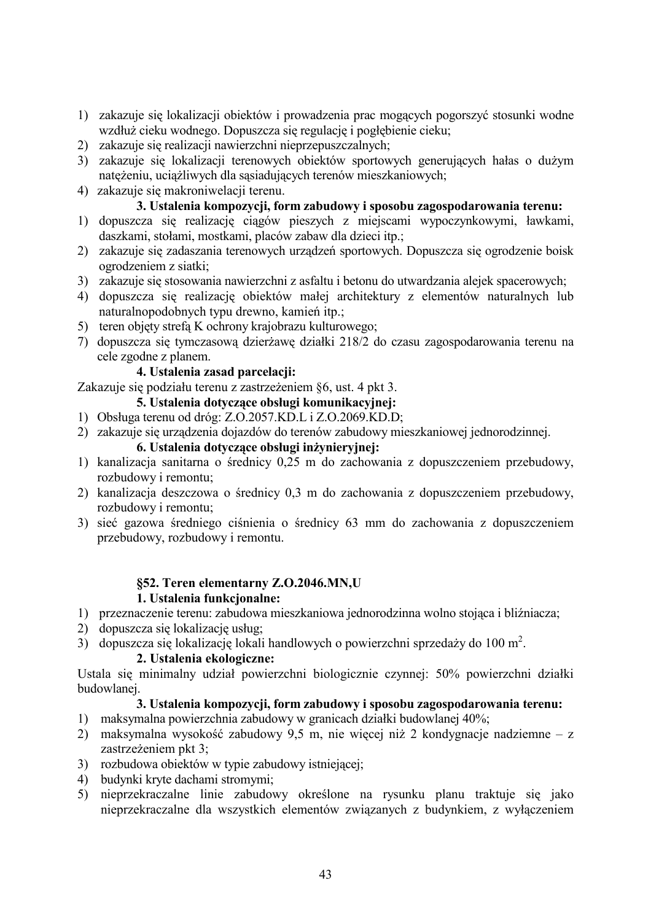- 1) zakazuje się lokalizacji obiektów i prowadzenia prac mogących pogorszyć stosunki wodne wzdłuż cieku wodnego. Dopuszcza się regulacje i pogłebienie cieku:
- 2) zakazuje się realizacji nawierzchni nieprzepuszczalnych;
- 3) zakazuje się lokalizacji terenowych obiektów sportowych generujących hałas o dużym natężeniu, uciążliwych dla sąsiadujących terenów mieszkaniowych;
- 4) zakazuje się makroniwelacji terenu.

# 3. Ustalenia kompozycji, form zabudowy i sposobu zagospodarowania terenu:

- 1) dopuszcza się realizację ciągów pieszych z miejscami wypoczynkowymi, ławkami, daszkami, stołami, mostkami, placów zabaw dla dzieci itp.;
- 2) zakazuje się zadaszania terenowych urządzeń sportowych. Dopuszcza się ogrodzenie bojsk ogrodzeniem z siatki;
- 3) zakazuje się stosowania nawierzchni z asfaltu i betonu do utwardzania alejek spacerowych;
- 4) dopuszcza się realizację obiektów małej architektury z elementów naturalnych lub naturalnopodobnych typu drewno, kamień itp.;
- 5) teren objety strefa K ochrony krajobrazu kulturowego;
- 7) dopuszcza się tymczasową dzierżawę działki 218/2 do czasu zagospodarowania terenu na cele zgodne z planem.

# 4. Ustalenia zasad parcelacji:

Zakazuje się podziału terenu z zastrzeżeniem §6, ust. 4 pkt 3.

#### 5. Ustalenia dotyczące obsługi komunikacyjnej:

1) Obsługa terenu od dróg: Z.O.2057.KD.L i Z.O.2069.KD.D;

2) zakazuje się urządzenia dojazdów do terenów zabudowy mieszkaniowej jednorodzinnej.

#### 6. Ustalenia dotvczace obsługi inżynieryjnej:

- 1) kanalizacja sanitarna o średnicy 0,25 m do zachowania z dopuszczeniem przebudowy, rozbudowy i remontu;
- 2) kanalizacja deszczowa o średnicy 0,3 m do zachowania z dopuszczeniem przebudowy, rozbudowy i remontu;
- 3) sieć gazowa średniego ciśnienia o średnicy 63 mm do zachowania z dopuszczeniem przebudowy, rozbudowy i remontu.

#### §52. Teren elementarny Z.O.2046.MN.U 1. Ustalenia funkcionalne:

- 1) przeznaczenie terenu: zabudowa mieszkaniowa jednorodzinna wolno stojąca i bliźniacza;
- 2) dopuszcza się lokalizację usług:
- 3) dopuszcza się lokalizacje lokali handlowych o powierzchni sprzedaży do 100 m<sup>2</sup>.

#### 2. Ustalenia ekologiczne:

Ustala się minimalny udział powierzchni biologicznie czynnej: 50% powierzchni działki budowlanej.

- 1) maksymalna powierzchnia zabudowy w granicach działki budowlanej 40%;
- 2) maksymalna wysokość zabudowy 9,5 m, nie więcej niż 2 kondygnacje nadziemne z zastrzeżeniem pkt 3:
- 3) rozbudowa obiektów w typie zabudowy istniejacej:
- 4) budynki kryte dachami stromymi;
- 5) nieprzekraczalne linie zabudowy określone na rysunku planu traktuje się jako nieprzekraczalne dla wszystkich elementów związanych z budynkiem, z wyłaczeniem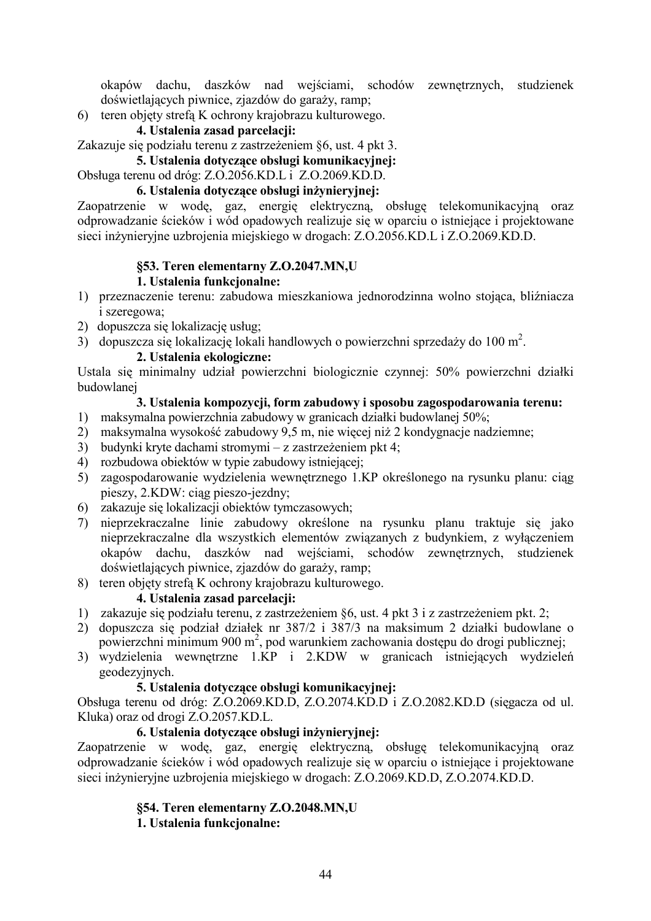okapów dachu, daszków nad wejściami, schodów zewnętrznych, studzienek doświetlających piwnice, zjazdów do garaży, ramp;

6) teren objety strefa K ochrony krajobrazu kulturowego.

#### 4. Ustalenia zasad parcelacii:

Zakazuje się podziału terenu z zastrzeżeniem §6, ust. 4 pkt 3.

#### 5. Ustalenia dotyczące obsługi komunikacyjnej:

Obsługa terenu od dróg: Z.O.2056.KD.L i Z.O.2069.KD.D.

### 6. Ustalenia dotvczace obsługi inżyniervinei:

Zaopatrzenie w wodę, gaz, energię elektryczną, obsługę telekomunikacyjną oraz odprowadzanie ścieków i wód opadowych realizuje się w oparciu o istniejące i projektowane sieci inżynieryjne uzbrojenia miejskiego w drogach: Z.O.2056.KD.L i Z.O.2069.KD.D.

# **§53. Teren elementarny Z.O.2047.MN,U**

#### **1.** Ustalenia funkcjonalne:

- 1) przeznaczenie terenu: zabudowa mieszkaniowa jednorodzinna wolno stojąca, bliźniacza i szeregowa;
- 2) dopuszcza się lokalizację usług;
- 3) dopuszcza się lokalizację lokali handlowych o powierzchni sprzedaży do 100 m<sup>2</sup>.

# 2. Ustalenia ekologiczne:

Ustala się minimalny udział powierzchni biologicznie czynnej: 50% powierzchni działki budowlanei

# 3. Ustalenia kompozycji, form zabudowy i sposobu zagospodarowania terenu:

- 1) maksymalna powierzchnia zabudowy w granicach działki budowlanej 50%;
- 2) maksymalna wysokość zabudowy 9,5 m, nie więcej niż 2 kondygnacje nadziemne;
- 3) budynki kryte dachami stromymi z zastrzeżeniem pkt 4;
- 4) rozbudowa obiektów w typie zabudowy istniejącej;
- 5) zagospodarowanie wydzielenia wewnętrznego 1.KP określonego na rysunku planu: ciąg pieszy, 2.KDW: ciąg pieszo-jezdny;
- 6) zakazuje się lokalizacji obiektów tymczasowych;
- 7) nieprzekraczalne linie zabudowy określone na rysunku planu traktuje się jako nieprzekraczalne dla wszystkich elementów związanych z budynkiem, z wyłączeniem okapów dachu, daszków nad wejściami, schodów zewnętrznych, studzienek doświetlających piwnice, zjazdów do garaży, ramp;
- 8) teren objety strefa K ochrony krajobrazu kulturowego.

# 4. Ustalenia zasad parcelacii:

- 1) zakazuje się podziału terenu, z zastrzeżeniem §6, ust. 4 pkt 3 i z zastrzeżeniem pkt. 2;
- 2) dopuszcza się podział działek nr 387/2 i 387/3 na maksimum 2 działki budowlane o powierzchni minimum 900 m<sup>2</sup>, pod warunkiem zachowania dostępu do drogi publicznej;
- 3) wydzielenia wewnętrzne 1.KP i 2.KDW w granicach istniejących wydzieleń geodezyjnych.

#### 5. Ustalenia dotyczące obsługi komunikacyjnej:

Obsługa terenu od dróg: Z.O.2069.KD.D, Z.O.2074.KD.D i Z.O.2082.KD.D (sięgacza od ul. Kluka) oraz od drogi Z.O.2057.KD.L.

# 6. Ustalenia dotyczące obsługi inżynieryjnej:

Zaopatrzenie w wodę, gaz, energię elektryczną, obsługę telekomunikacyjną oraz odprowadzanie ścieków i wód opadowych realizuje się w oparciu o istniejące i projektowane sieci inżynieryjne uzbrojenia miejskiego w drogach: Z.O.2069.KD.D, Z.O.2074.KD.D.

# **§54. Teren elementarny Z.O.2048.MN,U**

# **1.** Ustalenia funkcjonalne: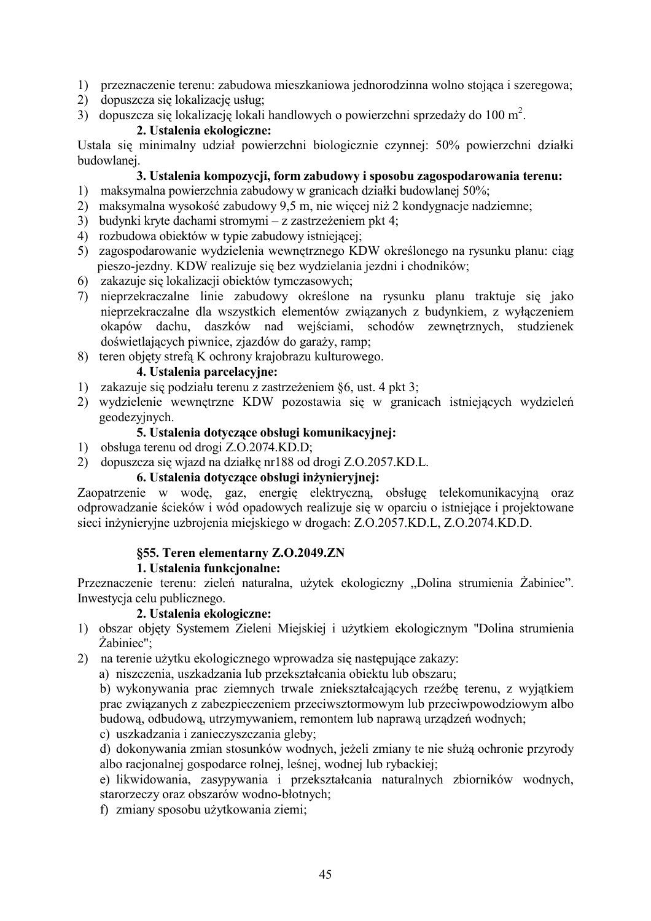- 1) przeznaczenie terenu: zabudowa mieszkaniowa jednorodzinna wolno stojąca i szeregowa;
- 2) dopuszcza się lokalizację usług;
- 3) dopuszcza się lokalizację lokali handlowych o powierzchni sprzedaży do 100 m<sup>2</sup>.

#### 2. Ustalenia ekologiczne:

Ustala się minimalny udział powierzchni biologicznie czynnej: 50% powierzchni działki budowlanei.

#### 3. Ustalenia kompozycji, form zabudowy i sposobu zagospodarowania terenu:

- 1) maksymalna powierzchnia zabudowy w granicach działki budowlanej 50%;
- 2) maksymalna wysokość zabudowy 9,5 m, nie więcej niż 2 kondygnacje nadziemne;
- 3) budynki kryte dachami stromymi z zastrzeżeniem pkt 4;
- 4) rozbudowa obiektów w typie zabudowy istniejącej:
- 5) zagospodarowanie wydzielenia wewnetrznego KDW określonego na rysunku planu: ciag pieszo-jezdny. KDW realizuje się bez wydzielania jezdni i chodników;
- 6) zakazuje się lokalizacji obiektów tymczasowych;
- 7) nieprzekraczalne linie zabudowy określone na rysunku planu traktuje się jako nieprzekraczalne dla wszystkich elementów związanych z budynkiem, z wyłączeniem okapów dachu, daszków nad wejściami, schodów zewnętrznych, studzienek doświetlających piwnice, zjazdów do garaży, ramp;
- 8) teren objety strefa K ochrony krajobrazu kulturowego.

#### 4. Ustalenia parcelacvine:

- 1) zakazuje się podziału terenu z zastrzeżeniem §6, ust. 4 pkt 3;
- 2) wydzielenie wewnętrzne KDW pozostawia się w granicach istniejących wydzieleń geodezyjnych.

#### 5. Ustalenia dotvczace obsługi komunikacyjnej:

- 1) obsługa terenu od drogi Z.O.2074.KD.D;
- 2) dopuszcza się wiazd na działkę nr188 od drogi Z.O.2057.KD.L.

#### 6. Ustalenia dotyczące obsługi inżynieryjnej:

Zaopatrzenie w wodę, gaz, energię elektryczną, obsługę telekomunikacyjną oraz odprowadzanie ścieków i wód opadowych realizuje się w oparciu o istniejące i projektowane sieci inżynieryjne uzbrojenia miejskiego w drogach: Z.O.2057.KD.L, Z.O.2074.KD.D.

#### §55. Teren elementarny Z.O.2049.ZN

#### 1. Ustalenia funkcionalne:

Przeznaczenie terenu: zieleń naturalna, użytek ekologiczny "Dolina strumienia Żabiniec". Inwestycja celu publicznego.

#### 2. Ustalenia ekologiczne:

- 1) obszar objety Systemem Zieleni Miejskiej i użytkiem ekologicznym "Dolina strumienia Żabiniec":
- 2) na terenie użytku ekologicznego wprowadza się następujące zakazy:
	- a) niszczenia, uszkadzania lub przekształcania obiektu lub obszaru;

b) wykonywania prac ziemnych trwale zniekształcających rzeźbę terenu, z wyjatkiem prac związanych z zabezpieczeniem przeciwsztormowym lub przeciwpowodziowym albo budowa, odbudowa, utrzymywaniem, remontem lub naprawa urządzeń wodnych;

c) uszkadzania i zanieczyszczania gleby;

d) dokonywania zmian stosunków wodnych, jeżeli zmiany te nie służą ochronie przyrody albo racionalnej gospodarce rolnej, leśnej, wodnej lub rybackiej;

e) likwidowania, zasypywania i przekształcania naturalnych zbiorników wodnych, starorzeczy oraz obszarów wodno-błotnych;

f) zmiany sposobu użytkowania ziemi;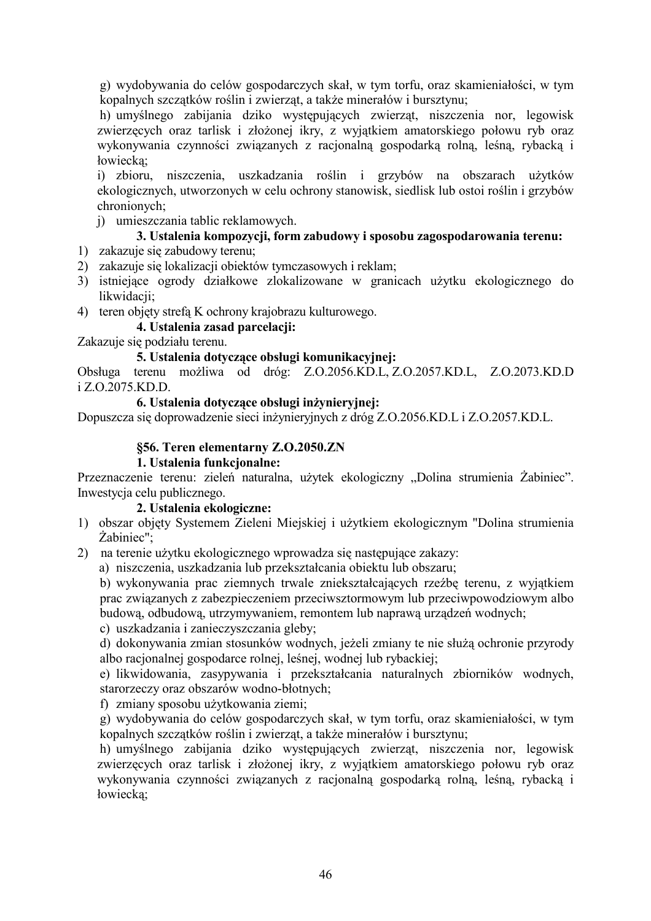g) wydobywania do celów gospodarczych skał, w tym torfu, oraz skamieniałości, w tym kopalnych szczątków roślin i zwierząt, a także minerałów i bursztynu;

h) umyślnego zabijania dziko występujących zwierząt, niszczenia nor, legowisk zwierzęcych oraz tarlisk i złożonej ikry, z wyjątkiem amatorskiego połowu ryb oraz wykonywania czynności związanych z racjonalną gospodarką rolną, leśną, rybacką i łowiecka:

i) zbioru, niszczenia, uszkadzania roślin i grzybów na obszarach użytków ekologicznych, utworzonych w celu ochrony stanowisk, siedlisk lub ostoi roślin i grzybów chronionych;

i) umieszczania tablic reklamowych.

# 3. Ustalenia kompozycji, form zabudowy i sposobu zagospodarowania terenu:

- 1) zakazuje się zabudowy terenu;
- 2) zakazuje się lokalizacji obiektów tymczasowych i reklam;
- 3) istniejące ogrody działkowe zlokalizowane w granicach użytku ekologicznego do likwidacji;
- 4) teren objety strefą K ochrony krajobrazu kulturowego.

# 4. Ustalenia zasad parcelacji:

Zakazuje się podziału terenu.

#### 5. Ustalenia dotvczace obsługi komunikacyjnej:

Obsługa terenu możliwa od dróg: Z.O.2056.KD.L, Z.O.2057.KD.L, Z.O.2073.KD.D i Z.O.2075.KD.D.

#### 6. Ustalenia dotyczące obsługi inżynieryjnej:

Dopuszcza się doprowadzenie sięci inżynieryjnych z dróg Z.O.2056.KD.L i Z.O.2057.KD.L.

#### §56. Teren elementarny Z.O.2050.ZN

#### 1. Ustalenia funkcjonalne:

Przeznaczenie terenu: zieleń naturalna, użytek ekologiczny "Dolina strumienia Żabiniec". Inwestycja celu publicznego.

#### 2. Ustalenia ekologiczne:

- 1) obszar objęty Systemem Zieleni Miejskiej i użytkiem ekologicznym "Dolina strumienia  $\dot{Z}$ abiniec":
- 2) na terenie użytku ekologicznego wprowadza się następujące zakazy:

a) niszczenia, uszkadzania lub przekształcania obiektu lub obszaru;

b) wykonywania prac ziemnych trwale zniekształcających rzeźbę terenu, z wyjątkiem prac związanych z zabezpieczeniem przeciwsztormowym lub przeciwpowodziowym albo budową, odbudową, utrzymywaniem, remontem lub naprawą urządzeń wodnych;

c) uszkadzania i zanieczyszczania gleby;

d) dokonywania zmian stosunków wodnych, jeżeli zmiany te nie służą ochronie przyrody albo racjonalnej gospodarce rolnej, leśnej, wodnej lub rybackiej;

e) likwidowania, zasypywania i przekształcania naturalnych zbiorników wodnych, starorzeczy oraz obszarów wodno-błotnych;

f) zmiany sposobu użytkowania ziemi;

g) wydobywania do celów gospodarczych skał, w tym torfu, oraz skamieniałości, w tym kopalnych szczątków roślin i zwierząt, a także minerałów i bursztynu;

h) umyślnego zabijania dziko występujących zwierząt, niszczenia nor, legowisk zwierzęcych oraz tarlisk i złożonej ikry, z wyjątkiem amatorskiego połowu ryb oraz wykonywania czynności związanych z racjonalną gospodarką rolną, leśną, rybacką i łowiecka: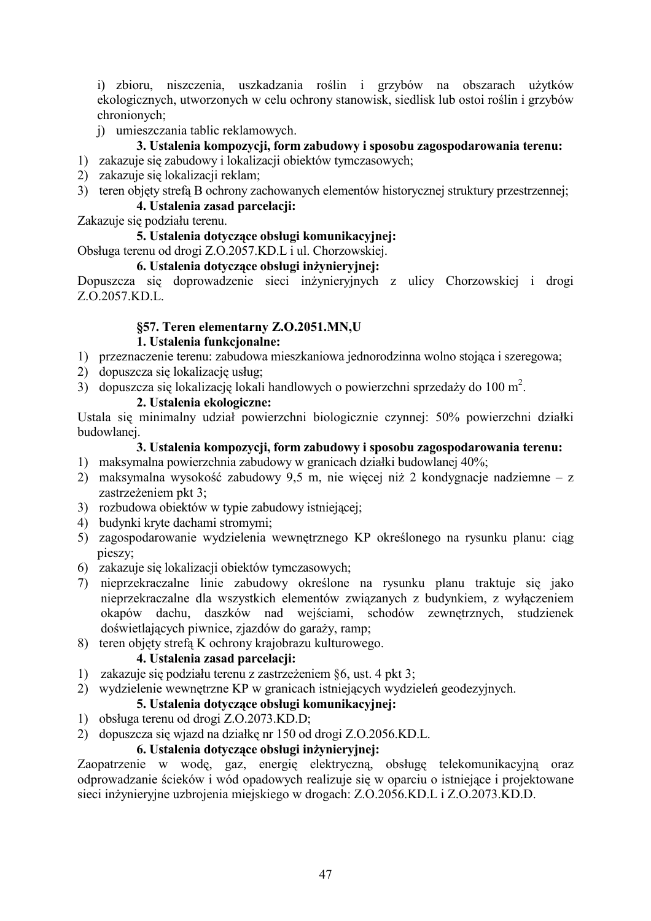i) zbioru, niszczenia, uszkadzania roślin i grzybów na obszarach użytków ekologicznych, utworzonych w celu ochrony stanowisk, siedlisk lub ostoi roślin i grzybów chronionych:

i) umieszczania tablic reklamowych.

### 3. Ustalenia kompozycji, form zabudowy i sposobu zagospodarowania terenu:

- 1) zakazuje się zabudowy i lokalizacji obiektów tymczasowych;
- 2) zakazuje się lokalizacji reklam;
- 3) teren objęty strefą B ochrony zachowanych elementów historycznej struktury przestrzennej; 4. Ustalenia zasad parcelacii:

Zakazuje się podziału terenu.

#### 5. Ustalenia dotvczace obsługi komunikacyjnej:

Obsługa terenu od drogi Z.O.2057.KD.L i ul. Chorzowskiej.

#### 6. Ustalenia dotvczące obsługi inżynieryjnej:

Dopuszcza się doprowadzenie sieci inżynieryjnych z ulicy Chorzowskiej i drogi Z.O.2057.KD.L.

# §57. Teren elementarny Z.O.2051.MN,U

#### 1. Ustalenia funkcionalne:

- 1) przeznaczenie terenu: zabudowa mieszkaniowa jednorodzinna wolno stojąca i szeregowa;
- 2) dopuszcza się lokalizację usług;
- 3) dopuszcza się lokalizację lokali handlowych o powierzchni sprzedaży do 100 m<sup>2</sup>.

# 2. Ustalenia ekologiczne:

Ustala się minimalny udział powierzchni biologicznie czynnej: 50% powierzchni działki budowlanei.

#### 3. Ustalenia kompozycji, form zabudowy i sposobu zagospodarowania terenu:

- 1) maksymalna powierzchnia zabudowy w granicach działki budowlanej 40%;
- 2) maksymalna wysokość zabudowy 9,5 m, nie więcej niż 2 kondygnacje nadziemne z zastrzeżeniem pkt 3;
- 3) rozbudowa obiektów w typie zabudowy istniejącej;
- 4) budynki kryte dachami stromymi;
- 5) zagospodarowanie wydzielenia wewnętrznego KP określonego na rysunku planu: ciąg pieszy:
- 6) zakazuje się lokalizacji obiektów tymczasowych:
- 7) nieprzekraczalne linie zabudowy określone na rysunku planu traktuje się jako nieprzekraczalne dla wszystkich elementów związanych z budynkiem, z wyłączeniem okapów dachu, daszków nad wejściami, schodów zewnętrznych, studzienek doświetlających piwnice, zjazdów do garaży, ramp;
- 8) teren objety strefa K ochrony krajobrazu kulturowego.

# 4. Ustalenia zasad parcelacji:

- 1) zakazuje się podziału terenu z zastrzeżeniem §6, ust. 4 pkt 3;
- 2) wydzielenie wewnętrzne KP w granicach istniejących wydzieleń geodezyjnych.

#### 5. Ustalenia dotyczące obsługi komunikacyjnej:

- 1) obsługa terenu od drogi Z.O.2073.KD.D;
- 2) dopuszcza się wjazd na działkę nr 150 od drogi Z.O.2056.KD.L.

#### 6. Ustalenia dotvczace obsługi inżynieryjnej:

Zaonatrzenie w wode, gaz, energie elektryczną, obsługę telekomunikacyjną oraz odprowadzanie ścieków i wód opadowych realizuje się w oparciu o istniejące i projektowane sieci inżynieryjne uzbrojenia miejskiego w drogach: Z.O.2056.KD.L i Z.O.2073.KD.D.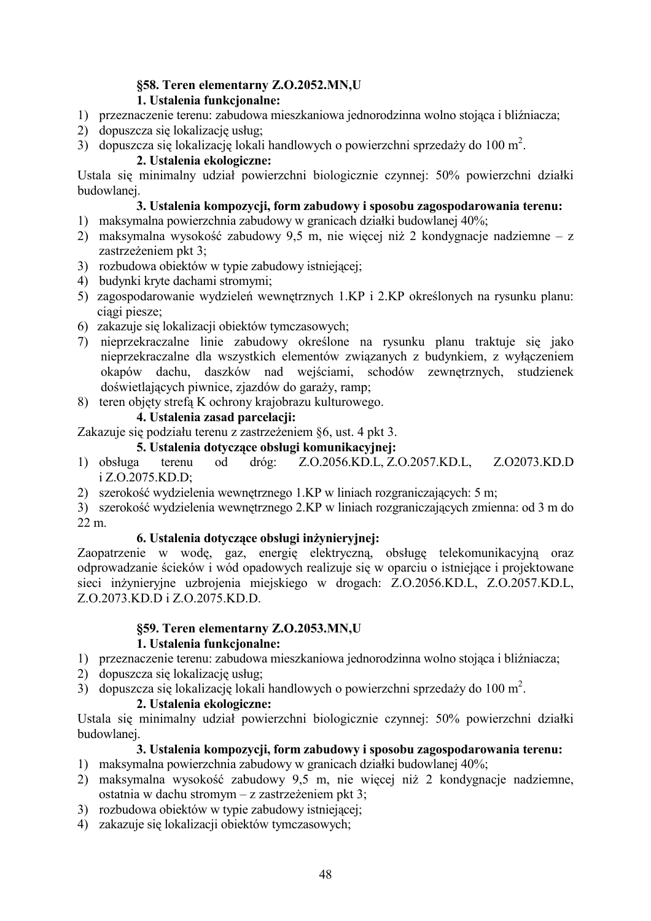# §58. Teren elementarny Z.O.2052.MN,U

# 1. Ustalenia funkcjonalne:

- 1) przeznaczenie terenu: zabudowa mieszkaniowa jednorodzinna wolno stojąca i bliźniacza;
- 2) dopuszcza się lokalizację usług:
- 3) dopuszcza się lokalizację lokali handlowych o powierzchni sprzedaży do 100 m<sup>2</sup>.

# 2. Ustalenia ekologiczne:

Ustala się minimalny udział powierzchni biologicznie czynnej: 50% powierzchni działki budowlanej.

# 3. Ustalenia kompozycji, form zabudowy i sposobu zagospodarowania terenu:

- 1) maksymalna powierzchnia zabudowy w granicach działki budowlanej 40%;
- 2) maksymalna wysokość zabudowy 9,5 m, nie wiecej niż 2 kondygnacje nadziemne z zastrzeżeniem pkt 3:
- 3) rozbudowa obiektów w typie zabudowy istniejącej;
- 4) budynki kryte dachami stromymi;
- 5) zagospodarowanie wydzieleń wewnetrznych 1.KP i 2.KP określonych na rysunku planu: ciagi piesze;
- 6) zakazuje się lokalizacji obiektów tymczasowych;
- 7) nieprzekraczalne linie zabudowy określone na rysunku planu traktuje się jako nieprzekraczalne dla wszystkich elementów związanych z budynkiem, z wyłaczeniem okapów dachu, daszków nad wejściami, schodów zewnętrznych, studzienek doświetlających piwnice, zjazdów do garaży, ramp;
- 8) teren objety strefa K ochrony krajobrazu kulturowego.

# 4. Ustalenia zasad parcelacji:

Zakazuje się podziału terenu z zastrzeżeniem §6, ust. 4 pkt 3.

# 5. Ustalenia dotyczące obsługi komunikacyjnej:

- Z.O.2056.KD.L, Z.O.2057.KD.L, Z.O2073.KD.D 1) obsługa  $b<sub>o</sub>$  $dr$ óg: terenu i Z.O.2075.KD.D:
- 2) szerokość wydzielenia wewnętrznego 1.KP w liniach rozgraniczających: 5 m;
- 3) szerokość wydzielenia wewnętrznego 2.KP w liniach rozgraniczających zmienna: od 3 m do  $22 \text{ m}$

# 6. Ustalenia dotyczące obsługi inżynieryjnej:

Zaopatrzenie w wodę, gaz, energię elektryczną, obsługę telekomunikacyjną oraz odprowadzanie ścieków i wód opadowych realizuje się w oparciu o istniejące i projektowane sieci inżynieryjne uzbrojenia miejskiego w drogach: Z.O.2056.KD.L, Z.O.2057.KD.L, Z.O.2073.KD.D i Z.O.2075.KD.D.

# §59. Teren elementarny Z.O.2053.MN,U

# 1. Ustalenia funkcionalne:

- 1) przeznaczenie terenu: zabudowa mieszkaniowa jednorodzinna wolno stojąca i bliźniacza;
- 2) dopuszcza się lokalizację usług:
- 3) dopuszcza się lokalizacje lokali handlowych o powierzchni sprzedaży do 100 m<sup>2</sup>.

# 2. Ustalenia ekologiczne:

Ustala się minimalny udział powierzchni biologicznie czynnej: 50% powierzchni działki budowlanei.

- 1) maksymalna powierzchnia zabudowy w granicach działki budowlanej 40%;
- 2) maksymalna wysokość zabudowy 9,5 m, nie więcej niż 2 kondygnacje nadziemne, ostatnia w dachu stromym – z zastrzeżeniem pkt 3;
- 3) rozbudowa obiektów w typie zabudowy istniejacej:
- 4) zakazuje się lokalizacji obiektów tymczasowych;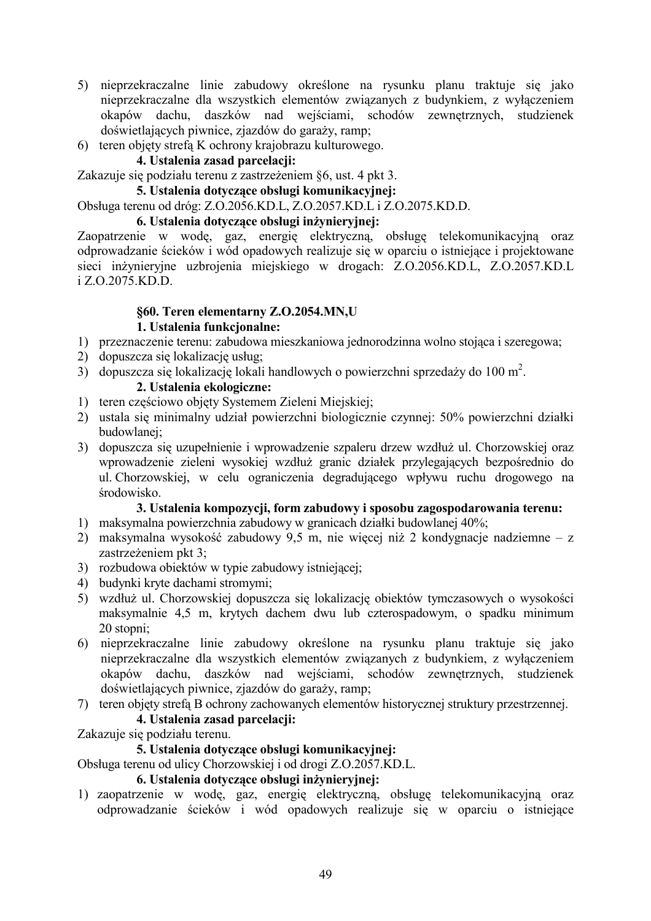- 5) nieprzekraczalne linie zabudowy określone na rysunku planu traktuje się jako nieprzekraczalne dla wszystkich elementów związanych z budynkiem, z wyłączeniem okapów dachu, daszków nad wejściami, schodów zewnętrznych, studzienek doświetlających piwnice, zjazdów do garaży, ramp;
- 6) teren objety strefa K ochrony krajobrazu kulturowego.

# 4. Ustalenia zasad parcelacji:

Zakazuje się podziału terenu z zastrzeżeniem §6, ust. 4 pkt 3.

### 5. Ustalenia dotvczace obsługi komunikacyjnej:

#### Obsługa terenu od dróg: Z.O.2056.KD.L, Z.O.2057.KD.L i Z.O.2075.KD.D.

#### 6. Ustalenia dotvczace obsługi inżyniervinei:

Zaopatrzenie w wodę, gaz, energię elektryczną, obsługę telekomunikacyjną oraz odprowadzanie ścieków i wód opadowych realizuje się w oparciu o istniejące i projektowane sieci inżynieryjne uzbrojenia miejskiego w drogach: Z.O.2056.KD.L, Z.O.2057.KD.L i Z.O.2075.KD.D.

#### **§60. Teren elementarny Z.O.2054.MN,U 1.** Ustalenia funkcjonalne:

- 1) przeznaczenie terenu: zabudowa mieszkaniowa jednorodzinna wolno stojąca i szeregowa;
- 2) dopuszcza się lokalizację usług;
- 3) dopuszcza się lokalizację lokali handlowych o powierzchni sprzedaży do 100 m<sup>2</sup>.

#### 2. Ustalenia ekologiczne:

- 1) teren częściowo objęty Systemem Zieleni Miejskiej;
- 2) ustala się minimalny udział powierzchni biologicznie czynnej: 50% powierzchni działki budowlanei;
- 3) dopuszcza się uzupełnienie i wprowadzenie szpaleru drzew wzdłuż ul. Chorzowskiej oraz wprowadzenie zieleni wysokiej wzdłuż granic działek przylegających bezpośrednio do ul Chorzowskiej, w celu ograniczenia degradującego wpływu ruchu drogowego na środowisko.

#### 3. Ustalenia kompozycji, form zabudowy i sposobu zagospodarowania terenu:

- 1) maksymalna powierzchnia zabudowy w granicach działki budowlanej 40%;
- 2) maksymalna wysokość zabudowy 9,5 m, nie więcej niż 2 kondygnacje nadziemne z zastrzeżeniem pkt 3;
- 3) rozbudowa obiektów w typie zabudowy istniejącej;
- 4) budynki kryte dachami stromymi;
- 5) wzdłuż ul. Chorzowskiej dopuszcza się lokalizację obiektów tymczasowych o wysokości maksymalnie 4,5 m, krytych dachem dwu lub czterospadowym, o spadku minimum 20 stopni;
- 6) nieprzekraczalne linie zabudowy określone na rysunku planu traktuje się jako nieprzekraczalne dla wszystkich elementów związanych z budynkiem, z wyłączeniem okapów dachu, daszków nad wejściami, schodów zewnętrznych, studzienek doświetlających piwnice, zjazdów do garaży, ramp;
- 7) teren objęty strefą B ochrony zachowanych elementów historycznej struktury przestrzennej.

#### 4. Ustalenia zasad parcelacji:

Zakazuje się podziału terenu.

### 5. Ustalenia dotvczace obsługi komunikacyjnej:

Obsługa terenu od ulicy Chorzowskiej i od drogi Z.O.2057.KD.L.

#### 6. Ustalenia dotyczące obsługi inżynieryjnej:

1) zaopatrzenie w wodę, gaz, energię elektryczną, obsługę telekomunikacyjną oraz odprowadzanie ścieków i wód opadowych realizuje się w oparciu o istniejące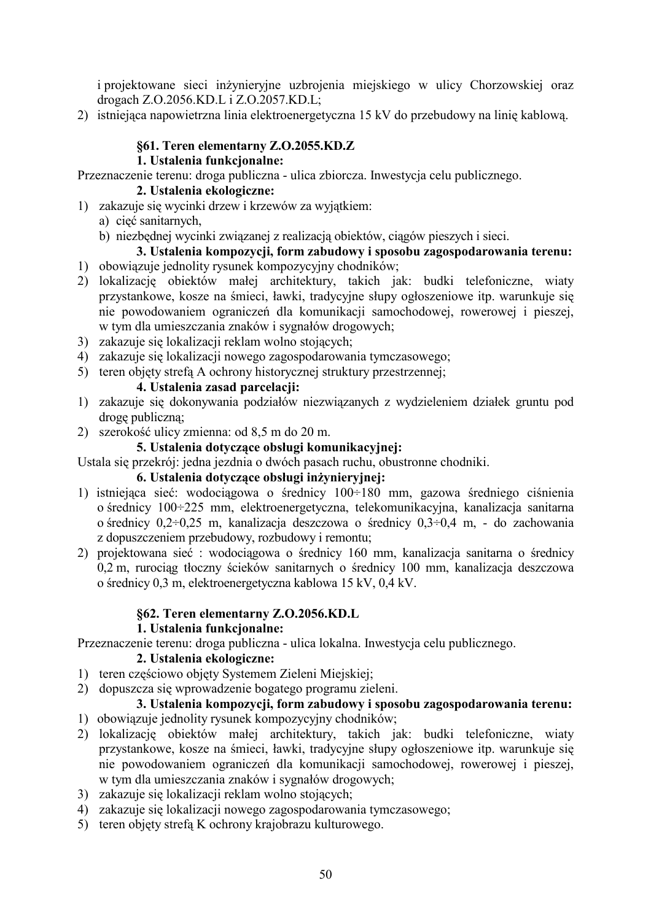i projektowane sieci inżynieryjne uzbrojenia miejskiego w ulicy Chorzowskiej oraz drogach Z.O.2056.KD.L i Z.O.2057.KD.L;

2) istniejąca napowietrzna linia elektroenergetyczna 15 kV do przebudowy na linię kablową.

#### §61. Teren elementarny Z.O.2055.KD.Z

#### 1. Ustalenia funkcjonalne:

Przeznaczenie terenu: droga publiczna - ulica zbiorcza. Inwestycja celu publicznego.

#### 2. Ustalenia ekologiczne:

1) zakazuje się wycinki drzew i krzewów za wyjatkiem:

# a) cięć sanitarnych,

b) niezbednej wycinki związanej z realizacją obiektów, ciągów pieszych i sięci.

# 3. Ustalenia kompozycji, form zabudowy i sposobu zagospodarowania terenu:

- 1) obowiązuje jednolity rysunek kompozycyjny chodników;
- 2) lokalizację obiektów małej architektury, takich jak: budki telefoniczne, wiaty przystankowe, kosze na śmieci, ławki, tradycyjne słupy ogłoszeniowe itp. warunkuje się nie powodowaniem ograniczeń dla komunikacji samochodowej, rowerowej i pieszej, w tym dla umieszczania znaków i sygnałów drogowych;
- 3) zakazuje się lokalizacji reklam wolno stojących:
- 4) zakazuje się lokalizacji nowego zagospodarowania tymczasowego;
- 5) teren objety strefa A ochrony historycznej struktury przestrzennej;

#### 4. Ustalenia zasad parcelacji:

- 1) zakazuje się dokonywania podziałów niezwiazanych z wydzieleniem działek gruntu pod droge publiczna:
- 2) szerokość ulicy zmienna: od 8.5 m do 20 m.

#### 5. Ustalenia dotvczace obsługi komunikacyjnej:

Ustala się przekrój: jedna jezdnia o dwóch pasach ruchu, obustronne chodniki.

#### 6. Ustalenia dotyczące obsługi inżynieryjnej:

- 1) istniejąca sieć: wodociągowa o średnicy 100÷180 mm, gazowa średniego ciśnienia o średnicy 100÷225 mm, elektroenergetyczna, telekomunikacyjna, kanalizacja sanitarna o średnicy  $0.2 \div 0.25$  m, kanalizacja deszczowa o średnicy  $0.3 \div 0.4$  m, - do zachowania z dopuszczeniem przebudowy, rozbudowy i remontu;
- 2) projektowana sieć: wodociągowa o średnicy 160 mm, kanalizacja sanitarna o średnicy 0,2 m, rurociąg tłoczny ścieków sanitarnych o średnicy 100 mm, kanalizacja deszczowa o średnicy 0,3 m, elektroenergetyczna kablowa 15 kV, 0,4 kV.

#### §62. Teren elementarny Z.O.2056.KD.L

### 1. Ustalenia funkcionalne:

Przeznaczenie terenu: droga publiczna - ulica lokalna. Inwestycja celu publicznego.

#### 2. Ustalenia ekologiczne:

- 1) teren częściowo objęty Systemem Zieleni Miejskiej;
- 2) dopuszcza się wprowadzenie bogatego programu zieleni.

- 1) obowiązuje jednolity rysunek kompozycyjny chodników;
- 2) lokalizację obiektów małej architektury, takich jak: budki telefoniczne, wiaty przystankowe, kosze na śmieci, ławki, tradycyjne słupy ogłoszeniowe itp. warunkuje się nie powodowaniem ograniczeń dla komunikacji samochodowej, rowerowej i pieszej, w tym dla umieszczania znaków i sygnałów drogowych;
- 3) zakazuje się lokalizacji reklam wolno stojących;
- 4) zakazuje się lokalizacji nowego zagospodarowania tymczasowego;
- 5) teren objety strefa K ochrony krajobrazu kulturowego.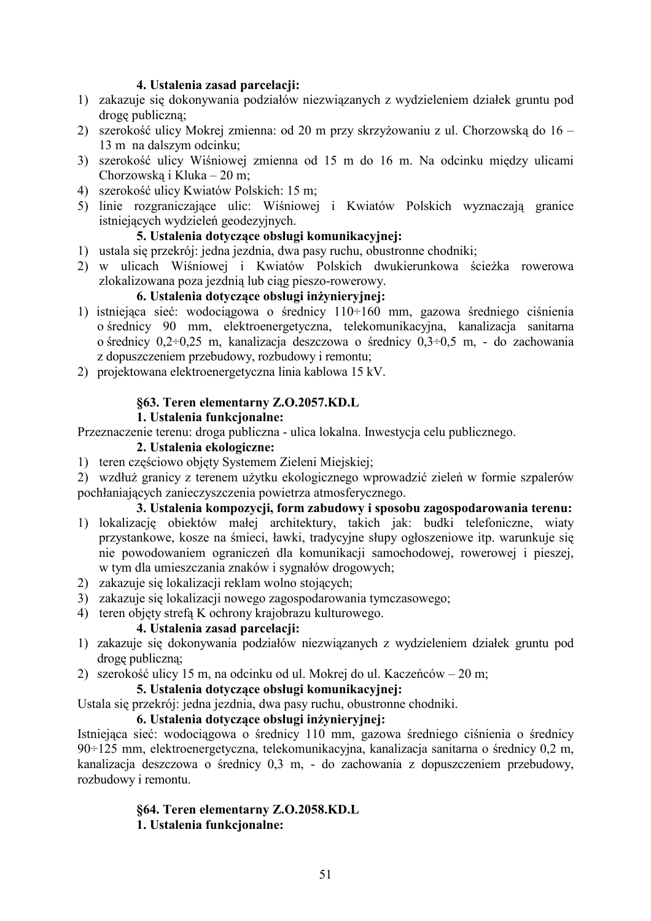#### 4. Ustalenia zasad parcelacji:

- 1) zakazuje się dokonywania podziałów niezwiązanych z wydzieleniem działek gruntu pod droge publiczna:
- 2) szerokość ulicy Mokrej zmienna: od 20 m przy skrzyżowaniu z ul. Chorzowską do 16 13 m na dalszym odcinku;
- 3) szerokość ulicy Wiśniowej zmienna od 15 m do 16 m. Na odcinku między ulicami Chorzowską i Kluka – 20 m;
- 4) szerokość ulicy Kwiatów Polskich: 15 m;
- 5) linie rozgraniczające ulic: Wiśniowej i Kwiatów Polskich wyznaczają granice istniejących wydzieleń geodezyjnych.

# 5. Ustalenia dotvczace obsługi komunikacyjnej:

- 1) ustala się przekrój: jedna jezdnia, dwa pasy ruchu, obustronne chodniki;
- 2) w ulicach Wiśniowej i Kwiatów Polskich dwukierunkowa ścieżka rowerowa zlokalizowana poza jezdnią lub ciąg pieszo-rowerowy.

# 6. Ustalenia dotvczace obsługi inżynieryjnej:

- 1) istniejąca sieć: wodociągowa o średnicy  $110 \div 160$  mm, gazowa średniego ciśnienia o średnicy 90 mm, elektroenergetyczna, telekomunikacyjna, kanalizacja sanitarna o średnicy  $0.2 \div 0.25$  m, kanalizacja deszczowa o średnicy  $0.3 \div 0.5$  m, - do zachowania z dopuszczeniem przebudowy, rozbudowy i remontu;
- 2) projektowana elektroenergetyczna linia kablowa 15 kV.

#### §63. Teren elementarny Z.O.2057.KD.L

#### 1. Ustalenia funkcionalne:

Przeznaczenie terenu: droga publiczna - ulica lokalna. Inwestycja celu publicznego.

#### 2. Ustalenia ekologiczne:

- 1) teren częściowo objęty Systemem Zieleni Miejskiej;
- 2) wzdłuż granicy z terenem użytku ekologicznego wprowadzić zieleń w formie szpalerów pochłaniających zanieczyszczenia powietrza atmosferycznego.

#### 3. Ustalenia kompozycji, form zabudowy i sposobu zagospodarowania terenu:

- 1) lokalizację obiektów małej architektury, takich jak: budki telefoniczne, wiaty przystankowe, kosze na śmieci, ławki, tradycyjne słupy ogłoszeniowe itp. warunkuje się nie powodowaniem ograniczeń dla komunikacji samochodowej, rowerowej i pieszej, w tym dla umieszczania znaków i sygnałów drogowych;
- 2) zakazuje się lokalizacji reklam wolno stojących;
- 3) zakazuje się lokalizacji nowego zagospodarowania tymczasowego;
- 4) teren objęty strefą K ochrony krajobrazu kulturowego.

### 4. Ustalenia zasad parcelacji:

- 1) zakazuje się dokonywania podziałów niezwiązanych z wydzieleniem działek gruntu pod drogę publiczną;
- 2) szerokość ulicy 15 m, na odcinku od ul. Mokrej do ul. Kaczeńców 20 m;

#### 5. Ustalenia dotvczace obsługi komunikacyjnej:

Ustala się przekrój: jedna jezdnia, dwa pasy ruchu, obustronne chodniki.

#### 6. Ustalenia dotyczące obsługi inżynieryjnej:

Istniejąca sieć: wodociągowa o średnicy 110 mm, gazowa średniego ciśnienia o średnicy 90÷125 mm, elektroenergetyczna, telekomunikacyjna, kanalizacja sanitarna o średnicy 0,2 m, kanalizacia deszczowa o średnicy 0.3 m, - do zachowania z dopuszczeniem przebudowy, rozbudowy i remontu.

# §64. Teren elementarny Z.O.2058.KD.L

1. Ustalenia funkcjonalne: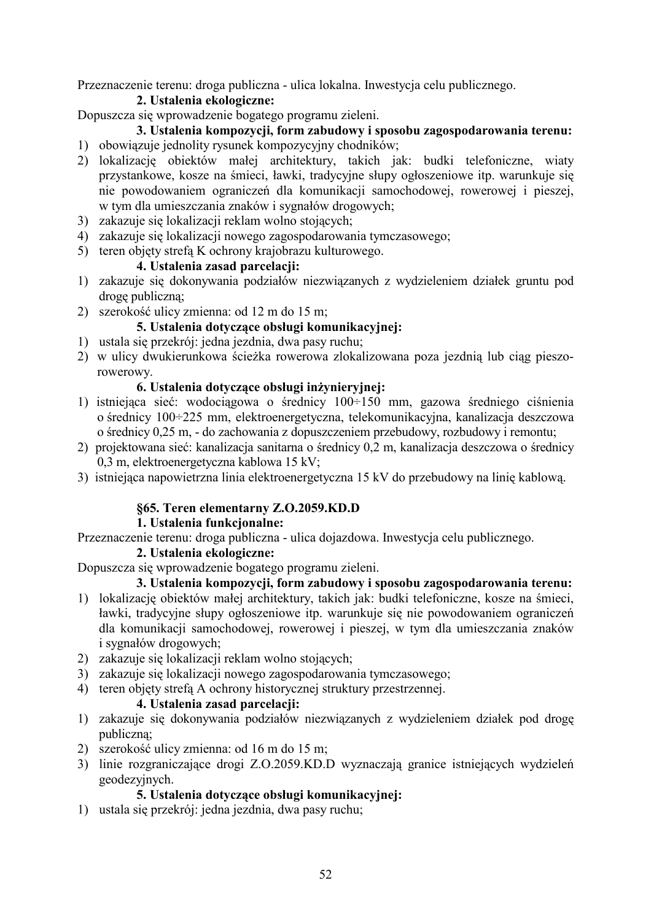Przeznaczenie terenu: droga publiczna - ulica lokalna. Inwestycja celu publicznego.

# 2. Ustalenia ekologiczne:

Dopuszcza się wprowadzenie bogatego programu zieleni.

#### 3. Ustalenia kompozycji, form zabudowy i sposobu zagospodarowania terenu: 1) obowiązuje jednolity rysunek kompozycyjny chodników;

- 2) lokalizację obiektów małej architektury, takich jak: budki telefoniczne, wiaty przystankowe, kosze na śmieci, ławki, tradycyjne słupy ogłoszeniowe itp. warunkuje się nie powodowaniem ograniczeń dla komunikacji samochodowej, rowerowej i pieszej, w tym dla umieszczania znaków i sygnałów drogowych;
- 3) zakazuje się lokalizacji reklam wolno stojących;
- 4) zakazuje się lokalizacji nowego zagospodarowania tymczasowego;
- 5) teren objety strefa K ochrony krajobrazu kulturowego.

#### 4. Ustalenia zasad parcelacii:

- 1) zakazuje się dokonywania podziałów niezwiązanych z wydzieleniem działek gruntu pod drogę publiczną;
- 2) szerokość ulicy zmienna: od 12 m do 15 m;

#### **5. Ustalenia dotyczące obsługi komunikacyjnej:**

- 1) ustala się przekrój: jedna jezdnia, dwa pasy ruchu;
- 2) w ulicy dwukierunkowa ścieżka rowerowa zlokalizowana poza jezdnią lub ciąg pieszorowerowy.

#### 6. Ustalenia dotyczące obsługi inżynieryjnej:

- 1) istniejąca sieć: wodociągowa o średnicy  $100 \div 150$  mm, gazowa średniego ciśnienia o średnicy 100÷225 mm, elektroenergetyczna, telekomunikacyjna, kanalizacja deszczowa o średnicy 0,25 m, - do zachowania z dopuszczeniem przebudowy, rozbudowy i remontu;
- 2) projektowana sieć: kanalizacja sanitarna o średnicy 0,2 m, kanalizacja deszczowa o średnicy 0,3 m, elektroenergetyczna kablowa 15 kV;
- 3) istniejąca napowietrzna linia elektroenergetyczna 15 kV do przebudowy na linię kablową.

#### **§65. Teren elementarny Z.O.2059.KD.D**

#### **1.** Ustalenia funkcionalne:

Przeznaczenie terenu: droga publiczna - ulica dojazdowa. Inwestycja celu publicznego.

#### 2. Ustalenia ekologiczne:

Dopuszcza się wprowadzenie bogatego programu zieleni.

#### 3. Ustalenia kompozycji, form zabudowy i sposobu zagospodarowania terenu:

- 1) lokalizację obiektów małej architektury, takich jak: budki telefoniczne, kosze na śmieci, ławki, tradycyjne słupy ogłoszeniowe itp. warunkuje się nie powodowaniem ograniczeń dla komunikacji samochodowej, rowerowej i pieszej, w tym dla umieszczania znaków i sygnałów drogowych;
- 2) zakazuje się lokalizacji reklam wolno stojących;
- 3) zakazuje się lokalizacji nowego zagospodarowania tymczasowego;
- 4) teren objęty strefą A ochrony historycznej struktury przestrzennej.

#### 4. Ustalenia zasad parcelacji:

- 1) zakazuje się dokonywania podziałów niezwiązanych z wydzieleniem działek pod drogę publiczną;
- 2) szerokość ulicy zmienna: od 16 m do 15 m;
- 3) linie rozgraniczające drogi Z.O.2059.KD.D wyznaczają granice istniejących wydzieleń geodezvinych.

#### 5. Ustalenia dotyczące obsługi komunikacyjnej:

1) ustala się przekrój: jedna jezdnia, dwa pasy ruchu;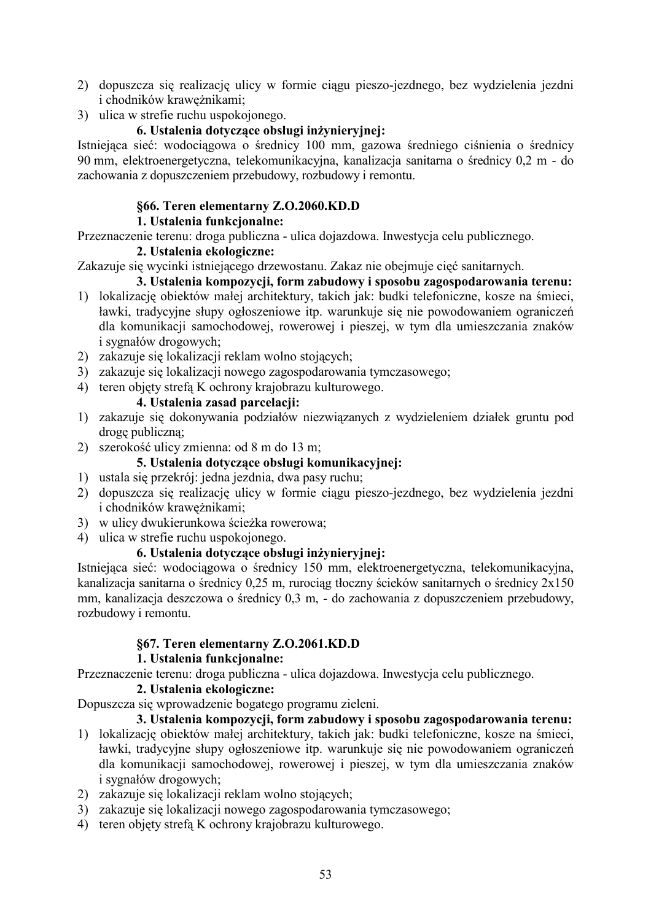- 2) dopuszcza się realizację ulicy w formie ciągu pieszo-jezdnego, bez wydzielenia jezdni i chodników krawężnikami;
- 3) ulica w strefie ruchu uspokojonego.

# 6. Ustalenia dotyczące obsługi inżynieryjnej:

Istniejąca sieć: wodociągowa o średnicy 100 mm, gazowa średniego ciśnienia o średnicy 90 mm, elektroenergetyczna, telekomunikacyjna, kanalizacja sanitarna o średnicy 0,2 m - do zachowania z dopuszczeniem przebudowy, rozbudowy i remontu.

# **§66. Teren elementarny Z.O.2060.KD.D**

### **1. Ustalenia funkcionalne:**

Przeznaczenie terenu: droga publiczna - ulica dojazdowa. Inwestycja celu publicznego.

# 2. Ustalenia ekologiczne:

Zakazuje się wycinki istniejącego drzewostanu. Zakaz nie obejmuje cięć sanitarnych.

- 3. Ustalenia kompozycji, form zabudowy i sposobu zagospodarowania terenu: 1) lokalizację obiektów małej architektury, takich jak: budki telefoniczne, kosze na śmieci, ławki, tradycyjne słupy ogłoszeniowe itp. warunkuje się nie powodowaniem ograniczeń dla komunikacji samochodowej, rowerowej i pieszej, w tym dla umieszczania znaków i sygnałów drogowych;
- 2) zakazuje się lokalizacji reklam wolno stojących;
- 3) zakazuje się lokalizacji nowego zagospodarowania tymczasowego;
- 4) teren objety strefa K ochrony krajobrazu kulturowego.

# 4. Ustalenia zasad parcelacii:

- 1) zakazuje się dokonywania podziałów niezwiązanych z wydzieleniem działek gruntu pod drogę publiczną;
- 2) szerokość ulicy zmienna: od 8 m do 13 m;

### **5. Ustalenia dotyczące obsługi komunikacyjnej:**

- 1) ustala się przekrój: jedna jezdnia, dwa pasy ruchu;
- 2) dopuszcza się realizację ulicy w formie ciągu pieszo-jezdnego, bez wydzielenia jezdni i chodników krawężnikami;
- 3) w ulicy dwukierunkowa ścieżka rowerowa;
- 4) ulica w strefie ruchu uspokojonego.

#### 6. Ustalenia dotyczące obsługi inżynieryjnej:

Istniejąca sieć: wodociągowa o średnicy 150 mm, elektroenergetyczna, telekomunikacyjna, kanalizacja sanitarna o średnicy 0,25 m, rurociąg tłoczny ścieków sanitarnych o średnicy 2x150 mm, kanalizacja deszczowa o średnicy 0,3 m, - do zachowania z dopuszczeniem przebudowy, rozbudowy i remontu.

# **§67. Teren elementarny Z.O.2061.KD.D**

# **1.** Ustalenia funkcjonalne:

Przeznaczenie terenu: droga publiczna - ulica dojazdowa. Inwestycja celu publicznego.

# 2. Ustalenia ekologiczne:

Dopuszcza się wprowadzenie bogatego programu zieleni.

- 1) lokalizację obiektów małej architektury, takich jak: budki telefoniczne, kosze na śmieci, ławki, tradycyjne słupy ogłoszeniowe itp. warunkuje się nie powodowaniem ograniczeń dla komunikacji samochodowej, rowerowej i pieszej, w tym dla umieszczania znaków i sygnałów drogowych;
- 2) zakazuje się lokalizacji reklam wolno stojących;
- 3) zakazuje się lokalizacji nowego zagospodarowania tymczasowego;
- 4) teren objety strefa K ochrony krajobrazu kulturowego.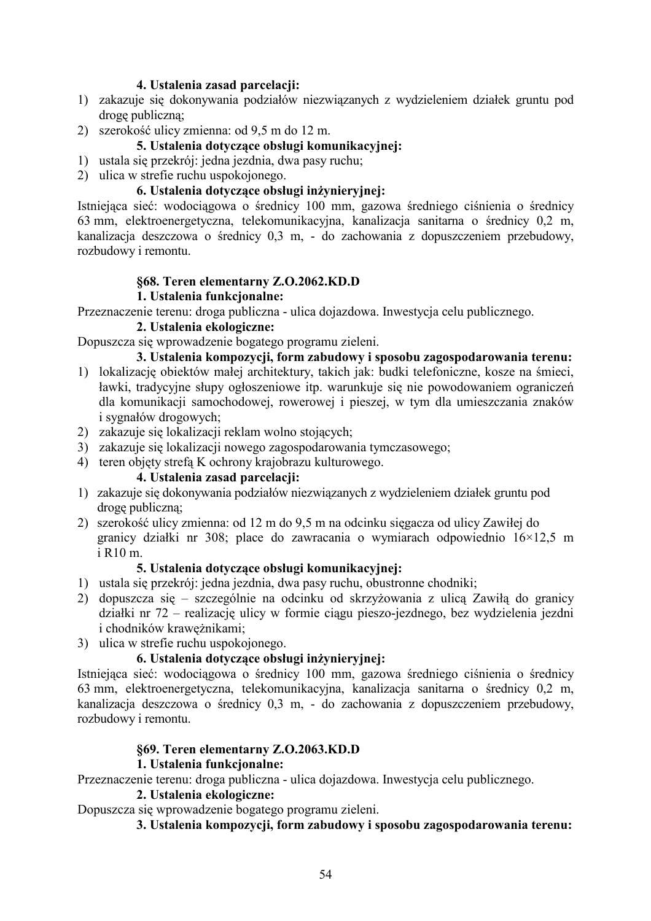#### 4. Ustalenia zasad parcelacji:

- 1) zakazuje się dokonywania podziałów niezwiązanych z wydzieleniem działek gruntu pod drogę publiczną;
- 2) szerokość ulicy zmienna: od 9,5 m do 12 m.

#### **5. Ustalenia dotvczace obsługi komunikacyjnej:**

- 1) ustala się przekrój: jedna jezdnia, dwa pasy ruchu;
- 2) ulica w strefie ruchu uspokojonego.

#### 6. Ustalenia dotyczące obsługi inżynieryjnej:

Istniejąca sieć: wodociągowa o średnicy 100 mm, gazowa średniego ciśnienia o średnicy 63 mm, elektroenergetyczna, telekomunikacyjna, kanalizacja sanitarna o średnicy 0,2 m, kanalizacja deszczowa o średnicy 0,3 m, - do zachowania z dopuszczeniem przebudowy, rozbudowy i remontu.

#### **§68. Teren elementarny Z.O.2062.KD.D**

#### **1.** Ustalenia funkcionalne:

Przeznaczenie terenu: droga publiczna - ulica dojazdowa. Inwestycja celu publicznego.

#### 2. Ustalenia ekologiczne:

Dopuszcza się wprowadzenie bogatego programu zieleni.

### 3. Ustalenia kompozycii, form zabudowy i sposobu zagospodarowania terenu:

- 1) lokalizację obiektów małej architektury, takich jak: budki telefoniczne, kosze na śmieci, ławki, tradycyjne słupy ogłoszeniowe itp. warunkuje się nie powodowaniem ograniczeń dla komunikacji samochodowej, rowerowej i pieszej, w tym dla umieszczania znaków i sygnałów drogowych;
- 2) zakazuje się lokalizacji reklam wolno stojących;
- 3) zakazuje się lokalizacji nowego zagospodarowania tymczasowego;
- 4) teren objety strefa K ochrony krajobrazu kulturowego.

#### 4. Ustalenia zasad parcelacji:

- 1) zakazuje się dokonywania podziałów niezwiązanych z wydzieleniem działek gruntu pod drogę publiczną;
- 2) szerokość ulicy zmienna: od 12 m do 9,5 m na odcinku sięgacza od ulicy Zawiłej do granicy działki nr 308; place do zawracania o wymiarach odpowiednio  $16\times12.5$  m i R10 m.

#### 5. Ustalenia dotyczące obsługi komunikacyjnej:

- 1) ustala się przekrój: jedna jezdnia, dwa pasy ruchu, obustronne chodniki;
- 2) dopuszcza się szczególnie na odcinku od skrzyżowania z ulicą Zawiłą do granicy działki nr 72 – realizację ulicy w formie ciągu pieszo-jezdnego, bez wydzielenia jezdni i chodników krawężnikami;
- 3) ulica w strefie ruchu uspokojonego.

#### 6. Ustalenia dotyczące obsługi inżynieryjnej:

Istniejąca sieć: wodociągowa o średnicy 100 mm, gazowa średniego ciśnienia o średnicy 63 mm, elektroenergetyczna, telekomunikacyjna, kanalizacja sanitarna o średnicy 0,2 m, kanalizacja deszczowa o średnicy 0,3 m, - do zachowania z dopuszczeniem przebudowy, rozbudowy i remontu.

#### **§69. Teren elementarny Z.O.2063.KD.D**

#### **1.** Ustalenia funkcionalne:

Przeznaczenie terenu: droga publiczna - ulica dojazdowa. Inwestycja celu publicznego.

### 2. Ustalenia ekologiczne:

Dopuszcza się wprowadzenie bogatego programu zieleni.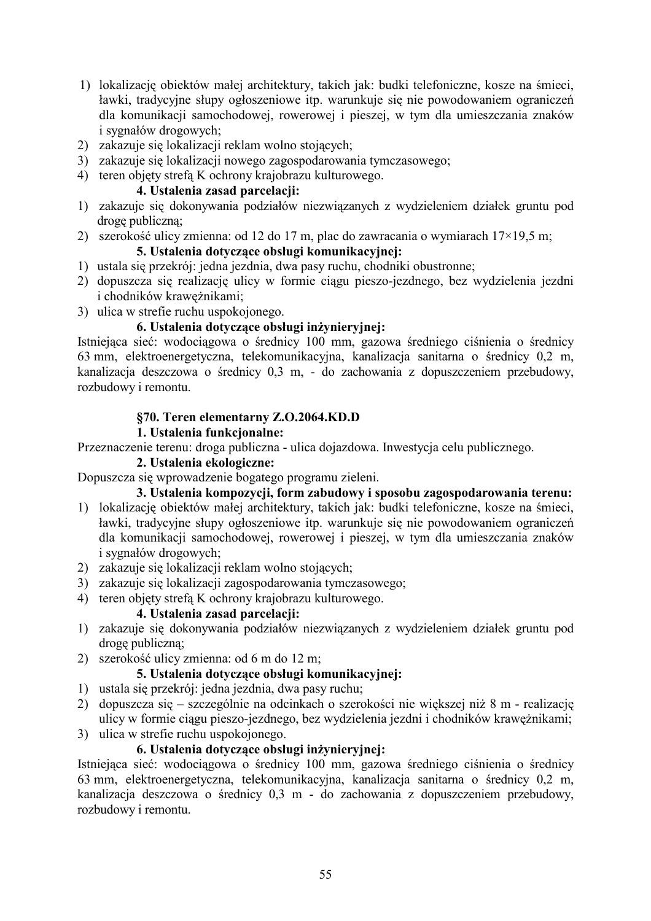- 1) lokalizację obiektów małej architektury, takich jak: budki telefoniczne, kosze na śmieci, ławki, tradycyjne słupy ogłoszeniowe itp. warunkuje się nie powodowaniem ograniczeń dla komunikacji samochodowej, rowerowej i pieszej, w tym dla umieszczania znaków i sygnałów drogowych;
- 2) zakazuje się lokalizacji reklam wolno stojących;
- 3) zakazuje się lokalizacji nowego zagospodarowania tymczasowego;
- 4) teren objety strefa K ochrony krajobrazu kulturowego.

#### 4. Ustalenia zasad parcelacji:

- 1) zakazuje się dokonywania podziałów niezwiązanych z wydzieleniem działek gruntu pod drogę publiczną;
- 2) szerokość ulicy zmienna: od 12 do 17 m, plac do zawracania o wymiarach  $17 \times 19,5$  m; 5. Ustalenia dotyczące obsługi komunikacyjnej:
- 1) ustala się przekrój: jedna jezdnia, dwa pasy ruchu, chodniki obustronne;
- 2) dopuszcza się realizację ulicy w formie ciągu pieszo-jezdnego, bez wydzielenia jezdni i chodników krawężnikami;
- 3) ulica w strefie ruchu uspokojonego.

#### 6. Ustalenia dotyczące obsługi inżynieryjnej:

Istniejąca sieć: wodociągowa o średnicy 100 mm, gazowa średniego ciśnienia o średnicy 63 mm, elektroenergetyczna, telekomunikacyjna, kanalizacja sanitarna o średnicy 0,2 m, kanalizacja deszczowa o średnicy 0,3 m, - do zachowania z dopuszczeniem przebudowy, rozbudowy i remontu.

#### $$70.$  Teren elementarny **Z.O.2064.KD.D**

#### 1. Ustalenia funkcjonalne:

Przeznaczenie terenu: droga publiczna - ulica dojazdowa. Inwestycja celu publicznego.

#### 2. Ustalenia ekologiczne:

Dopuszcza się wprowadzenie bogatego programu zieleni.

# 3. Ustalenia kompozycji, form zabudowy i sposobu zagospodarowania terenu:

- 1) lokalizację obiektów małej architektury, takich jak: budki telefoniczne, kosze na śmieci, ławki, tradycyjne słupy ogłoszeniowe itp. warunkuje się nie powodowaniem ograniczeń dla komunikacji samochodowej, rowerowej i pieszej, w tym dla umieszczania znaków i sygnałów drogowych;
- 2) zakazuje się lokalizacji reklam wolno stojących;
- 3) zakazuje się lokalizacji zagospodarowania tymczasowego;
- 4) teren objety strefa K ochrony krajobrazu kulturowego.

#### 4. Ustalenia zasad parcelacii:

- 1) zakazuje się dokonywania podziałów niezwiązanych z wydzieleniem działek gruntu pod drogę publiczną;
- 2) szerokość ulicy zmienna: od 6 m do 12 m;

### 5. Ustalenia dotyczące obsługi komunikacyjnej:

- 1) ustala się przekrój: jedna jezdnia, dwa pasy ruchu;
- 2) dopuszcza się szczególnie na odcinkach o szerokości nie większej niż 8 m realizację ulicy w formie ciągu pieszo-jezdnego, bez wydzielenia jezdni i chodników krawężnikami;
- 3) ulica w strefie ruchu uspokojonego.

# 6. Ustalenia dotvczace obsługi inżyniervinei:

Istniejąca sieć: wodociągowa o średnicy 100 mm, gazowa średniego ciśnienia o średnicy 63 mm, elektroenergetyczna, telekomunikacyjna, kanalizacja sanitarna o średnicy 0,2 m, kanalizacja deszczowa o średnicy 0,3 m - do zachowania z dopuszczeniem przebudowy, rozbudowy i remontu.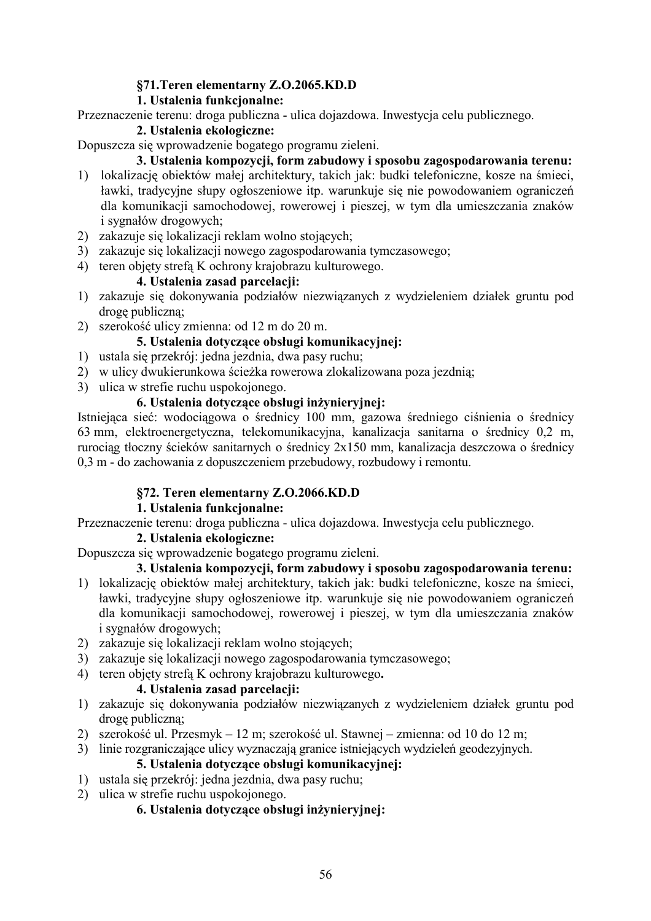# §71. Teren elementarny **Z.O.2065.KD.D**

### **1.** Ustalenia funkcjonalne:

Przeznaczenie terenu: droga publiczna - ulica dojazdowa. Inwestycja celu publicznego.

#### 2. Ustalenia ekologiczne:

Dopuszcza się wprowadzenie bogatego programu zieleni.

#### 3. Ustalenia kompozycji, form zabudowy i sposobu zagospodarowania terenu:

- 1) lokalizację obiektów małej architektury, takich jak: budki telefoniczne, kosze na śmieci, ławki, tradycyjne słupy ogłoszeniowe itp. warunkuje się nie powodowaniem ograniczeń dla komunikacji samochodowej, rowerowej i pieszej, w tym dla umieszczania znaków i sygnałów drogowych;
- 2) zakazuje się lokalizacji reklam wolno stojących;
- 3) zakazuje się lokalizacji nowego zagospodarowania tymczasowego;
- 4) teren objety strefa K ochrony krajobrazu kulturowego.

### 4. Ustalenia zasad parcelacji:

- 1) zakazuje się dokonywania podziałów niezwiązanych z wydzieleniem działek gruntu pod drogę publiczną;
- 2) szerokość ulicy zmienna: od 12 m do 20 m.

#### **5. Ustalenia dotvczace obsługi komunikacyjnej:**

- 1) ustala się przekrój: jedna jezdnia, dwa pasy ruchu;
- 2) w ulicy dwukierunkowa ścieżka rowerowa zlokalizowana poza jezdnią;
- 3) ulica w strefie ruchu uspokojonego.

# 6. Ustalenia dotyczące obsługi inżynieryjnej:

Istniejąca sieć: wodociągowa o średnicy 100 mm, gazowa średniego ciśnienia o średnicy 63 mm, elektroenergetyczna, telekomunikacyjna, kanalizacja sanitarna o średnicy 0,2 m, rurociąg tłoczny ścieków sanitarnych o średnicy 2x150 mm, kanalizacja deszczowa o średnicy 0,3 m - do zachowania z dopuszczeniem przebudowy, rozbudowy i remontu.

#### **§72. Teren elementarny Z.O.2066.KD.D**

#### **1.** Ustalenia funkcjonalne:

Przeznaczenie terenu: droga publiczna - ulica dojazdowa. Inwestycja celu publicznego.

#### 2. Ustalenia ekologiczne:

Dopuszcza się wprowadzenie bogatego programu zieleni.

#### 3. Ustalenia kompozycji, form zabudowy i sposobu zagospodarowania terenu:

- 1) lokalizację obiektów małej architektury, takich jak: budki telefoniczne, kosze na śmieci, ławki, tradycyjne słupy ogłoszeniowe itp. warunkuje się nie powodowaniem ograniczeń dla komunikacji samochodowej, rowerowej i pieszej, w tym dla umieszczania znaków i sygnałów drogowych;
- 2) zakazuje się lokalizacji reklam wolno stojących;
- 3) zakazuje się lokalizacji nowego zagospodarowania tymczasowego;
- 4) teren objety strefa K ochrony krajobrazu kulturowego.

#### 4. Ustalenia zasad parcelacii:

- 1) zakazuje się dokonywania podziałów niezwiązanych z wydzieleniem działek gruntu pod drogę publiczną;
- 2) szerokość ul. Przesmyk 12 m; szerokość ul. Stawnej zmienna: od 10 do 12 m;

3) linie rozgraniczające ulicy wyznaczają granice istniejących wydzieleń geodezyjnych.

# 5. Ustalenia dotvczace obsługi komunikacvinei:

- 1) ustala się przekrój: jedna jezdnia, dwa pasy ruchu;
- 2) ulica w strefie ruchu uspokojonego.

# 6. Ustalenia dotyczące obsługi inżynieryjnej: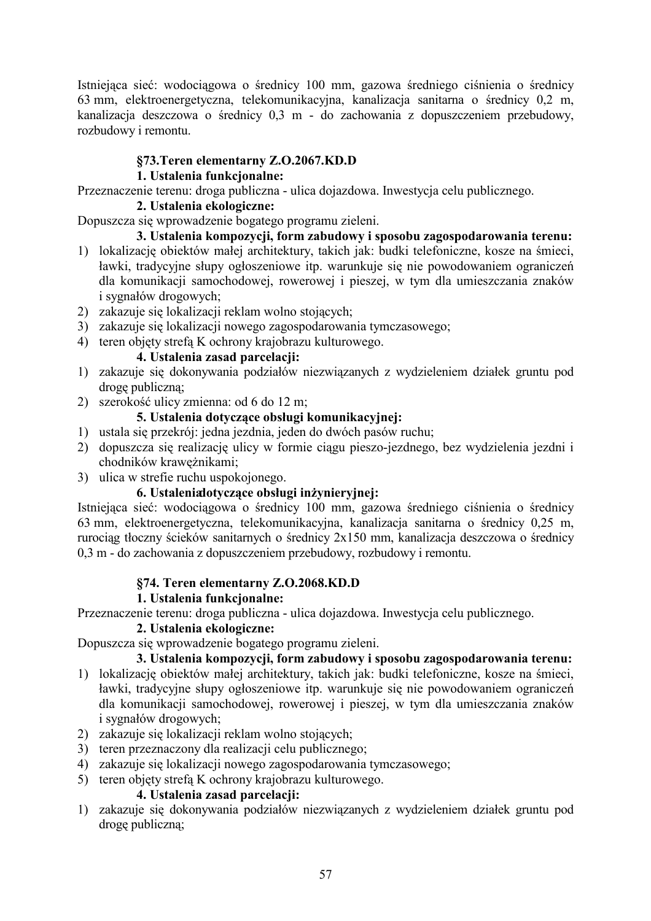Istniejąca sieć: wodociągowa o średnicy 100 mm, gazowa średniego ciśnienia o średnicy 63 mm, elektroenergetyczna, telekomunikacyjna, kanalizacja sanitarna o średnicy 0,2 m, kanalizacja deszczowa o średnicy 0,3 m - do zachowania z dopuszczeniem przebudowy, rozbudowy i remontu.

# §73. Teren elementarny Z.O.2067.KD.D

# **1.** Ustalenia funkcjonalne:

Przeznaczenie terenu: droga publiczna - ulica dojazdowa. Inwestycja celu publicznego.

### 2. Ustalenia ekologiczne:

Dopuszcza się wprowadzenie bogatego programu zieleni.

# 3. Ustalenia kompozycji, form zabudowy i sposobu zagospodarowania terenu:

- 1) lokalizację obiektów małej architektury, takich jak: budki telefoniczne, kosze na śmieci, ławki, tradycyjne słupy ogłoszeniowe itp. warunkuje się nie powodowaniem ograniczeń dla komunikacji samochodowej, rowerowej i pieszej, w tym dla umieszczania znaków i sygnałów drogowych;
- 2) zakazuje się lokalizacji reklam wolno stojących;
- 3) zakazuje się lokalizacji nowego zagospodarowania tymczasowego;
- 4) teren objety strefa K ochrony krajobrazu kulturowego.

# 4. Ustalenia zasad parcelacii:

- 1) zakazuje się dokonywania podziałów niezwiązanych z wydzieleniem działek gruntu pod drogę publiczną;
- 2) szerokość ulicy zmienna: od 6 do 12 m;

# 5. Ustalenia dotvczace obsługi komunikacyjnej:

- 1) ustala się przekrój: jedna jezdnia, jeden do dwóch pasów ruchu;
- 2) dopuszcza się realizację ulicy w formie ciągu pieszo-jezdnego, bez wydzielenia jezdni i chodników krawężnikami;
- 3) ulica w strefie ruchu uspokojonego.

#### 6. Ustaleniadotyczące obsługi inżynieryjnej:

Istniejąca sieć: wodociągowa o średnicy 100 mm, gazowa średniego ciśnienia o średnicy 63 mm, elektroenergetyczna, telekomunikacyjna, kanalizacja sanitarna o średnicy 0,25 m, rurociąg tłoczny ścieków sanitarnych o średnicy 2x150 mm, kanalizacja deszczowa o średnicy 0,3 m - do zachowania z dopuszczeniem przebudowy, rozbudowy i remontu.

# $$74.$  Teren elementarny **Z.O.2068.KD.D**

# **1. Ustalenia funkcionalne:**

Przeznaczenie terenu: droga publiczna - ulica dojazdowa. Inwestycja celu publicznego.

### 2. Ustalenia ekologiczne:

Dopuszcza się wprowadzenie bogatego programu zieleni.

# 3. Ustalenia kompozycji, form zabudowy i sposobu zagospodarowania terenu:

- 1) lokalizację obiektów małej architektury, takich jak: budki telefoniczne, kosze na śmieci, ławki, tradycyjne słupy ogłoszeniowe itp. warunkuje się nie powodowaniem ograniczeń dla komunikacji samochodowej, rowerowej i pieszej, w tym dla umieszczania znaków i sygnałów drogowych;
- 2) zakazuje się lokalizacji reklam wolno stojących;
- 3) teren przeznaczony dla realizacji celu publicznego;
- 4) zakazuje się lokalizacji nowego zagospodarowania tymczasowego;
- 5) teren objety strefa K ochrony krajobrazu kulturowego.

# 4. Ustalenia zasad parcelacii:

1) zakazuje się dokonywania podziałów niezwiązanych z wydzieleniem działek gruntu pod drogę publiczną;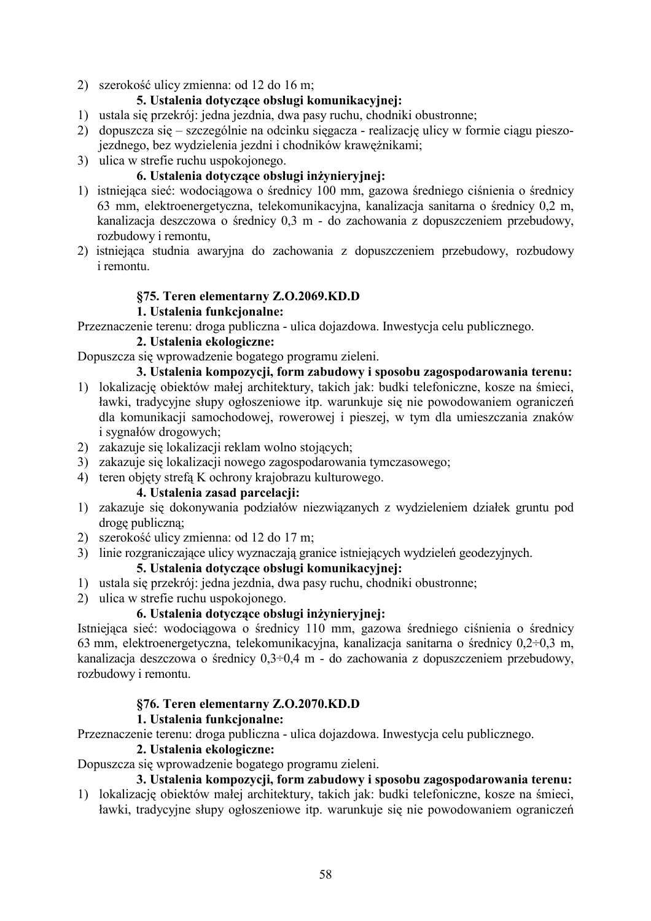2) szerokość ulicy zmienna: od 12 do 16 m;

#### 5. Ustalenia dotyczące obsługi komunikacyjnej:

- 1) ustala się przekrój: jedna jezdnia, dwa pasy ruchu, chodniki obustronne;
- 2) dopuszcza się szczególnie na odcinku sięgacza realizację ulicy w formie ciągu pieszojezdnego, bez wydzielenia jezdni i chodników krawężnikami;
- 3) ulica w strefie ruchu uspokojonego.

# 6. Ustalenia dotyczące obsługi inżynieryjnej:

- 1) istniejąca sieć: wodociągowa o średnicy 100 mm, gazowa średniego ciśnienia o średnicy 63 mm, elektroenergetyczna, telekomunikacyjna, kanalizacja sanitarna o średnicy 0,2 m, kanalizacja deszczowa o średnicy 0,3 m - do zachowania z dopuszczeniem przebudowy, rozbudowy i remontu,
- 2) istniejąca studnia awaryjna do zachowania z dopuszczeniem przebudowy, rozbudowy i remontu.

# **§75. Teren elementarny Z.O.2069.KD.D**

#### **1.** Ustalenia funkcjonalne:

Przeznaczenie terenu: droga publiczna - ulica dojazdowa. Inwestycja celu publicznego.

#### 2. Ustalenia ekologiczne:

Dopuszcza się wprowadzenie bogatego programu zieleni.

3. Ustalenia kompozycji, form zabudowy i sposobu zagospodarowania terenu:

- 1) lokalizację obiektów małej architektury, takich jak: budki telefoniczne, kosze na śmieci, ławki, tradycyjne słupy ogłoszeniowe itp. warunkuje się nie powodowaniem ograniczeń dla komunikacji samochodowej, rowerowej i pieszej, w tym dla umieszczania znaków i sygnałów drogowych;
- 2) zakazuje się lokalizacji reklam wolno stojących;
- 3) zakazuje się lokalizacji nowego zagospodarowania tymczasowego;
- 4) teren objety strefa K ochrony krajobrazu kulturowego.

# 4. Ustalenia zasad parcelacii:

- 1) zakazuje się dokonywania podziałów niezwiązanych z wydzieleniem działek gruntu pod drogę publiczną;
- 2) szerokość ulicy zmienna: od 12 do 17 m;
- 3) linie rozgraniczające ulicy wyznaczają granice istniejących wydzieleń geodezyjnych.

# 5. Ustalenia dotyczące obsługi komunikacvinei:

- 1) ustala się przekrój: jedna jezdnia, dwa pasy ruchu, chodniki obustronne;
- 2) ulica w strefie ruchu uspokojonego.

### 6. Ustalenia dotvczace obsługi inżyniervinei:

Istniejąca sieć: wodociągowa o średnicy 110 mm, gazowa średniego ciśnienia o średnicy 63 mm, elektroenergetyczna, telekomunikacyjna, kanalizacja sanitarna o średnicy  $0,2-0,3$  m, kanalizacja deszczowa o średnicy  $0,3-0,4$  m - do zachowania z dopuszczeniem przebudowy, rozbudowy i remontu.

#### §76. Teren elementarny Z.O.2070.KD.D

#### **1. Ustalenia funkcionalne:**

Przeznaczenie terenu: droga publiczna - ulica dojazdowa. Inwestycja celu publicznego.

#### 2. Ustalenia ekologiczne:

#### Dopuszcza się wprowadzenie bogatego programu zieleni.

#### 3. Ustalenia kompozycji, form zabudowy i sposobu zagospodarowania terenu:

1) lokalizację obiektów małej architektury, takich jak: budki telefoniczne, kosze na śmieci, ławki, tradycyjne słupy ogłoszeniowe itp. warunkuje się nie powodowaniem ograniczeń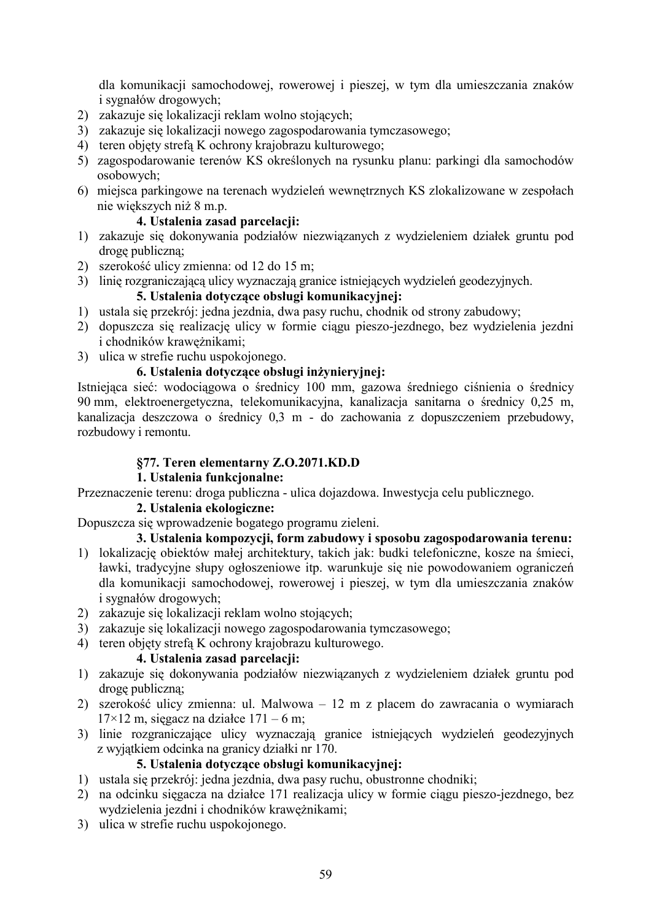dla komunikacji samochodowej, rowerowej i pieszej, w tym dla umieszczania znaków i sygnałów drogowych;

- 2) zakazuje się lokalizacji reklam wolno stojących;
- 3) zakazuje się lokalizacji nowego zagospodarowania tymczasowego;
- 4) teren objety strefa K ochrony krajobrazu kulturowego;
- 5) zagospodarowanie terenów KS określonych na rysunku planu: parkingi dla samochodów osobowych;
- 6) miejsca parkingowe na terenach wydzieleń wewnętrznych KS zlokalizowane w zespołach nie większych niż 8 m.p.

#### 4. Ustalenia zasad parcelacii:

- 1) zakazuje się dokonywania podziałów niezwiązanych z wydzieleniem działek gruntu pod drogę publiczną;
- 2) szerokość ulicy zmienna: od 12 do 15 m;
- 3) linię rozgraniczającą ulicy wyznaczają granice istniejących wydzieleń geodezyjnych.

### 5. Ustalenia dotvczace obsługi komunikacyjnej:

- 1) ustala się przekrój: jedna jezdnia, dwa pasy ruchu, chodnik od strony zabudowy;
- 2) dopuszcza się realizację ulicy w formie ciągu pieszo-jezdnego, bez wydzielenia jezdni i chodników krawężnikami;
- 3) ulica w strefie ruchu uspokojonego.

#### 6. Ustalenia dotvczace obsługi inżynieryjnej:

Istniejąca sieć: wodociągowa o średnicy 100 mm, gazowa średniego ciśnienia o średnicy 90 mm, elektroenergetyczna, telekomunikacyjna, kanalizacja sanitarna o średnicy 0,25 m, kanalizacja deszczowa o średnicy 0,3 m - do zachowania z dopuszczeniem przebudowy, rozbudowy i remontu.

#### §77. Teren elementarny **Z.O.2071.KD.D**

#### **1.** Ustalenia funkcjonalne:

Przeznaczenie terenu: droga publiczna - ulica dojazdowa. Inwestycja celu publicznego.

#### 2. Ustalenia ekologiczne:

Dopuszcza się wprowadzenie bogatego programu zieleni.

#### 3. Ustalenia kompozycii, form zabudowy i sposobu zagospodarowania terenu:

- 1) lokalizację obiektów małej architektury, takich jak: budki telefoniczne, kosze na śmieci, ławki, tradycyjne słupy ogłoszeniowe itp. warunkuje się nie powodowaniem ograniczeń dla komunikacji samochodowej, rowerowej i pieszej, w tym dla umieszczania znaków i sygnałów drogowych;
- 2) zakazuje się lokalizacji reklam wolno stojących;
- 3) zakazuje się lokalizacji nowego zagospodarowania tymczasowego;
- 4) teren objety strefa K ochrony krajobrazu kulturowego.

#### 4. Ustalenia zasad parcelacji:

- 1) zakazuje się dokonywania podziałów niezwiązanych z wydzieleniem działek gruntu pod drogę publiczną;
- 2) szerokość ulicy zmienna: ul. Malwowa 12 m z placem do zawracania o wymiarach  $17\times12$  m, sięgacz na działce  $171 - 6$  m;
- 3) linie rozgraniczające ulicy wyznaczają granice istniejących wydzieleń geodezyjnych z wyjątkiem odcinka na granicy działki nr 170.

# **5. Ustalenia dotvczace obsługi komunikacyjnej:**

- 1) ustala się przekrój: jedna jezdnia, dwa pasy ruchu, obustronne chodniki;
- 2) na odcinku sięgacza na działce 171 realizacja ulicy w formie ciągu pieszo-jezdnego, bez wydzielenia jezdni i chodników krawężnikami;
- 3) ulica w strefie ruchu uspokojonego.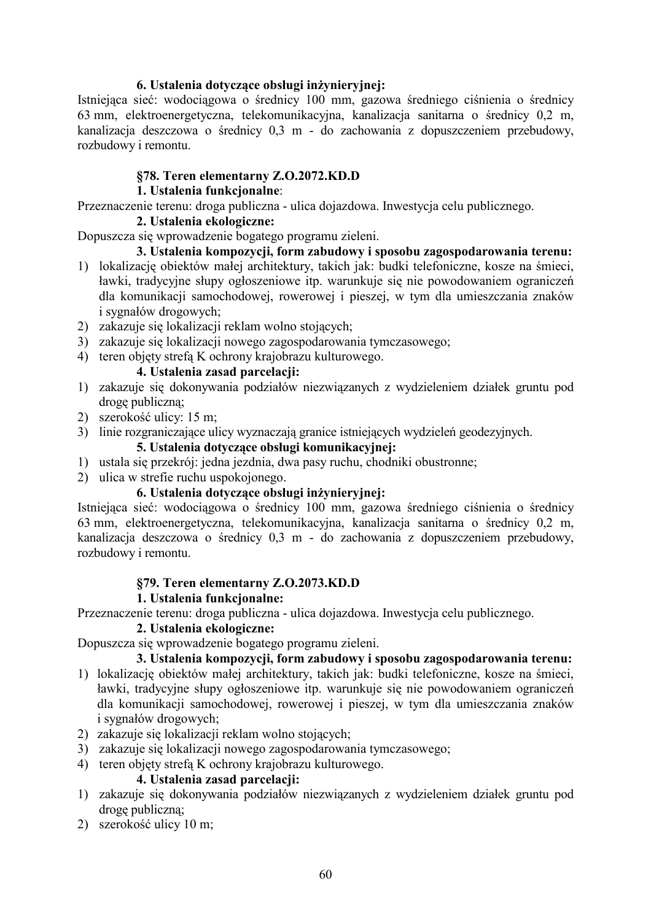#### 6. Ustalenia dotyczące obsługi inżynieryjnej:

Istniejąca sieć: wodociągowa o średnicy 100 mm, gazowa średniego ciśnienia o średnicy 63 mm, elektroenergetyczna, telekomunikacyjna, kanalizacja sanitarna o średnicy 0,2 m, kanalizacja deszczowa o średnicy 0,3 m - do zachowania z dopuszczeniem przebudowy, rozbudowy i remontu.

### §78. Teren elementarny **Z.O.2072.KD.D**

#### **1.** Ustalenia funkcjonalne:

Przeznaczenie terenu: droga publiczna - ulica dojazdowa. Inwestycja celu publicznego.

#### 2. Ustalenia ekologiczne:

Dopuszcza się wprowadzenie bogatego programu zieleni.

#### 3. Ustalenia kompozycji, form zabudowy i sposobu zagospodarowania terenu:

- 1) lokalizację obiektów małej architektury, takich jak: budki telefoniczne, kosze na śmieci, ławki, tradycyjne słupy ogłoszeniowe itp. warunkuje się nie powodowaniem ograniczeń dla komunikacji samochodowej, rowerowej i pieszej, w tym dla umieszczania znaków i sygnałów drogowych;
- 2) zakazuje się lokalizacji reklam wolno stojących;
- 3) zakazuje się lokalizacji nowego zagospodarowania tymczasowego;
- 4) teren objety strefa K ochrony krajobrazu kulturowego.

#### 4. Ustalenia zasad parcelacii:

- 1) zakazuje się dokonywania podziałów niezwiązanych z wydzieleniem działek gruntu pod drogę publiczną;
- 2) szerokość ulicy: 15 m;
- 3) linie rozgraniczające ulicy wyznaczają granice istniejących wydzieleń geodezyjnych.

#### 5. Ustalenia dotvczace obsługi komunikacyjnej:

- 1) ustala się przekrój: jedna jezdnia, dwa pasy ruchu, chodniki obustronne;
- 2) ulica w strefie ruchu uspokojonego.

### 6. Ustalenia dotyczące obsługi inżynieryjnej:

Istniejąca sieć: wodociągowa o średnicy 100 mm, gazowa średniego ciśnienia o średnicy 63 mm, elektroenergetyczna, telekomunikacyjna, kanalizacja sanitarna o średnicy 0,2 m, kanalizacja deszczowa o średnicy 0,3 m - do zachowania z dopuszczeniem przebudowy, rozbudowy i remontu.

#### §79. Teren elementarny **Z.O.2073.KD.D**

#### **1. Ustalenia funkcionalne:**

Przeznaczenie terenu: droga publiczna - ulica dojazdowa. Inwestycja celu publicznego.

### 2. Ustalenia ekologiczne:

Dopuszcza się wprowadzenie bogatego programu zieleni.

#### 3. Ustalenia kompozycji, form zabudowy i sposobu zagospodarowania terenu:

- 1) lokalizację obiektów małej architektury, takich jak: budki telefoniczne, kosze na śmieci, ławki, tradycyjne słupy ogłoszeniowe itp. warunkuje się nie powodowaniem ograniczeń dla komunikacji samochodowej, rowerowej i pieszej, w tym dla umieszczania znaków i sygnałów drogowych;
- 2) zakazuje się lokalizacji reklam wolno stojących;
- 3) zakazuje się lokalizacji nowego zagospodarowania tymczasowego;
- 4) teren objety strefa K ochrony krajobrazu kulturowego.

#### 4. Ustalenia zasad parcelacji:

- 1) zakazuje się dokonywania podziałów niezwiązanych z wydzieleniem działek gruntu pod drogę publiczną;
- 2) szerokość ulicy 10 m;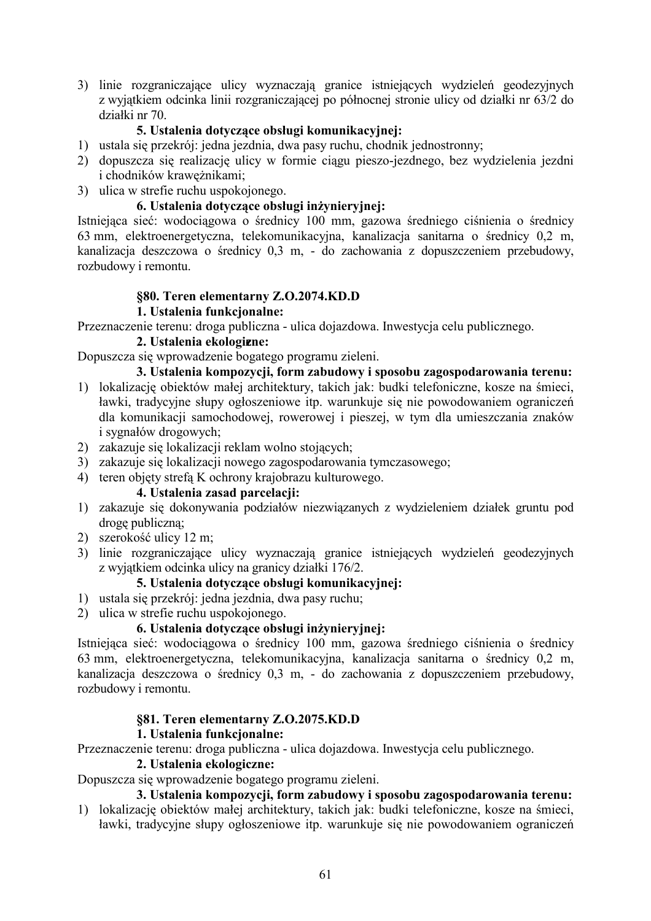3) linie rozgraniczające ulicy wyznaczają granice istniejących wydzieleń geodezyjnych z wyjątkiem odcinka linii rozgraniczającej po północnej stronie ulicy od działki nr 63/2 do działki nr 70.

### **5. Ustalenia dotvczace obsługi komunikacyjnej:**

- 1) ustala się przekrój: jedna jezdnia, dwa pasy ruchu, chodnik jednostronny;
- 2) dopuszcza się realizację ulicy w formie ciągu pieszo-jezdnego, bez wydzielenia jezdni i chodników krawężnikami;
- 3) ulica w strefie ruchu uspokojonego.

# 6. Ustalenia dotyczące obsługi inżynieryjnej:

Istniejąca sieć: wodociągowa o średnicy 100 mm, gazowa średniego ciśnienia o średnicy 63 mm, elektroenergetyczna, telekomunikacyjna, kanalizacja sanitarna o średnicy 0,2 m, kanalizacja deszczowa o średnicy 0,3 m, - do zachowania z dopuszczeniem przebudowy, rozbudowy i remontu.

#### **§80. Teren elementarny Z.O.2074.KD.D**

#### **1.** Ustalenia funkcjonalne:

Przeznaczenie terenu: droga publiczna - ulica dojazdowa. Inwestycja celu publicznego.

#### 2. Ustalenia ekologizne:

Dopuszcza się wprowadzenie bogatego programu zieleni.

3. Ustalenia kompozycji, form zabudowy i sposobu zagospodarowania terenu:

- 1) lokalizację obiektów małej architektury, takich jak: budki telefoniczne, kosze na śmieci, ławki, tradycyjne słupy ogłoszeniowe itp. warunkuje się nie powodowaniem ograniczeń dla komunikacji samochodowej, rowerowej i pieszej, w tym dla umieszczania znaków i sygnałów drogowych;
- 2) zakazuje się lokalizacji reklam wolno stojących;
- 3) zakazuje się lokalizacji nowego zagospodarowania tymczasowego;
- 4) teren objety strefa K ochrony krajobrazu kulturowego.

### 4. Ustalenia zasad parcelacii:

- 1) zakazuje się dokonywania podziałów niezwiązanych z wydzieleniem działek gruntu pod drogę publiczną;
- 2) szerokość ulicy 12 m;
- 3) linie rozgraniczające ulicy wyznaczają granice istniejących wydzieleń geodezyjnych z wyjątkiem odcinka ulicy na granicy działki 176/2.

#### 5. Ustalenia dotvczace obsługi komunikacyjnej:

- 1) ustala się przekrój: jedna jezdnia, dwa pasy ruchu;
- 2) ulica w strefie ruchu uspokojonego.

# 6. Ustalenia dotvczace obsługi inżynieryjnej:

Istniejąca sieć: wodociągowa o średnicy 100 mm, gazowa średniego ciśnienia o średnicy 63 mm, elektroenergetyczna, telekomunikacyjna, kanalizacja sanitarna o średnicy 0,2 m, kanalizacja deszczowa o średnicy 0,3 m, - do zachowania z dopuszczeniem przebudowy, rozbudowy i remontu.

#### **§81. Teren elementarny Z.O.2075.KD.D**

#### **1.** Ustalenia funkcjonalne:

Przeznaczenie terenu: droga publiczna - ulica dojazdowa. Inwestycja celu publicznego.

#### 2. Ustalenia ekologiczne:

Dopuszcza się wprowadzenie bogatego programu zieleni.

### 3. Ustalenia kompozycji, form zabudowy i sposobu zagospodarowania terenu:

1) lokalizację obiektów małej architektury, takich jak: budki telefoniczne, kosze na śmieci, ławki, tradycyjne słupy ogłoszeniowe itp. warunkuje się nie powodowaniem ograniczeń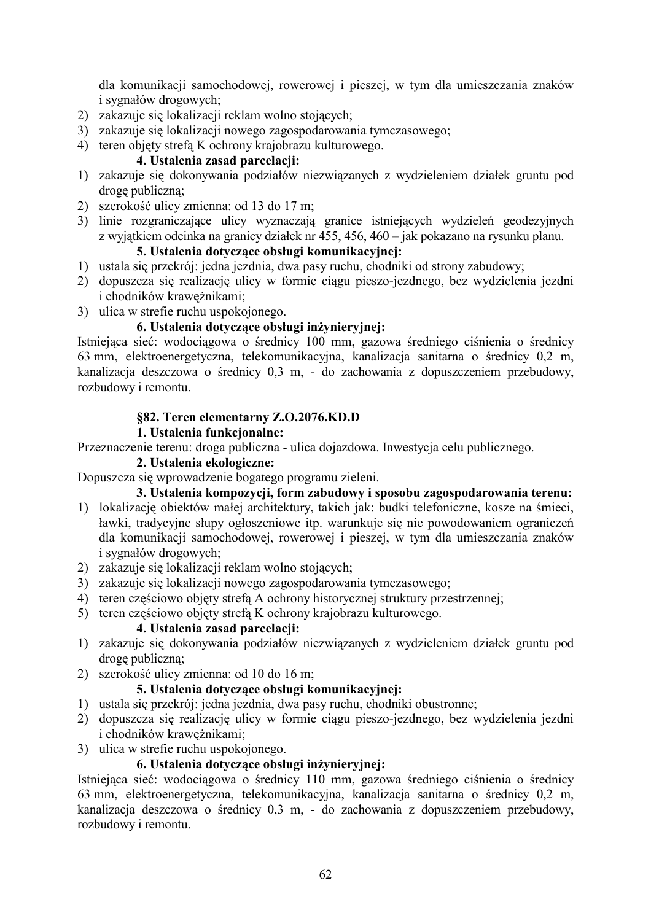dla komunikacji samochodowej, rowerowej i pieszej, w tym dla umieszczania znaków i sygnałów drogowych;

- 2) zakazuje się lokalizacji reklam wolno stojących;
- 3) zakazuje się lokalizacji nowego zagospodarowania tymczasowego;
- 4) teren objety strefa K ochrony krajobrazu kulturowego.

# 4. Ustalenia zasad parcelacii:

- 1) zakazuje się dokonywania podziałów niezwiązanych z wydzieleniem działek gruntu pod drogę publiczną;
- 2) szerokość ulicy zmienna: od 13 do 17 m;
- 3) linie rozgraniczające ulicy wyznaczają granice istniejących wydzieleń geodezyjnych z wyjątkiem odcinka na granicy działek nr 455, 456, 460 – jak pokazano na rysunku planu.

# 5. Ustalenia dotyczące obsługi komunikacyjnej:

- 1) ustala się przekrój: jedna jezdnia, dwa pasy ruchu, chodniki od strony zabudowy;
- 2) dopuszcza się realizację ulicy w formie ciągu pieszo-jezdnego, bez wydzielenia jezdni i chodników krawężnikami;
- 3) ulica w strefie ruchu uspokojonego.

# 6. Ustalenia dotyczące obsługi inżynieryjnej:

Istniejąca sieć: wodociągowa o średnicy 100 mm, gazowa średniego ciśnienia o średnicy 63 mm, elektroenergetyczna, telekomunikacyjna, kanalizacja sanitarna o średnicy 0,2 m, kanalizacja deszczowa o średnicy 0,3 m, - do zachowania z dopuszczeniem przebudowy, rozbudowy i remontu.

# **§82. Teren elementarny Z.O.2076.KD.D**

# 1. Ustalenia funkcjonalne:

Przeznaczenie terenu: droga publiczna - ulica dojazdowa. Inwestycja celu publicznego.

#### 2. Ustalenia ekologiczne:

Dopuszcza się wprowadzenie bogatego programu zieleni.

# 3. Ustalenia kompozycji, form zabudowy i sposobu zagospodarowania terenu:

- 1) lokalizację obiektów małej architektury, takich jak: budki telefoniczne, kosze na śmieci, ławki, tradycyjne słupy ogłoszeniowe itp. warunkuje się nie powodowaniem ograniczeń dla komunikacji samochodowej, rowerowej i pieszej, w tym dla umieszczania znaków i sygnałów drogowych;
- 2) zakazuje się lokalizacji reklam wolno stojących;
- 3) zakazuje się lokalizacji nowego zagospodarowania tymczasowego;
- 4) teren częściowo objęty strefą A ochrony historycznej struktury przestrzennej;
- 5) teren częściowo objęty strefą K ochrony krajobrazu kulturowego.

### 4. Ustalenia zasad parcelacii:

- 1) zakazuje się dokonywania podziałów niezwiązanych z wydzieleniem działek gruntu pod drogę publiczną;
- 2) szerokość ulicy zmienna: od 10 do 16 m;

# **5. Ustalenia dotvczace obsługi komunikacyjnej:**

- 1) ustala się przekrój: jedna jezdnia, dwa pasy ruchu, chodniki obustronne;
- 2) dopuszcza się realizację ulicy w formie ciągu pieszo-jezdnego, bez wydzielenia jezdni i chodników krawężnikami;
- 3) ulica w strefie ruchu uspokojonego.

#### 6. Ustalenia dotvczace obsługi inżyniervinei:

Istniejąca sieć: wodociągowa o średnicy 110 mm, gazowa średniego ciśnienia o średnicy 63 mm, elektroenergetyczna, telekomunikacyjna, kanalizacja sanitarna o średnicy 0,2 m, kanalizacja deszczowa o średnicy 0,3 m, - do zachowania z dopuszczeniem przebudowy, rozbudowy i remontu.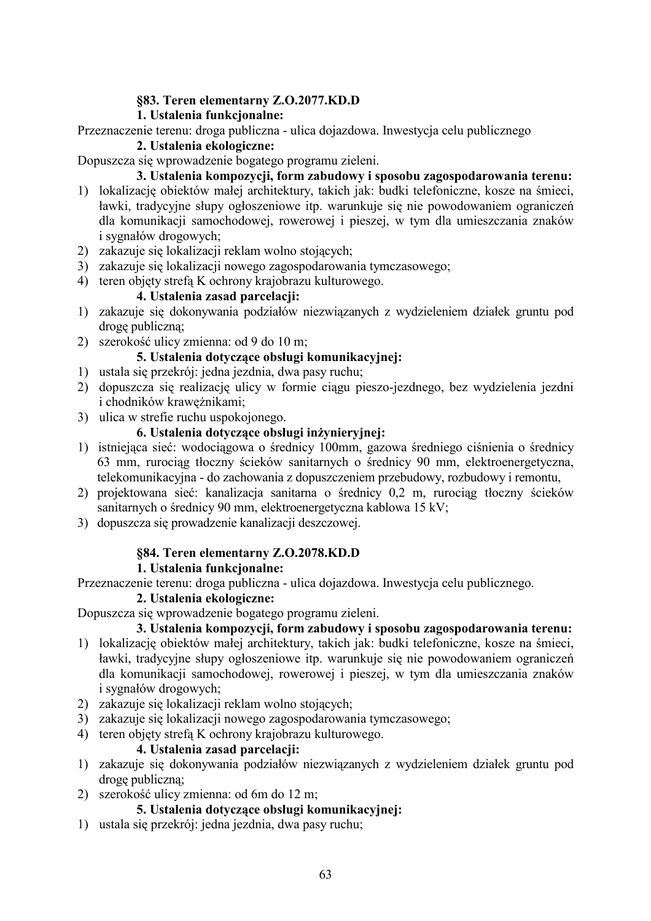# **§83. Teren elementarny Z.O.2077.KD.D**

# **1. Ustalenia funkcionalne:**

Przeznaczenie terenu: droga publiczna - ulica dojazdowa. Inwestycja celu publicznego

#### 2. Ustalenia ekologiczne:

Dopuszcza się wprowadzenie bogatego programu zieleni.

### 3. Ustalenia kompozycji, form zabudowy i sposobu zagospodarowania terenu:

- 1) lokalizację obiektów małej architektury, takich jak: budki telefoniczne, kosze na śmieci, ławki, tradycyjne słupy ogłoszeniowe itp. warunkuje się nie powodowaniem ograniczeń dla komunikacji samochodowej, rowerowej i pieszej, w tym dla umieszczania znaków i sygnałów drogowych;
- 2) zakazuje się lokalizacji reklam wolno stojących;
- 3) zakazuje się lokalizacji nowego zagospodarowania tymczasowego;
- 4) teren objęty strefą K ochrony krajobrazu kulturowego.

#### 4. Ustalenia zasad parcelacii:

- 1) zakazuje się dokonywania podziałów niezwiązanych z wydzieleniem działek gruntu pod drogę publiczną;
- 2) szerokość ulicy zmienna: od 9 do 10 m;

# **5. Ustalenia dotvczace obsługi komunikacyjnej:**

- 1) ustala się przekrój: jedna jezdnia, dwa pasy ruchu;
- 2) dopuszcza się realizację ulicy w formie ciągu pieszo-jezdnego, bez wydzielenia jezdni i chodników krawężnikami;
- 3) ulica w strefie ruchu uspokojonego.

# 6. Ustalenia dotyczące obsługi inżynieryjnej:

- 1) istniejąca sieć: wodociągowa o średnicy 100mm, gazowa średniego ciśnienia o średnicy 63 mm, rurociąg tłoczny ścieków sanitarnych o średnicy 90 mm, elektroenergetyczna, telekomunikacyjna - do zachowania z dopuszczeniem przebudowy, rozbudowy i remontu,
- 2) projektowana sieć: kanalizacja sanitarna o średnicy 0,2 m, rurociąg tłoczny ścieków sanitarnych o średnicy 90 mm, elektroenergetyczna kablowa 15 kV;
- 3) dopuszcza się prowadzenie kanalizacji deszczowej.

# **§84. Teren elementarny Z.O.2078.KD.D**

#### **1.** Ustalenia funkcjonalne:

Przeznaczenie terenu: droga publiczna - ulica dojazdowa. Inwestycja celu publicznego.

#### 2. Ustalenia ekologiczne:

Dopuszcza się wprowadzenie bogatego programu zieleni.

# 3. Ustalenia kompozycji, form zabudowy i sposobu zagospodarowania terenu:

- 1) lokalizację obiektów małej architektury, takich jak: budki telefoniczne, kosze na śmieci, ławki, tradycyjne słupy ogłoszeniowe itp. warunkuje się nie powodowaniem ograniczeń dla komunikacji samochodowej, rowerowej i pieszej, w tym dla umieszczania znaków i sygnałów drogowych;
- 2) zakazuje się lokalizacji reklam wolno stojących;
- 3) zakazuje się lokalizacji nowego zagospodarowania tymczasowego;
- 4) teren objety strefa K ochrony krajobrazu kulturowego.

#### 4. Ustalenia zasad parcelacii:

- 1) zakazuje się dokonywania podziałów niezwiązanych z wydzieleniem działek gruntu pod drogę publiczną;
- 2) szerokość ulicy zmienna: od 6m do 12 m;

# 5. Ustalenia dotvczace obsługi komunikacyinei:

1) ustala się przekrój: jedna jezdnia, dwa pasy ruchu;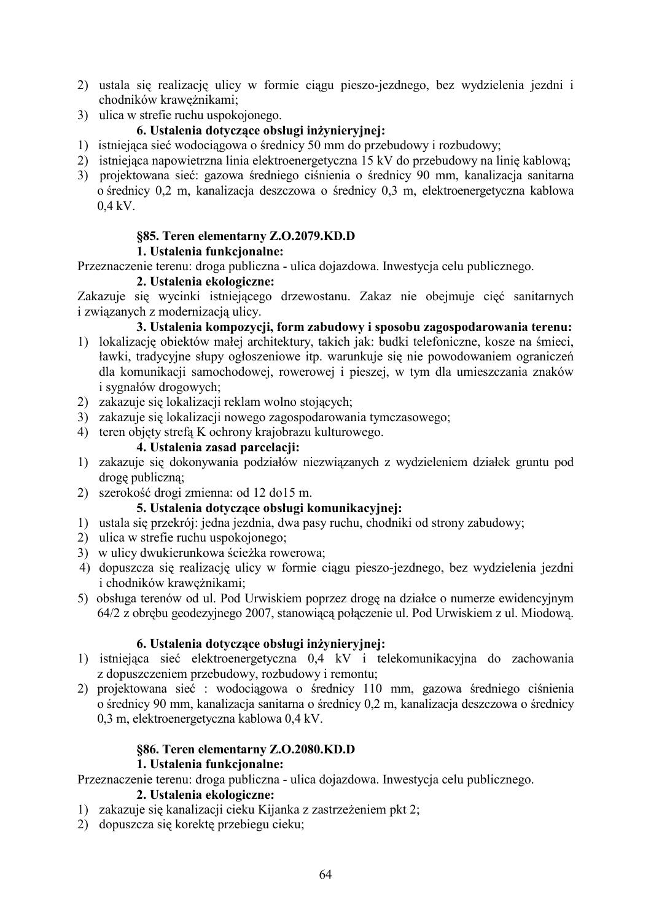- 2) ustala się realizację ulicy w formie ciągu pieszo-jezdnego, bez wydzielenia jezdni i chodników krawężnikami;
- 3) ulica w strefie ruchu uspokojonego.

# 6. Ustalenia dotvczace obsługi inżyniervinei:

- 1) istniejąca sieć wodociągowa o średnicy 50 mm do przebudowy i rozbudowy;
- 2) istniejąca napowietrzna linia elektroenergetyczna 15 kV do przebudowy na linię kablową;
- 3) projektowana sieć: gazowa średniego ciśnienia o średnicy 90 mm, kanalizacja sanitarna o średnicy 0,2 m, kanalizacja deszczowa o średnicy 0,3 m, elektroenergetyczna kablowa  $0.4$  kV.

# **§85. Teren elementarny Z.O.2079.KD.D**

# **1.** Ustalenia funkcjonalne:

Przeznaczenie terenu: droga publiczna - ulica dojazdowa. Inwestycja celu publicznego.

#### 2. Ustalenia ekologiczne:

Zakazuje się wycinki istniejącego drzewostanu. Zakaz nie obejmuje cięć sanitarnych i związanych z modernizacją ulicy.

3. Ustalenia kompozycji, form zabudowy i sposobu zagospodarowania terenu:

- 1) lokalizację obiektów małej architektury, takich jak: budki telefoniczne, kosze na śmieci, ławki, tradycyjne słupy ogłoszeniowe itp. warunkuje się nie powodowaniem ograniczeń dla komunikacji samochodowej, rowerowej i pieszej, w tym dla umieszczania znaków i sygnałów drogowych;
- 2) zakazuje się lokalizacji reklam wolno stojących;
- 3) zakazuje się lokalizacji nowego zagospodarowania tymczasowego;
- 4) teren objęty strefą K ochrony krajobrazu kulturowego.

# 4. Ustalenia zasad parcelacii:

- 1) zakazuje się dokonywania podziałów niezwiązanych z wydzieleniem działek gruntu pod drogę publiczną;
- 2) szerokość drogi zmienna: od 12 do15 m.

# 5. Ustalenia dotyczące obsługi komunikacyjnej:

- 1) ustala się przekrój: jedna jezdnia, dwa pasy ruchu, chodniki od strony zabudowy;
- 2) ulica w strefie ruchu uspokojonego;
- 3) w ulicy dwukierunkowa ścieżka rowerowa;
- 4) dopuszcza się realizację ulicy w formie ciągu pieszo-jezdnego, bez wydzielenia jezdni i chodników krawężnikami;
- 5) obsługa terenów od ul. Pod Urwiskiem poprzez drogę na działce o numerze ewidencyjnym 64/2 z obrębu geodezyjnego 2007, stanowiącą połączenie ul. Pod Urwiskiem z ul. Miodową.

#### 6. Ustalenia dotvczace obsługi inżyniervinei:

- 1) istniejąca sieć elektroenergetyczna 0,4 kV i telekomunikacyjna do zachowania z dopuszczeniem przebudowy, rozbudowy i remontu;
- 2) projektowana sieć : wodociągowa o średnicy 110 mm, gazowa średniego ciśnienia o średnicy 90 mm, kanalizacja sanitarna o średnicy 0,2 m, kanalizacja deszczowa o średnicy 0.3 m, elektroenergetyczna kablowa 0.4 kV.

# **§86. Teren elementarny Z.O.2080.KD.D**

#### **1.** Ustalenia funkcionalne:

Przeznaczenie terenu: droga publiczna - ulica dojazdowa. Inwestycja celu publicznego.

### 2. Ustalenia ekologiczne:

- 1) zakazuje się kanalizacji cieku Kijanka z zastrzeżeniem pkt 2;
- 2) dopuszcza się korektę przebiegu cieku;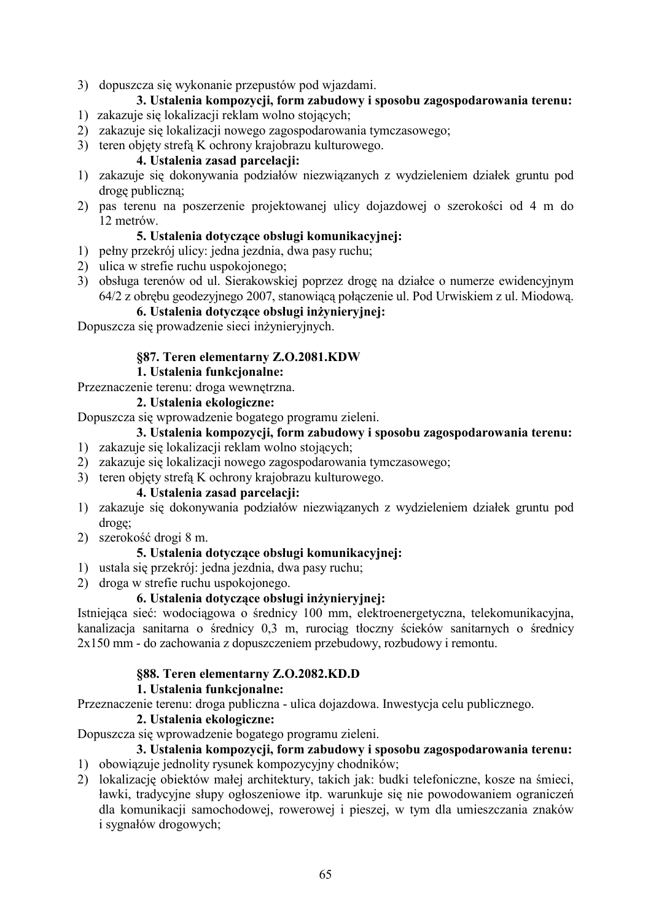3) dopuszcza się wykonanie przepustów pod wjazdami.

# 3. Ustalenia kompozycji, form zabudowy i sposobu zagospodarowania terenu:

- 1) zakazuje się lokalizacji reklam wolno stojących;
- 2) zakazuje się lokalizacji nowego zagospodarowania tymczasowego;
- 3) teren objety strefa K ochrony krajobrazu kulturowego.

#### 4. Ustalenia zasad parcelacii:

- 1) zakazuje się dokonywania podziałów niezwiązanych z wydzieleniem działek gruntu pod drogę publiczną;
- 2) pas terenu na poszerzenie projektowanej ulicy dojazdowej o szerokości od 4 m do 12 metrów

#### **5. Ustalenia dotvczace obsługi komunikacyjnej:**

- 1) pełny przekrój ulicy: jedna jezdnia, dwa pasy ruchu;
- 2) ulica w strefie ruchu uspokojonego;
- 3) obsługa terenów od ul. Sierakowskiej poprzez drogę na działce o numerze ewidencyjnym 64/2 z obrębu geodezyjnego 2007, stanowiącą połączenie ul. Pod Urwiskiem z ul. Miodową.

#### 6. Ustalenia dotyczące obsługi inżynieryjnej:

Dopuszcza się prowadzenie sieci inżynieryjnych.

#### §87. Teren elementarny Z.O.2081.KDW

#### **1. Ustalenia funkcionalne:**

Przeznaczenie terenu: droga wewnętrzna.

#### 2. Ustalenia ekologiczne:

Dopuszcza się wprowadzenie bogatego programu zieleni.

#### 3. Ustalenia kompozycji, form zabudowy i sposobu zagospodarowania terenu:

- 1) zakazuje się lokalizacji reklam wolno stojących;
- 2) zakazuje się lokalizacji nowego zagospodarowania tymczasowego;
- 3) teren objety strefa K ochrony krajobrazu kulturowego.

#### 4. Ustalenia zasad parcelacii:

- 1) zakazuje się dokonywania podziałów niezwiązanych z wydzieleniem działek gruntu pod drogę;
- 2) szerokość drogi 8 m.

### 5. Ustalenia dotyczące obsługi komunikacyjnej:

- 1) ustala się przekrój: jedna jezdnia, dwa pasy ruchu;
- 2) droga w strefie ruchu uspokojonego.

#### 6. Ustalenia dotvczace obsługi inżynieryjnej:

Istniejąca sieć: wodociągowa o średnicy 100 mm, elektroenergetyczna, telekomunikacyjna, kanalizacja sanitarna o średnicy 0,3 m, rurociąg tłoczny ścieków sanitarnych o średnicy  $2x150$  mm - do zachowania z dopuszczeniem przebudowy, rozbudowy i remontu.

#### **§88. Teren elementarny Z.O.2082.KD.D**

#### **1.** Ustalenia funkcionalne:

Przeznaczenie terenu: droga publiczna - ulica dojazdowa. Inwestycja celu publicznego.

#### 2. Ustalenia ekologiczne:

Dopuszcza się wprowadzenie bogatego programu zieleni.

#### 3. Ustalenia kompozycji, form zabudowy i sposobu zagospodarowania terenu: 1) obowiązuje jednolity rysunek kompozycyjny chodników;

2) lokalizację obiektów małej architektury, takich jak: budki telefoniczne, kosze na śmieci, ławki, tradycyjne słupy ogłoszeniowe itp. warunkuje się nie powodowaniem ograniczeń dla komunikacji samochodowej, rowerowej i pieszej, w tym dla umieszczania znaków i sygnałów drogowych;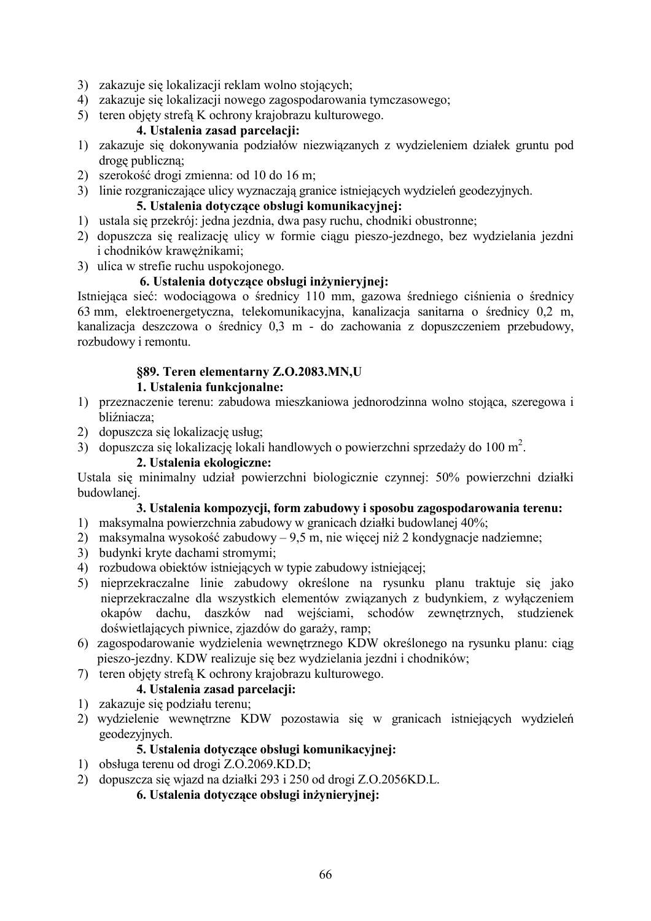- 3) zakazuje się lokalizacji reklam wolno stojących;
- 4) zakazuje się lokalizacji nowego zagospodarowania tymczasowego;
- 5) teren objety strefa K ochrony krajobrazu kulturowego.

#### 4. Ustalenia zasad parcelacii:

- 1) zakazuje się dokonywania podziałów niezwiązanych z wydzieleniem działek gruntu pod drogę publiczną;
- 2) szerokość drogi zmienna: od 10 do 16 m;
- 3) linie rozgraniczające ulicy wyznaczają granice istniejących wydzieleń geodezyjnych.

### **5. Ustalenia dotvczace obsługi komunikacyjnej:**

- 1) ustala się przekrój: jedna jezdnia, dwa pasy ruchu, chodniki obustronne;
- 2) dopuszcza się realizację ulicy w formie ciągu pieszo-jezdnego, bez wydzielania jezdni i chodników krawężnikami;
- 3) ulica w strefie ruchu uspokojonego.

#### 6. Ustalenia dotyczące obsługi inżynieryjnej:

Istniejąca sieć: wodociągowa o średnicy 110 mm, gazowa średniego ciśnienia o średnicy 63 mm, elektroenergetyczna, telekomunikacyjna, kanalizacja sanitarna o średnicy 0,2 m, kanalizacja deszczowa o średnicy 0,3 m - do zachowania z dopuszczeniem przebudowy, rozbudowy i remontu.

# **§89. Teren elementarny Z.O.2083.MN,U**

#### **1.** Ustalenia funkcionalne:

- 1) przeznaczenie terenu: zabudowa mieszkaniowa jednorodzinna wolno stojąca, szeregowa i bliźniacza;
- 2) dopuszcza się lokalizację usług;
- 3) dopuszcza się lokalizację lokali handlowych o powierzchni sprzedaży do 100 m<sup>2</sup>.

#### 2. Ustalenia ekologiczne:

Ustala się minimalny udział powierzchni biologicznie czynnej: 50% powierzchni działki budowlanej.

#### 3. Ustalenia kompozycji, form zabudowy i sposobu zagospodarowania terenu:

- 1) maksymalna powierzchnia zabudowy w granicach działki budowlanej 40%;
- 2) maksymalna wysokość zabudowy 9,5 m, nie więcej niż 2 kondygnacje nadziemne;
- 3) budynki kryte dachami stromymi;
- 4) rozbudowa obiektów istniejących w typie zabudowy istniejącej;
- 5) nieprzekraczalne linie zabudowy określone na rysunku planu traktuje się jako nieprzekraczalne dla wszystkich elementów związanych z budynkiem, z wyłączeniem okapów dachu, daszków nad wejściami, schodów zewnętrznych, studzienek doświetlających piwnice, zjazdów do garaży, ramp;
- 6) zagospodarowanie wydzielenia wewnętrznego KDW określonego na rysunku planu: ciąg pieszo-jezdny. KDW realizuje się bez wydzielania jezdni i chodników;
- 7) teren objety strefa K ochrony krajobrazu kulturowego.

### 4. Ustalenia zasad parcelacii:

- 1) zakazuje się podziału terenu;
- 2) wydzielenie wewnętrzne KDW pozostawia się w granicach istniejących wydzieleń geodezyjnych.

#### **5. Ustalenia dotvczace obsługi komunikacyjnej:**

- 1) obsługa terenu od drogi Z.O.2069.KD.D;
- 2) dopuszcza się wjazd na działki 293 i 250 od drogi Z.O.2056KD.L.

6. Ustalenia dotvczace obsługi inżyniervinej: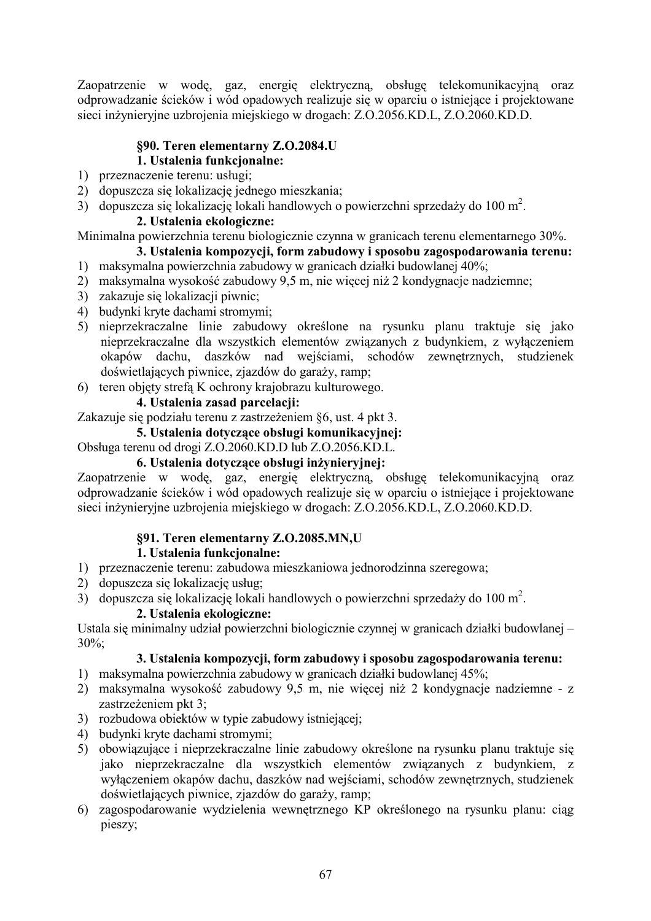Zaopatrzenie w wodę, gaz, energię elektryczną, obsługę telekomunikacyjną oraz odprowadzanie ścieków i wód opadowych realizuje się w oparciu o istniejące i projektowane sieci inżynieryjne uzbrojenia miejskiego w drogach: Z.O.2056.KD.L, Z.O.2060.KD.D.

# **\$90. Teren elementarny Z.O.2084.U 1.** Ustalenia funkcjonalne:

- 1) przeznaczenie terenu: usługi;
- 2) dopuszcza się lokalizację jednego mieszkania;
- 3) dopuszcza się lokalizację lokali handlowych o powierzchni sprzedaży do 100 m<sup>2</sup>.

# 2. Ustalenia ekologiczne:

Minimalna powierzchnia terenu biologicznie czynna w granicach terenu elementarnego 30%.

# 3. Ustalenia kompozycji, form zabudowy i sposobu zagospodarowania terenu:

- 1) maksymalna powierzchnia zabudowy w granicach działki budowlanej 40%;
- 2) maksymalna wysokość zabudowy 9,5 m, nie więcej niż 2 kondygnacje nadziemne;
- 3) zakazuje się lokalizacji piwnic;
- 4) budynki kryte dachami stromymi;
- 5) nieprzekraczalne linie zabudowy określone na rysunku planu traktuje się jako nieprzekraczalne dla wszystkich elementów związanych z budynkiem, z wyłączeniem okapów dachu, daszków nad wejściami, schodów zewnętrznych, studzienek doświetlających piwnice, zjazdów do garaży, ramp;
- 6) teren objęty strefą K ochrony krajobrazu kulturowego.

# 4. Ustalenia zasad parcelacii:

Zakazuje się podziału terenu z zastrzeżeniem §6, ust. 4 pkt 3.

**5. Ustalenia dotvczace obsługi komunikacyjnej:** 

Obsługa terenu od drogi Z.O.2060.KD.D lub Z.O.2056.KD.L.

### 6. Ustalenia dotyczące obsługi inżynieryjnej:

Zaopatrzenie w wodę, gaz, energię elektryczną, obsługę telekomunikacyjną oraz odprowadzanie ścieków i wód opadowych realizuje się w oparciu o istniejące i projektowane sieci inżynieryjne uzbrojenia miejskiego w drogach: Z.O.2056.KD.L, Z.O.2060.KD.D.

# **§91. Teren elementarny Z.O.2085.MN,U**

# 1. Ustalenia funkcjonalne:

- 1) przeznaczenie terenu: zabudowa mieszkaniowa jednorodzinna szeregowa;
- 2) dopuszcza się lokalizację usług;
- 3) dopuszcza się lokalizację lokali handlowych o powierzchni sprzedaży do 100 m<sup>2</sup>.

#### 2. Ustalenia ekologiczne:

Ustala się minimalny udział powierzchni biologicznie czynnej w granicach działki budowlanej –  $30\%$ 

- 1) maksymalna powierzchnia zabudowy w granicach działki budowlanej 45%;
- 2) maksymalna wysokość zabudowy 9,5 m, nie więcej niż 2 kondygnacje nadziemne z zastrzeżeniem pkt 3;
- 3) rozbudowa obiektów w typie zabudowy istniejącej;
- 4) budynki kryte dachami stromymi;
- 5) obowiązujące i nieprzekraczalne linie zabudowy określone na rysunku planu traktuje się jako nieprzekraczalne dla wszystkich elementów związanych z budynkiem, z wyłączeniem okapów dachu, daszków nad wejściami, schodów zewnętrznych, studzienek doświetlających piwnice, zjazdów do garaży, ramp;
- 6) zagospodarowanie wydzielenia wewnętrznego KP określonego na rysunku planu: ciąg pieszy;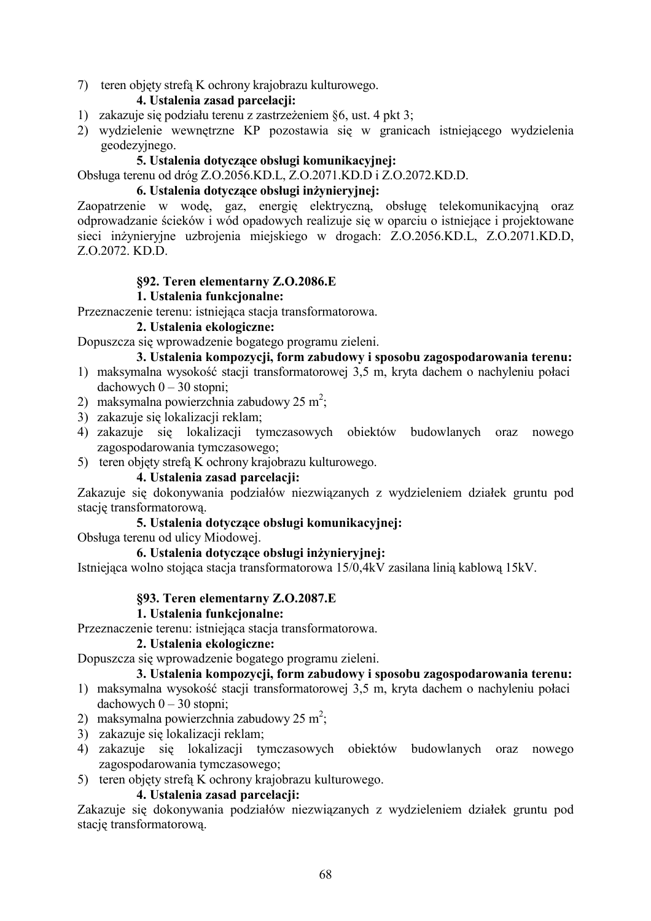7) teren objety strefa K ochrony krajobrazu kulturowego.

# 4. Ustalenia zasad parcelacji:

- 1) zakazuje się podziału terenu z zastrzeżeniem §6, ust. 4 pkt 3;
- 2) wydzielenie wewnętrzne KP pozostawia się w granicach istniejącego wydzielenia geodezyjnego.

### 5. Ustalenia dotyczące obsługi komunikacyjnej:

Obsługa terenu od dróg Z.O.2056.KD.L, Z.O.2071.KD.D i Z.O.2072.KD.D.

#### 6. Ustalenia dotvczące obsługi inżynieryjnej:

Zaopatrzenie w wodę, gaz, energię elektryczną, obsługę telekomunikacyjną oraz odprowadzanie ścieków i wód opadowych realizuje się w oparciu o istniejące i projektowane sieci inżynieryjne uzbrojenia miejskiego w drogach: Z.O.2056.KD.L, Z.O.2071.KD.D, Z.O.2072, KD.D.

# §92. Teren elementarny Z.O.2086.E

#### 1. Ustalenia funkcionalne:

Przeznaczenie terenu: istniejąca stacja transformatorowa.

#### 2. Ustalenia ekologiczne:

Dopuszcza się wprowadzenie bogatego programu zieleni.

#### 3. Ustalenia kompozycji, form zabudowy i sposobu zagospodarowania terenu:

- 1) maksymalna wysokość stacji transformatorowej 3,5 m, kryta dachem o nachyleniu połaci dachowych  $0 - 30$  stopni:
- 2) maksymalna powierzchnia zabudowy 25 m<sup>2</sup>:
- 3) zakazuje się lokalizacji reklam:
- 4) zakazuje się lokalizacji tymczasowych obiektów budowlanych oraz nowego zagospodarowania tymczasowego;
- 5) teren objety strefa K ochrony krajobrazu kulturowego.

#### 4. Ustalenia zasad parcelacji:

Zakazuje się dokonywania podziałów niezwiązanych z wydzieleniem działek gruntu pod stację transformatorową.

# 5. Ustalenia dotvczace obsługi komunikacyjnej:

Obsługa terenu od ulicy Miodowej.

#### 6. Ustalenia dotyczące obsługi inżynieryjnej:

Istniejąca wolno stojąca stacja transformatorowa 15/0,4kV zasilana linią kablową 15kV.

#### §93. Teren elementarny Z.O.2087.E

#### 1. Ustalenia funkcionalne:

Przeznaczenie terenu: istniejąca stacja transformatorowa.

#### 2. Ustalenia ekologiczne:

Dopuszcza się wprowadzenie bogatego programu zieleni.

#### 3. Ustalenia kompozycji, form zabudowy i sposobu zagospodarowania terenu:

- 1) maksymalna wysokość stacji transformatorowej 3,5 m, kryta dachem o nachyleniu połaci  $dachowych 0 - 30 stopni$ :
- 2) maksymalna powierzchnia zabudowy 25 m<sup>2</sup>;
- 3) zakazuje się lokalizacji reklam;
- 4) zakazuie się lokalizacji tymczasowych obiektów budowlanych oraz nowego zagospodarowania tymczasowego;
- 5) teren objety strefa K ochrony krajobrazu kulturowego.

#### 4. Ustalenia zasad parcelacii:

Zakazuje się dokonywania podziałów niezwiązanych z wydzieleniem działek gruntu pod stację transformatorową.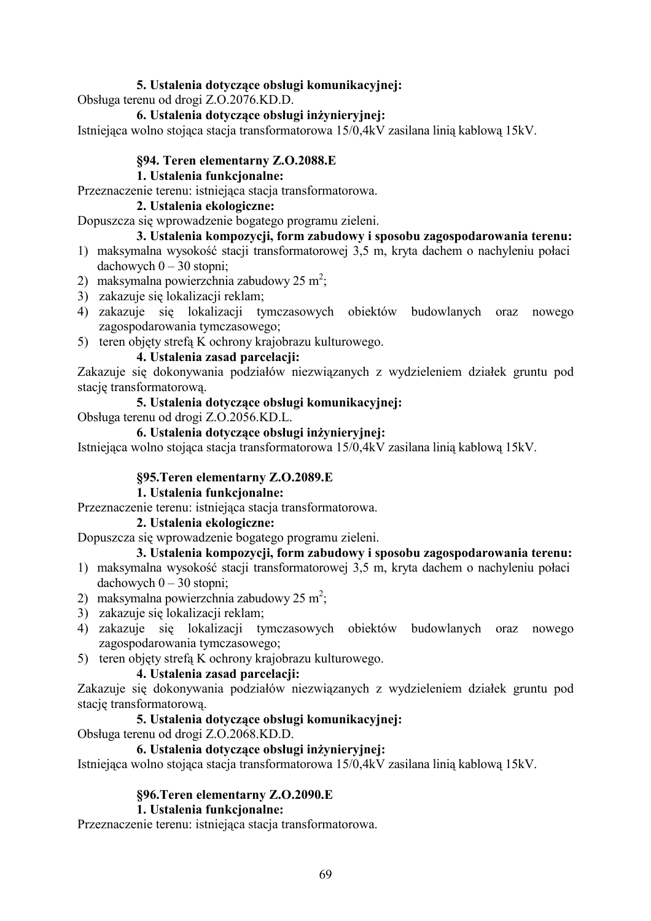# 5. Ustalenia dotyczące obsługi komunikacyjnej:

Obsługa terenu od drogi Z.O.2076.KD.D.

#### 6. Ustalenia dotvczace obsługi inżynieryjnej:

Istniejąca wolno stojąca stacja transformatorowa 15/0,4kV zasilana linią kablową 15kV.

### §94. Teren elementarny Z.O.2088.E

### 1. Ustalenia funkcjonalne:

Przeznaczenie terenu: istniejąca stacja transformatorowa.

#### 2. Ustalenia ekologiczne:

Dopuszcza się wprowadzenie bogatego programu zieleni.

# 3. Ustalenia kompozycji, form zabudowy i sposobu zagospodarowania terenu:

- 1) maksymalna wysokość stacji transformatorowej 3,5 m, kryta dachem o nachyleniu połaci dachowych  $0 - 30$  stopni;
- 2) maksymalna powierzchnia zabudowy 25 m<sup>2</sup>;
- 3) zakazuje się lokalizacji reklam;
- 4) zakazuje się lokalizacji tymczasowych obiektów budowlanych oraz nowego zagospodarowania tymczasowego;
- 5) teren objety strefa K ochrony krajobrazu kulturowego.

# 4. Ustalenia zasad parcelacii:

Zakazuje się dokonywania podziałów niezwiązanych z wydzieleniem działek gruntu pod stację transformatorową.

#### 5. Ustalenia dotyczące obsługi komunikacyjnej:

Obsługa terenu od drogi Z.O.2056.KD.L.

#### 6. Ustalenia dotyczące obsługi inżynieryjnej:

Istniejąca wolno stojąca stacja transformatorowa 15/0,4kV zasilana linią kablową 15kV.

#### §95. Teren elementarny Z.O.2089. E

#### 1. Ustalenia funkcjonalne:

Przeznaczenie terenu: istniejąca stacja transformatorowa.

#### 2. Ustalenia ekologiczne:

Dopuszcza się wprowadzenie bogatego programu zieleni.

# 3. Ustalenia kompozycji, form zabudowy i sposobu zagospodarowania terenu:

- 1) maksymalna wysokość stacji transformatorowej 3,5 m, kryta dachem o nachyleniu połaci dachowych  $0 - 30$  stopni;
- 2) maksymalna powierzchnia zabudowy 25 m<sup>2</sup>;
- 3) zakazuje się lokalizacji reklam;
- 4) zakazuje się lokalizacji tymczasowych obiektów budowlanych oraz nowego zagospodarowania tymczasowego;
- 5) teren objęty strefą K ochrony krajobrazu kulturowego.

#### 4. Ustalenia zasad parcelacii:

Zakazuje się dokonywania podziałów niezwiązanych z wydzieleniem działek gruntu pod stację transformatorową.

#### 5. Ustalenia dotyczące obsługi komunikacyjnej:

Obsługa terenu od drogi Z.O.2068.KD.D.

#### 6. Ustalenia dotvczace obsługi inżynieryjnej:

Istniejąca wolno stojąca stacja transformatorowa 15/0,4kV zasilana linią kablową 15kV.

#### §96. Teren elementarny Z.O.2090. E

#### 1. Ustalenia funkcjonalne:

Przeznaczenie terenu: istniejąca stacja transformatorowa.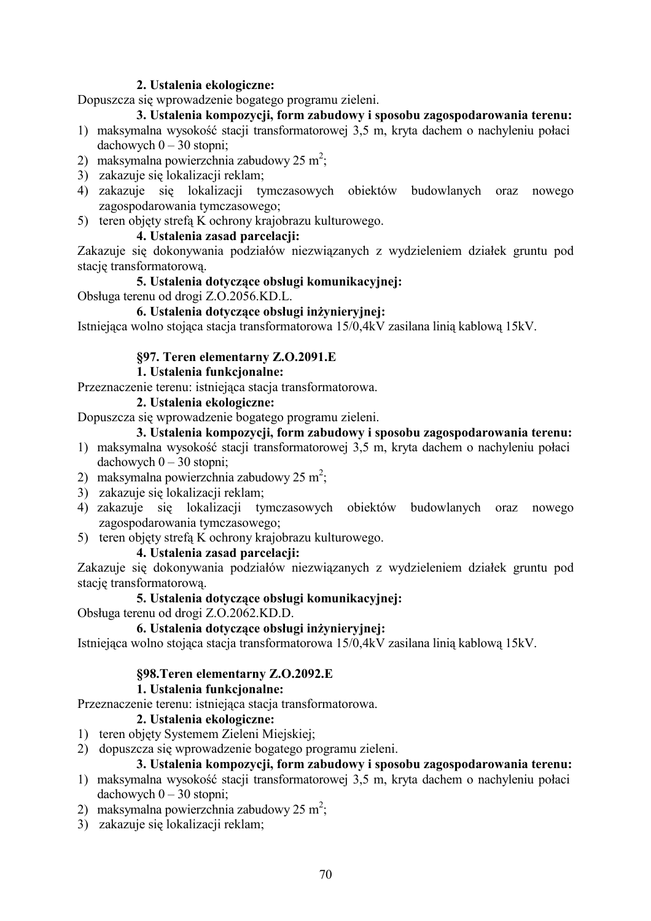#### 2. Ustalenia ekologiczne:

Dopuszcza się wprowadzenie bogatego programu zieleni.

# 3. Ustalenia kompozycji, form zabudowy i sposobu zagospodarowania terenu:

- 1) maksymalna wysokość stacji transformatorowej 3,5 m, kryta dachem o nachyleniu połaci dachowych  $0 - 30$  stopni;
- 2) maksymalna powierzchnia zabudowy 25 m<sup>2</sup>;
- 3) zakazuje się lokalizacji reklam;
- 4) zakazuje się lokalizacji tymczasowych obiektów budowlanych oraz nowego zagospodarowania tymczasowego;
- 5) teren objety strefa K ochrony krajobrazu kulturowego.

### 4. Ustalenia zasad parcelacji:

Zakazuje się dokonywania podziałów niezwiązanych z wydzieleniem działek gruntu pod stację transformatorową.

#### 5. Ustalenia dotyczące obsługi komunikacyjnej:

Obsługa terenu od drogi Z.O.2056.KD.L.

#### 6. Ustalenia dotyczące obsługi inżynieryjnej:

Istniejąca wolno stojąca stacja transformatorowa 15/0,4kV zasilana linią kablową 15kV.

#### §97. Teren elementarny Z.O.2091.E

#### 1. Ustalenia funkcionalne:

Przeznaczenie terenu: istniejąca stacja transformatorowa.

#### 2. Ustalenia ekologiczne:

Dopuszcza się wprowadzenie bogatego programu zieleni.

### 3. Ustalenia kompozycji, form zabudowy i sposobu zagospodarowania terenu:

- 1) maksymalna wysokość stacji transformatorowej 3,5 m, kryta dachem o nachyleniu połaci dachowych  $0 - 30$  stopni;
- 2) maksymalna powierzchnia zabudowy 25 m<sup>2</sup>:
- 3) zakazuje się lokalizacji reklam;
- 4) zakazuje się lokalizacji tymczasowych obiektów budowlanych oraz nowego zagospodarowania tymczasowego;
- 5) teren objęty strefą K ochrony krajobrazu kulturowego.

#### 4. Ustalenia zasad parcelacji:

Zakazuje się dokonywania podziałów niezwiązanych z wydzieleniem działek gruntu pod stację transformatorową.

#### 5. Ustalenia dotvczace obsługi komunikacyjnej:

Obsługa terenu od drogi Z.O.2062.KD.D.

### 6. Ustalenia dotyczące obsługi inżynieryjnej:

Istniejąca wolno stojąca stacją transformatorową 15/0,4kV zasilaną linią kablową 15kV.

#### §98. Teren elementarny Z.O.2092. E

#### 1. Ustalenia funkcionalne:

Przeznaczenie terenu: istniejąca stacią transformatorową.

#### 2. Ustalenia ekologiczne:

- 1) teren objęty Systemem Zieleni Miejskiej;
- 2) dopuszcza się wprowadzenie bogatego programu zieleni.

- 1) maksymalna wysokość stacji transformatorowej 3,5 m, kryta dachem o nachyleniu połaci dachowych  $0 - 30$  stopni;
- 2) maksymalna powierzchnia zabudowy 25 m<sup>2</sup>;
- 3) zakazuje się lokalizacji reklam;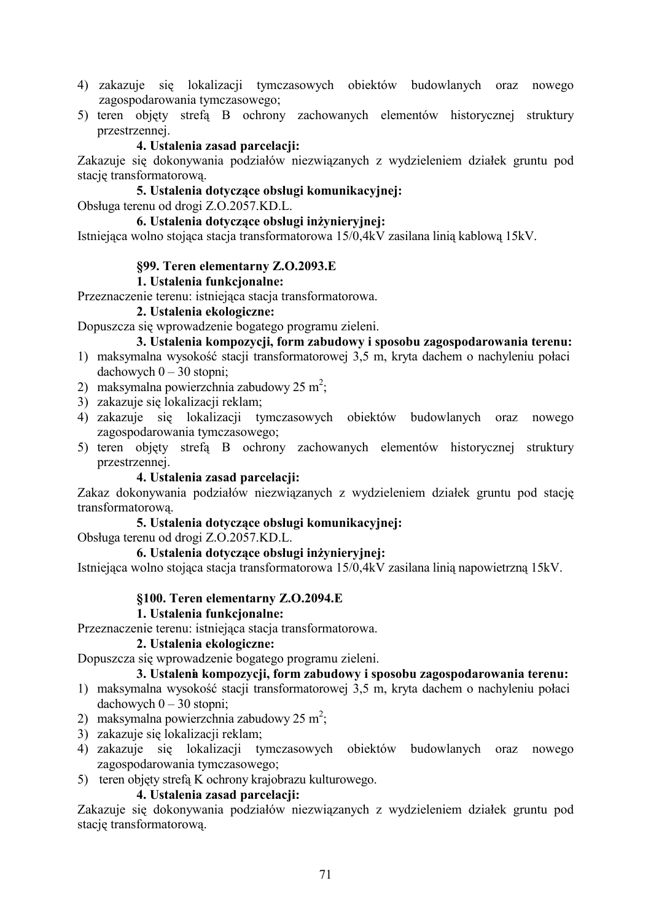- 4) zakazuje się lokalizacji tymczasowych obiektów budowlanych oraz nowego zagospodarowania tymczasowego;
- 5) teren objety strefa B ochrony zachowanych elementów historycznej struktury przestrzennej.

#### 4. Ustalenia zasad parcelacii:

Zakazuje się dokonywania podziałów niezwiązanych z wydzieleniem działek gruntu pod stację transformatorową.

#### 5. Ustalenia dotyczące obsługi komunikacyjnej:

Obsługa terenu od drogi Z.O.2057.KD.L.

#### 6. Ustalenia dotvczace obsługi inżynieryjnej:

Istniejąca wolno stojąca stacia transformatorowa 15/0,4kV zasilana linią kablową 15kV.

#### §99. Teren elementarny Z.O.2093.E

#### 1. Ustalenia funkcjonalne:

Przeznaczenie terenu: istniejąca stacja transformatorowa.

#### 2. Ustalenia ekologiczne:

Dopuszcza się wprowadzenie bogatego programu zieleni.

# 3. Ustalenia kompozycji, form zabudowy i sposobu zagospodarowania terenu:

- 1) maksymalna wysokość stacji transformatorowej 3,5 m, kryta dachem o nachyleniu połaci dachowych  $0 - 30$  stopni;
- 2) maksymalna powierzchnia zabudowy 25 m<sup>2</sup>;
- 3) zakazuje sie lokalizacii reklam:
- 4) zakazuje się lokalizacji tymczasowych obiektów budowlanych oraz nowego zagospodarowania tymczasowego;
- 5) teren objęty strefą B ochrony zachowanych elementów historycznej struktury przestrzennej.

#### 4. Ustalenia zasad parcelacji:

Zakaz dokonywania podziałów niezwiązanych z wydzieleniem działek gruntu pod stację transformatorowa.

#### 5. Ustalenia dotvczace obsługi komunikacyjnej:

Obsługa terenu od drogi Z.O.2057.KD.L.

#### 6. Ustalenia dotyczące obsługi inżynieryjnej:

Istniejąca wolno stojąca stacja transformatorowa 15/0,4kV zasilana linią napowietrzną 15kV.

#### §100. Teren elementarny Z.O.2094.E

#### 1. Ustalenia funkcionalne:

Przeznaczenie terenu: istniejąca stacją transformatorowa.

#### 2. Ustalenia ekologiczne:

Dopuszcza się wprowadzenie bogatego programu zieleni.

### 3. Ustalenia kompozycji, form zabudowy i sposobu zagospodarowania terenu:

- 1) maksymalna wysokość stacji transformatorowej 3,5 m, kryta dachem o nachyleniu połaci  $dachowych 0 - 30 stopni$ :
- 2) maksymalna powierzchnia zabudowy 25 m<sup>2</sup>;
- 3) zakazuje się lokalizacji reklam;
- 4) zakazuie się lokalizacji tymczasowych obiektów budowlanych oraz nowego zagospodarowania tymczasowego;
- 5) teren objety strefa K ochrony krajobrazu kulturowego.

#### 4. Ustalenia zasad parcelacji:

Zakazuje się dokonywania podziałów niezwiazanych z wydzieleniem działek gruntu pod stację transformatorową.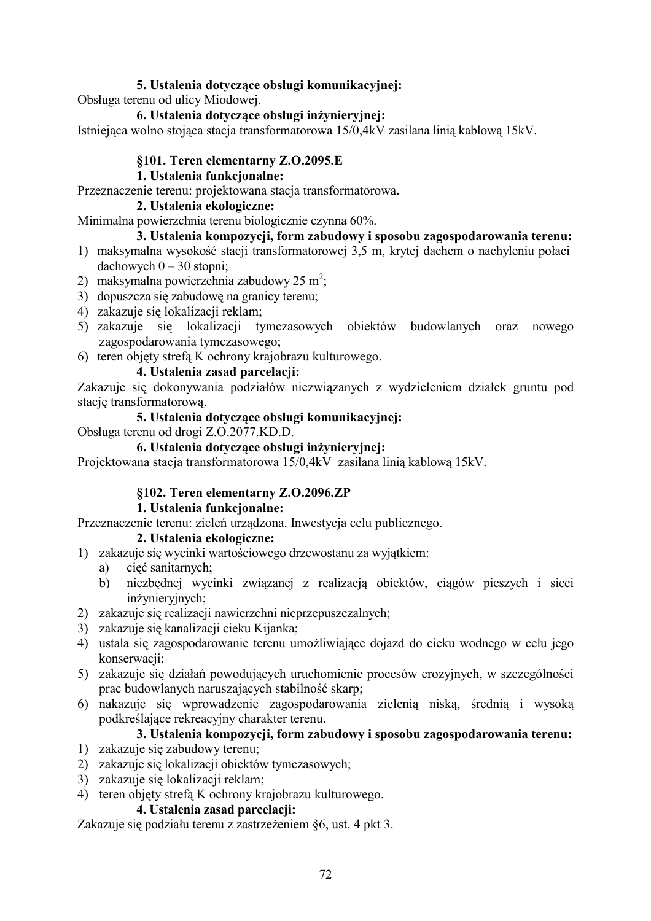# 5. Ustalenia dotyczące obsługi komunikacyjnej:

Obsługa terenu od ulicy Miodowej.

#### 6. Ustalenia dotvczace obsługi inżynieryjnej:

Istniejąca wolno stojąca stacja transformatorowa 15/0,4kV zasilana linią kablową 15kV.

#### §101. Teren elementarny Z.O.2095.E

#### 1. Ustalenia funkcjonalne:

Przeznaczenie terenu: projektowana stacja transformatorowa.

#### 2. Ustalenia ekologiczne:

Minimalna powierzchnia terenu biologicznie czynna 60%.

# 3. Ustalenia kompozycji, form zabudowy i sposobu zagospodarowania terenu:

- 1) maksymalna wysokość stacji transformatorowej 3,5 m, krytej dachem o nachyleniu połaci dachowych  $0 - 30$  stopni;
- 2) maksymalna powierzchnia zabudowy 25 m<sup>2</sup>;
- 3) dopuszcza się zabudowę na granicy terenu;
- 4) zakazuje się lokalizacji reklam;
- 5) zakazuje się lokalizacji tymczasowych obiektów budowlanych oraz nowego zagospodarowania tymczasowego;
- 6) teren objety strefa K ochrony krajobrazu kulturowego.

#### 4. Ustalenia zasad parcelacji:

Zakazuje się dokonywania podziałów niezwiązanych z wydzieleniem działek gruntu pod stacie transformatorowa.

#### 5. Ustalenia dotvczace obsługi komunikacyjnej:

Obsługa terenu od drogi Z.O.2077.KD.D.

#### 6. Ustalenia dotvczace obsługi inżynieryjnej:

Projektowana stacja transformatorowa 15/0,4kV zasilana linią kablową 15kV.

#### §102. Teren elementarny Z.O.2096.ZP

#### 1. Ustalenia funkcjonalne:

Przeznaczenie terenu: zieleń urządzona. Inwestycja celu publicznego.

# 2. Ustalenia ekologiczne:

- 1) zakazuje się wycinki wartościowego drzewostanu za wyjątkiem:
	- cięć sanitarnych; a)
	- niezbędnej wycinki związanej z realizacją obiektów, ciągów pieszych i sieci  $b)$ inżynieryjnych;
- 2) zakazuje się realizacji nawierzchni nieprzepuszczalnych;
- 3) zakazuje się kanalizacji cieku Kijanka;
- 4) ustala się zagospodarowanie terenu umożliwiające dojazd do cieku wodnego w celu jego konserwacji;
- 5) zakazuje się działań powodujących uruchomienie procesów erozyjnych, w szczególności prac budowlanych naruszających stabilność skarp;
- 6) nakazuje się wprowadzenie zagospodarowania zielenią niską, średnią i wysoką podkreślające rekreacyjny charakter terenu.

#### 3. Ustalenia kompozycji, form zabudowy i sposobu zagospodarowania terenu:

- 1) zakazuje się zabudowy terenu;
- 2) zakazuje się lokalizacji obiektów tymczasowych;
- 3) zakazuje się lokalizacji reklam;
- 4) teren objęty strefą K ochrony krajobrazu kulturowego.

#### 4. Ustalenia zasad parcelacji:

Zakazuje się podziału terenu z zastrzeżeniem §6, ust. 4 pkt 3.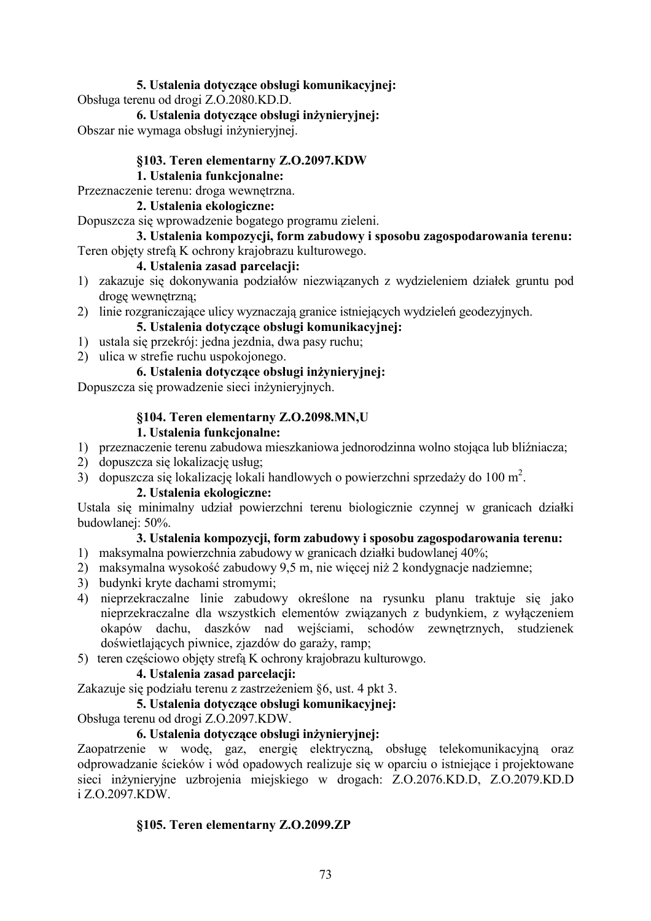### 5. Ustalenia dotyczące obsługi komunikacyjnej:

Obsługa terenu od drogi Z.O.2080.KD.D.

## 6. Ustalenia dotvczace obsługi inżyniervinej:

Obszar nie wymaga obsługi inżynieryjnej.

## §103. Teren elementarny Z.O.2097.KDW

## **1.** Ustalenia funkcjonalne:

### Przeznaczenie terenu: droga wewnętrzna.

#### 2. Ustalenia ekologiczne:

Dopuszcza się wprowadzenie bogatego programu zieleni.

#### 3. Ustalenia kompozycji, form zabudowy i sposobu zagospodarowania terenu: Teren objety strefa K ochrony krajobrazu kulturowego.

# 4. Ustalenia zasad parcelacii:

- 1) zakazuje się dokonywania podziałów niezwiązanych z wydzieleniem działek gruntu pod droge wewnetrzna:
- 2) linie rozgraniczające ulicy wyznaczają granice istniejących wydzieleń geodezyjnych.

# 5. Ustalenia dotyczące obsługi komunikacyjnej:

- 1) ustala się przekrój: jedna jezdnia, dwa pasy ruchu;
- 2) ulica w strefie ruchu uspokojonego.

## 6. Ustalenia dotyczące obsługi inżynieryjnej:

Dopuszcza się prowadzenie sieci inżynieryjnych.

## §104. Teren elementarny **Z.O.2098.MN,U**

## **1.** Ustalenia funkcionalne:

- 1) przeznaczenie terenu zabudowa mieszkaniowa jednorodzinna wolno stojąca lub bliźniacza;
- 2) dopuszcza się lokalizację usług;
- 3) dopuszcza się lokalizację lokali handlowych o powierzchni sprzedaży do 100 m<sup>2</sup>.

#### 2. Ustalenia ekologiczne:

Ustala się minimalny udział powierzchni terenu biologicznie czynnej w granicach działki budowlanej: 50%.

# 3. Ustalenia kompozycji, form zabudowy i sposobu zagospodarowania terenu:

- 1) maksymalna powierzchnia zabudowy w granicach działki budowlanej 40%;
- 2) maksymalna wysokość zabudowy 9,5 m, nie więcej niż 2 kondygnacje nadziemne;
- 3) budynki kryte dachami stromymi;
- 4) nieprzekraczalne linie zabudowy określone na rysunku planu traktuje się jako nieprzekraczalne dla wszystkich elementów związanych z budynkiem, z wyłączeniem okapów dachu, daszków nad wejściami, schodów zewnętrznych, studzienek doświetlających piwnice, zjazdów do garaży, ramp;
- 5) teren częściowo objęty strefą K ochrony krajobrazu kulturowgo.

# 4. Ustalenia zasad parcelacji:

# Zakazuje się podziału terenu z zastrzeżeniem §6, ust. 4 pkt 3.

# 5. Ustalenia dotyczące obsługi komunikacyjnej:

Obsługa terenu od drogi Z.O.2097.KDW.

# 6. Ustalenia dotyczące obsługi inżynieryjnej:

Zaopatrzenie w wodę, gaz, energię elektryczną, obsługę telekomunikacyjną oraz odprowadzanie ścieków i wód opadowych realizuje się w oparciu o istniejące i projektowane sieci inżynieryjne uzbrojenia miejskiego w drogach: Z.O.2076.KD.D, Z.O.2079.KD.D i Z.O.2097.KDW.

# **§105. Teren elementarny Z.O.2099.ZP**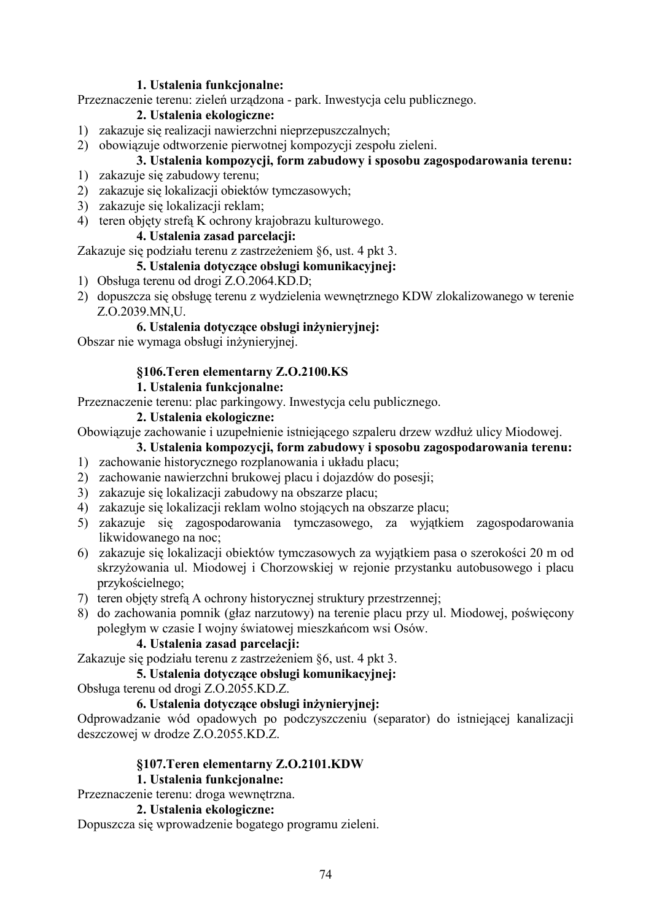### 1. Ustalenia funkcjonalne:

Przeznaczenie terenu: zieleń urządzona - park. Inwestycja celu publicznego.

# 2. Ustalenia ekologiczne:

- 1) zakazuje się realizacji nawierzchni nieprzepuszczalnych;
- 2) obowiązuje odtworzenie pierwotnej kompozycji zespołu zieleni.

# 3. Ustalenia kompozycji, form zabudowy i sposobu zagospodarowania terenu:

- 1) zakazuje się zabudowy terenu;
- 2) zakazuje się lokalizacji obiektów tymczasowych;
- 3) zakazuje się lokalizacji reklam;
- 4) teren objety strefa K ochrony krajobrazu kulturowego.

## 4. Ustalenia zasad parcelacii:

Zakazuje się podziału terenu z zastrzeżeniem §6, ust. 4 pkt 3.

# 5. Ustalenia dotvczace obsługi komunikacyjnej:

- 1) Obsługa terenu od drogi Z.O.2064.KD.D;
- 2) dopuszcza się obsługę terenu z wydzielenia wewnętrznego KDW zlokalizowanego w terenie Z.O.2039.MN,U.

# 6. Ustalenia dotyczące obsługi inżynieryjnej:

Obszar nie wymaga obsługi inżynieryjnej.

# §106. Teren elementarny Z.O.2100.KS

# 1. Ustalenia funkcionalne:

Przeznaczenie terenu: plac parkingowy. Inwestycia celu publicznego.

## 2. Ustalenia ekologiczne:

Obowiązuje zachowanie i uzupełnienie istniejącego szpaleru drzew wzdłuż ulicy Miodowej.

# 3. Ustalenia kompozycji, form zabudowy i sposobu zagospodarowania terenu:

- 1) zachowanie historycznego rozplanowania i układu placu;
- 2) zachowanie nawierzchni brukowej placu i dojazdów do posesji;
- 3) zakazuje się lokalizacji zabudowy na obszarze placu;
- 4) zakazuje się lokalizacji reklam wolno stojących na obszarze placu;
- 5) zakazuje się zagospodarowania tymczasowego, za wyjątkiem zagospodarowania likwidowanego na noc:
- 6) zakazuje się lokalizacji obiektów tymczasowych za wyjątkiem pasa o szerokości 20 m od skrzyżowania ul. Miodowej i Chorzowskiej w rejonie przystanku autobusowego i placu przykościelnego;
- 7) teren objety strefą A ochrony historycznej struktury przestrzennej;
- 8) do zachowania pomnik (głaz narzutowy) na terenie placu przy ul. Miodowej, poświecony poległym w czasie I wojny światowej mieszkańcom wsi Osów.

# 4. Ustalenia zasad parcelacji:

Zakazuje się podziału terenu z zastrzeżeniem §6, ust. 4 pkt 3.

# 5. Ustalenia dotvczace obsługi komunikacyjnej:

Obsługa terenu od drogi Z.O.2055.KD.Z.

#### 6. Ustalenia dotyczące obsługi inżynieryjnej:

Odprowadzanie wód opadowych po podczyszczeniu (separator) do istniejącej kanalizacji deszczowej w drodze Z.O.2055.KD.Z.

# **§107. Teren elementarny Z.O.2101.KDW**

# 1. Ustalenia funkcjonalne:

Przeznaczenie terenu: droga wewnętrzna.

#### 2. Ustalenia ekologiczne:

Dopuszcza się wprowadzenie bogatego programu zieleni.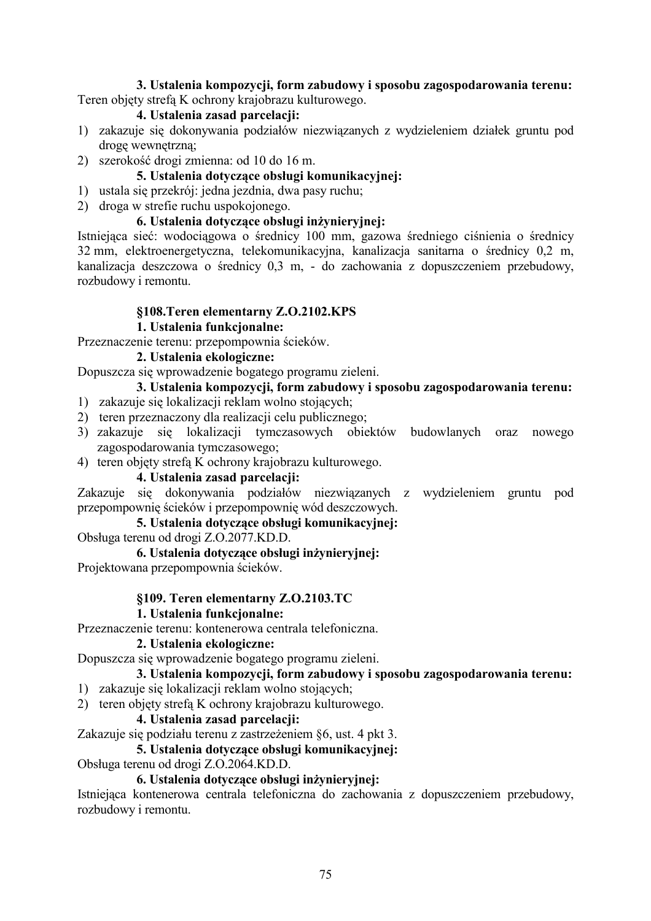#### 3. Ustalenia kompozycji, form zabudowy i sposobu zagospodarowania terenu: Teren objęty strefą K ochrony krajobrazu kulturowego.

# 4. Ustalenia zasad parcelacii:

- 1) zakazuje się dokonywania podziałów niezwiązanych z wydzieleniem działek gruntu pod droge wewnetrzna;
- 2) szerokość drogi zmienna: od 10 do 16 m.

## 5. Ustalenia dotyczące obsługi komunikacyjnej:

- 1) ustala się przekrój: jedna jezdnia, dwa pasy ruchu;
- 2) droga w strefie ruchu uspokojonego.

#### 6. Ustalenia dotyczące obsługi inżynieryjnej:

Istniejąca sieć: wodociągowa o średnicy 100 mm, gazowa średniego ciśnienia o średnicy 32 mm, elektroenergetyczna, telekomunikacyjna, kanalizacja sanitarna o średnicy 0,2 m, kanalizacja deszczowa o średnicy 0,3 m, - do zachowania z dopuszczeniem przebudowy, rozbudowy i remontu.

## §108. Teren elementarny Z.O.2102. KPS

#### 1. Ustalenia funkcjonalne:

Przeznaczenie terenu: przepompownia ścieków.

### 2. Ustalenia ekologiczne:

Dopuszcza się wprowadzenie bogatego programu zieleni.

#### 3. Ustalenia kompozycji, form zabudowy i sposobu zagospodarowania terenu:

- 1) zakazuje się lokalizacji reklam wolno stojących:
- 2) teren przeznaczony dla realizacji celu publicznego;
- 3) zakazuje się lokalizacji tymczasowych obiektów budowlanych oraz nowego zagospodarowania tymczasowego;
- 4) teren objety strefa K ochrony krajobrazu kulturowego.

### 4. Ustalenia zasad parcelacji:

Zakazuje się dokonywania podziałów niezwiązanych z wydzieleniem gruntu pod przepompownię ścieków i przepompownię wód deszczowych.

## 5. Ustalenia dotvczace obsługi komunikacyjnej:

Obsługa terenu od drogi Z.O.2077.KD.D.

#### 6. Ustalenia dotyczące obsługi inżynieryjnej:

Projektowana przepompownia ścieków.

#### §109. Teren elementarny Z.O.2103.TC

### 1. Ustalenia funkcionalne:

Przeznaczenie terenu: kontenerowa centrala telefoniczna.

#### 2. Ustalenia ekologiczne:

Dopuszcza się wprowadzenie bogatego programu zieleni.

#### 3. Ustalenia kompozycji, form zabudowy i sposobu zagospodarowania terenu:

- 1) zakazuje się lokalizacji reklam wolno stojących;
- 2) teren objety strefa K ochrony krajobrazu kulturowego.

#### 4. Ustalenia zasad parcelacji:

Zakazuje się podziału terenu z zastrzeżeniem §6, ust. 4 pkt 3.

### 5. Ustalenia dotvczace obsługi komunikacyjnej:

Obsługa terenu od drogi Z.O.2064.KD.D.

### 6. Ustalenia dotyczące obsługi inżynieryjnej:

Istniejąca kontenerowa centrala telefoniczna do zachowania z dopuszczeniem przebudowy, rozbudowy i remontu.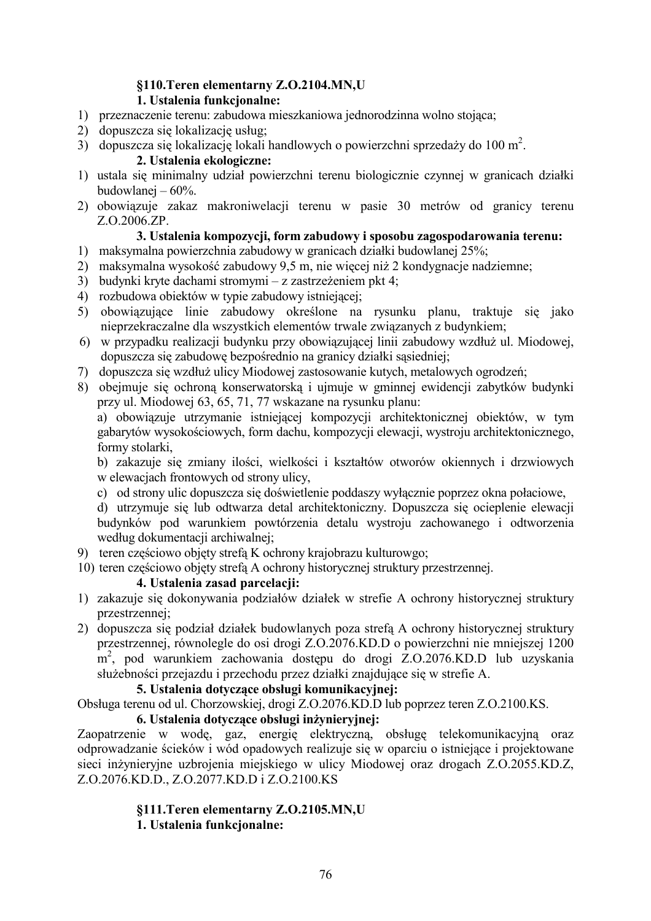# §110. Teren elementarny Z.O.2104.MN,U

# 1. Ustalenia funkcjonalne:

- 1) przeznaczenie terenu: zabudowa mieszkaniowa jednorodzinna wolno stojąca;
- 2) dopuszcza się lokalizację usług:
- 3) dopuszcza się lokalizację lokali handlowych o powierzchni sprzedaży do 100 m<sup>2</sup>.

# 2. Ustalenia ekologiczne:

- 1) ustala się minimalny udział powierzchni terenu biologicznie czynnej w granicach działki budowlanej  $-60\%$ .
- 2) obowiązuje zakaz makroniwelacji terenu w pasie 30 metrów od granicy terenu Z.O.2006.ZP.

# 3. Ustalenia kompozycji, form zabudowy i sposobu zagospodarowania terenu:

- 1) maksymalna powierzchnia zabudowy w granicach działki budowlanej 25%;
- 2) maksymalna wysokość zabudowy 9,5 m, nie więcej niż 2 kondygnacje nadziemne;
- 3) budynki kryte dachami stromymi z zastrzeżeniem pkt 4;
- 4) rozbudowa obiektów w typie zabudowy istniejacej:
- 5) obowiązujące linie zabudowy określone na rysunku planu, traktuje się jako nieprzekraczalne dla wszystkich elementów trwale związanych z budynkiem;
- 6) w przypadku realizacji budynku przy obowiązującej linii zabudowy wzdłuż ul. Miodowej, dopuszcza się zabudowe bezpośrednio na granicy działki sasiedniej:
- 7) dopuszcza się wzdłuż ulicy Miodowej zastosowanie kutych, metalowych ogrodzeń;
- 8) obejmuje się ochroną konserwatorską i ujmuje w gminnej ewidencji zabytków budynki przy ul. Miodowej 63, 65, 71, 77 wskazane na rysunku planu:

a) obowiązuje utrzymanie istniejącej kompozycji architektonicznej obiektów, w tym gabarytów wysokościowych, form dachu, kompozycji elewacji, wystroju architektonicznego, formy stolarki,

b) zakazuje się zmiany ilości, wielkości i kształtów otworów okiennych i drzwiowych w elewacjach frontowych od strony ulicy,

- c) od strony ulic dopuszcza się doświetlenie poddaszy wyłącznie poprzez okna połaciowe,
- d) utrzymuje się lub odtwarza detal architektoniczny. Dopuszcza się ocieplenie elewacji budynków pod warunkiem powtórzenia detalu wystroju zachowanego i odtworzenia według dokumentacji archiwalnej:
- 9) teren częściowo objęty strefą K ochrony krajobrazu kulturowgo;
- 10) teren częściowo objęty strefą A ochrony historycznej struktury przestrzennej.

# 4. Ustalenia zasad parcelacji:

- 1) zakazuje się dokonywania podziałów działek w strefie A ochrony historycznej struktury przestrzennej:
- 2) dopuszcza się podział działek budowlanych poza strefa A ochrony historycznej struktury przestrzennej, równoległe do osi drogi Z.O.2076.KD.D o powierzchni nie mniejszej 1200 m<sup>2</sup>, pod warunkiem zachowania dostępu do drogi Z.O.2076.KD.D lub uzyskania służebności przejazdu i przechodu przez działki znajdujące się w strefie A.

# 5. Ustalenia dotvczace obsługi komunikacyjnej:

Obsługa terenu od ul. Chorzowskiej, drogi Z.O.2076.KD.D lub poprzez teren Z.O.2100.KS.

# 6. Ustalenia dotyczące obsługi inżynieryjnej:

Zaopatrzenie w wodę, gaz, energię elektryczną, obsługę telekomunikacyjną oraz odprowadzanie ścieków i wód opadowych realizuje się w oparciu o istniejące i projektowane sieci inżynieryjne uzbrojenia miejskiego w ulicy Miodowej oraz drogach Z.O.2055.KD.Z. Z.O.2076.KD.D., Z.O.2077.KD.D i Z.O.2100.KS

#### §111. Teren elementarny Z.O.2105.MN,U 1. Ustalenia funkcjonalne: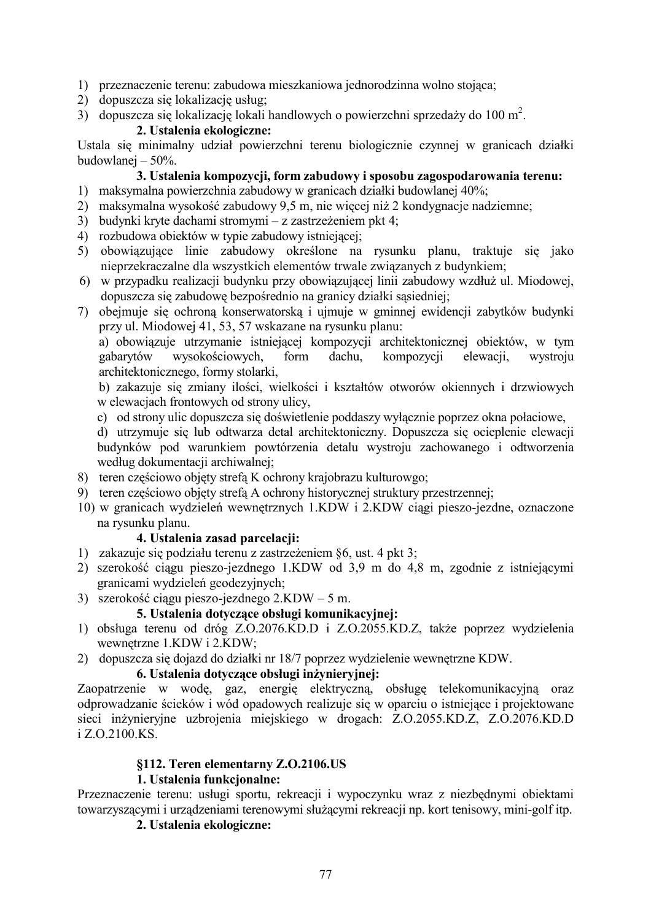- 1) przeznaczenie terenu: zabudowa mieszkaniowa jednorodzinna wolno stojąca;
- 2) dopuszcza się lokalizację usług;
- 3) dopuszcza się lokalizację lokali handlowych o powierzchni sprzedaży do 100 m<sup>2</sup>.

#### 2. Ustalenia ekologiczne:

Ustala się minimalny udział powierzchni terenu biologicznie czynnej w granicach działki budowlanej  $-50%$ .

#### 3. Ustalenia kompozycji, form zabudowy i sposobu zagospodarowania terenu:

- 1) maksymalna powierzchnia zabudowy w granicach działki budowlanej 40%;
- 2) maksymalna wysokość zabudowy 9,5 m, nie więcej niż 2 kondygnacje nadziemne;
- 3) budynki kryte dachami stromymi z zastrzeżeniem pkt 4;
- 4) rozbudowa obiektów w typie zabudowy istniejącej:
- 5) obowiązujące linie zabudowy określone na rysunku planu, traktuje się jako nieprzekraczalne dla wszystkich elementów trwale związanych z budynkiem;
- 6) w przypadku realizacji budynku przy obowiązującej linii zabudowy wzdłuż ul. Miodowej, dopuszcza się zabudowe bezpośrednio na granicy działki sasiedniej;
- 7) obejmuje się ochroną konserwatorską i ujmuje w gminnej ewidencji zabytków budynki przy ul. Miodowej 41, 53, 57 wskazane na rysunku planu:

a) obowiązuje utrzymanie istniejącej kompozycji architektonicznej obiektów, w tym wysokościowych. dachu. gabarytów form kompozycji elewacji, wystroiu architektonicznego, formy stolarki,

b) zakazuje się zmiany ilości, wielkości i kształtów otworów okiennych i drzwiowych w elewaciach frontowych od strony ulicy.

- c) od strony ulic dopuszcza się doświetlenie poddaszy wyłącznie poprzez okna połaciowe,
- d) utrzymuje się lub odtwarza detal architektoniczny. Dopuszcza się ocieplenie elewacji budynków pod warunkiem powtórzenia detalu wystroju zachowanego i odtworzenia według dokumentacji archiwalnej;
- 8) teren częściowo objęty strefa K ochrony krajobrazu kulturowgo:
- 9) teren częściowo objęty strefą A ochrony historycznej struktury przestrzennej;
- 10) w granicach wydzieleń wewnętrznych 1.KDW i 2.KDW ciągi pieszo-jezdne, oznaczone na rysunku planu.

#### 4. Ustalenia zasad parcelacji:

- 1) zakazuje się podziału terenu z zastrzeżeniem §6, ust. 4 pkt 3;
- 2) szerokość ciągu pieszo-jezdnego 1.KDW od 3,9 m do 4,8 m, zgodnie z istniejącymi granicami wydzieleń geodezyjnych;
- 3) szerokość ciągu pieszo-jezdnego  $2.KDW 5m$ .

#### 5. Ustalenia dotvczace obsługi komunikacyjnej:

- 1) obsługa terenu od dróg Z.O.2076.KD.D i Z.O.2055.KD.Z, także poprzez wydzielenia wewnetrzne 1.KDW i 2.KDW;
- 2) dopuszcza się dojazd do działki nr 18/7 poprzez wydzielenie wewnętrzne KDW.

#### 6. Ustalenia dotyczące obsługi inżynieryjnej:

Zaopatrzenie w wodę, gaz, energię elektryczną, obsługę telekomunikacyjną oraz odprowadzanie ścieków i wód opadowych realizuje się w oparciu o istniejące i projektowane sieci inżynieryjne uzbrojenia miejskiego w drogach: Z.O.2055.KD.Z, Z.O.2076.KD.D i Z.O.2100 KS.

#### \$112. Teren elementarny Z.O.2106.US

#### 1. Ustalenia funkcjonalne:

Przeznaczenie terenu: usługi sportu, rekreacji i wypoczynku wraz z niezbednymi obiektami towarzyszącymi i urządzeniami terenowymi służącymi rekreacji np. kort tenisowy, mini-golf itp.

2. Ustalenia ekologiczne: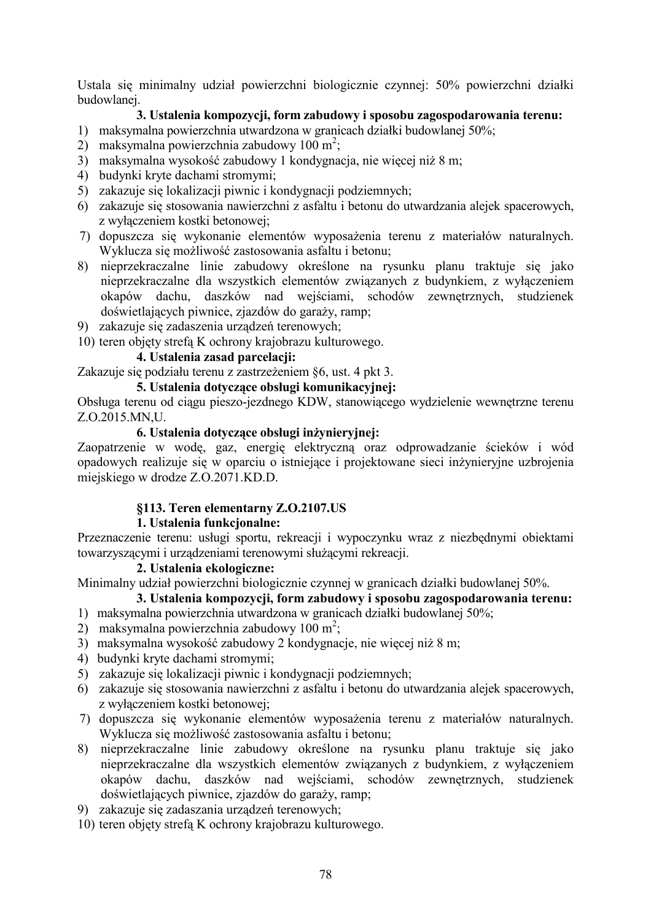Ustala się minimalny udział powierzchni biologicznie czynnej: 50% powierzchni działki budowlanej.

## 3. Ustalenia kompozycji, form zabudowy i sposobu zagospodarowania terenu:

- 1) maksymalna powierzchnia utwardzona w granicach działki budowlanej 50%;
- 2) maksymalna powierzchnia zabudowy 100 m<sup>2</sup>;
- 3) maksymalna wysokość zabudowy 1 kondygnacja, nie więcej niż 8 m;
- 4) budynki kryte dachami stromymi;
- 5) zakazuje się lokalizacji piwnic i kondygnacji podziemnych;
- 6) zakazuje się stosowania nawierzchni z asfaltu i betonu do utwardzania alejek spacerowych, z wyłączeniem kostki betonowej;
- 7) dopuszcza się wykonanie elementów wyposażenia terenu z materiałów naturalnych. Wyklucza się możliwość zastosowania asfaltu i betonu;
- 8) nieprzekraczalne linie zabudowy określone na rysunku planu traktuje się jako nieprzekraczalne dla wszystkich elementów związanych z budynkiem, z wyłączeniem okapów dachu, daszków nad wejściami, schodów zewnętrznych, studzienek doświetlających piwnice, zjazdów do garaży, ramp;
- 9) zakazuje się zadaszenia urządzeń terenowych;
- 10) teren objęty strefą K ochrony krajobrazu kulturowego.

## 4. Ustalenia zasad parcelacii:

Zakazuje się podziału terenu z zastrzeżeniem §6, ust. 4 pkt 3.

#### 5. Ustalenia dotvczace obsługi komunikacyjnej:

Obsługa terenu od ciagu pieszo-jezdnego KDW, stanowiącego wydzielenie wewnetrzne terenu Z.O.2015.MN.U.

#### 6. Ustalenia dotvczace obsługi inżyniervinei:

Zaopatrzenie w wodę, gaz, energię elektryczną oraz odprowadzanie ścieków i wód opadowych realizuje się w oparciu o istniejące i projektowane sieci inżynieryjne uzbrojenia miejskiego w drodze Z.O.2071.KD.D.

#### §113. Teren elementarny Z.O.2107.US

#### 1. Ustalenia funkcionalne:

Przeznaczenie terenu: usługi sportu, rekreacji i wypoczynku wraz z niezbednymi obiektami towarzyszącymi i urządzeniami terenowymi służącymi rekreacii.

#### 2. Ustalenia ekologiczne:

Minimalny udział powierzchni biologicznie czynnej w granicach działki budowlanej 50%.

## 3. Ustalenia kompozycji, form zabudowy i sposobu zagospodarowania terenu:

- 1) maksymalna powierzchnia utwardzona w granicach działki budowlanej 50%;
- 2) maksymalna powierzchnia zabudowy 100 m<sup>2</sup>;
- 3) maksymalna wysokość zabudowy 2 kondygnacje, nie więcej niż 8 m;
- 4) budynki kryte dachami stromymi;
- 5) zakazuje się lokalizacji piwnic i kondygnacji podziemnych;
- 6) zakazuje się stosowania nawierzchni z asfaltu i betonu do utwardzania alejek spacerowych, z wyłaczeniem kostki betonowej:
- 7) dopuszcza się wykonanie elementów wyposażenia terenu z materiałów naturalnych. Wyklucza się możliwość zastosowania asfaltu i betonu;
- 8) nieprzekraczalne linie zabudowy określone na rysunku planu traktuje się jako nieprzekraczalne dla wszystkich elementów związanych z budynkiem, z wyłaczeniem okapów dachu, daszków nad wejściami, schodów zewnętrznych, studzienek doświetlających piwnice, zjazdów do garaży, ramp;
- 9) zakazuje się zadaszania urządzeń terenowych;
- 10) teren objety strefa K ochrony krajobrazu kulturowego.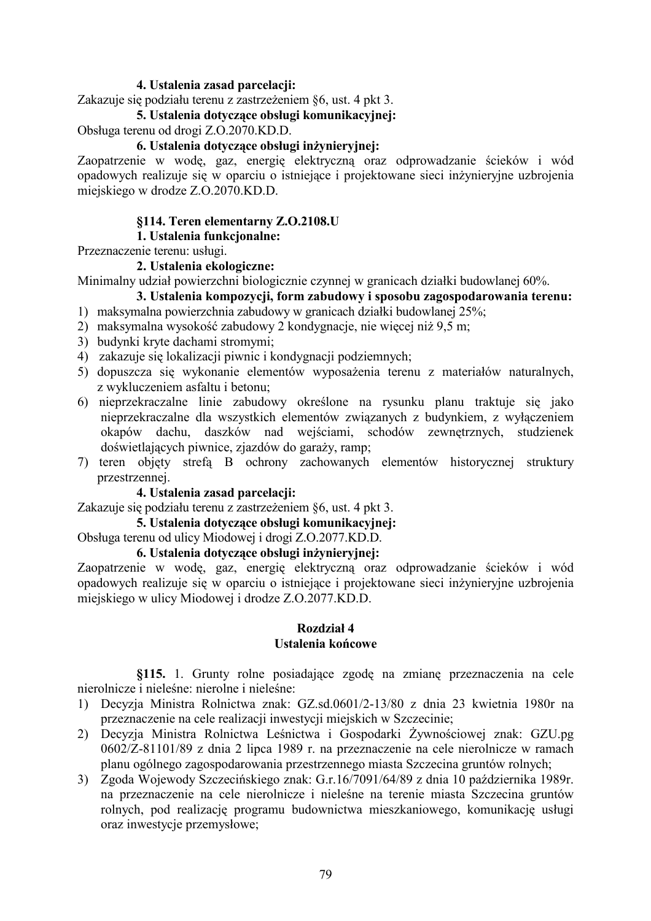#### 4. Ustalenia zasad parcelacji:

Zakazuje się podziału terenu z zastrzeżeniem §6, ust. 4 pkt 3.

#### 5. Ustalenia dotvczace obsługi komunikacyjnej:

Obsługa terenu od drogi Z.O.2070.KD.D.

#### 6. Ustalenia dotyczące obsługi inżynieryjnej:

Zaopatrzenie w wodę, gaz, energię elektryczną oraz odprowadzanie ścieków i wód opadowych realizuje się w oparciu o istniejące i projektowane sieci inżynieryjne uzbrojenia miejskiego w drodze Z.O.2070.KD.D.

#### §114. Teren elementarny Z.O.2108.U

### 1. Ustalenia funkcionalne:

Przeznaczenie terenu: usługi.

#### 2. Ustalenia ekologiczne:

Minimalny udział powierzchni biologicznie czynnej w granicach działki budowlanej 60%.

# 3. Ustalenia kompozycji, form zabudowy i sposobu zagospodarowania terenu:

- 1) maksymalna powierzchnia zabudowy w granicach działki budowlanej 25%;
- 2) maksymalna wysokość zabudowy 2 kondygnacje, nie więcej niż 9,5 m;
- 3) budynki kryte dachami stromymi;
- 4) zakazuje się lokalizacji piwnic i kondygnacji podziemnych;
- 5) dopuszcza się wykonanie elementów wyposażenia terenu z materiałów naturalnych, z wykluczeniem asfaltu i betonu;
- 6) nieprzekraczalne linie zabudowy określone na rysunku planu traktuje się jako nieprzekraczalne dla wszystkich elementów związanych z budynkiem, z wyłaczeniem okapów dachu, daszków nad wejściami, schodów zewnętrznych, studzienek doświetlających piwnice, zjazdów do garaży, ramp;
- 7) teren objęty strefą B ochrony zachowanych elementów historycznej struktury przestrzennei.

#### 4. Ustalenia zasad parcelacji:

Zakazuje się podziału terenu z zastrzeżeniem §6, ust. 4 pkt 3.

#### 5. Ustalenia dotvczace obsługi komunikacyjnej:

Obsługa terenu od ulicy Miodowej i drogi Z.O.2077.KD.D.

#### 6. Ustalenia dotyczące obsługi inżynieryjnej:

Zaopatrzenie w wodę, gaz, energię elektryczną oraz odprowadzanie ścieków i wód opadowych realizuje się w oparciu o istniejące i projektowane sieci inżynieryjne uzbrojenia miejskiego w ulicy Miodowej i drodze Z.O.2077.KD.D.

#### **Rozdział 4** Ustalenia końcowe

§115. 1. Grunty rolne posiadające zgodę na zmianę przeznaczenia na cele nierolnicze i nieleśne: nierolne i nieleśne:

- 1) Decyzia Ministra Rolnictwa znak: GZ.sd.0601/2-13/80 z dnia 23 kwietnia 1980r na przeznaczenie na cele realizacji inwestycji miejskich w Szczecinie;
- 2) Decyzja Ministra Rolnictwa Leśnictwa i Gospodarki Żywnościowej znak: GZU.pg 0602/Z-81101/89 z dnia 2 lipca 1989 r. na przeznaczenie na cele nierolnicze w ramach planu ogólnego zagospodarowania przestrzennego miasta Szczecina gruntów rolnych;
- 3) Zgoda Wojewody Szczecińskiego znak: G.r.16/7091/64/89 z dnia 10 października 1989r. na przeznaczenie na cele nierolnicze i nieleśne na terenie miasta Szczecina gruntów rolnych, pod realizacje programu budownictwa mieszkaniowego, komunikacje usługi oraz inwestycje przemysłowe;